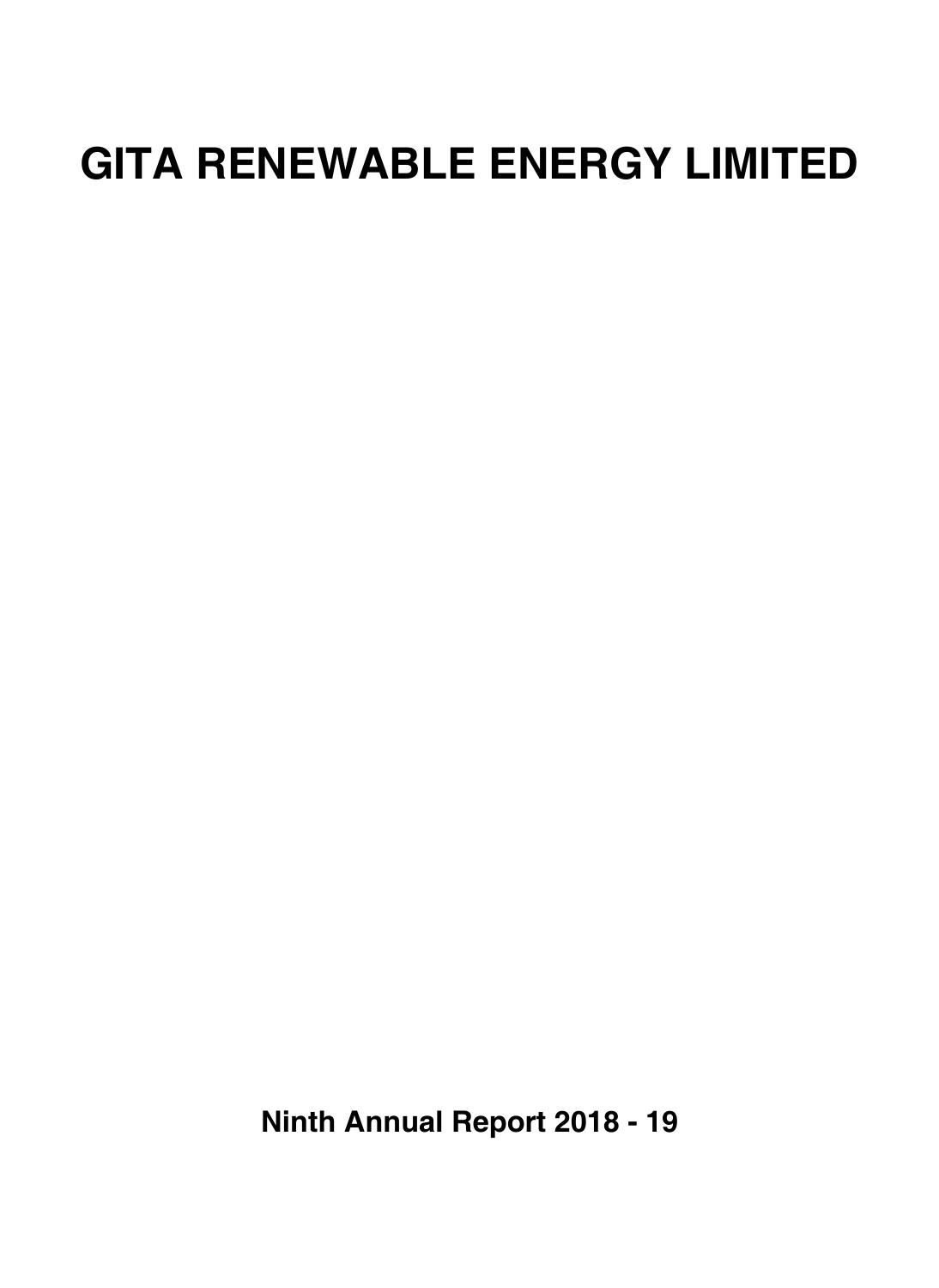# **GITA RENEWABLE ENERGY LIMITED**

**Ninth Annual Report 2018 - 19**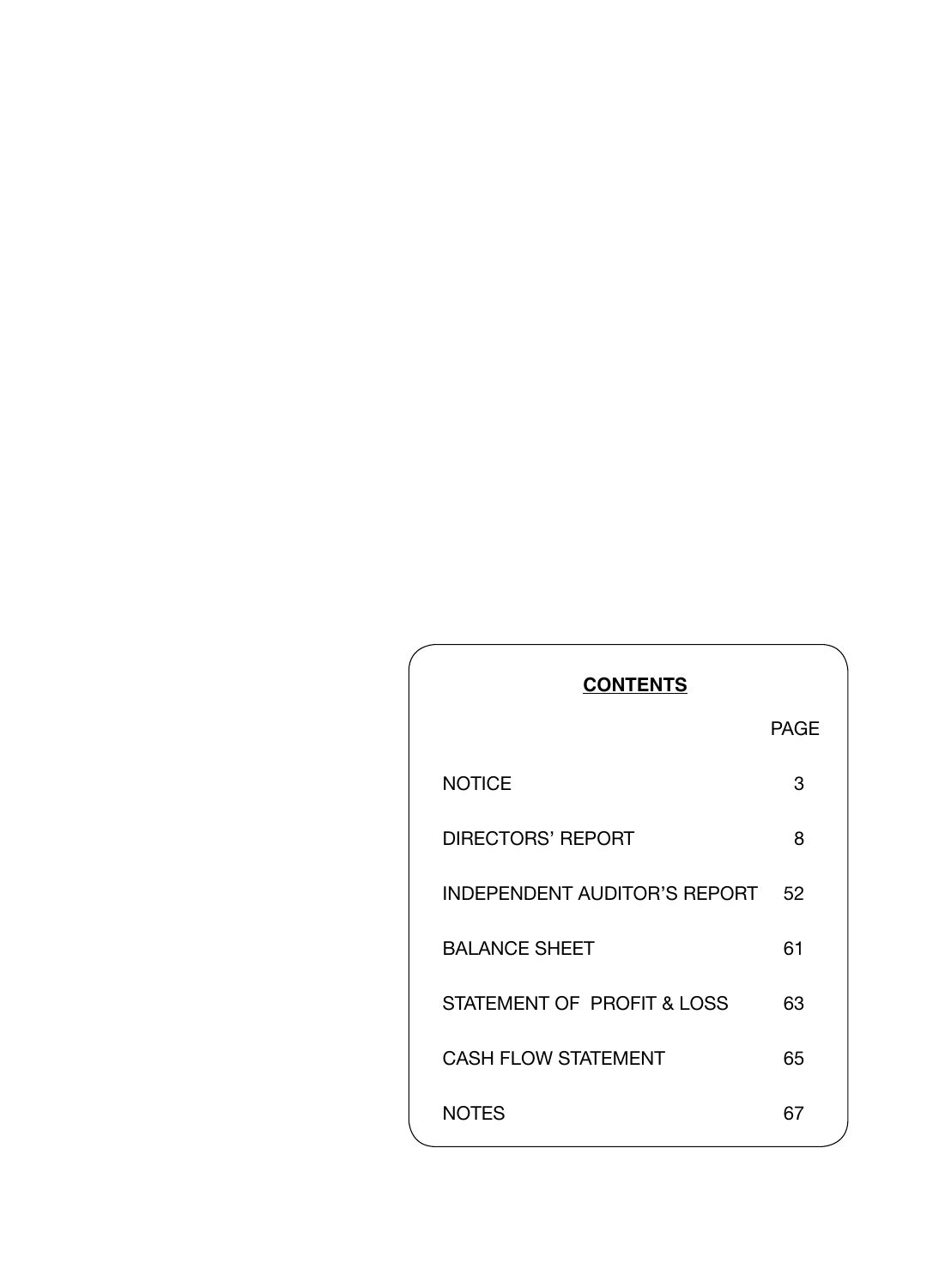| <b>PAGE</b><br><b>NOTICE</b><br>3<br><b>DIRECTORS' REPORT</b><br>8<br><b>INDEPENDENT AUDITOR'S REPORT</b><br>52<br><b>BALANCE SHEET</b><br>61<br>STATEMENT OF PROFIT & LOSS<br>63<br><b>CASH FLOW STATEMENT</b><br>65<br><b>NOTES</b><br>67 | <b>CONTENTS</b> |  |
|---------------------------------------------------------------------------------------------------------------------------------------------------------------------------------------------------------------------------------------------|-----------------|--|
|                                                                                                                                                                                                                                             |                 |  |
|                                                                                                                                                                                                                                             |                 |  |
|                                                                                                                                                                                                                                             |                 |  |
|                                                                                                                                                                                                                                             |                 |  |
|                                                                                                                                                                                                                                             |                 |  |
|                                                                                                                                                                                                                                             |                 |  |
|                                                                                                                                                                                                                                             |                 |  |
|                                                                                                                                                                                                                                             |                 |  |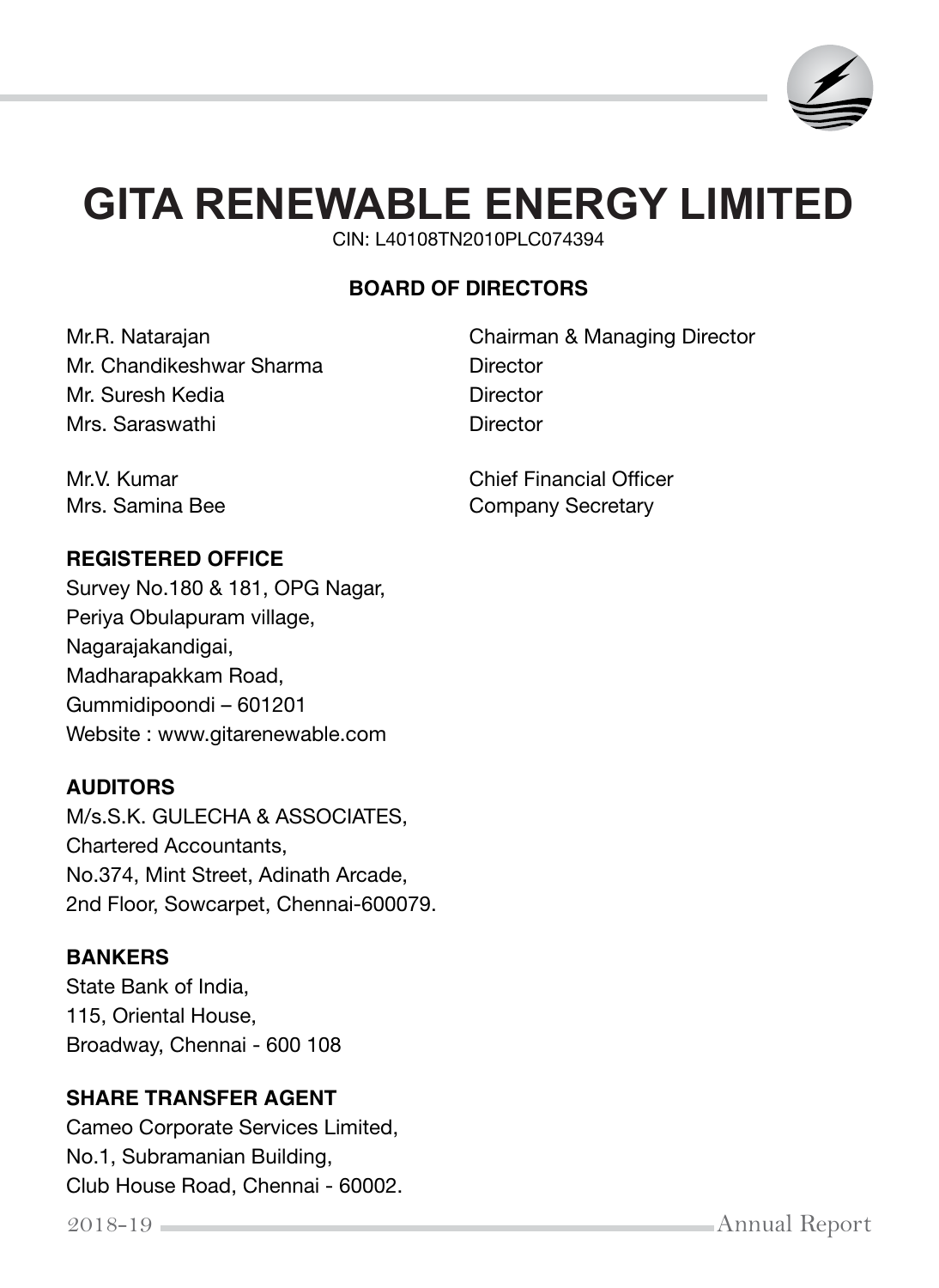

# **GITA RENEWABLE ENERGY LIMITED**

CIN: L40108TN2010PLC074394

# **BOARD OF DIRECTORS**

Mr. Chandikeshwar Sharma **Director** Mr. Suresh Kedia **Director** Mrs. Saraswathi Director

Mr.R. Natarajan Chairman & Managing Director

**REGISTERED OFFICE** 

Survey No.180 & 181, OPG Nagar, Periya Obulapuram village, Nagarajakandigai, Madharapakkam Road, Gummidipoondi – 601201 Website : www.gitarenewable.com

# **AUDITORS**

M/s.S.K. GULECHA & ASSOCIATES, Chartered Accountants, No.374, Mint Street, Adinath Arcade, 2nd Floor, Sowcarpet, Chennai-600079.

## **BANKERS**

State Bank of India, 115, Oriental House, Broadway, Chennai - 600 108

# **SHARE TRANSFER AGENT**

Cameo Corporate Services Limited, No.1, Subramanian Building, Club House Road, Chennai - 60002.

Mr.V. Kumar Chief Financial Officer Mrs. Samina Bee Company Secretary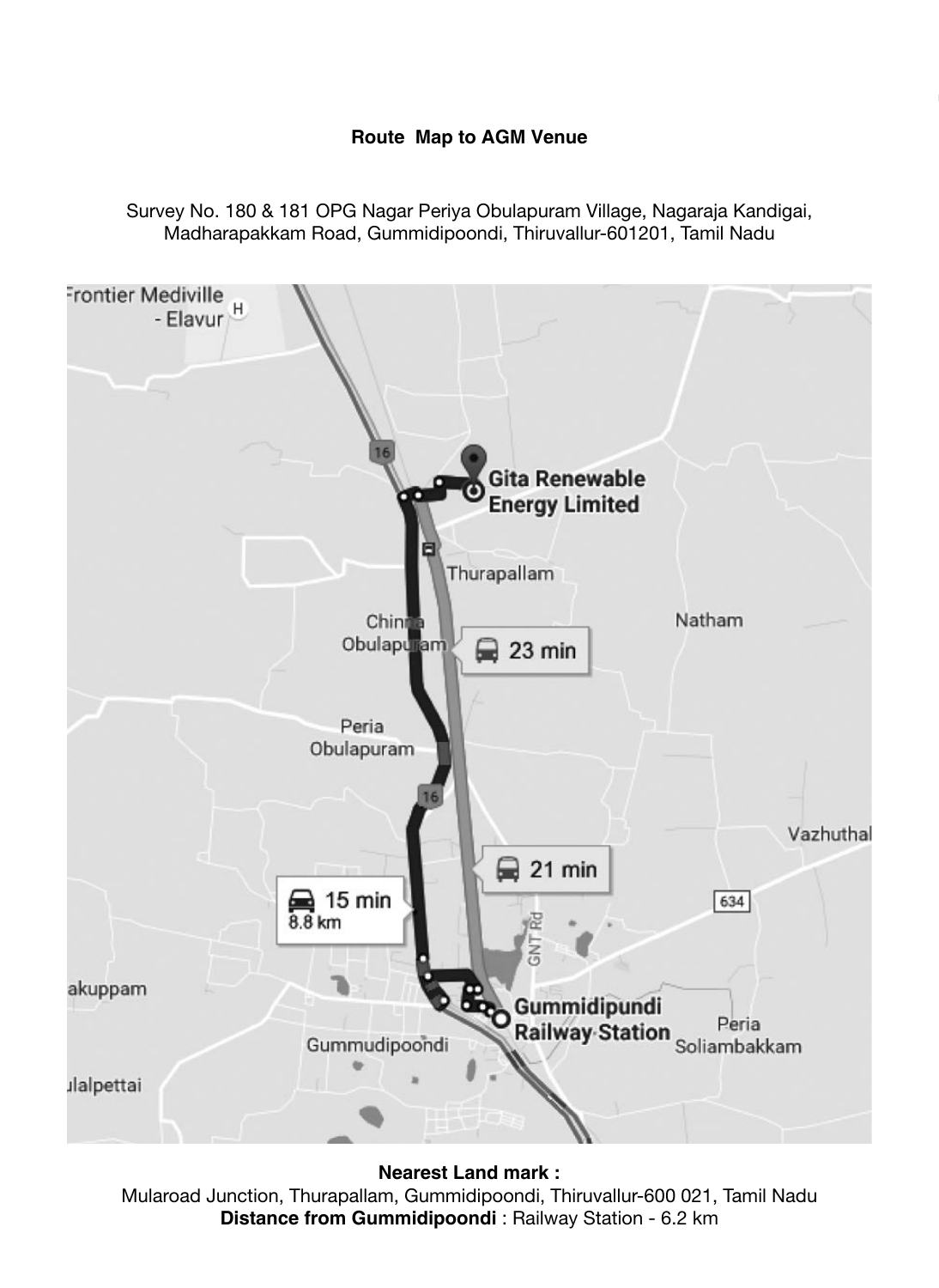#### **Route Map to AGM Venue**

Survey No. 180 & 181 OPG Nagar Periya Obulapuram Village, Nagaraja Kandigai, Madharapakkam Road, Gummidipoondi, Thiruvallur-601201, Tamil Nadu



**Nearest Land mark :**

Mularoad Junction, Thurapallam, Gummidipoondi, Thiruvallur-600 021, Tamil Nadu **Distance from Gummidipoondi** : Railway Station - 6.2 km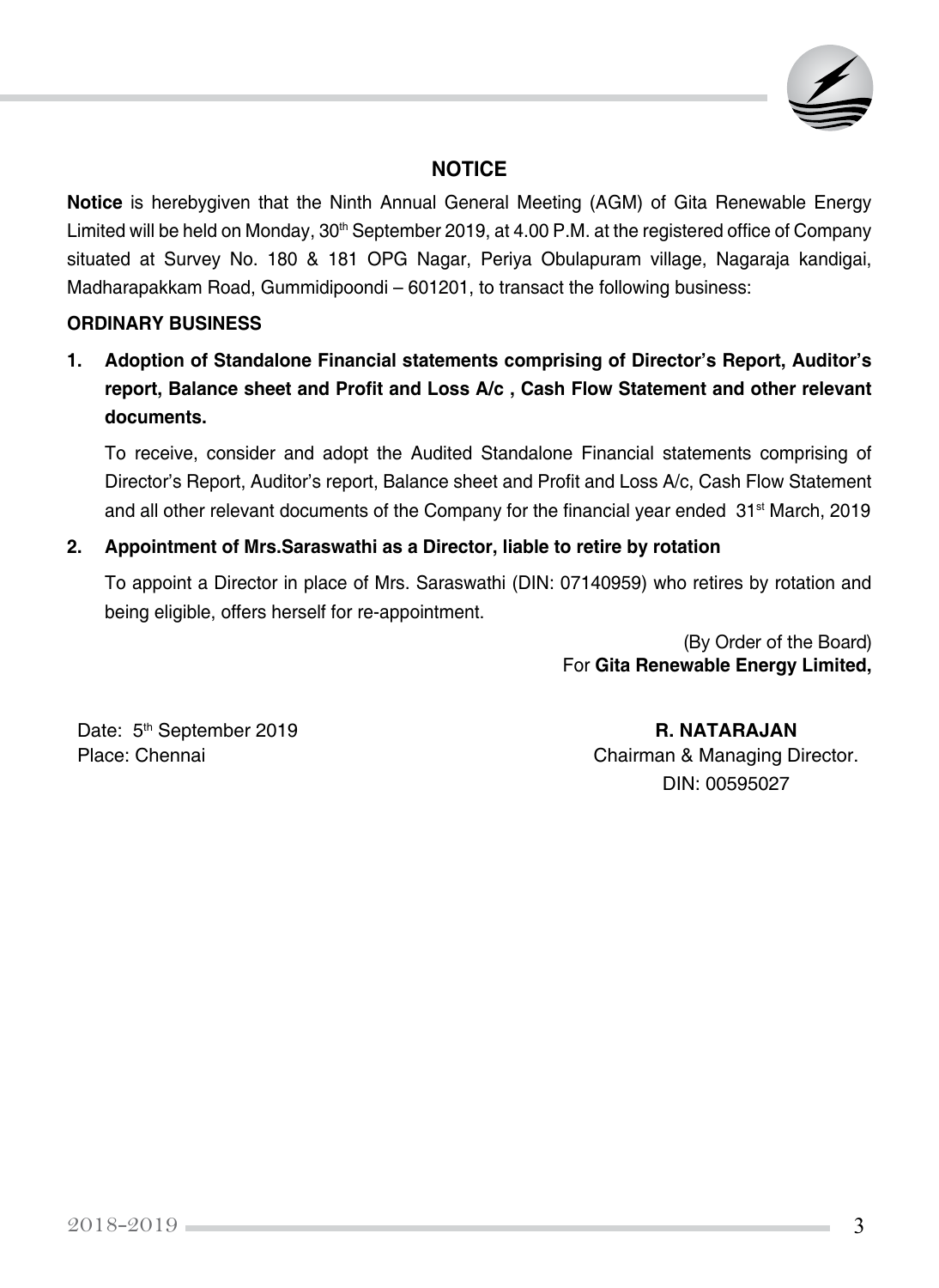

## **NOTICE**

**Notice** is herebygiven that the Ninth Annual General Meeting (AGM) of Gita Renewable Energy Limited will be held on Monday, 30<sup>th</sup> September 2019, at 4.00 P.M. at the registered office of Company situated at Survey No. 180 & 181 OPG Nagar, Periya Obulapuram village, Nagaraja kandigai, Madharapakkam Road, Gummidipoondi – 601201, to transact the following business:

#### **ORDINARY BUSINESS**

**1. Adoption of Standalone Financial statements comprising of Director's Report, Auditor's report, Balance sheet and Profit and Loss A/c , Cash Flow Statement and other relevant documents.**

To receive, consider and adopt the Audited Standalone Financial statements comprising of Director's Report, Auditor's report, Balance sheet and Profit and Loss A/c, Cash Flow Statement and all other relevant documents of the Company for the financial year ended  $31<sup>st</sup>$  March, 2019

#### **2. Appointment of Mrs.Saraswathi as a Director, liable to retire by rotation**

To appoint a Director in place of Mrs. Saraswathi (DIN: 07140959) who retires by rotation and being eligible, offers herself for re-appointment.

> (By Order of the Board) For **Gita Renewable Energy Limited,**

Date: 5<sup>th</sup> September 2019 **R. NATARAJAN** 

Place: Chennai **Chairman & Managing Director.** DIN: 00595027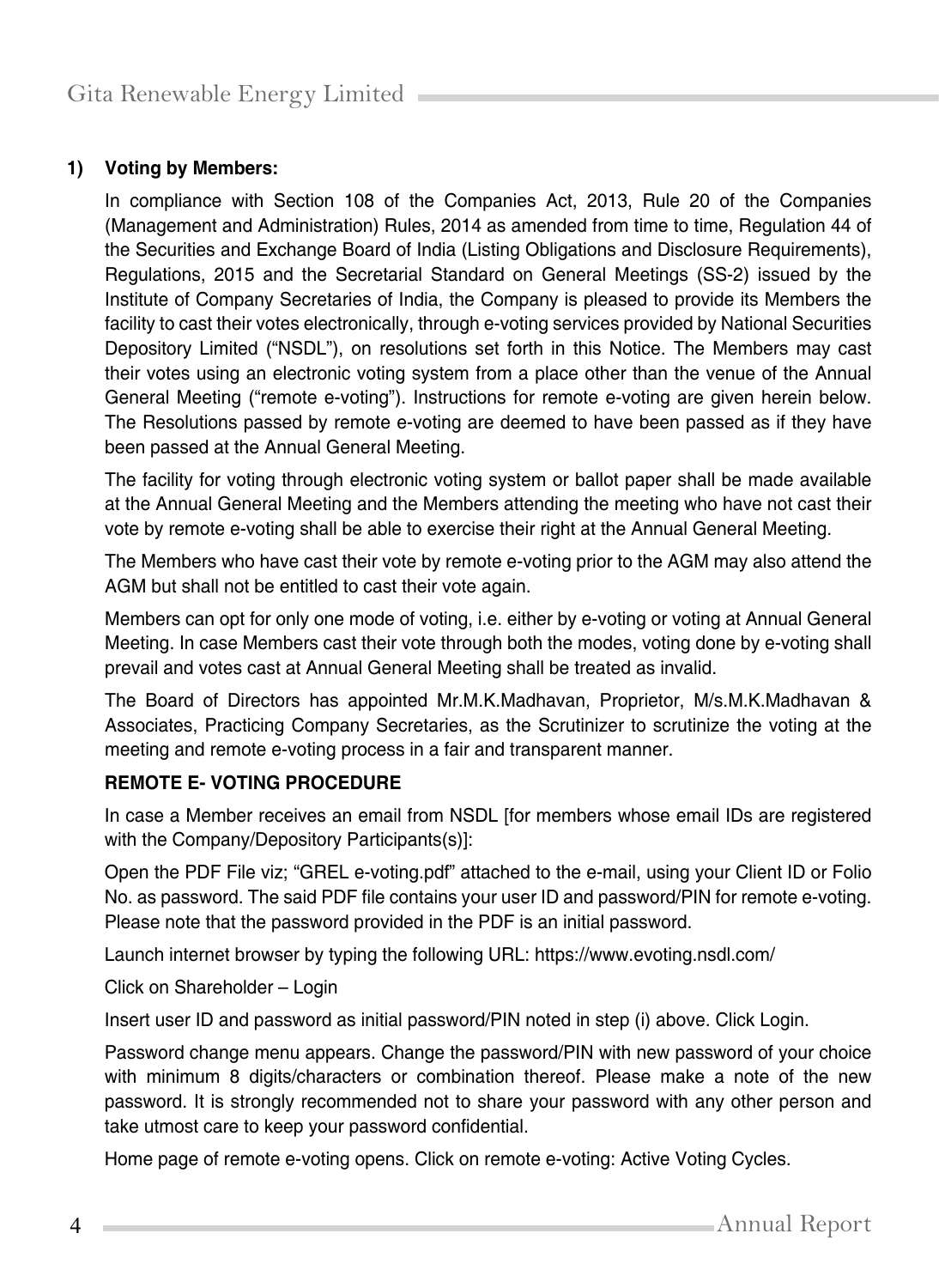## **1) Voting by Members:**

In compliance with Section 108 of the Companies Act, 2013, Rule 20 of the Companies (Management and Administration) Rules, 2014 as amended from time to time, Regulation 44 of the Securities and Exchange Board of India (Listing Obligations and Disclosure Requirements), Regulations, 2015 and the Secretarial Standard on General Meetings (SS-2) issued by the Institute of Company Secretaries of India, the Company is pleased to provide its Members the facility to cast their votes electronically, through e-voting services provided by National Securities Depository Limited ("NSDL"), on resolutions set forth in this Notice. The Members may cast their votes using an electronic voting system from a place other than the venue of the Annual General Meeting ("remote e-voting"). Instructions for remote e-voting are given herein below. The Resolutions passed by remote e-voting are deemed to have been passed as if they have been passed at the Annual General Meeting.

The facility for voting through electronic voting system or ballot paper shall be made available at the Annual General Meeting and the Members attending the meeting who have not cast their vote by remote e-voting shall be able to exercise their right at the Annual General Meeting.

The Members who have cast their vote by remote e-voting prior to the AGM may also attend the AGM but shall not be entitled to cast their vote again.

Members can opt for only one mode of voting, i.e. either by e-voting or voting at Annual General Meeting. In case Members cast their vote through both the modes, voting done by e-voting shall prevail and votes cast at Annual General Meeting shall be treated as invalid.

The Board of Directors has appointed Mr.M.K.Madhavan, Proprietor, M/s.M.K.Madhavan & Associates, Practicing Company Secretaries, as the Scrutinizer to scrutinize the voting at the meeting and remote e-voting process in a fair and transparent manner.

## **REMOTE E- VOTING PROCEDURE**

In case a Member receives an email from NSDL [for members whose email IDs are registered with the Company/Depository Participants(s)]:

Open the PDF File viz; "GREL e-voting.pdf" attached to the e-mail, using your Client ID or Folio No. as password. The said PDF file contains your user ID and password/PIN for remote e-voting. Please note that the password provided in the PDF is an initial password.

Launch internet browser by typing the following URL: [https://www.evoting.nsdl.com/](http://www.evoting.nsdl.com/)

Click on Shareholder – Login

Insert user ID and password as initial password/PIN noted in step (i) above. Click Login.

Password change menu appears. Change the password/PIN with new password of your choice with minimum 8 digits/characters or combination thereof. Please make a note of the new password. It is strongly recommended not to share your password with any other person and take utmost care to keep your password confidential.

Home page of remote e-voting opens. Click on remote e-voting: Active Voting Cycles.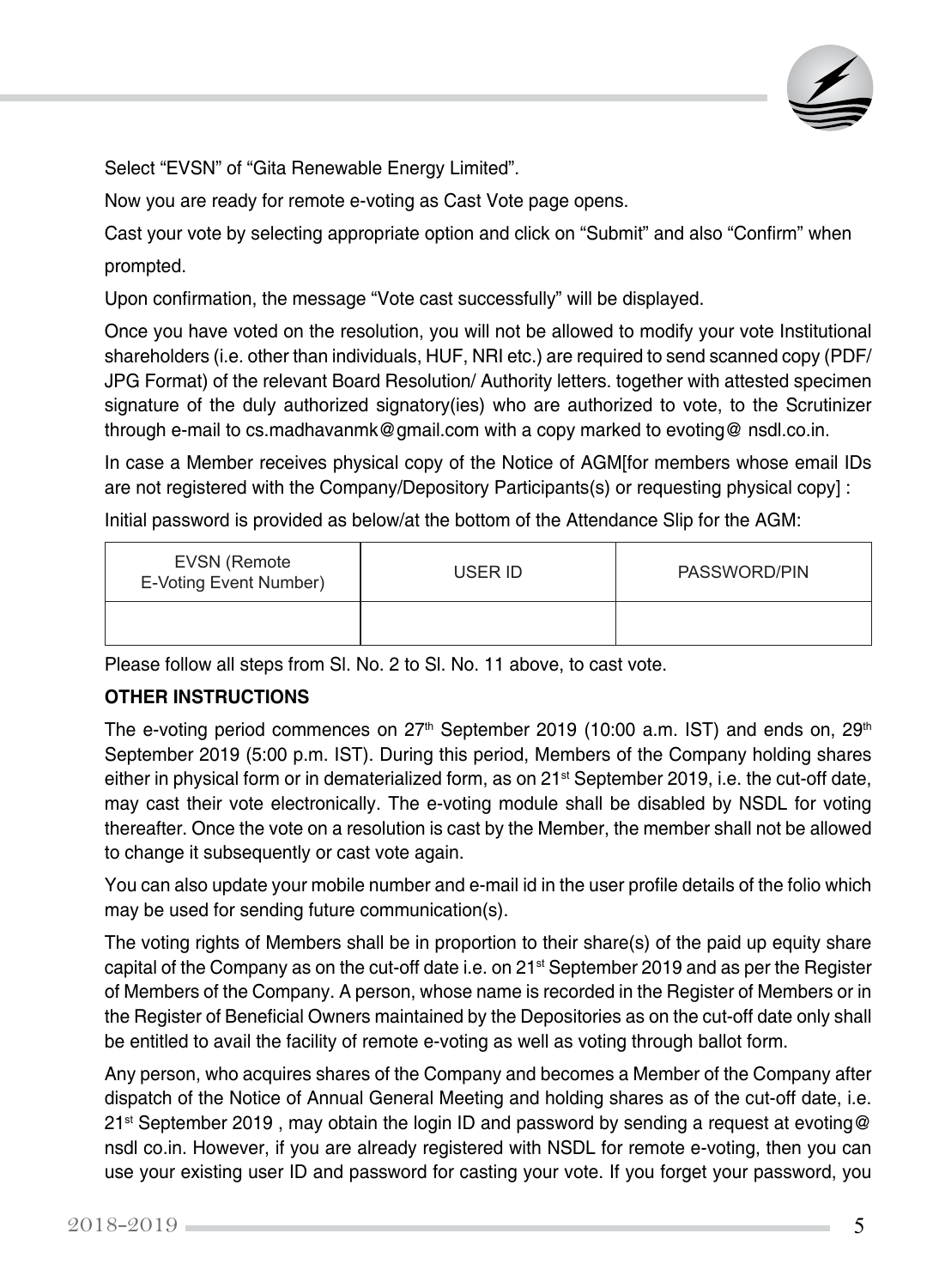

Select "EVSN" of "Gita Renewable Energy Limited".

Now you are ready for remote e-voting as Cast Vote page opens.

Cast your vote by selecting appropriate option and click on "Submit" and also "Confirm" when prompted.

Upon confirmation, the message "Vote cast successfully" will be displayed.

Once you have voted on the resolution, you will not be allowed to modify your vote Institutional shareholders (i.e. other than individuals, HUF, NRI etc.) are required to send scanned copy (PDF/ JPG Format) of the relevant Board Resolution/ Authority letters. together with attested specimen signature of the duly authorized signatory(ies) who are authorized to vote, to the Scrutinizer through e-mail to [cs.madhavanmk@gmail.com](mailto:cs.madhavanmk@gmail.com) with a copy marked to evoting@ nsdl.co.in.

In case a Member receives physical copy of the Notice of AGM[for members whose email IDs are not registered with the Company/Depository Participants(s) or requesting physical copy] :

Initial password is provided as below/at the bottom of the Attendance Slip for the AGM:

| EVSN (Remote<br>E-Voting Event Number) | USER ID | PASSWORD/PIN |
|----------------------------------------|---------|--------------|
|                                        |         |              |

Please follow all steps from Sl. No. 2 to Sl. No. 11 above, to cast vote.

## **OTHER INSTRUCTIONS**

The e-voting period commences on  $27<sup>th</sup>$  September 2019 (10:00 a.m. IST) and ends on,  $29<sup>th</sup>$ September 2019 (5:00 p.m. IST). During this period, Members of the Company holding shares either in physical form or in dematerialized form, as on 21<sup>st</sup> September 2019, i.e. the cut-off date, may cast their vote electronically. The e-voting module shall be disabled by NSDL for voting thereafter. Once the vote on a resolution is cast by the Member, the member shall not be allowed to change it subsequently or cast vote again.

You can also update your mobile number and e-mail id in the user profile details of the folio which may be used for sending future communication(s).

The voting rights of Members shall be in proportion to their share(s) of the paid up equity share capital of the Company as on the cut-off date i.e. on 21<sup>st</sup> September 2019 and as per the Register of Members of the Company. A person, whose name is recorded in the Register of Members or in the Register of Beneficial Owners maintained by the Depositories as on the cut-off date only shall be entitled to avail the facility of remote e-voting as well as voting through ballot form.

Any person, who acquires shares of the Company and becomes a Member of the Company after dispatch of the Notice of Annual General Meeting and holding shares as of the cut-off date, i.e. 21<sup>st</sup> September 2019, may obtain the login ID and password by sending a request at evoting@ nsdl co.in. However, if you are already registered with NSDL for remote e-voting, then you can use your existing user ID and password for casting your vote. If you forget your password, you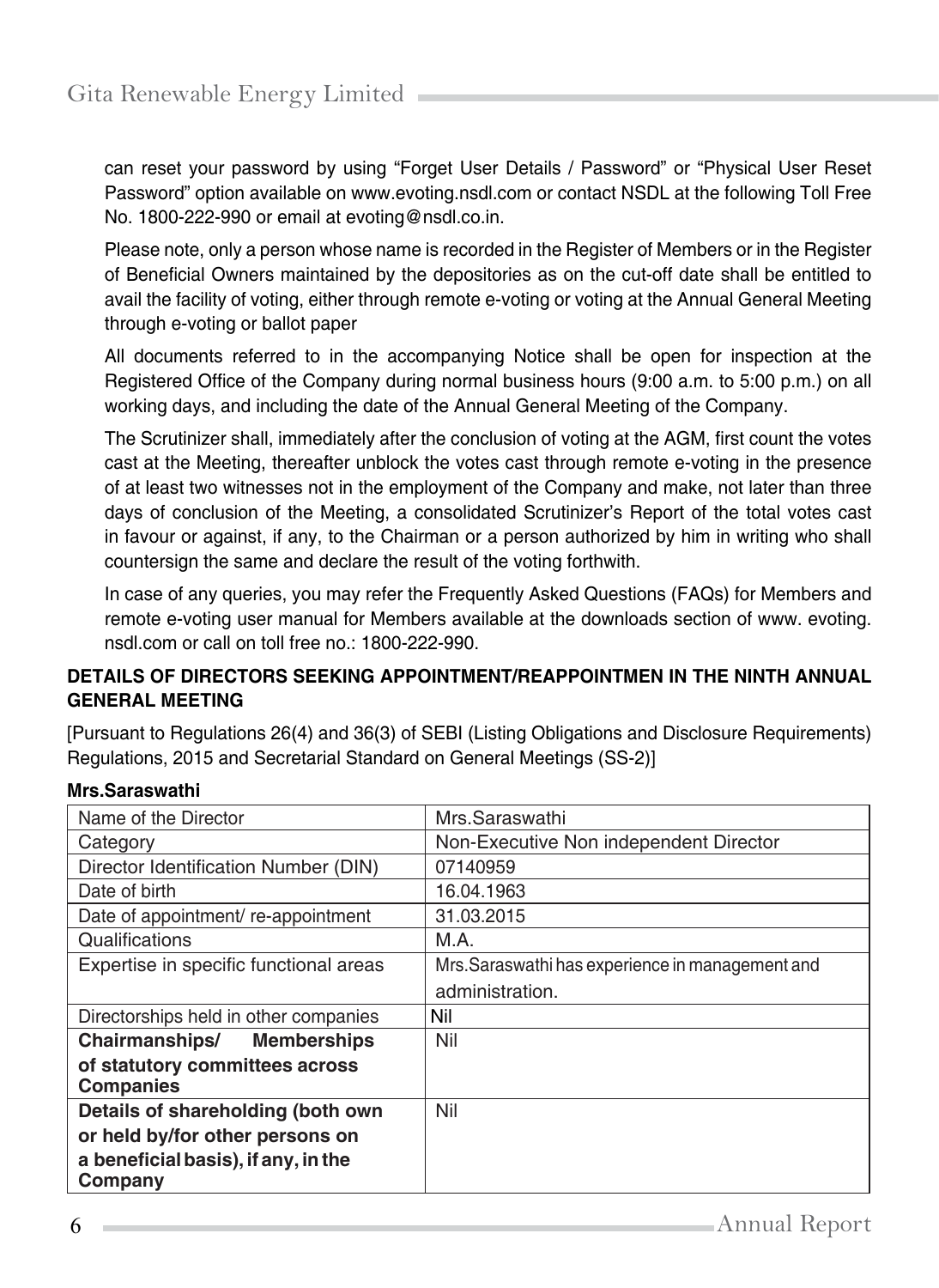can reset your password by using "Forget User Details / Password" or "Physical User Reset Password" option available on [www.evoting.nsdl.com o](http://www.evoting.nsdl.com/)r contact NSDL at the following Toll Free No. 1800-222-990 or email at [ev](mailto:evoting@nsdl.co.in)[oting@nsdl.co.in.](mailto:oting@nsdl.co.in)

Please note, only a person whose name is recorded in the Register of Members or in the Register of Beneficial Owners maintained by the depositories as on the cut-off date shall be entitled to avail the facility of voting, either through remote e-voting or voting at the Annual General Meeting through e-voting or ballot paper

All documents referred to in the accompanying Notice shall be open for inspection at the Registered Office of the Company during normal business hours (9:00 a.m. to 5:00 p.m.) on all working days, and including the date of the Annual General Meeting of the Company.

The Scrutinizer shall, immediately after the conclusion of voting at the AGM, first count the votes cast at the Meeting, thereafter unblock the votes cast through remote e-voting in the presence of at least two witnesses not in the employment of the Company and make, not later than three days of conclusion of the Meeting, a consolidated Scrutinizer's Report of the total votes cast in favour or against, if any, to the Chairman or a person authorized by him in writing who shall countersign the same and declare the result of the voting forthwith.

In case of any queries, you may refer the Frequently Asked Questions (FAQs) for Members and remote e-voting user manual for Members available at the downloads section of [www.](http://www/) evoting. nsdl.com or call on toll free no.: 1800-222-990.

## **DETAILS OF DIRECTORS SEEKING APPOINTMENT/REAPPOINTMEN IN THE NINTH ANNUAL GENERAL MEETING**

[Pursuant to Regulations 26(4) and 36(3) of SEBI (Listing Obligations and Disclosure Requirements) Regulations, 2015 and Secretarial Standard on General Meetings (SS-2)]

| Name of the Director                               | Mrs.Saraswathi                                   |
|----------------------------------------------------|--------------------------------------------------|
| Category                                           | Non-Executive Non independent Director           |
| Director Identification Number (DIN)               | 07140959                                         |
| Date of birth                                      | 16.04.1963                                       |
| Date of appointment/re-appointment                 | 31.03.2015                                       |
| Qualifications                                     | M.A.                                             |
| Expertise in specific functional areas             | Mrs. Saraswathi has experience in management and |
|                                                    | administration.                                  |
| Directorships held in other companies              | Nil                                              |
| Chairmanships/ Memberships                         | Nil                                              |
| of statutory committees across<br><b>Companies</b> |                                                  |
| Details of shareholding (both own                  | Nil                                              |
| or held by/for other persons on                    |                                                  |
| a beneficial basis), if any, in the                |                                                  |
| Company                                            |                                                  |

## **Mrs.Saraswathi**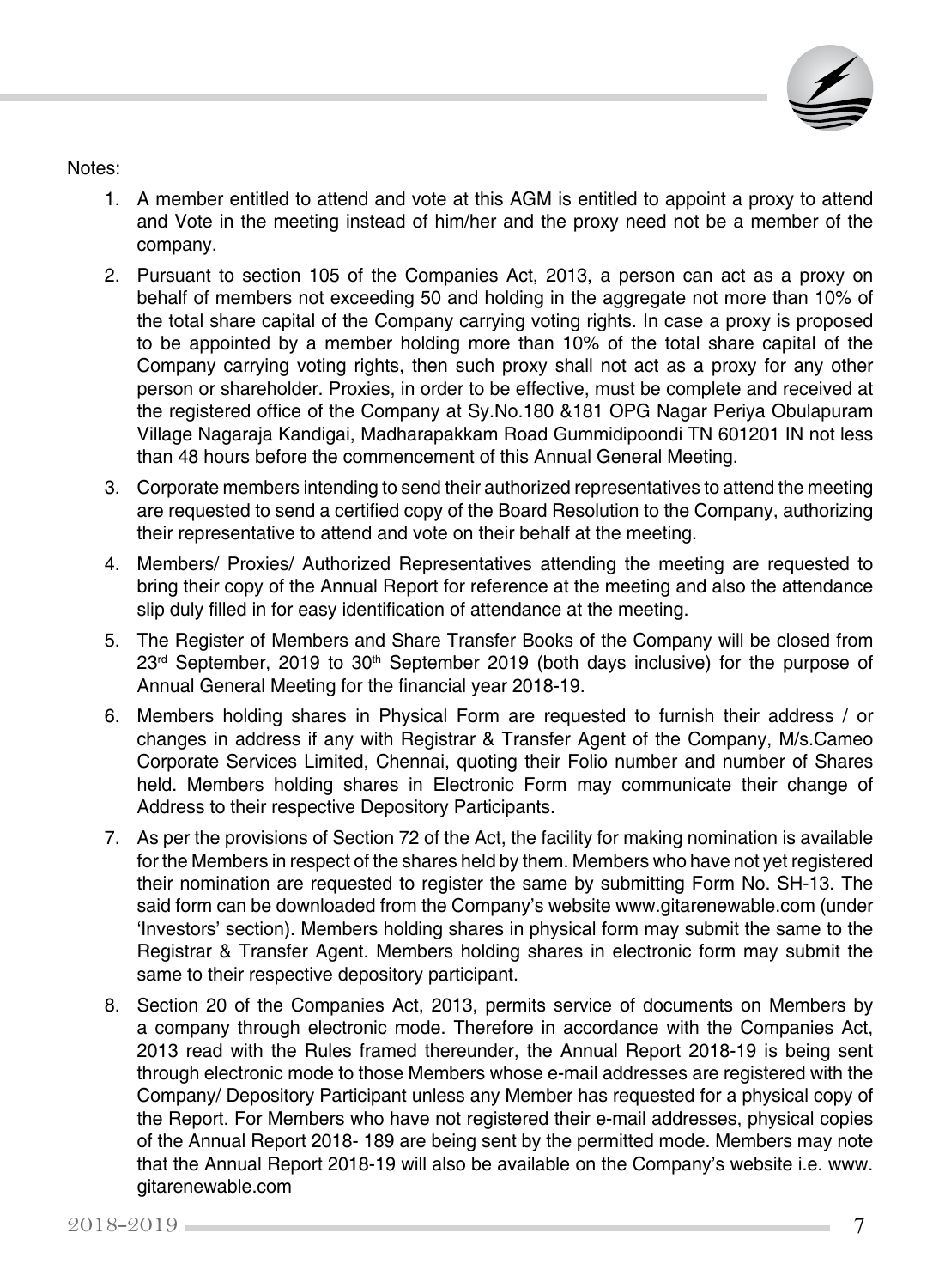

Notes:

- 1. A member entitled to attend and vote at this AGM is entitled to appoint a proxy to attend and Vote in the meeting instead of him/her and the proxy need not be a member of the company.
- 2. Pursuant to section 105 of the Companies Act, 2013, a person can act as a proxy on behalf of members not exceeding 50 and holding in the aggregate not more than 10% of the total share capital of the Company carrying voting rights. In case a proxy is proposed to be appointed by a member holding more than 10% of the total share capital of the Company carrying voting rights, then such proxy shall not act as a proxy for any other person or shareholder. Proxies, in order to be effective, must be complete and received at the registered office of the Company at Sy.No.180 &181 OPG Nagar Periya Obulapuram Village Nagaraja Kandigai, Madharapakkam Road Gummidipoondi TN 601201 IN not less than 48 hours before the commencement of this Annual General Meeting.
- 3. Corporate members intending to send their authorized representatives to attend the meeting are requested to send a certified copy of the Board Resolution to the Company, authorizing their representative to attend and vote on their behalf at the meeting.
- 4. Members/ Proxies/ Authorized Representatives attending the meeting are requested to bring their copy of the Annual Report for reference at the meeting and also the attendance slip duly filled in for easy identification of attendance at the meeting.
- 5. The Register of Members and Share Transfer Books of the Company will be closed from  $23<sup>rd</sup>$  September, 2019 to  $30<sup>th</sup>$  September 2019 (both days inclusive) for the purpose of Annual General Meeting for the financial year 2018-19.
- 6. Members holding shares in Physical Form are requested to furnish their address / or changes in address if any with Registrar & Transfer Agent of the Company, M/s.Cameo Corporate Services Limited, Chennai, quoting their Folio number and number of Shares held. Members holding shares in Electronic Form may communicate their change of Address to their respective Depository Participants.
- 7. As per the provisions of Section 72 of the Act, the facility for making nomination is available for the Members in respect of the shares held by them. Members who have not yet registered their nomination are requested to register the same by submitting Form No. SH-13. The said form can be downloaded from the Company's website www.gitarenewable.com (under 'Investors' section). Members holding shares in physical form may submit the same to the Registrar & Transfer Agent. Members holding shares in electronic form may submit the same to their respective depository participant.
- 8. Section 20 of the Companies Act, 2013, permits service of documents on Members by a company through electronic mode. Therefore in accordance with the Companies Act, 2013 read with the Rules framed thereunder, the Annual Report 2018-19 is being sent through electronic mode to those Members whose e-mail addresses are registered with the Company/ Depository Participant unless any Member has requested for a physical copy of the Report. For Members who have not registered their e-mail addresses, physical copies of the Annual Report 2018- 189 are being sent by the permitted mode. Members may note that the Annual Report 2018-19 will also be available on the Company's website i.e. www. gitarenewable.com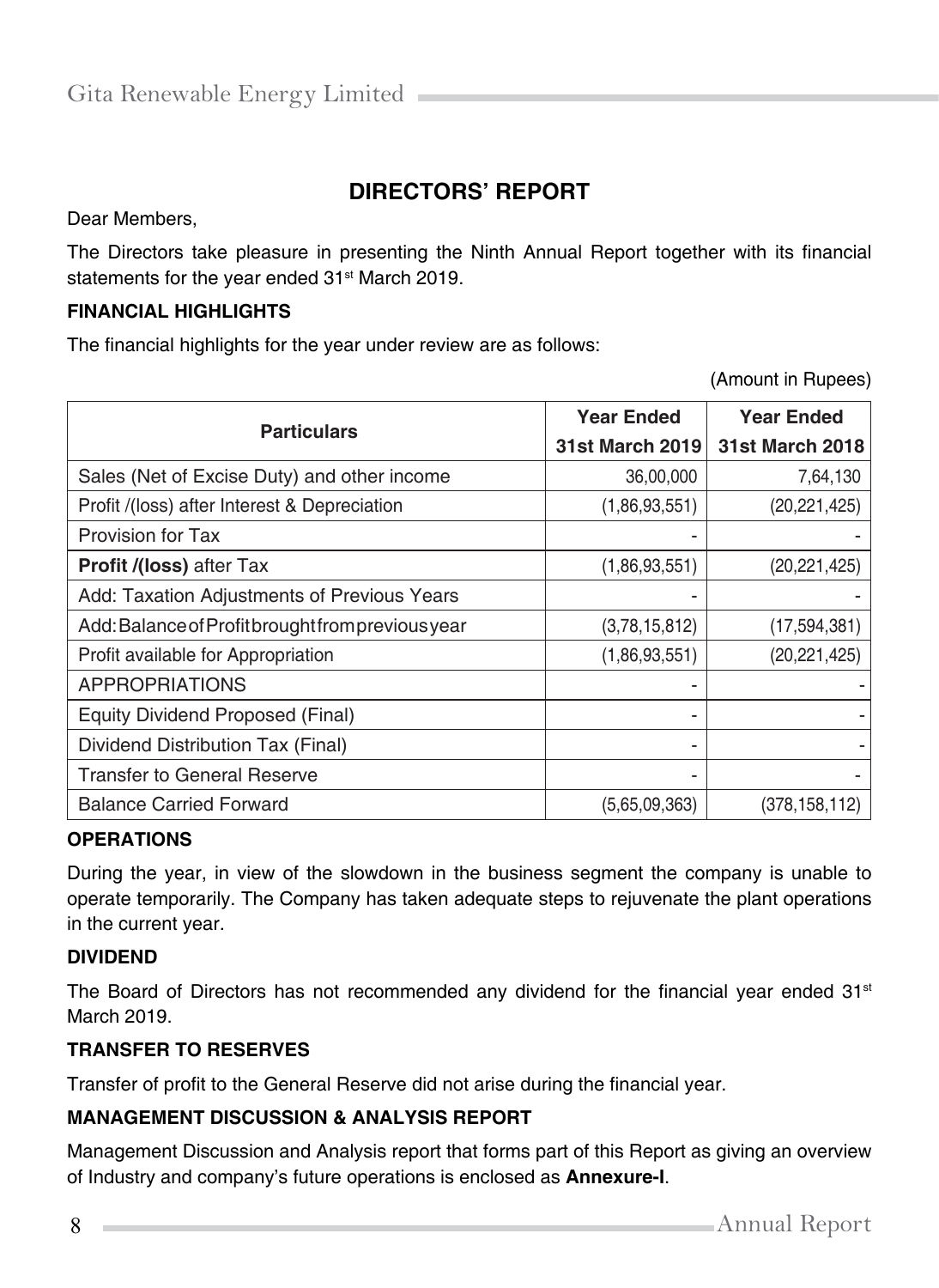# **DIRECTORS' REPORT**

Dear Members,

The Directors take pleasure in presenting the Ninth Annual Report together with its financial statements for the year ended 31<sup>st</sup> March 2019.

#### **FINANCIAL HIGHLIGHTS**

The financial highlights for the year under review are as follows:

(Amount in Rupees)

| <b>Particulars</b>                                | <b>Year Ended</b>      | <b>Year Ended</b>      |
|---------------------------------------------------|------------------------|------------------------|
|                                                   | <b>31st March 2019</b> | <b>31st March 2018</b> |
| Sales (Net of Excise Duty) and other income       | 36,00,000              | 7,64,130               |
| Profit /(loss) after Interest & Depreciation      | (1,86,93,551)          | (20, 221, 425)         |
| Provision for Tax                                 |                        |                        |
| <b>Profit /(loss)</b> after Tax                   | (1,86,93,551)          | (20, 221, 425)         |
| Add: Taxation Adjustments of Previous Years       | ۰                      |                        |
| Add: Balance of Profit brought from previous year | (3,78,15,812)          | (17, 594, 381)         |
| Profit available for Appropriation                | (1,86,93,551)          | (20, 221, 425)         |
| <b>APPROPRIATIONS</b>                             |                        |                        |
| <b>Equity Dividend Proposed (Final)</b>           | ۰                      |                        |
| Dividend Distribution Tax (Final)                 | ۰                      |                        |
| <b>Transfer to General Reserve</b>                | ۰                      |                        |
| <b>Balance Carried Forward</b>                    | (5,65,09,363)          | (378.158.112)          |

#### **OPERATIONS**

During the year, in view of the slowdown in the business segment the company is unable to operate temporarily. The Company has taken adequate steps to rejuvenate the plant operations in the current year.

#### **DIVIDEND**

The Board of Directors has not recommended any dividend for the financial year ended 31<sup>st</sup> March 2019.

#### **TRANSFER TO RESERVES**

Transfer of profit to the General Reserve did not arise during the financial year.

## **MANAGEMENT DISCUSSION & ANALYSIS REPORT**

Management Discussion and Analysis report that forms part of this Report as giving an overview of Industry and company's future operations is enclosed as **Annexure-I**.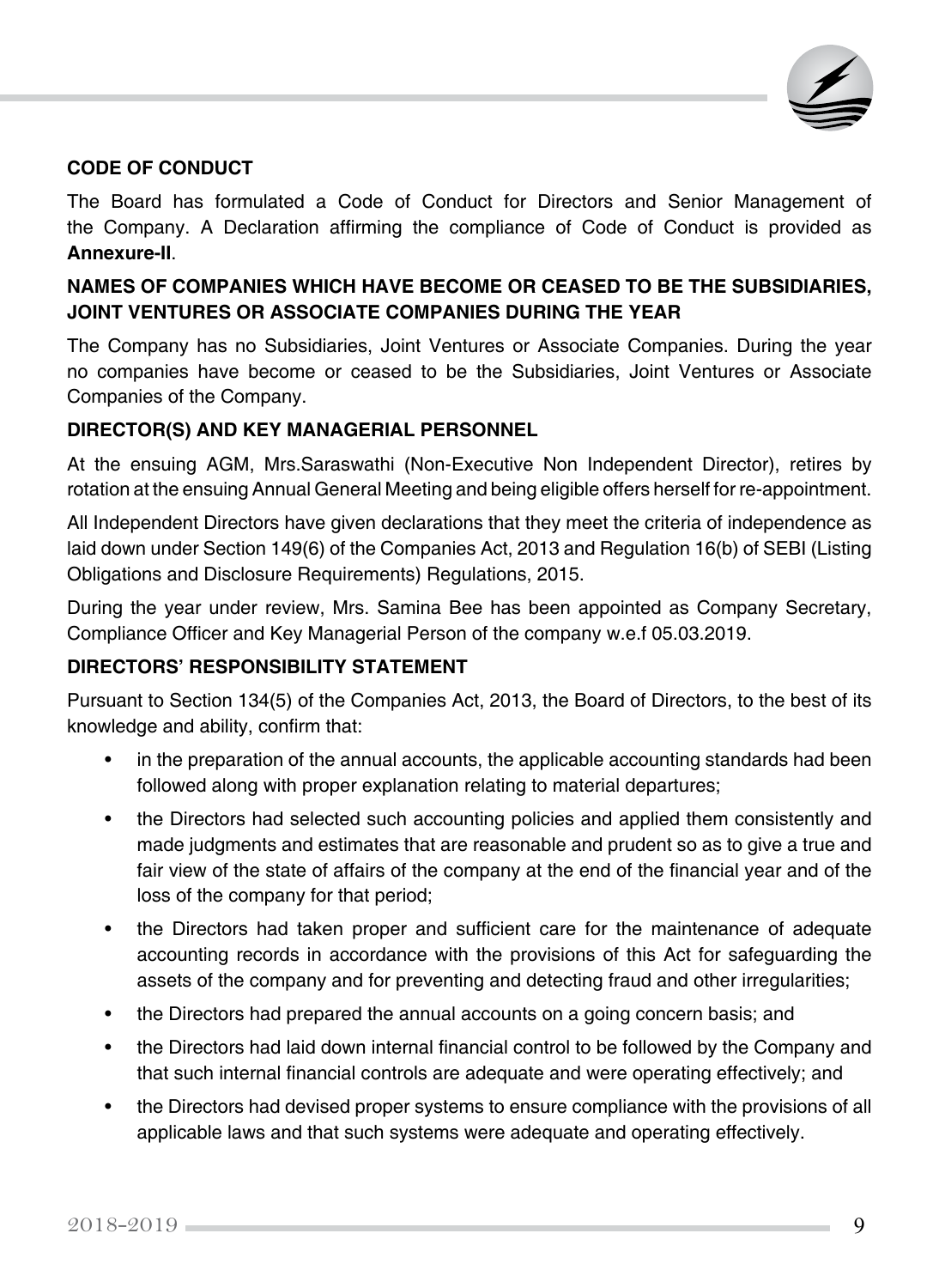

## **CODE OF CONDUCT**

The Board has formulated a Code of Conduct for Directors and Senior Management of the Company. A Declaration affirming the compliance of Code of Conduct is provided as **Annexure-II**.

# **NAMES OF COMPANIES WHICH HAVE BECOME OR CEASED TO BE THE SUBSIDIARIES, JOINT VENTURES OR ASSOCIATE COMPANIES DURING THE YEAR**

The Company has no Subsidiaries, Joint Ventures or Associate Companies. During the year no companies have become or ceased to be the Subsidiaries, Joint Ventures or Associate Companies of the Company.

## **DIRECTOR(S) AND KEY MANAGERIAL PERSONNEL**

At the ensuing AGM, Mrs.Saraswathi (Non-Executive Non Independent Director), retires by rotation at the ensuing Annual General Meeting and being eligible offers herself for re-appointment.

All Independent Directors have given declarations that they meet the criteria of independence as laid down under Section 149(6) of the Companies Act, 2013 and Regulation 16(b) of SEBI (Listing Obligations and Disclosure Requirements) Regulations, 2015.

During the year under review, Mrs. Samina Bee has been appointed as Company Secretary, Compliance Officer and Key Managerial Person of the company w.e.f 05.03.2019.

## **DIRECTORS' RESPONSIBILITY STATEMENT**

Pursuant to Section 134(5) of the Companies Act, 2013, the Board of Directors, to the best of its knowledge and ability, confirm that:

- in the preparation of the annual accounts, the applicable accounting standards had been followed along with proper explanation relating to material departures;
- the Directors had selected such accounting policies and applied them consistently and made judgments and estimates that are reasonable and prudent so as to give a true and fair view of the state of affairs of the company at the end of the financial year and of the loss of the company for that period;
- the Directors had taken proper and sufficient care for the maintenance of adequate accounting records in accordance with the provisions of this Act for safeguarding the assets of the company and for preventing and detecting fraud and other irregularities;
- the Directors had prepared the annual accounts on a going concern basis; and
- the Directors had laid down internal financial control to be followed by the Company and that such internal financial controls are adequate and were operating effectively; and
- the Directors had devised proper systems to ensure compliance with the provisions of all applicable laws and that such systems were adequate and operating effectively.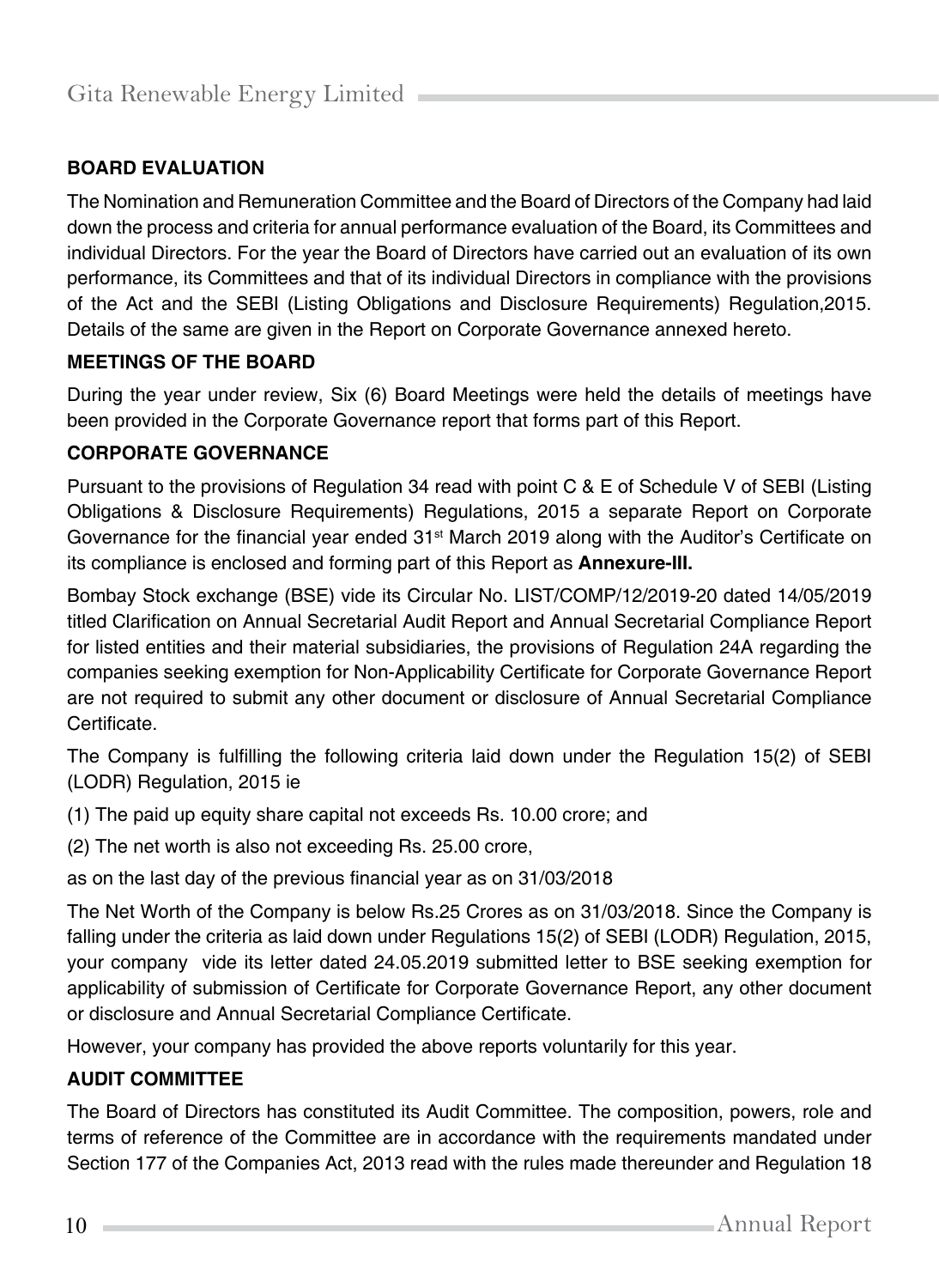## **BOARD EVALUATION**

The Nomination and Remuneration Committee and the Board of Directors of the Company had laid down the process and criteria for annual performance evaluation of the Board, its Committees and individual Directors. For the year the Board of Directors have carried out an evaluation of its own performance, its Committees and that of its individual Directors in compliance with the provisions of the Act and the SEBI (Listing Obligations and Disclosure Requirements) Regulation,2015. Details of the same are given in the Report on Corporate Governance annexed hereto.

## **MEETINGS OF THE BOARD**

During the year under review, Six (6) Board Meetings were held the details of meetings have been provided in the Corporate Governance report that forms part of this Report.

#### **CORPORATE GOVERNANCE**

Pursuant to the provisions of Regulation 34 read with point C & E of Schedule V of SEBI (Listing Obligations & Disclosure Requirements) Regulations, 2015 a separate Report on Corporate Governance for the financial year ended  $31<sup>st</sup>$  March 2019 along with the Auditor's Certificate on its compliance is enclosed and forming part of this Report as **Annexure-III.**

Bombay Stock exchange (BSE) vide its Circular No. LIST/COMP/12/2019-20 dated 14/05/2019 titled Clarification on Annual Secretarial Audit Report and Annual Secretarial Compliance Report for listed entities and their material subsidiaries, the provisions of Regulation 24A regarding the companies seeking exemption for Non-Applicability Certificate for Corporate Governance Report are not required to submit any other document or disclosure of Annual Secretarial Compliance Certificate.

The Company is fulfilling the following criteria laid down under the Regulation 15(2) of SEBI (LODR) Regulation, 2015 ie

- (1) The paid up equity share capital not exceeds Rs. 10.00 crore; and
- (2) The net worth is also not exceeding Rs. 25.00 crore,

as on the last day of the previous financial year as on 31/03/2018

The Net Worth of the Company is below Rs.25 Crores as on 31/03/2018. Since the Company is falling under the criteria as laid down under Regulations 15(2) of SEBI (LODR) Regulation, 2015, your company vide its letter dated 24.05.2019 submitted letter to BSE seeking exemption for applicability of submission of Certificate for Corporate Governance Report, any other document or disclosure and Annual Secretarial Compliance Certificate.

However, your company has provided the above reports voluntarily for this year.

## **AUDIT COMMITTEE**

The Board of Directors has constituted its Audit Committee. The composition, powers, role and terms of reference of the Committee are in accordance with the requirements mandated under Section 177 of the Companies Act, 2013 read with the rules made thereunder and Regulation 18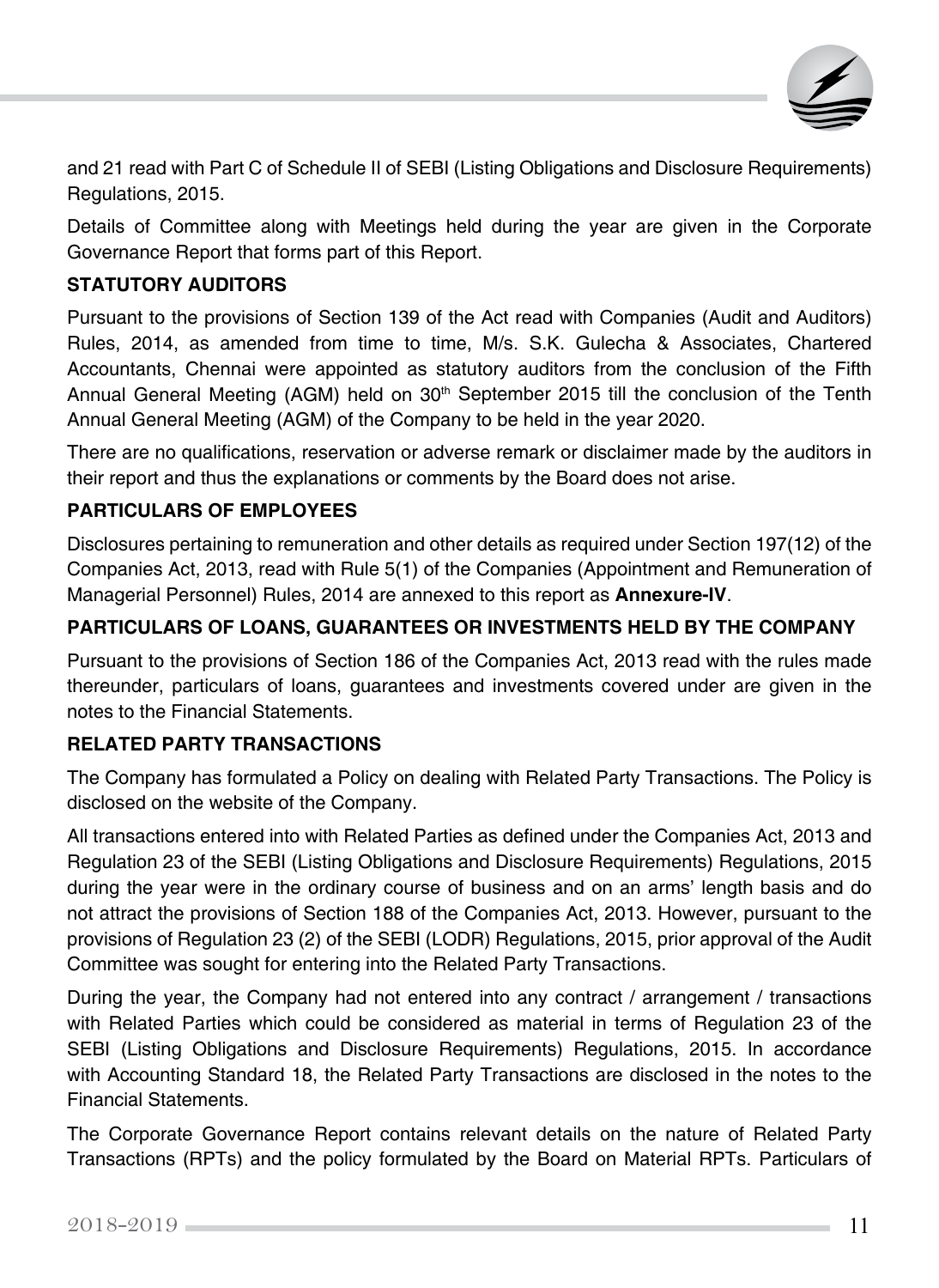

and 21 read with Part C of Schedule II of SEBI (Listing Obligations and Disclosure Requirements) Regulations, 2015.

Details of Committee along with Meetings held during the year are given in the Corporate Governance Report that forms part of this Report.

## **STATUTORY AUDITORS**

Pursuant to the provisions of Section 139 of the Act read with Companies (Audit and Auditors) Rules, 2014, as amended from time to time, M/s. S.K. Gulecha & Associates, Chartered Accountants, Chennai were appointed as statutory auditors from the conclusion of the Fifth Annual General Meeting (AGM) held on 30<sup>th</sup> September 2015 till the conclusion of the Tenth Annual General Meeting (AGM) of the Company to be held in the year 2020.

There are no qualifications, reservation or adverse remark or disclaimer made by the auditors in their report and thus the explanations or comments by the Board does not arise.

## **PARTICULARS OF EMPLOYEES**

Disclosures pertaining to remuneration and other details as required under Section 197(12) of the Companies Act, 2013, read with Rule 5(1) of the Companies (Appointment and Remuneration of Managerial Personnel) Rules, 2014 are annexed to this report as **Annexure-IV**.

## **PARTICULARS OF LOANS, GUARANTEES OR INVESTMENTS HELD BY THE COMPANY**

Pursuant to the provisions of Section 186 of the Companies Act, 2013 read with the rules made thereunder, particulars of loans, guarantees and investments covered under are given in the notes to the Financial Statements.

## **RELATED PARTY TRANSACTIONS**

The Company has formulated a Policy on dealing with Related Party Transactions. The Policy is disclosed on the website of the Company.

All transactions entered into with Related Parties as defined under the Companies Act, 2013 and Regulation 23 of the SEBI (Listing Obligations and Disclosure Requirements) Regulations, 2015 during the year were in the ordinary course of business and on an arms' length basis and do not attract the provisions of Section 188 of the Companies Act, 2013. However, pursuant to the provisions of Regulation 23 (2) of the SEBI (LODR) Regulations, 2015, prior approval of the Audit Committee was sought for entering into the Related Party Transactions.

During the year, the Company had not entered into any contract / arrangement / transactions with Related Parties which could be considered as material in terms of Regulation 23 of the SEBI (Listing Obligations and Disclosure Requirements) Regulations, 2015. In accordance with Accounting Standard 18, the Related Party Transactions are disclosed in the notes to the Financial Statements.

The Corporate Governance Report contains relevant details on the nature of Related Party Transactions (RPTs) and the policy formulated by the Board on Material RPTs. Particulars of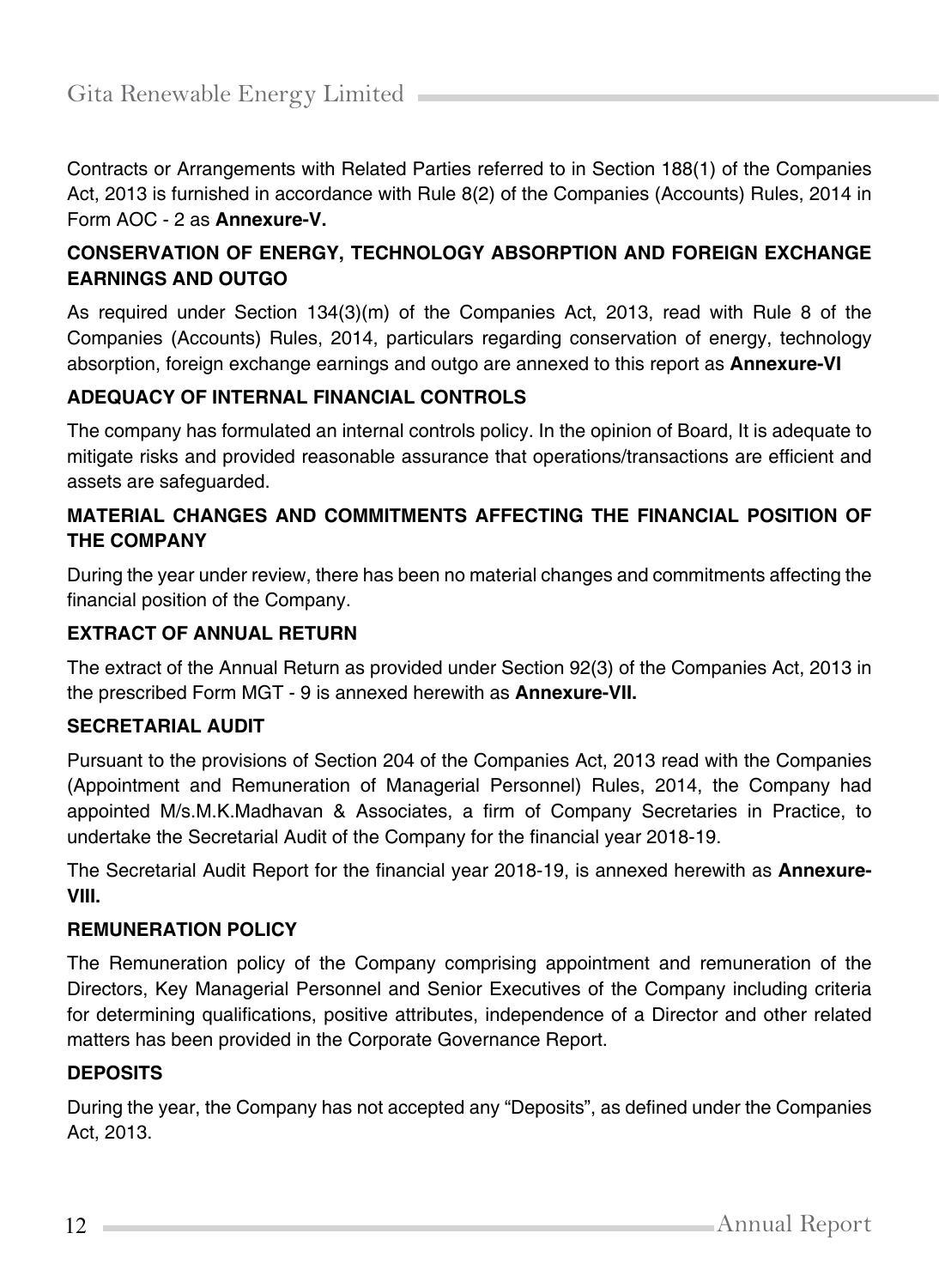Contracts or Arrangements with Related Parties referred to in Section 188(1) of the Companies Act, 2013 is furnished in accordance with Rule 8(2) of the Companies (Accounts) Rules, 2014 in Form AOC - 2 as **Annexure-V.**

## **CONSERVATION OF ENERGY, TECHNOLOGY ABSORPTION AND FOREIGN EXCHANGE EARNINGS AND OUTGO**

As required under Section 134(3)(m) of the Companies Act, 2013, read with Rule 8 of the Companies (Accounts) Rules, 2014, particulars regarding conservation of energy, technology absorption, foreign exchange earnings and outgo are annexed to this report as **Annexure-VI**

## **ADEQUACY OF INTERNAL FINANCIAL CONTROLS**

The company has formulated an internal controls policy. In the opinion of Board, It is adequate to mitigate risks and provided reasonable assurance that operations/transactions are efficient and assets are safeguarded.

## **MATERIAL CHANGES AND COMMITMENTS AFFECTING THE FINANCIAL POSITION OF THE COMPANY**

During the year under review, there has been no material changes and commitments affecting the financial position of the Company.

## **EXTRACT OF ANNUAL RETURN**

The extract of the Annual Return as provided under Section 92(3) of the Companies Act, 2013 in the prescribed Form MGT - 9 is annexed herewith as **Annexure-VII.**

## **SECRETARIAL AUDIT**

Pursuant to the provisions of Section 204 of the Companies Act, 2013 read with the Companies (Appointment and Remuneration of Managerial Personnel) Rules, 2014, the Company had appointed M/s.M.K.Madhavan & Associates, a firm of Company Secretaries in Practice, to undertake the Secretarial Audit of the Company for the financial year 2018-19.

The Secretarial Audit Report for the financial year 2018-19, is annexed herewith as **Annexure-VIII.**

## **REMUNERATION POLICY**

The Remuneration policy of the Company comprising appointment and remuneration of the Directors, Key Managerial Personnel and Senior Executives of the Company including criteria for determining qualifications, positive attributes, independence of a Director and other related matters has been provided in the Corporate Governance Report.

## **DEPOSITS**

During the year, the Company has not accepted any "Deposits", as defined under the Companies Act, 2013.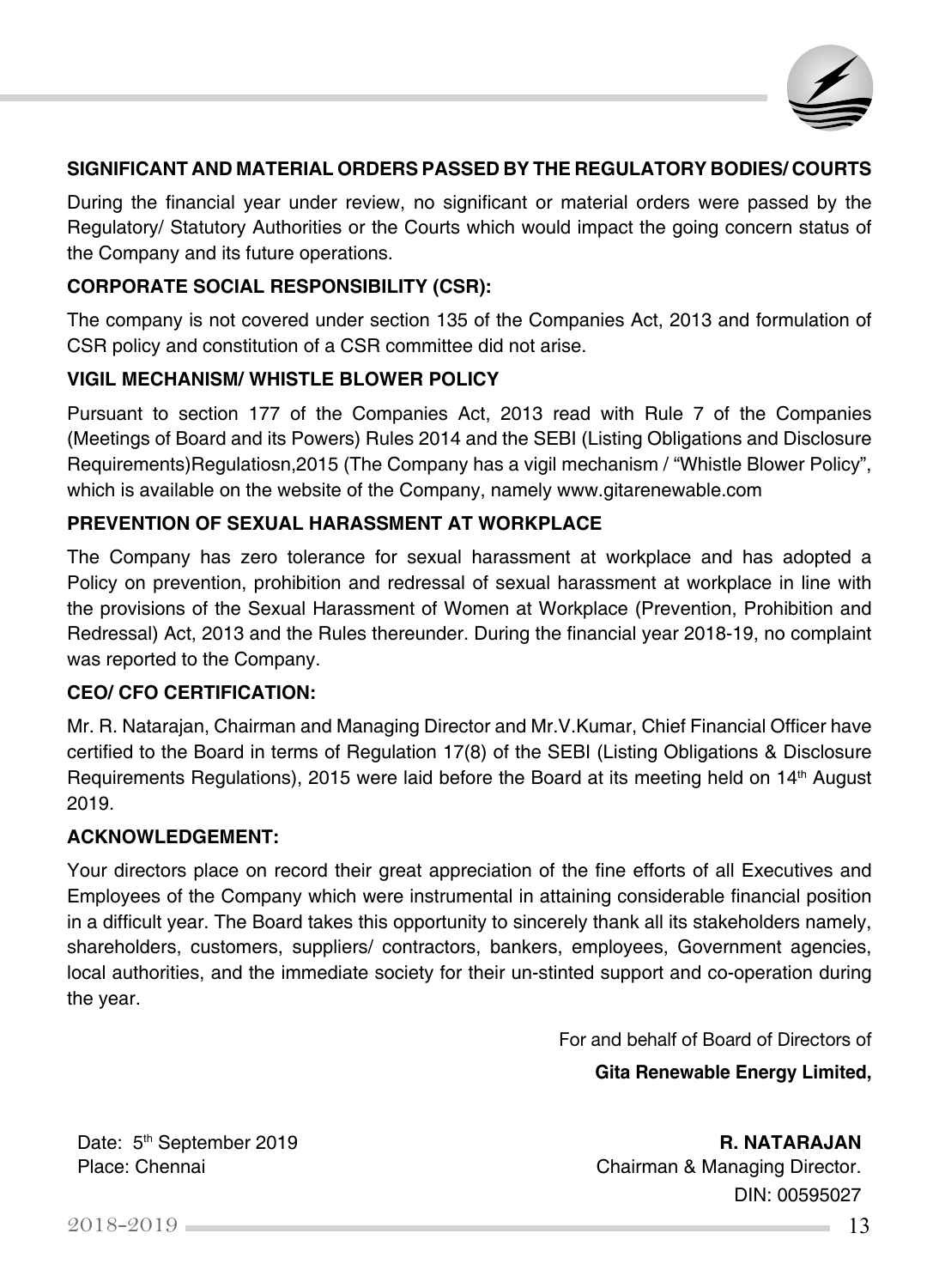

#### **SIGNIFICANT AND MATERIAL ORDERS PASSED BY THE REGULATORY BODIES/ COURTS**

During the financial year under review, no significant or material orders were passed by the Regulatory/ Statutory Authorities or the Courts which would impact the going concern status of the Company and its future operations.

#### **CORPORATE SOCIAL RESPONSIBILITY (CSR):**

The company is not covered under section 135 of the Companies Act, 2013 and formulation of CSR policy and constitution of a CSR committee did not arise.

#### **VIGIL MECHANISM/ WHISTLE BLOWER POLICY**

Pursuant to section 177 of the Companies Act, 2013 read with Rule 7 of the Companies (Meetings of Board and its Powers) Rules 2014 and the SEBI (Listing Obligations and Disclosure Requirements)Regulatiosn,2015 (The Company has a vigil mechanism / "Whistle Blower Policy", which is available on the website of the Company, namely [www.gitarenewable.com](http://www.gitarenewable.com/)

#### **PREVENTION OF SEXUAL HARASSMENT AT WORKPLACE**

The Company has zero tolerance for sexual harassment at workplace and has adopted a Policy on prevention, prohibition and redressal of sexual harassment at workplace in line with the provisions of the Sexual Harassment of Women at Workplace (Prevention, Prohibition and Redressal) Act, 2013 and the Rules thereunder. During the financial year 2018-19, no complaint was reported to the Company.

#### **CEO/ CFO CERTIFICATION:**

Mr. R. Natarajan, Chairman and Managing Director and Mr.V.Kumar, Chief Financial Officer have certified to the Board in terms of Regulation 17(8) of the SEBI (Listing Obligations & Disclosure Requirements Regulations), 2015 were laid before the Board at its meeting held on  $14<sup>th</sup>$  August 2019.

#### **ACKNOWLEDGEMENT:**

Your directors place on record their great appreciation of the fine efforts of all Executives and Employees of the Company which were instrumental in attaining considerable financial position in a difficult year. The Board takes this opportunity to sincerely thank all its stakeholders namely, shareholders, customers, suppliers/ contractors, bankers, employees, Government agencies, local authorities, and the immediate society for their un-stinted support and co-operation during the year.

For and behalf of Board of Directors of

**Gita Renewable Energy Limited,** 

Date: 5<sup>th</sup> September 2019 **R. NATARAJAN** Place: Chennai **Chairman & Managing Director.** DIN: 00595027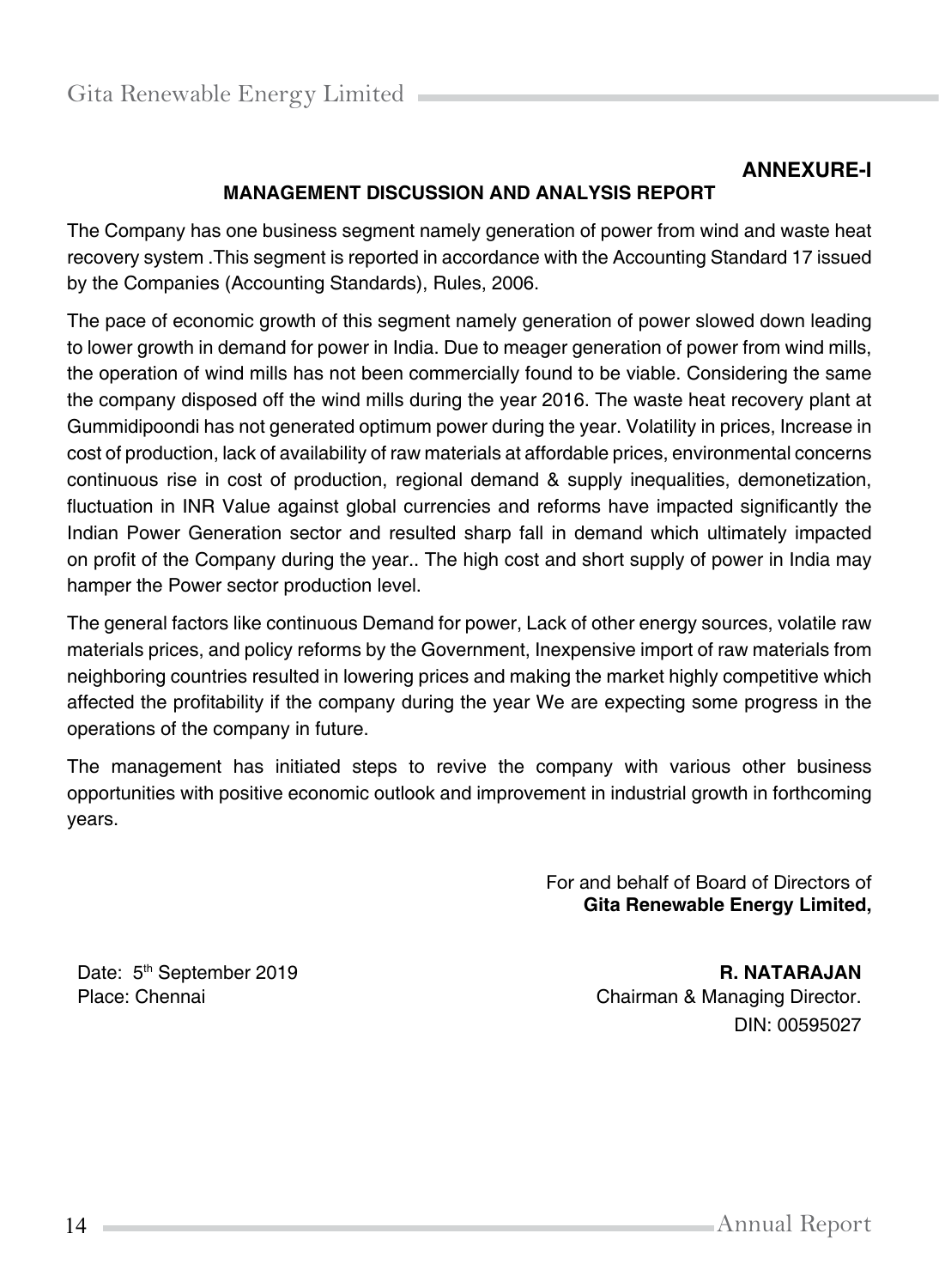# **ANNEXURE-I**

# **MANAGEMENT DISCUSSION AND ANALYSIS REPORT**

The Company has one business segment namely generation of power from wind and waste heat recovery system .This segment is reported in accordance with the Accounting Standard 17 issued by the Companies (Accounting Standards), Rules, 2006.

The pace of economic growth of this segment namely generation of power slowed down leading to lower growth in demand for power in India. Due to meager generation of power from wind mills, the operation of wind mills has not been commercially found to be viable. Considering the same the company disposed off the wind mills during the year 2016. The waste heat recovery plant at Gummidipoondi has not generated optimum power during the year. Volatility in prices, Increase in cost of production, lack of availability of raw materials at affordable prices, environmental concerns continuous rise in cost of production, regional demand & supply inequalities, demonetization, fluctuation in INR Value against global currencies and reforms have impacted significantly the Indian Power Generation sector and resulted sharp fall in demand which ultimately impacted on profit of the Company during the year.. The high cost and short supply of power in India may hamper the Power sector production level.

The general factors like continuous Demand for power, Lack of other energy sources, volatile raw materials prices, and policy reforms by the Government, Inexpensive import of raw materials from neighboring countries resulted in lowering prices and making the market highly competitive which affected the profitability if the company during the year We are expecting some progress in the operations of the company in future.

The management has initiated steps to revive the company with various other business opportunities with positive economic outlook and improvement in industrial growth in forthcoming years.

> For and behalf of Board of Directors of **Gita Renewable Energy Limited,**

Date: 5<sup>th</sup> September 2019<br>
Place: Chennai **R. NATARAJAN**<br>
Chairman & Managing Director. Chairman & Managing Director. DIN: 00595027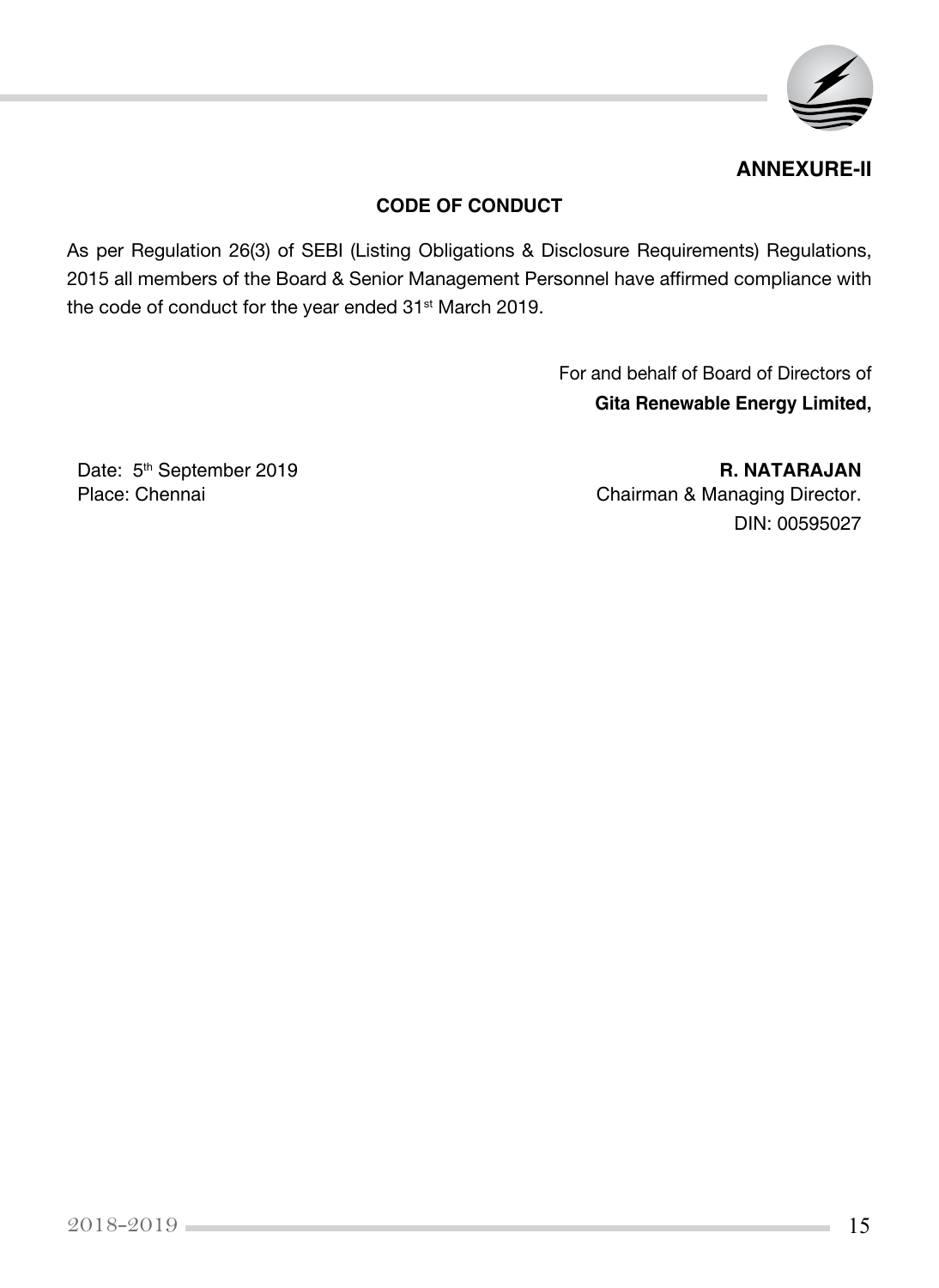

## **ANNEXURE-II**

## **CODE OF CONDUCT**

As per Regulation 26(3) of SEBI (Listing Obligations & Disclosure Requirements) Regulations, 2015 all members of the Board & Senior Management Personnel have affirmed compliance with the code of conduct for the year ended 31<sup>st</sup> March 2019.

> For and behalf of Board of Directors of **Gita Renewable Energy Limited,**

Date: 5<sup>th</sup> September 2019<br> **R. NATARAJAN**<br>
Place: Chennai Chairman & Managing Director. DIN: 00595027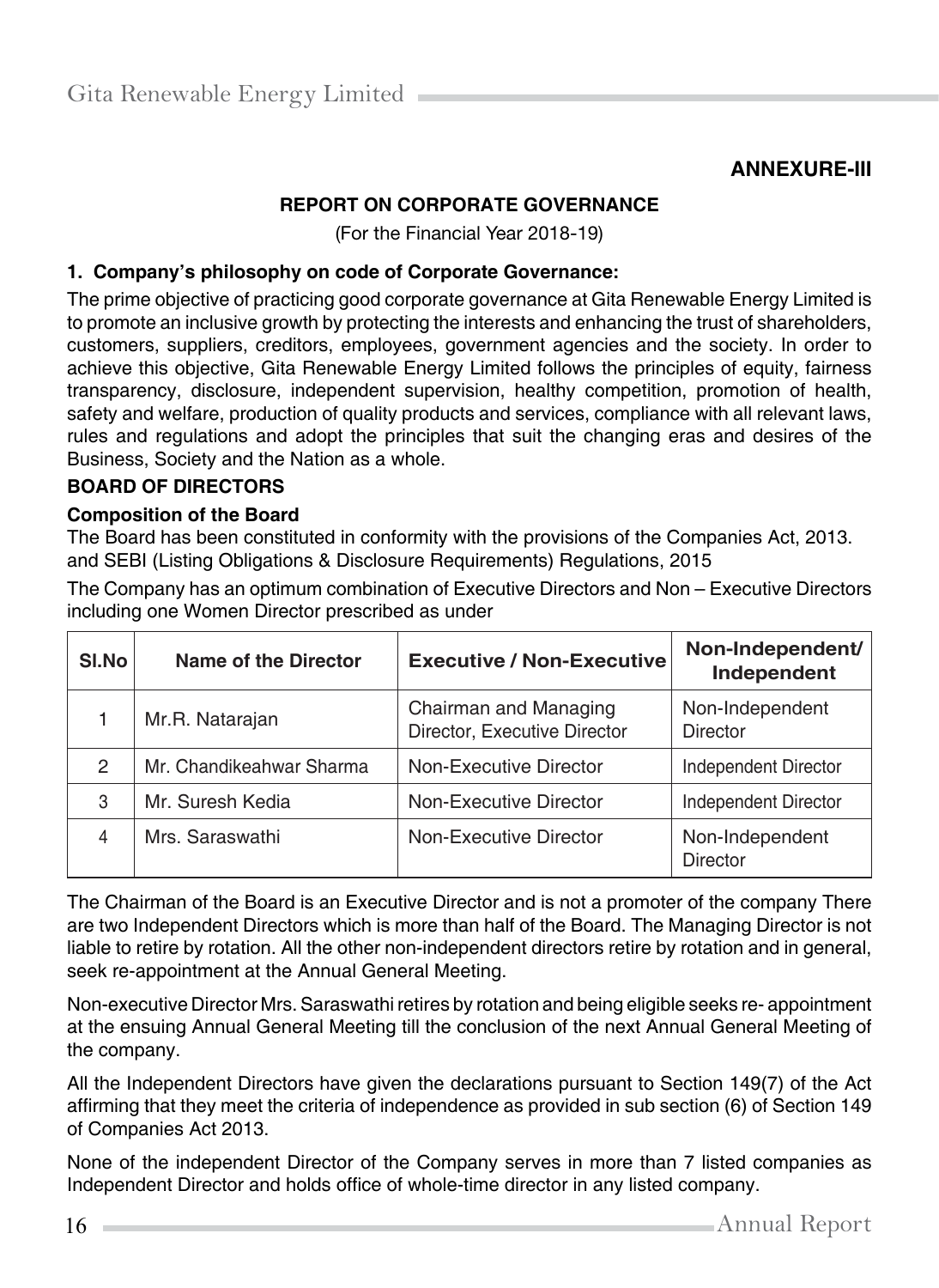## **ANNEXURE-III**

## **REPORT ON CORPORATE GOVERNANCE**

(For the Financial Year 2018-19)

#### **1. Company's philosophy on code of Corporate Governance:**

The prime objective of practicing good corporate governance at Gita Renewable Energy Limited is to promote an inclusive growth by protecting the interests and enhancing the trust of shareholders, customers, suppliers, creditors, employees, government agencies and the society. In order to achieve this objective, Gita Renewable Energy Limited follows the principles of equity, fairness transparency, disclosure, independent supervision, healthy competition, promotion of health, safety and welfare, production of quality products and services, compliance with all relevant laws, rules and regulations and adopt the principles that suit the changing eras and desires of the Business, Society and the Nation as a whole.

## **BOARD OF DIRECTORS**

#### **Composition of the Board**

The Board has been constituted in conformity with the provisions of the Companies Act, 2013. and SEBI (Listing Obligations & Disclosure Requirements) Regulations, 2015

The Company has an optimum combination of Executive Directors and Non – Executive Directors including one Women Director prescribed as under

| SI.No | Name of the Director     | <b>Executive / Non-Executive</b>                      | Non-Independent/<br>Independent    |
|-------|--------------------------|-------------------------------------------------------|------------------------------------|
|       | Mr.R. Natarajan          | Chairman and Managing<br>Director, Executive Director | Non-Independent<br><b>Director</b> |
| 2     | Mr. Chandikeahwar Sharma | Non-Executive Director                                | Independent Director               |
| 3     | Mr. Suresh Kedia         | Non-Executive Director                                | Independent Director               |
| 4     | Mrs. Saraswathi          | Non-Executive Director                                | Non-Independent<br><b>Director</b> |

The Chairman of the Board is an Executive Director and is not a promoter of the company There are two Independent Directors which is more than half of the Board. The Managing Director is not liable to retire by rotation. All the other non-independent directors retire by rotation and in general, seek re-appointment at the Annual General Meeting.

Non-executive Director Mrs. Saraswathi retires by rotation and being eligible seeks re- appointment at the ensuing Annual General Meeting till the conclusion of the next Annual General Meeting of the company.

All the Independent Directors have given the declarations pursuant to Section 149(7) of the Act affirming that they meet the criteria of independence as provided in sub section (6) of Section 149 of Companies Act 2013.

None of the independent Director of the Company serves in more than 7 listed companies as Independent Director and holds office of whole-time director in any listed company.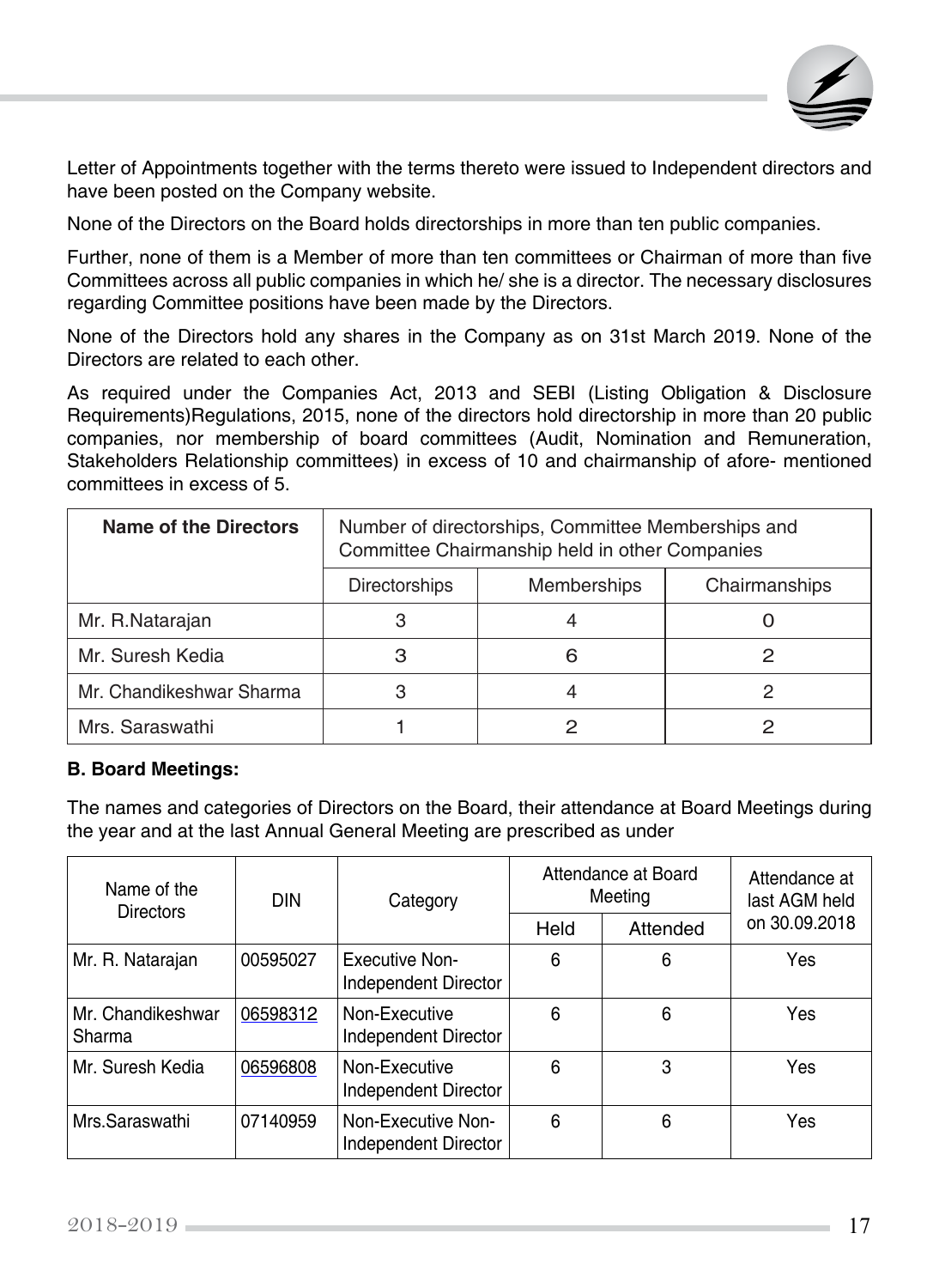

Letter of Appointments together with the terms thereto were issued to Independent directors and have been posted on the Company website.

None of the Directors on the Board holds directorships in more than ten public companies.

Further, none of them is a Member of more than ten committees or Chairman of more than five Committees across all public companies in which he/ she is a director. The necessary disclosures regarding Committee positions have been made by the Directors.

None of the Directors hold any shares in the Company as on 31st March 2019. None of the Directors are related to each other.

As required under the Companies Act, 2013 and SEBI (Listing Obligation & Disclosure Requirements)Regulations, 2015, none of the directors hold directorship in more than 20 public companies, nor membership of board committees (Audit, Nomination and Remuneration, Stakeholders Relationship committees) in excess of 10 and chairmanship of afore- mentioned committees in excess of 5.

| <b>Name of the Directors</b> | Number of directorships, Committee Memberships and<br>Committee Chairmanship held in other Companies |                                     |  |  |  |  |  |
|------------------------------|------------------------------------------------------------------------------------------------------|-------------------------------------|--|--|--|--|--|
|                              | <b>Directorships</b>                                                                                 | <b>Memberships</b><br>Chairmanships |  |  |  |  |  |
| Mr. R.Natarajan              |                                                                                                      |                                     |  |  |  |  |  |
| Mr. Suresh Kedia             | З                                                                                                    | 6                                   |  |  |  |  |  |
| Mr. Chandikeshwar Sharma     |                                                                                                      |                                     |  |  |  |  |  |
| Mrs. Saraswathi              |                                                                                                      |                                     |  |  |  |  |  |

#### **B. Board Meetings:**

The names and categories of Directors on the Board, their attendance at Board Meetings during the year and at the last Annual General Meeting are prescribed as under

| Name of the<br><b>Directors</b> | <b>DIN</b> | Category                                   | Attendance at Board<br>Meeting |          | Attendance at<br>last AGM held |  |
|---------------------------------|------------|--------------------------------------------|--------------------------------|----------|--------------------------------|--|
|                                 |            |                                            | Held                           | Attended | on 30.09.2018                  |  |
| Mr. R. Natarajan                | 00595027   | Executive Non-<br>Independent Director     | 6                              | 6        | Yes                            |  |
| Mr. Chandikeshwar<br>Sharma     | 06598312   | Non-Executive<br>Independent Director      | 6                              | 6        | Yes                            |  |
| Mr. Suresh Kedia                | 06596808   | Non-Executive<br>Independent Director      | 6                              | 3        | Yes                            |  |
| Mrs.Saraswathi                  | 07140959   | Non-Executive Non-<br>Independent Director | 6                              | 6        | Yes                            |  |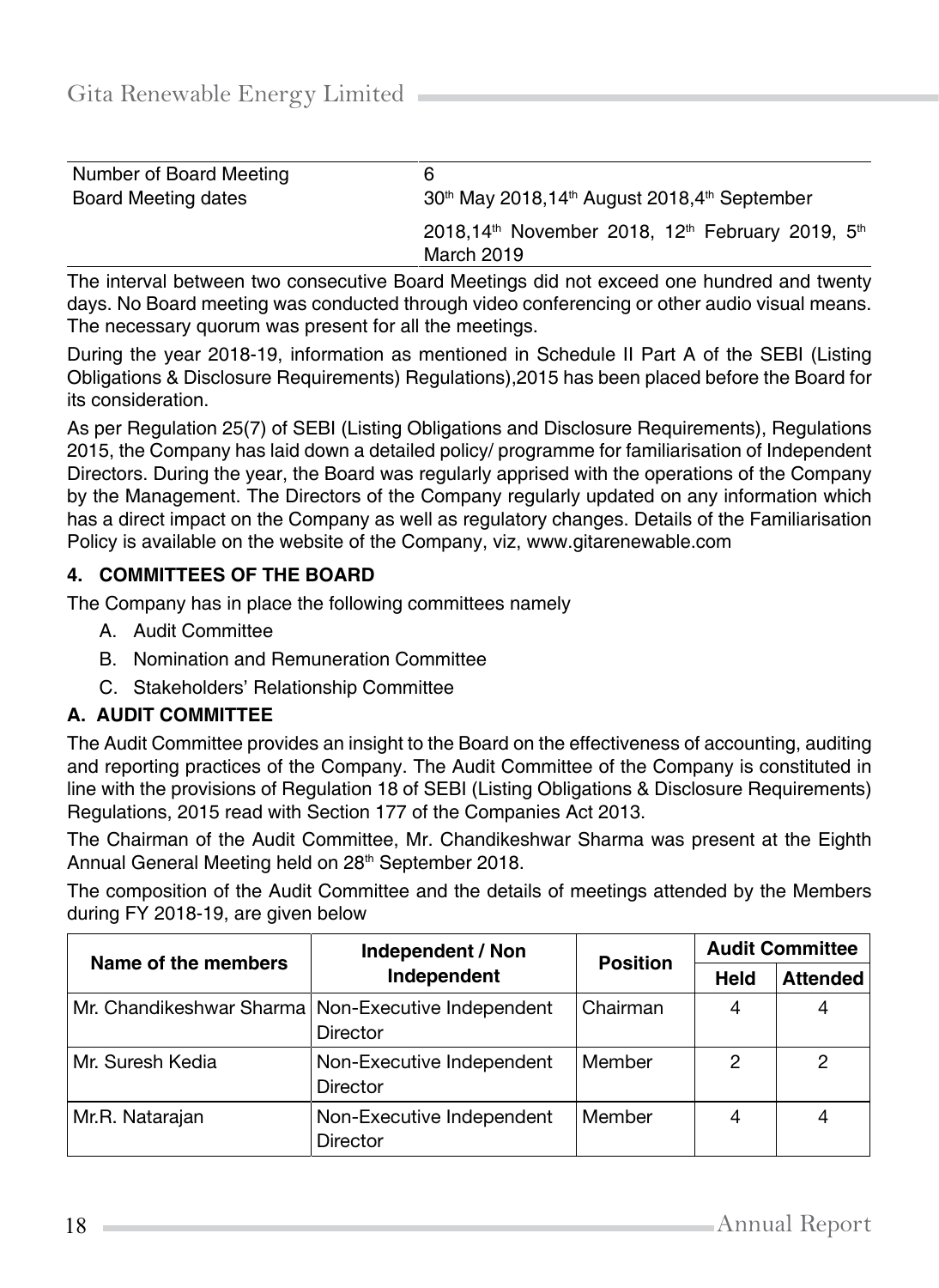| Number of Board Meeting | 6                                                                                                  |
|-------------------------|----------------------------------------------------------------------------------------------------|
| Board Meeting dates     | 30 <sup>th</sup> May 2018,14 <sup>th</sup> August 2018,4 <sup>th</sup> September                   |
|                         | 2018,14 <sup>th</sup> November 2018, 12 <sup>th</sup> February 2019, 5 <sup>th</sup><br>March 2019 |

The interval between two consecutive Board Meetings did not exceed one hundred and twenty days. No Board meeting was conducted through video conferencing or other audio visual means. The necessary quorum was present for all the meetings.

During the year 2018-19, information as mentioned in Schedule II Part A of the SEBI (Listing Obligations & Disclosure Requirements) Regulations),2015 has been placed before the Board for its consideration.

As per Regulation 25(7) of SEBI (Listing Obligations and Disclosure Requirements), Regulations 2015, the Company has laid down a detailed policy/ programme for familiarisation of Independent Directors. During the year, the Board was regularly apprised with the operations of the Company by the Management. The Directors of the Company regularly updated on any information which has a direct impact on the Company as well as regulatory changes. Details of the Familiarisation Policy is available on the website of the Company, viz, [www.gitarenewable.com](http://www.gitarenewable.com/)

## **4. COMMITTEES OF THE BOARD**

The Company has in place the following committees namely

- A. Audit Committee
- B. Nomination and Remuneration Committee
- C. Stakeholders' Relationship Committee

## **A. AUDIT COMMITTEE**

The Audit Committee provides an insight to the Board on the effectiveness of accounting, auditing and reporting practices of the Company. The Audit Committee of the Company is constituted in line with the provisions of Regulation 18 of SEBI (Listing Obligations & Disclosure Requirements) Regulations, 2015 read with Section 177 of the Companies Act 2013.

The Chairman of the Audit Committee, Mr. Chandikeshwar Sharma was present at the Eighth Annual General Meeting held on 28<sup>th</sup> September 2018.

The composition of the Audit Committee and the details of meetings attended by the Members during FY 2018-19, are given below

| Name of the members | Independent / Non                                                       | <b>Position</b> |             | <b>Audit Committee</b> |  |
|---------------------|-------------------------------------------------------------------------|-----------------|-------------|------------------------|--|
|                     | Independent                                                             |                 | <b>Held</b> | <b>Attended</b>        |  |
|                     | Mr. Chandikeshwar Sharma   Non-Executive Independent<br><b>Director</b> | Chairman        |             | 4                      |  |
| Mr. Suresh Kedia    | Non-Executive Independent<br><b>Director</b>                            | Member          | 2           | 2                      |  |
| Mr.R. Natarajan     | Non-Executive Independent<br><b>Director</b>                            | Member          | 4           | 4                      |  |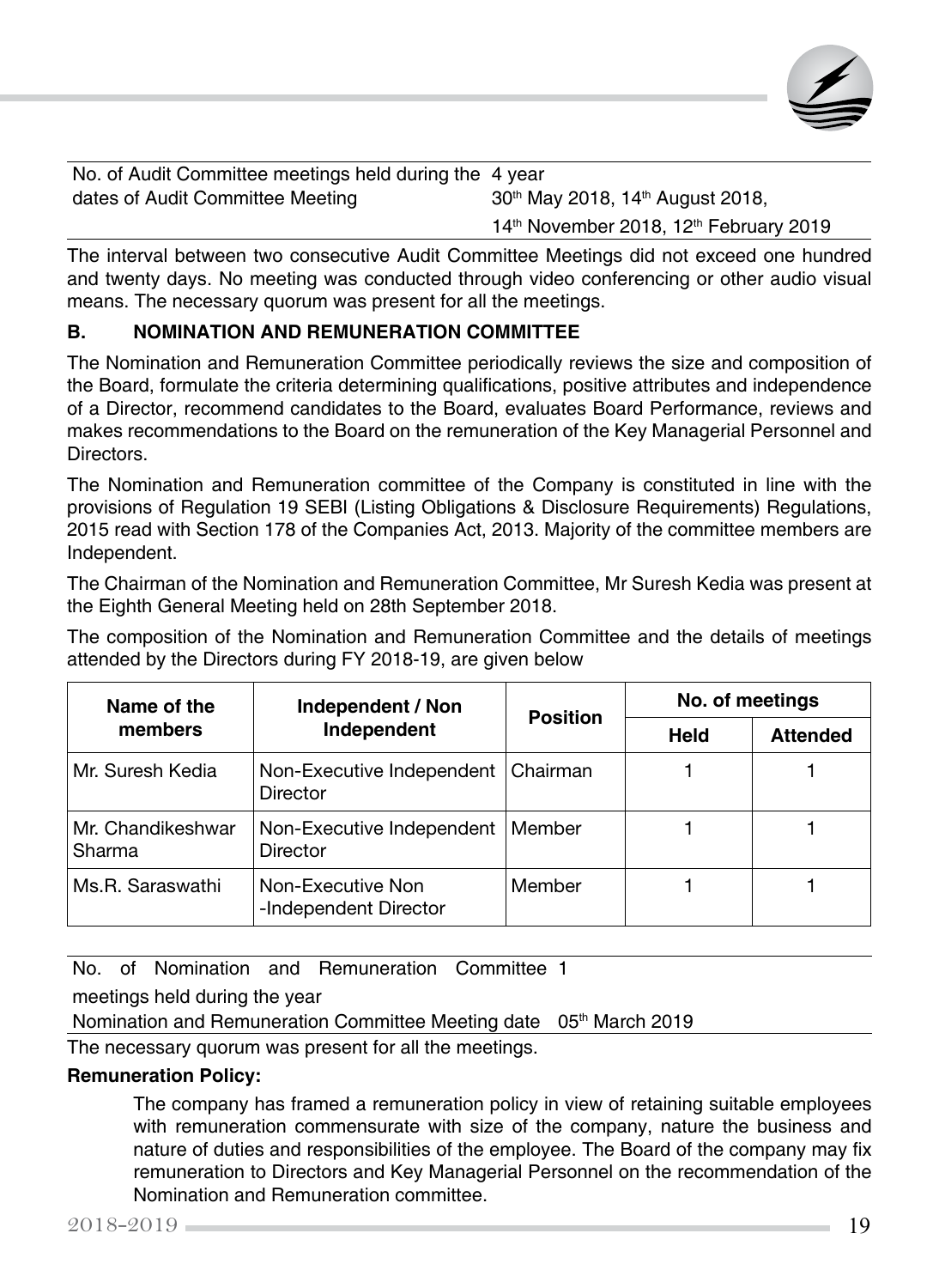

No. of Audit Committee meetings held during the 4 year dates of Audit Committee Meeting  $30<sup>th</sup>$  May 2018, 14<sup>th</sup> August 2018, 14<sup>th</sup> November 2018, 12<sup>th</sup> February 2019

The interval between two consecutive Audit Committee Meetings did not exceed one hundred and twenty days. No meeting was conducted through video conferencing or other audio visual means. The necessary quorum was present for all the meetings.

## **B. NOMINATION AND REMUNERATION COMMITTEE**

The Nomination and Remuneration Committee periodically reviews the size and composition of the Board, formulate the criteria determining qualifications, positive attributes and independence of a Director, recommend candidates to the Board, evaluates Board Performance, reviews and makes recommendations to the Board on the remuneration of the Key Managerial Personnel and Directors.

The Nomination and Remuneration committee of the Company is constituted in line with the provisions of Regulation 19 SEBI (Listing Obligations & Disclosure Requirements) Regulations, 2015 read with Section 178 of the Companies Act, 2013. Majority of the committee members are Independent.

The Chairman of the Nomination and Remuneration Committee, Mr Suresh Kedia was present at the Eighth General Meeting held on 28th September 2018.

The composition of the Nomination and Remuneration Committee and the details of meetings attended by the Directors during FY 2018-19, are given below

| Name of the                 | Independent / Non                          | <b>Position</b> | No. of meetings |                 |
|-----------------------------|--------------------------------------------|-----------------|-----------------|-----------------|
| members                     | Independent                                |                 | <b>Held</b>     | <b>Attended</b> |
| Mr. Suresh Kedia            | Non-Executive Independent<br>Director      | Chairman        |                 |                 |
| Mr. Chandikeshwar<br>Sharma | Non-Executive Independent<br>Director      | Member          |                 |                 |
| Ms.R. Saraswathi            | Non-Executive Non<br>-Independent Director | Member          |                 |                 |

No. of Nomination and Remuneration Committee 1

meetings held during the year

Nomination and Remuneration Committee Meeting date 05<sup>th</sup> March 2019

The necessary quorum was present for all the meetings.

#### **Remuneration Policy:**

The company has framed a remuneration policy in view of retaining suitable employees with remuneration commensurate with size of the company, nature the business and nature of duties and responsibilities of the employee. The Board of the company may fix remuneration to Directors and Key Managerial Personnel on the recommendation of the Nomination and Remuneration committee.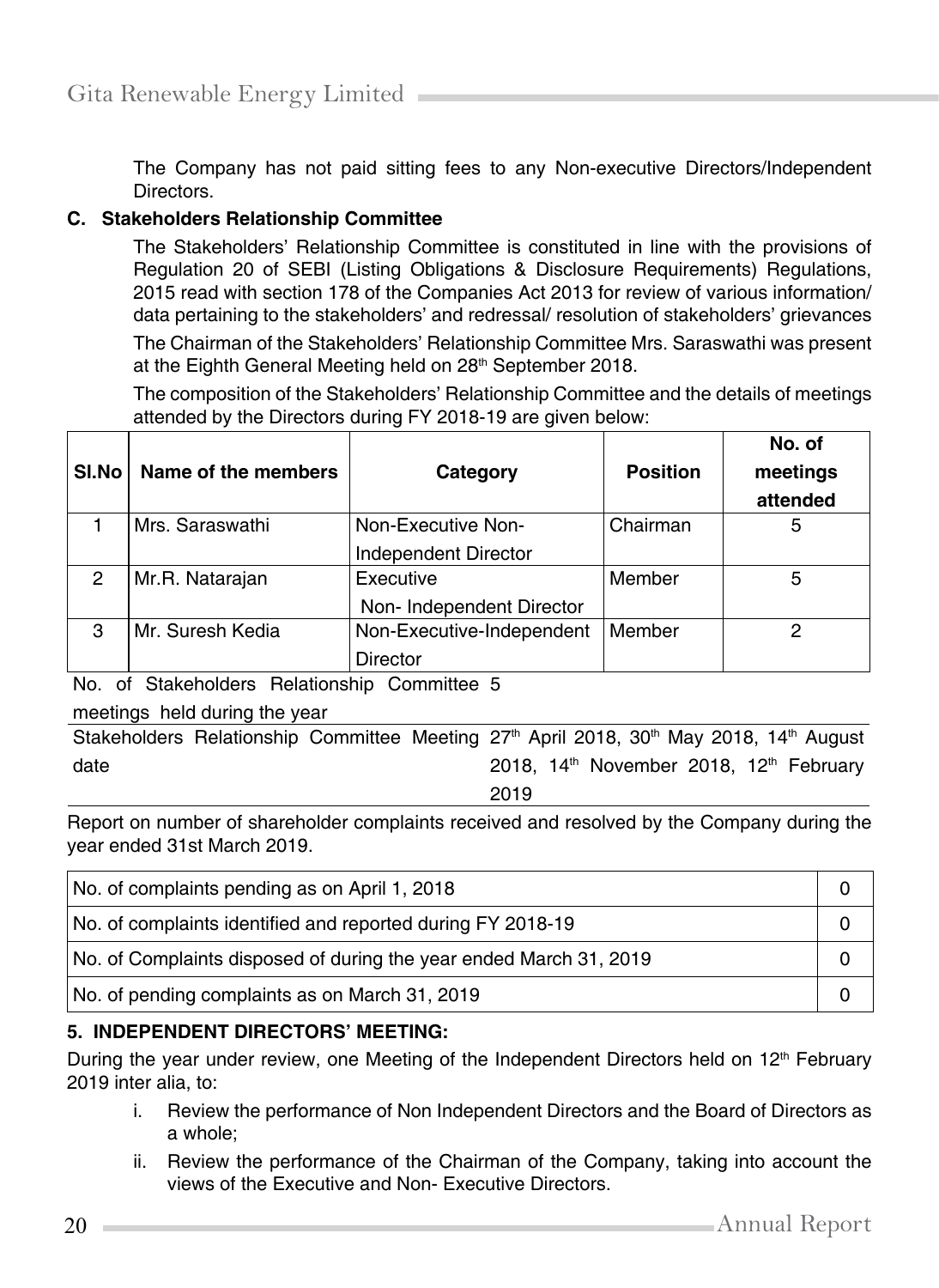The Company has not paid sitting fees to any Non-executive Directors/Independent Directors.

#### **C. Stakeholders Relationship Committee**

The Stakeholders' Relationship Committee is constituted in line with the provisions of Regulation 20 of SEBI (Listing Obligations & Disclosure Requirements) Regulations, 2015 read with section 178 of the Companies Act 2013 for review of various information/ data pertaining to the stakeholders' and redressal/ resolution of stakeholders' grievances

The Chairman of the Stakeholders' Relationship Committee Mrs. Saraswathi was present at the Eighth General Meeting held on 28<sup>th</sup> September 2018.

The composition of the Stakeholders' Relationship Committee and the details of meetings attended by the Directors during FY 2018-19 are given below:

| SI.No | Name of the members | Category                  | <b>Position</b> | No. of<br>meetings<br>attended |
|-------|---------------------|---------------------------|-----------------|--------------------------------|
|       | Mrs. Saraswathi     | Non-Executive Non-        | Chairman        | 5                              |
|       |                     | Independent Director      |                 |                                |
| 2     | Mr.R. Natarajan     | Executive                 | Member          | 5                              |
|       |                     | Non-Independent Director  |                 |                                |
| З     | Mr. Suresh Kedia    | Non-Executive-Independent | Member          | 2                              |
|       |                     | <b>Director</b>           |                 |                                |

No. of Stakeholders Relationship Committee 5

#### meetings held during the year

Stakeholders Relationship Committee Meeting 27<sup>th</sup> April 2018, 30<sup>th</sup> May 2018, 14<sup>th</sup> August date 2018, 14th November 2018, 12th February

2019

Report on number of shareholder complaints received and resolved by the Company during the year ended 31st March 2019.

| No. of complaints pending as on April 1, 2018                      |  |
|--------------------------------------------------------------------|--|
| No. of complaints identified and reported during FY 2018-19        |  |
| No. of Complaints disposed of during the year ended March 31, 2019 |  |
| No. of pending complaints as on March 31, 2019                     |  |

#### **5. INDEPENDENT DIRECTORS' MEETING:**

During the year under review, one Meeting of the Independent Directors held on 12<sup>th</sup> February 2019 inter alia, to:

- i. Review the performance of Non Independent Directors and the Board of Directors as a whole;
- ii. Review the performance of the Chairman of the Company, taking into account the views of the Executive and Non- Executive Directors.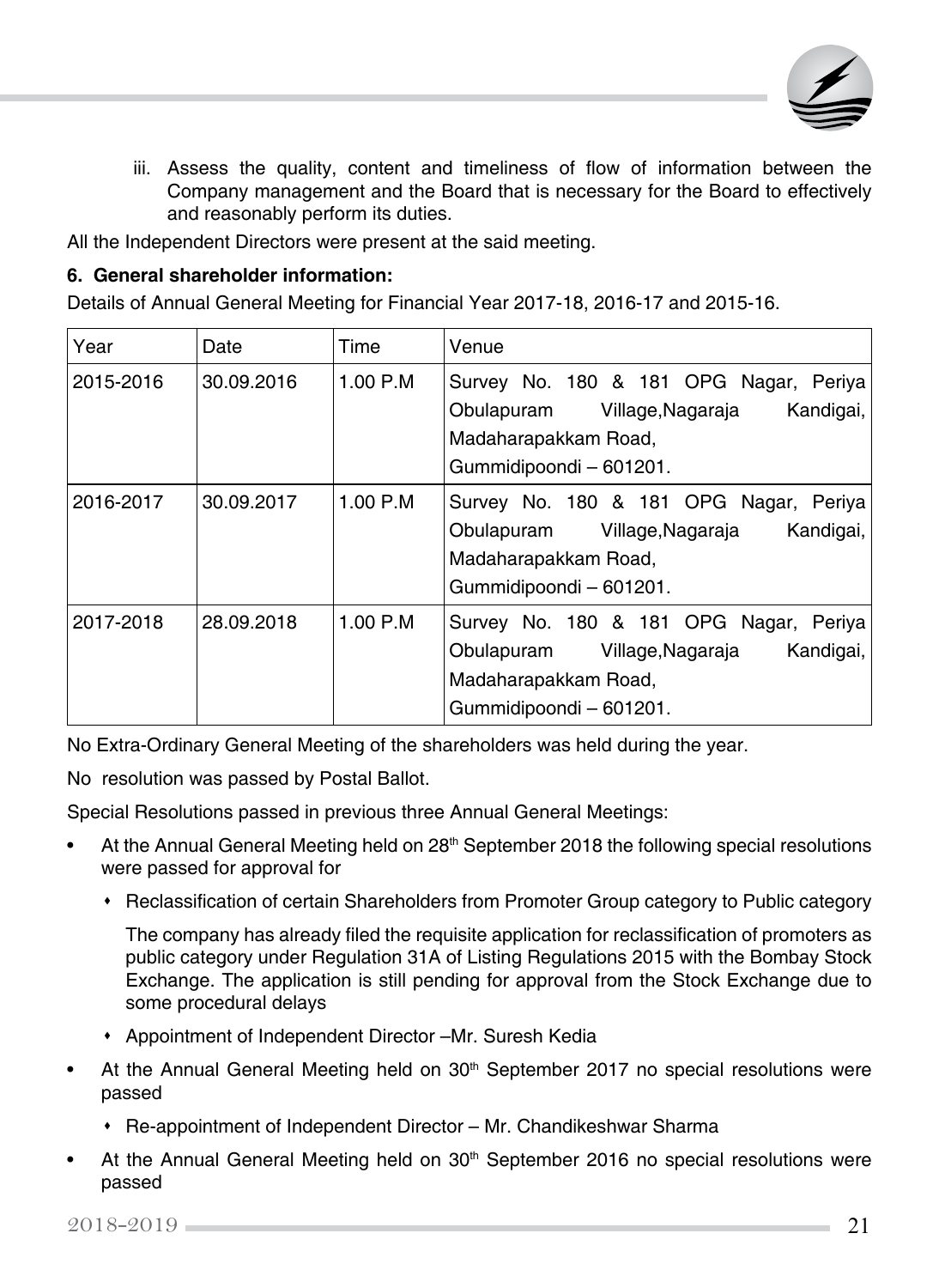

iii. Assess the quality, content and timeliness of flow of information between the Company management and the Board that is necessary for the Board to effectively and reasonably perform its duties.

All the Independent Directors were present at the said meeting.

#### **6. General shareholder information:**

Details of Annual General Meeting for Financial Year 2017-18, 2016-17 and 2015-16.

| Year      | Date       | Time       | Venue                                                                                                                                    |
|-----------|------------|------------|------------------------------------------------------------------------------------------------------------------------------------------|
| 2015-2016 | 30.09.2016 | $1.00$ P.M | Survey No. 180 & 181 OPG Nagar, Periya<br>Kandigai,<br>Obulapuram Village, Nagaraja<br>Madaharapakkam Road,<br>Gummidipoondi - 601201.   |
| 2016-2017 | 30.09.2017 | 1.00 P.M   | Survey No. 180 & 181 OPG Nagar, Periya<br>Kandigai,<br>Obulapuram Village, Nagaraja<br>Madaharapakkam Road,<br>Gummidipoondi - 601201.   |
| 2017-2018 | 28.09.2018 | 1.00 P.M   | Survey No. 180 & 181 OPG Nagar, Periya<br>Kandigai,<br>Obulapuram<br>Village,Nagaraja<br>Madaharapakkam Road,<br>Gummidipoondi - 601201. |

No Extra-Ordinary General Meeting of the shareholders was held during the year.

No resolution was passed by Postal Ballot.

Special Resolutions passed in previous three Annual General Meetings:

- At the Annual General Meeting held on 28<sup>th</sup> September 2018 the following special resolutions were passed for approval for
	- Reclassification of certain Shareholders from Promoter Group category to Public category

The company has already filed the requisite application for reclassification of promoters as public category under Regulation 31A of Listing Regulations 2015 with the Bombay Stock Exchange. The application is still pending for approval from the Stock Exchange due to some procedural delays

- Appointment of Independent Director –Mr. Suresh Kedia
- At the Annual General Meeting held on 30<sup>th</sup> September 2017 no special resolutions were passed
	- Re-appointment of Independent Director Mr. Chandikeshwar Sharma
- At the Annual General Meeting held on 30<sup>th</sup> September 2016 no special resolutions were passed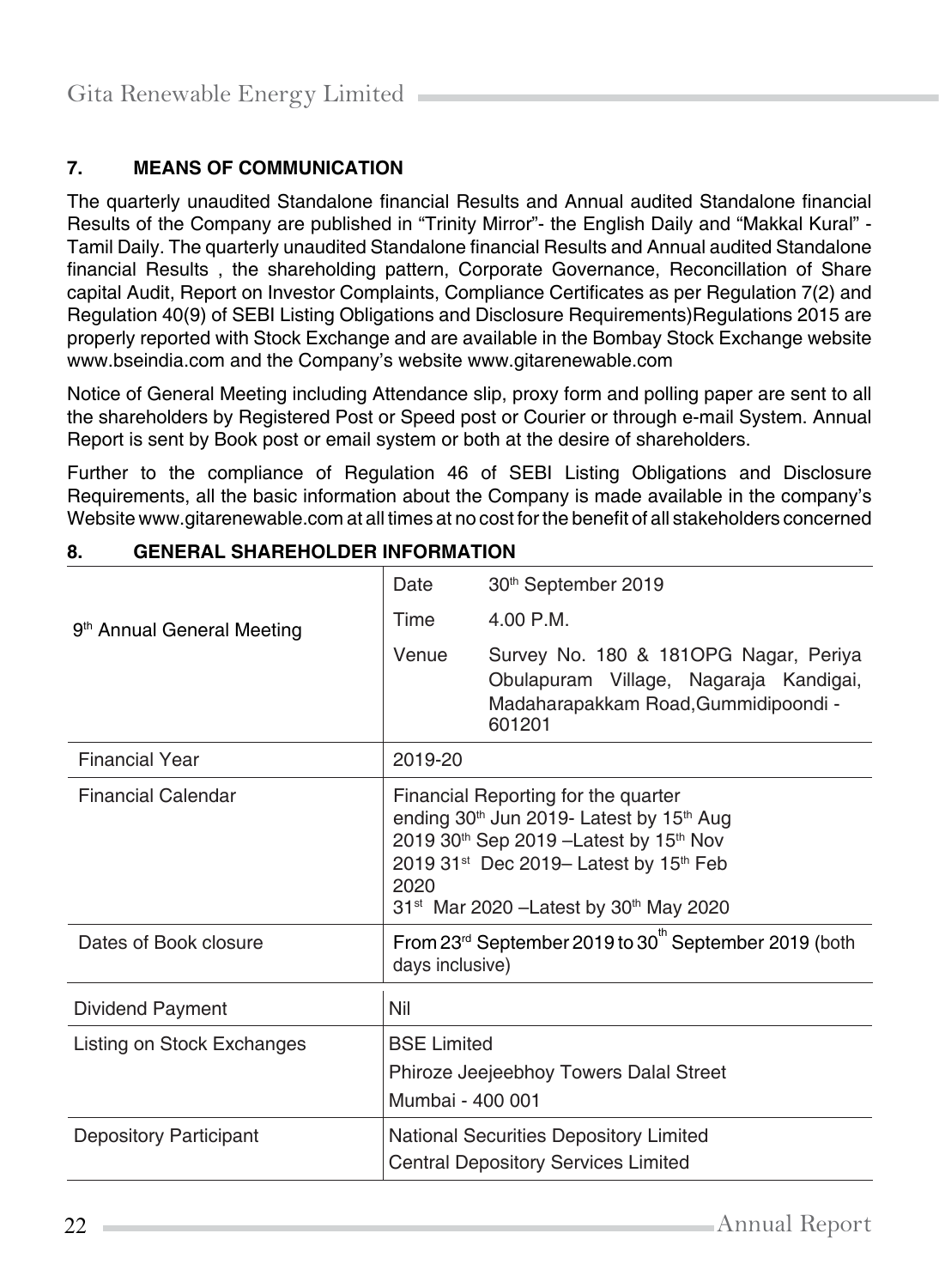# **7. MEANS OF COMMUNICATION**

The quarterly unaudited Standalone financial Results and Annual audited Standalone financial Results of the Company are published in "Trinity Mirror"- the English Daily and "Makkal Kural" - Tamil Daily. The quarterly unaudited Standalone financial Results and Annual audited Standalone financial Results , the shareholding pattern, Corporate Governance, Reconcillation of Share capital Audit, Report on Investor Complaints, Compliance Certificates as per Regulation 7(2) and Regulation 40(9) of SEBI Listing Obligations and Disclosure Requirements)Regulations 2015 are properly reported with Stock Exchange and are available in the Bombay Stock Exchange website [www.bseindia.com a](http://www.bseindia.com/)nd the Company's website [www.gitarenewable.com](http://www.gitarenewable.com/)

Notice of General Meeting including Attendance slip, proxy form and polling paper are sent to all the shareholders by Registered Post or Speed post or Courier or through e-mail System. Annual Report is sent by Book post or email system or both at the desire of shareholders.

Further to the compliance of Regulation 46 of SEBI Listing Obligations and Disclosure Requirements, all the basic information about the Company is made available in the company's Website [www.gitarenewable.com](http://www.gitarenewable.com/) at all times at no cost for the benefit of all stakeholders concerned

|                                        | Date                                                                                                                                                                                                                                                                                                                    | 30 <sup>th</sup> September 2019                                                                                                   |
|----------------------------------------|-------------------------------------------------------------------------------------------------------------------------------------------------------------------------------------------------------------------------------------------------------------------------------------------------------------------------|-----------------------------------------------------------------------------------------------------------------------------------|
| 9 <sup>th</sup> Annual General Meeting | Time                                                                                                                                                                                                                                                                                                                    | 4.00 P.M.                                                                                                                         |
|                                        | Venue                                                                                                                                                                                                                                                                                                                   | Survey No. 180 & 181OPG Nagar, Periya<br>Obulapuram Village, Nagaraja Kandigai,<br>Madaharapakkam Road, Gummidipoondi -<br>601201 |
| <b>Financial Year</b>                  | 2019-20                                                                                                                                                                                                                                                                                                                 |                                                                                                                                   |
| <b>Financial Calendar</b>              | Financial Reporting for the quarter<br>ending 30 <sup>th</sup> Jun 2019- Latest by 15 <sup>th</sup> Aug<br>2019 30 <sup>th</sup> Sep 2019 - Latest by 15 <sup>th</sup> Nov<br>2019 31 <sup>st</sup> Dec 2019- Latest by 15 <sup>th</sup> Feb<br>2020<br>31 <sup>st</sup> Mar 2020 - Latest by 30 <sup>th</sup> May 2020 |                                                                                                                                   |
| Dates of Book closure                  | From 23rd September 2019 to 30 <sup>th</sup> September 2019 (both<br>days inclusive)                                                                                                                                                                                                                                    |                                                                                                                                   |
| Dividend Payment                       | Nil                                                                                                                                                                                                                                                                                                                     |                                                                                                                                   |
| Listing on Stock Exchanges             | <b>BSE Limited</b><br>Phiroze Jeejeebhoy Towers Dalal Street<br>Mumbai - 400 001                                                                                                                                                                                                                                        |                                                                                                                                   |
| <b>Depository Participant</b>          | National Securities Depository Limited<br><b>Central Depository Services Limited</b>                                                                                                                                                                                                                                    |                                                                                                                                   |

## **8. GENERAL SHAREHOLDER INFORMATION**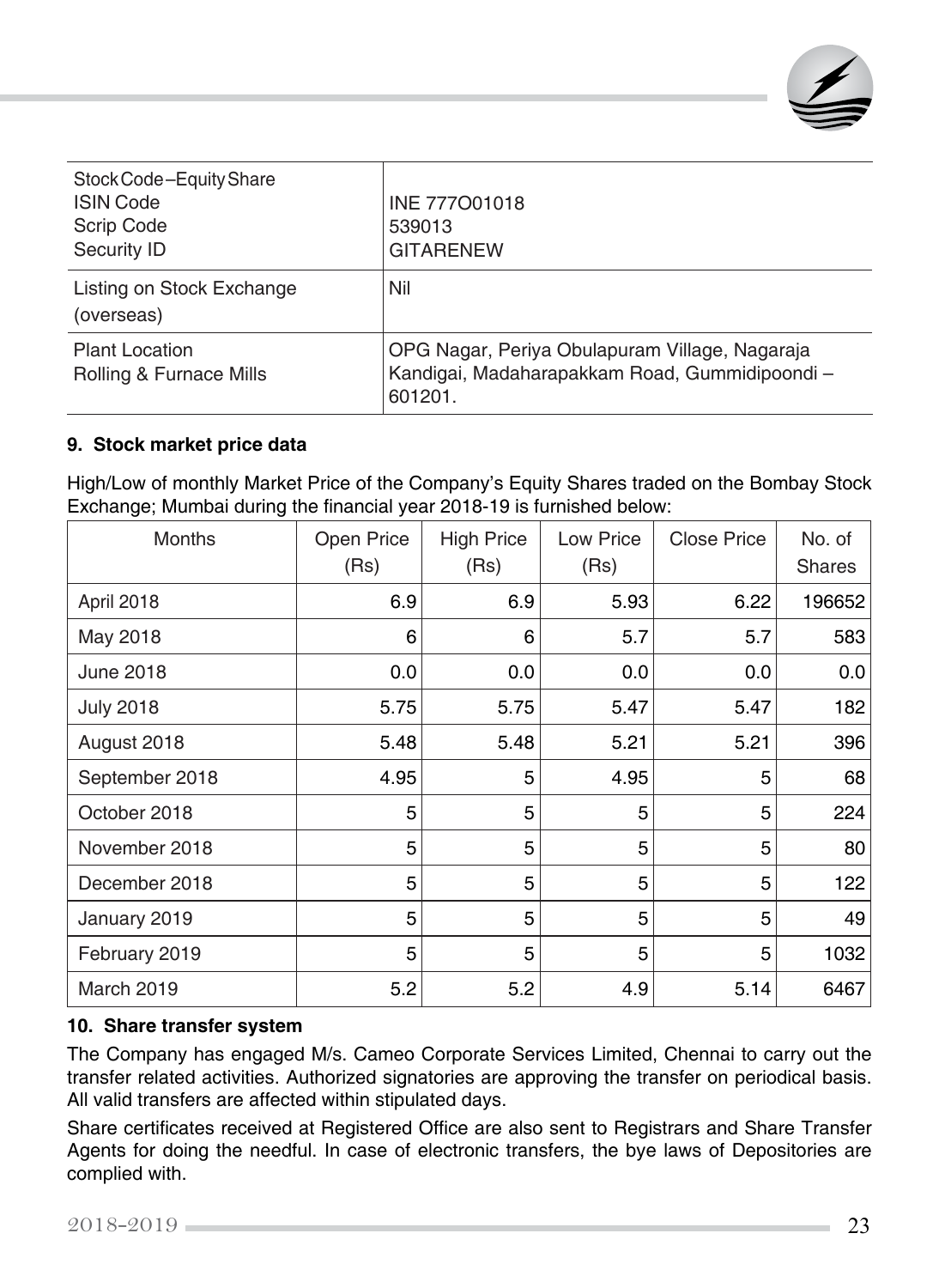

| Stock Code-Equity Share<br><b>ISIN Code</b><br>Scrip Code<br>Security ID | INE 777001018<br>539013<br><b>GITARENEW</b>                                                                |
|--------------------------------------------------------------------------|------------------------------------------------------------------------------------------------------------|
| Listing on Stock Exchange<br>(overseas)                                  | Nil                                                                                                        |
| <b>Plant Location</b><br>Rolling & Furnace Mills                         | OPG Nagar, Periya Obulapuram Village, Nagaraja<br>Kandigai, Madaharapakkam Road, Gummidipoondi-<br>601201. |

#### **9. Stock market price data**

High/Low of monthly Market Price of the Company's Equity Shares traded on the Bombay Stock Exchange; Mumbai during the financial year 2018-19 is furnished below:

| Months           | Open Price<br>(Rs) | <b>High Price</b><br>(Rs) | Low Price<br>(Rs) | <b>Close Price</b> | No. of<br><b>Shares</b> |
|------------------|--------------------|---------------------------|-------------------|--------------------|-------------------------|
| April 2018       | 6.9                | 6.9                       | 5.93              | 6.22               | 196652                  |
| May 2018         | 6                  | 6                         | 5.7               | 5.7                | 583                     |
| June 2018        | 0.0                | 0.0                       | 0.0               | 0.0                | 0.0                     |
| <b>July 2018</b> | 5.75               | 5.75                      | 5.47              | 5.47               | 182                     |
| August 2018      | 5.48               | 5.48                      | 5.21              | 5.21               | 396                     |
| September 2018   | 4.95               | 5                         | 4.95              | 5                  | 68                      |
| October 2018     | 5                  | 5                         | 5                 | 5                  | 224                     |
| November 2018    | 5                  | 5                         | 5                 | 5                  | 80                      |
| December 2018    | 5                  | 5                         | 5                 | 5                  | 122                     |
| January 2019     | 5                  | 5                         | 5                 | 5                  | 49                      |
| February 2019    | 5                  | 5                         | 5                 | 5                  | 1032                    |
| March 2019       | 5.2                | 5.2                       | 4.9               | 5.14               | 6467                    |

#### **10. Share transfer system**

The Company has engaged M/s. Cameo Corporate Services Limited, Chennai to carry out the transfer related activities. Authorized signatories are approving the transfer on periodical basis. All valid transfers are affected within stipulated days.

Share certificates received at Registered Office are also sent to Registrars and Share Transfer Agents for doing the needful. In case of electronic transfers, the bye laws of Depositories are complied with.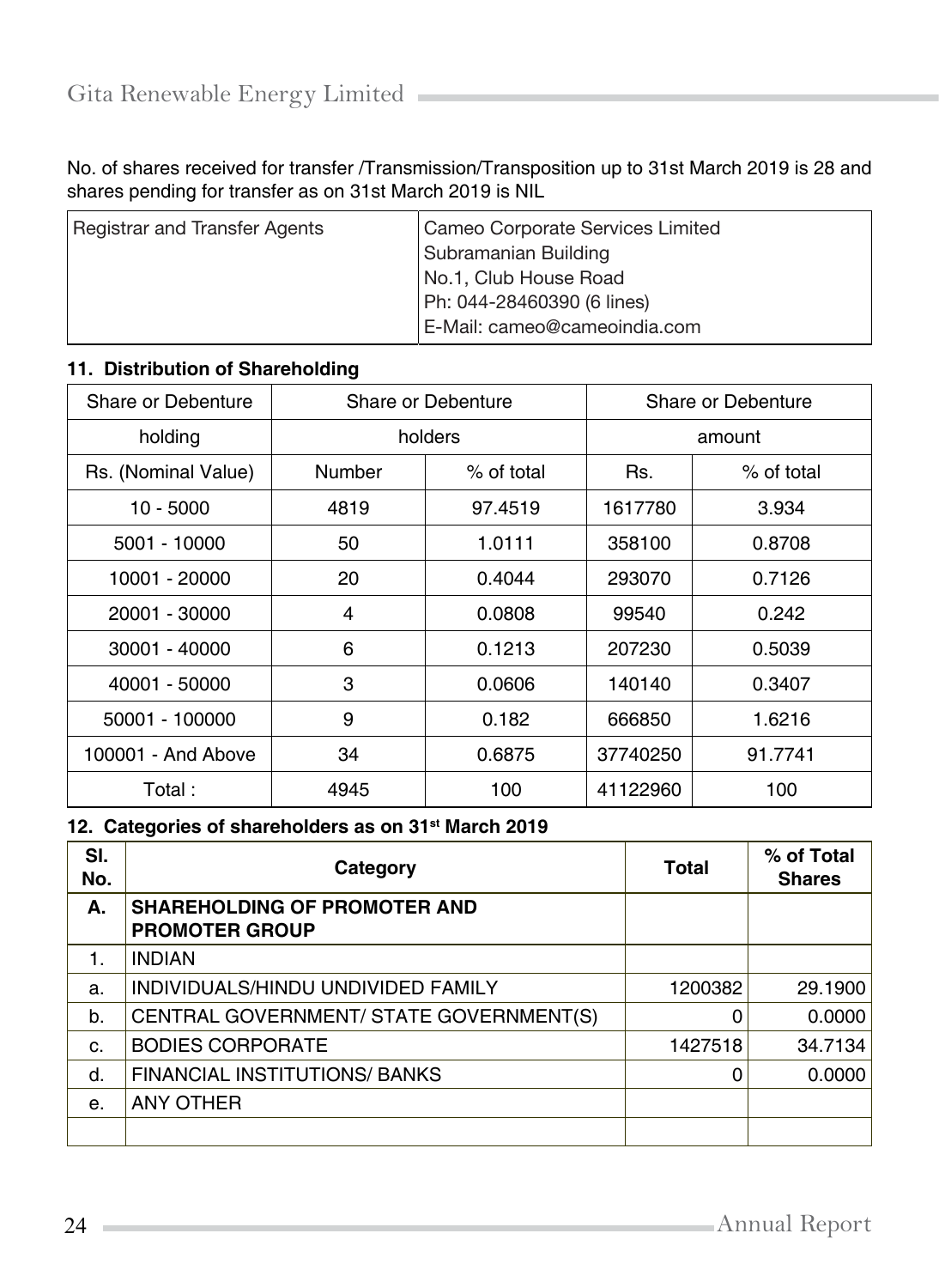No. of shares received for transfer /Transmission/Transposition up to 31st March 2019 is 28 and shares pending for transfer as on 31st March 2019 is NIL

| Registrar and Transfer Agents | Cameo Corporate Services Limited |
|-------------------------------|----------------------------------|
|                               | Subramanian Building             |
|                               | No.1, Club House Road            |
|                               | Ph: 044-28460390 (6 lines)       |
|                               | E-Mail: cameo@cameoindia.com     |

## **11. Distribution of Shareholding**

| Share or Debenture  | Share or Debenture |            |          | Share or Debenture |
|---------------------|--------------------|------------|----------|--------------------|
| holders<br>holding  |                    |            | amount   |                    |
| Rs. (Nominal Value) | Number             | % of total | Rs.      | % of total         |
| $10 - 5000$         | 4819               | 97.4519    | 1617780  | 3.934              |
| 5001 - 10000        | 50                 | 1.0111     | 358100   | 0.8708             |
| 10001 - 20000       | 20                 | 0.4044     | 293070   | 0.7126             |
| 20001 - 30000       | 4                  | 0.0808     | 99540    | 0.242              |
| 30001 - 40000       | 6                  | 0.1213     | 207230   | 0.5039             |
| 40001 - 50000       | 3                  | 0.0606     | 140140   | 0.3407             |
| 50001 - 100000      | 9                  | 0.182      | 666850   | 1.6216             |
| 100001 - And Above  | 34                 | 0.6875     | 37740250 | 91.7741            |
| Total :             | 4945               | 100        | 41122960 | 100                |

## **12. Categories of shareholders as on 31st March 2019**

| SI.<br>No.     | Category                                                     | Total   | % of Total<br><b>Shares</b> |
|----------------|--------------------------------------------------------------|---------|-----------------------------|
| А.             | <b>SHAREHOLDING OF PROMOTER AND</b><br><b>PROMOTER GROUP</b> |         |                             |
|                | <b>INDIAN</b>                                                |         |                             |
| a.             | INDIVIDUALS/HINDU UNDIVIDED FAMILY                           | 1200382 | 29.1900                     |
| b.             | CENTRAL GOVERNMENT/ STATE GOVERNMENT(S)                      | 0       | 0.0000                      |
| C.             | <b>BODIES CORPORATE</b>                                      | 1427518 | 34.7134                     |
| d.             | <b>FINANCIAL INSTITUTIONS/ BANKS</b>                         | 0       | 0.0000                      |
| $\mathbf{e}$ . | ANY OTHER                                                    |         |                             |
|                |                                                              |         |                             |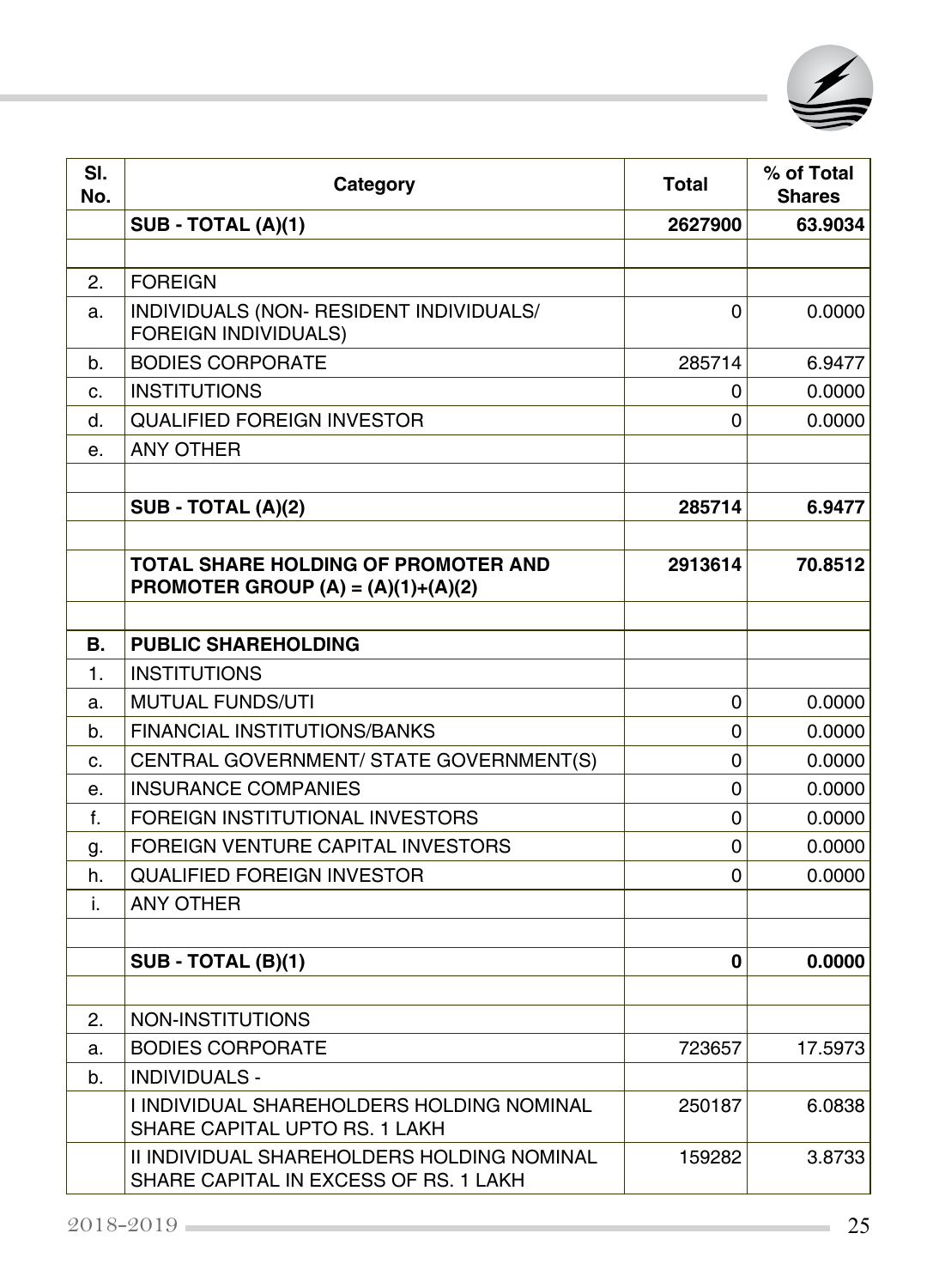

| SI.<br>No.     | Category                                                                            | <b>Total</b> | % of Total<br><b>Shares</b> |
|----------------|-------------------------------------------------------------------------------------|--------------|-----------------------------|
|                | <b>SUB - TOTAL (A)(1)</b>                                                           | 2627900      | 63.9034                     |
|                |                                                                                     |              |                             |
| 2.             | <b>FOREIGN</b>                                                                      |              |                             |
| a.             | INDIVIDUALS (NON- RESIDENT INDIVIDUALS/<br><b>FOREIGN INDIVIDUALS)</b>              | 0            | 0.0000                      |
| b.             | <b>BODIES CORPORATE</b>                                                             | 285714       | 6.9477                      |
| c.             | <b>INSTITUTIONS</b>                                                                 | 0            | 0.0000                      |
| d.             | <b>QUALIFIED FOREIGN INVESTOR</b>                                                   | 0            | 0.0000                      |
| е.             | <b>ANY OTHER</b>                                                                    |              |                             |
|                |                                                                                     |              |                             |
|                | SUB - TOTAL (A)(2)                                                                  | 285714       | 6.9477                      |
|                |                                                                                     |              |                             |
|                | TOTAL SHARE HOLDING OF PROMOTER AND<br><b>PROMOTER GROUP (A) = (A)(1)+(A)(2)</b>    | 2913614      | 70.8512                     |
|                |                                                                                     |              |                             |
| В.             | <b>PUBLIC SHAREHOLDING</b>                                                          |              |                             |
| $\mathbf{1}$ . | <b>INSTITUTIONS</b>                                                                 |              |                             |
| a.             | <b>MUTUAL FUNDS/UTI</b>                                                             | 0            | 0.0000                      |
| b.             | <b>FINANCIAL INSTITUTIONS/BANKS</b>                                                 | 0            | 0.0000                      |
| c.             | CENTRAL GOVERNMENT/ STATE GOVERNMENT(S)                                             | 0            | 0.0000                      |
| е.             | <b>INSURANCE COMPANIES</b>                                                          | 0            | 0.0000                      |
| f.             | FOREIGN INSTITUTIONAL INVESTORS                                                     | 0            | 0.0000                      |
| g.             | FOREIGN VENTURE CAPITAL INVESTORS                                                   | 0            | 0.0000                      |
| h.             | <b>QUALIFIED FOREIGN INVESTOR</b>                                                   | 0            | 0.0000                      |
| i.             | <b>ANY OTHER</b>                                                                    |              |                             |
|                |                                                                                     |              |                             |
|                | <b>SUB - TOTAL (B)(1)</b>                                                           | 0            | 0.0000                      |
|                |                                                                                     |              |                             |
| 2.             | NON-INSTITUTIONS                                                                    |              |                             |
| a.             | <b>BODIES CORPORATE</b>                                                             | 723657       | 17.5973                     |
| b.             | INDIVIDUALS -                                                                       |              |                             |
|                | I INDIVIDUAL SHAREHOLDERS HOLDING NOMINAL<br>SHARE CAPITAL UPTO RS. 1 LAKH          | 250187       | 6.0838                      |
|                | II INDIVIDUAL SHAREHOLDERS HOLDING NOMINAL<br>SHARE CAPITAL IN EXCESS OF RS. 1 LAKH | 159282       | 3.8733                      |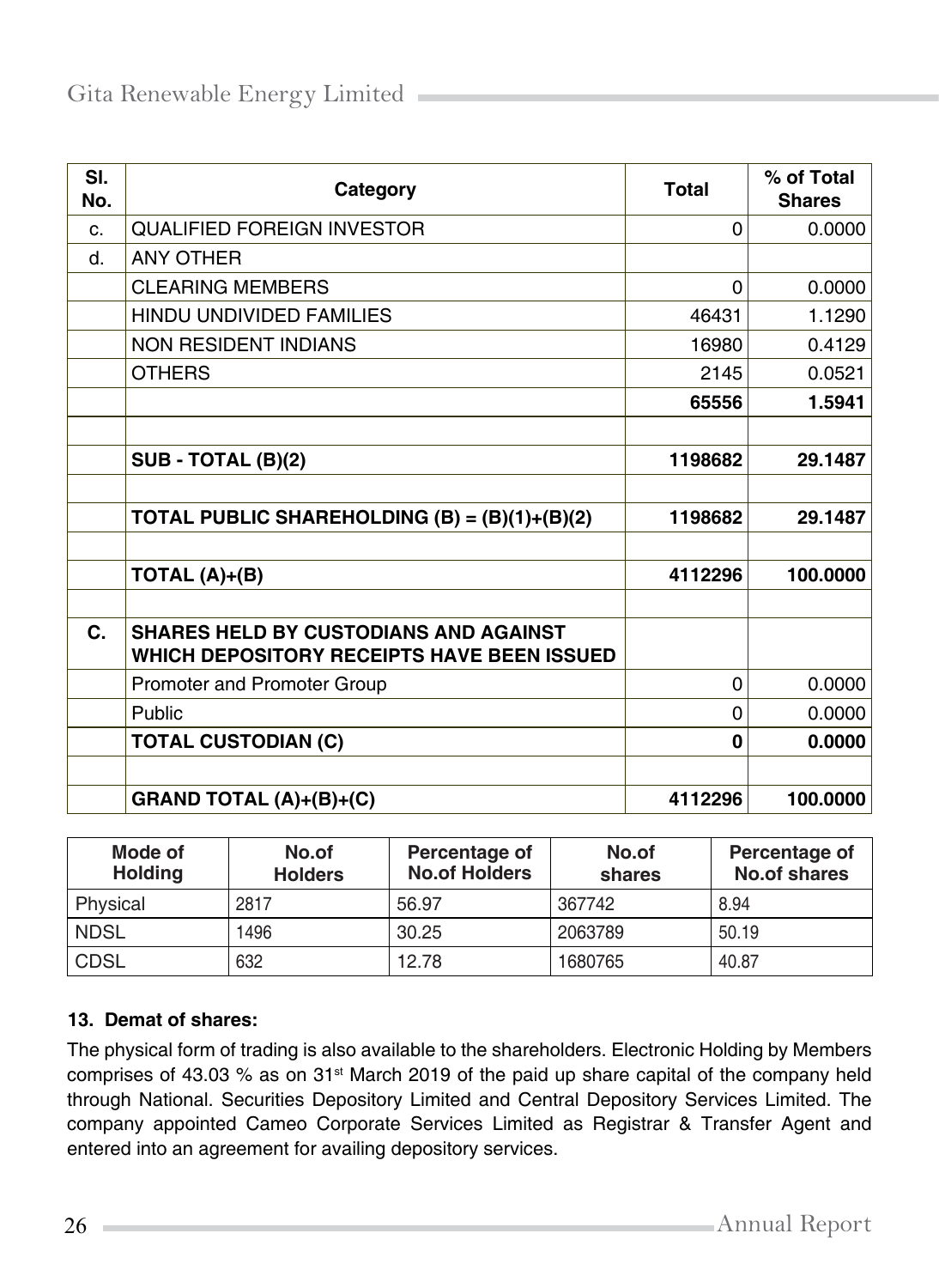| SI.<br>No.     | Category                                                                                   | Total       | % of Total<br><b>Shares</b> |
|----------------|--------------------------------------------------------------------------------------------|-------------|-----------------------------|
| C <sub>1</sub> | <b>QUALIFIED FOREIGN INVESTOR</b>                                                          | 0           | 0.0000                      |
| d.             | <b>ANY OTHER</b>                                                                           |             |                             |
|                | <b>CLEARING MEMBERS</b>                                                                    | $\Omega$    | 0.0000                      |
|                | <b>HINDU UNDIVIDED FAMILIES</b>                                                            | 46431       | 1.1290                      |
|                | <b>NON RESIDENT INDIANS</b>                                                                | 16980       | 0.4129                      |
|                | <b>OTHERS</b>                                                                              | 2145        | 0.0521                      |
|                |                                                                                            | 65556       | 1.5941                      |
|                |                                                                                            |             |                             |
|                | SUB - TOTAL (B)(2)                                                                         | 1198682     | 29.1487                     |
|                |                                                                                            |             |                             |
|                | TOTAL PUBLIC SHAREHOLDING $(B) = (B)(1)+(B)(2)$                                            | 1198682     | 29.1487                     |
|                |                                                                                            |             |                             |
|                | TOTAL $(A)+(B)$                                                                            | 4112296     | 100.0000                    |
|                |                                                                                            |             |                             |
| C.             | <b>SHARES HELD BY CUSTODIANS AND AGAINST</b><br>WHICH DEPOSITORY RECEIPTS HAVE BEEN ISSUED |             |                             |
|                | Promoter and Promoter Group                                                                | $\mathbf 0$ | 0.0000                      |
|                | Public                                                                                     | 0           | 0.0000                      |
|                | <b>TOTAL CUSTODIAN (C)</b>                                                                 | $\bf{0}$    | 0.0000                      |
|                |                                                                                            |             |                             |
|                | GRAND TOTAL (A)+(B)+(C)                                                                    | 4112296     | 100.0000                    |

| Mode of<br><b>Holding</b> | No.of<br><b>Holders</b> | Percentage of<br><b>No.of Holders</b> | No.of<br>shares | Percentage of<br><b>No.of shares</b> |
|---------------------------|-------------------------|---------------------------------------|-----------------|--------------------------------------|
| Physical                  | 2817                    | 56.97                                 | 367742          | 8.94                                 |
| <b>NDSL</b>               | 1496                    | 30.25                                 | 2063789         | 50.19                                |
| <b>CDSL</b>               | 632                     | 12.78                                 | 1680765         | 40.87                                |

## **13. Demat of shares:**

The physical form of trading is also available to the shareholders. Electronic Holding by Members comprises of 43.03 % as on 31<sup>st</sup> March 2019 of the paid up share capital of the company held through National. Securities Depository Limited and Central Depository Services Limited. The company appointed Cameo Corporate Services Limited as Registrar & Transfer Agent and entered into an agreement for availing depository services.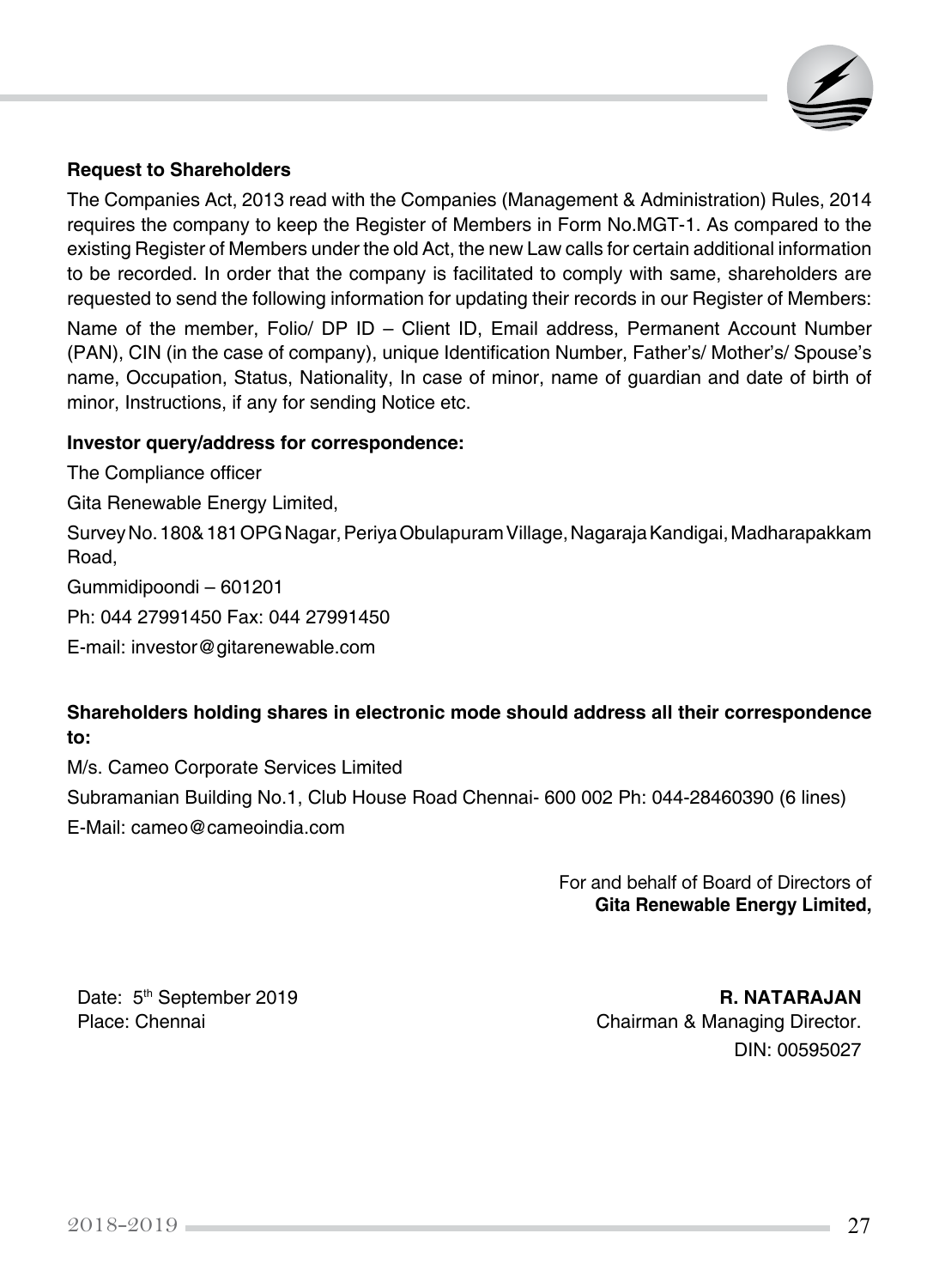

#### **Request to Shareholders**

The Companies Act, 2013 read with the Companies (Management & Administration) Rules, 2014 requires the company to keep the Register of Members in Form No.MGT-1. As compared to the existing Register of Members under the old Act, the new Law calls for certain additional information to be recorded. In order that the company is facilitated to comply with same, shareholders are requested to send the following information for updating their records in our Register of Members: Name of the member, Folio/ DP ID – Client ID, Email address, Permanent Account Number (PAN), CIN (in the case of company), unique Identification Number, Father's/ Mother's/ Spouse's name, Occupation, Status, Nationality, In case of minor, name of guardian and date of birth of minor, Instructions, if any for sending Notice etc.

#### **Investor query/address for correspondence:**

The Compliance officer Gita Renewable Energy Limited, Survey No. 180& 181 OPG Nagar, Periya Obulapuram Village, Nagaraja Kandigai, Madharapakkam Road, Gummidipoondi – 601201 Ph: 044 27991450 Fax: 044 27991450 E-mail: [investor@gitarenewable.com](mailto:investor@gitarenewable.com)

## **Shareholders holding shares in electronic mode should address all their correspondence to:**

M/s. Cameo Corporate Services Limited

Subramanian Building No.1, Club House Road Chennai- 600 002 Ph: 044-28460390 (6 lines)

E-Mail: [cameo@cameoindia.com](mailto:cameo@cameoindia.com)

For and behalf of Board of Directors of **Gita Renewable Energy Limited,** 

Date: 5th September 2019 **R. NATARAJAN** Place: Chennai **Chairman & Managing Director.** DIN: 00595027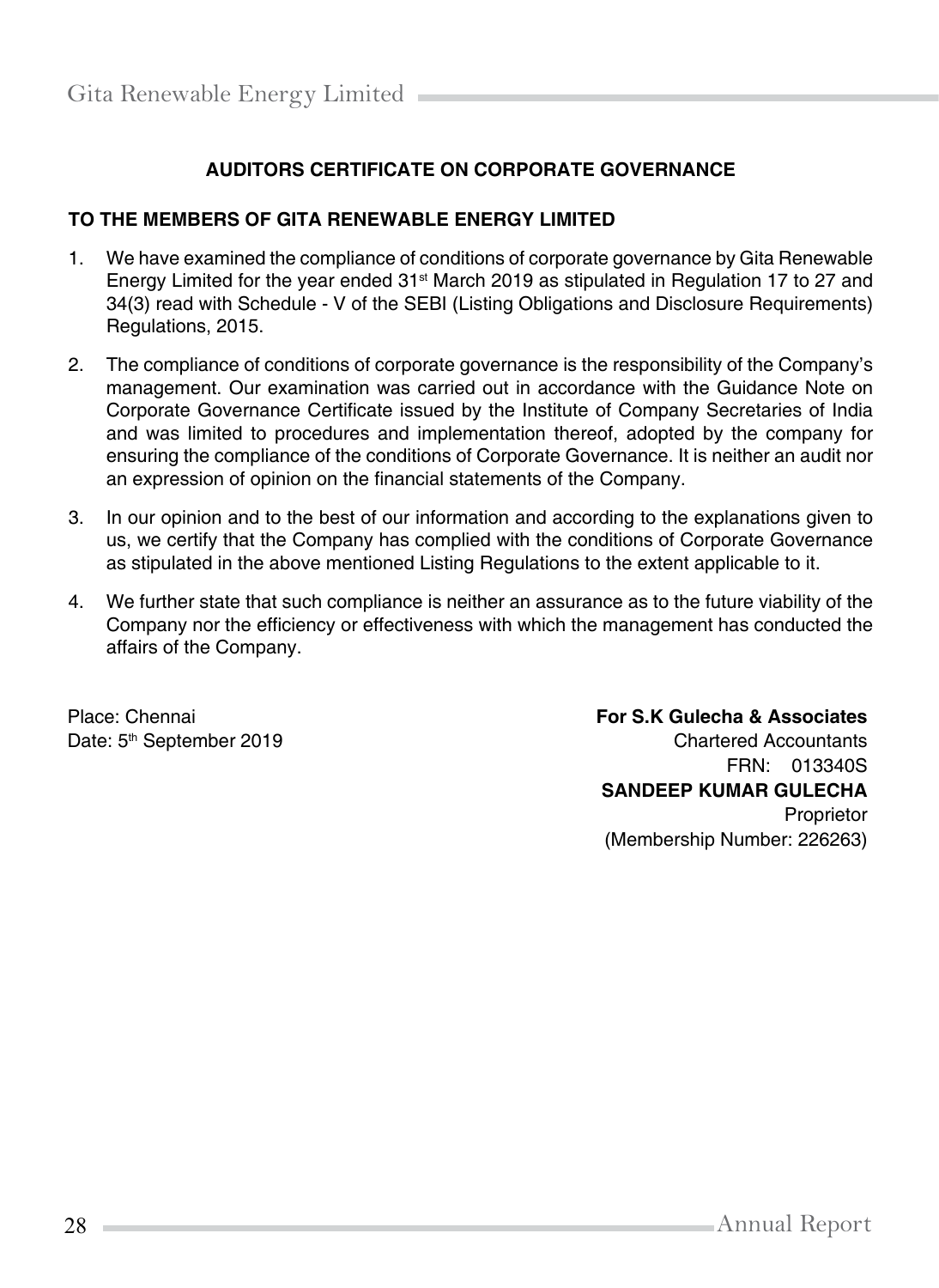## **AUDITORS CERTIFICATE ON CORPORATE GOVERNANCE**

#### **TO THE MEMBERS OF GITA RENEWABLE ENERGY LIMITED**

- 1. We have examined the compliance of conditions of corporate governance by Gita Renewable Energy Limited for the year ended  $31<sup>st</sup>$  March 2019 as stipulated in Regulation 17 to 27 and 34(3) read with Schedule - V of the SEBI (Listing Obligations and Disclosure Requirements) Regulations, 2015.
- 2. The compliance of conditions of corporate governance is the responsibility of the Company's management. Our examination was carried out in accordance with the Guidance Note on Corporate Governance Certificate issued by the Institute of Company Secretaries of India and was limited to procedures and implementation thereof, adopted by the company for ensuring the compliance of the conditions of Corporate Governance. It is neither an audit nor an expression of opinion on the financial statements of the Company.
- 3. In our opinion and to the best of our information and according to the explanations given to us, we certify that the Company has complied with the conditions of Corporate Governance as stipulated in the above mentioned Listing Regulations to the extent applicable to it.
- 4. We further state that such compliance is neither an assurance as to the future viability of the Company nor the efficiency or effectiveness with which the management has conducted the affairs of the Company.

Place: Chennai Date: 5<sup>th</sup> September 2019

## **For S.K Gulecha & Associates** Chartered Accountants FRN: 013340S **SANDEEP KUMAR GULECHA** Proprietor (Membership Number: 226263)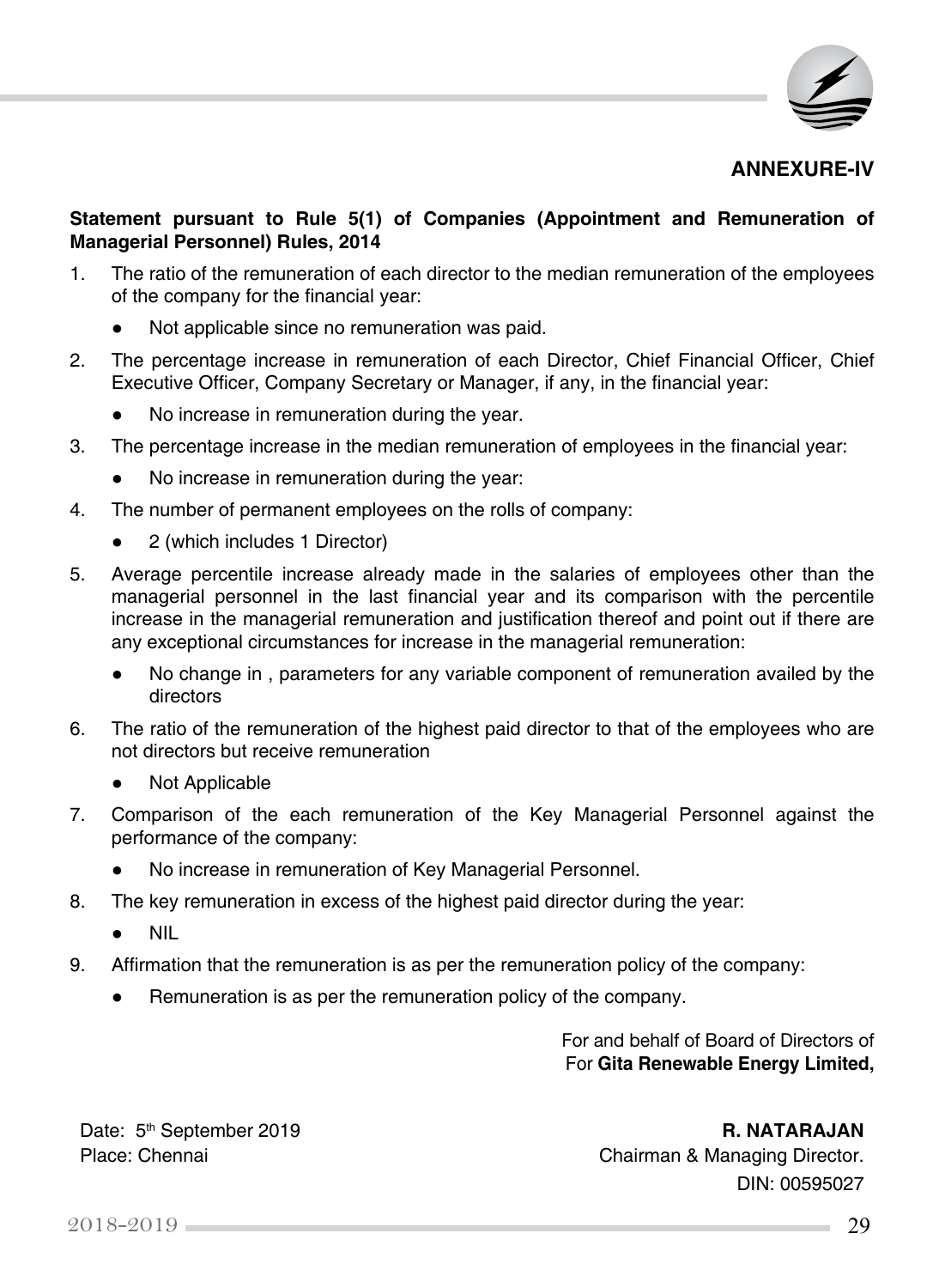

#### **ANNEXURE-IV**

#### **Statement pursuant to Rule 5(1) of Companies (Appointment and Remuneration of Managerial Personnel) Rules, 2014**

- 1. The ratio of the remuneration of each director to the median remuneration of the employees of the company for the financial year:
	- Not applicable since no remuneration was paid.
- 2. The percentage increase in remuneration of each Director, Chief Financial Officer, Chief Executive Officer, Company Secretary or Manager, if any, in the financial year:
	- No increase in remuneration during the year.
- 3. The percentage increase in the median remuneration of employees in the financial year:
	- No increase in remuneration during the year:
- 4. The number of permanent employees on the rolls of company:
	- 2 (which includes 1 Director)
- 5. Average percentile increase already made in the salaries of employees other than the managerial personnel in the last financial year and its comparison with the percentile increase in the managerial remuneration and justification thereof and point out if there are any exceptional circumstances for increase in the managerial remuneration:
	- No change in, parameters for any variable component of remuneration availed by the directors
- 6. The ratio of the remuneration of the highest paid director to that of the employees who are not directors but receive remuneration
	- **Not Applicable**
- 7. Comparison of the each remuneration of the Key Managerial Personnel against the performance of the company:
	- No increase in remuneration of Key Managerial Personnel.
- 8. The key remuneration in excess of the highest paid director during the year:
	- **●**  NIL
- 9. Affirmation that the remuneration is as per the remuneration policy of the company:
	- Remuneration is as per the remuneration policy of the company.

For and behalf of Board of Directors of For **Gita Renewable Energy Limited,** 

Date: 5<sup>th</sup> September 2019 **R. NATARAJAN** 

Place: Chennai **Chairman & Managing Director.** DIN: 00595027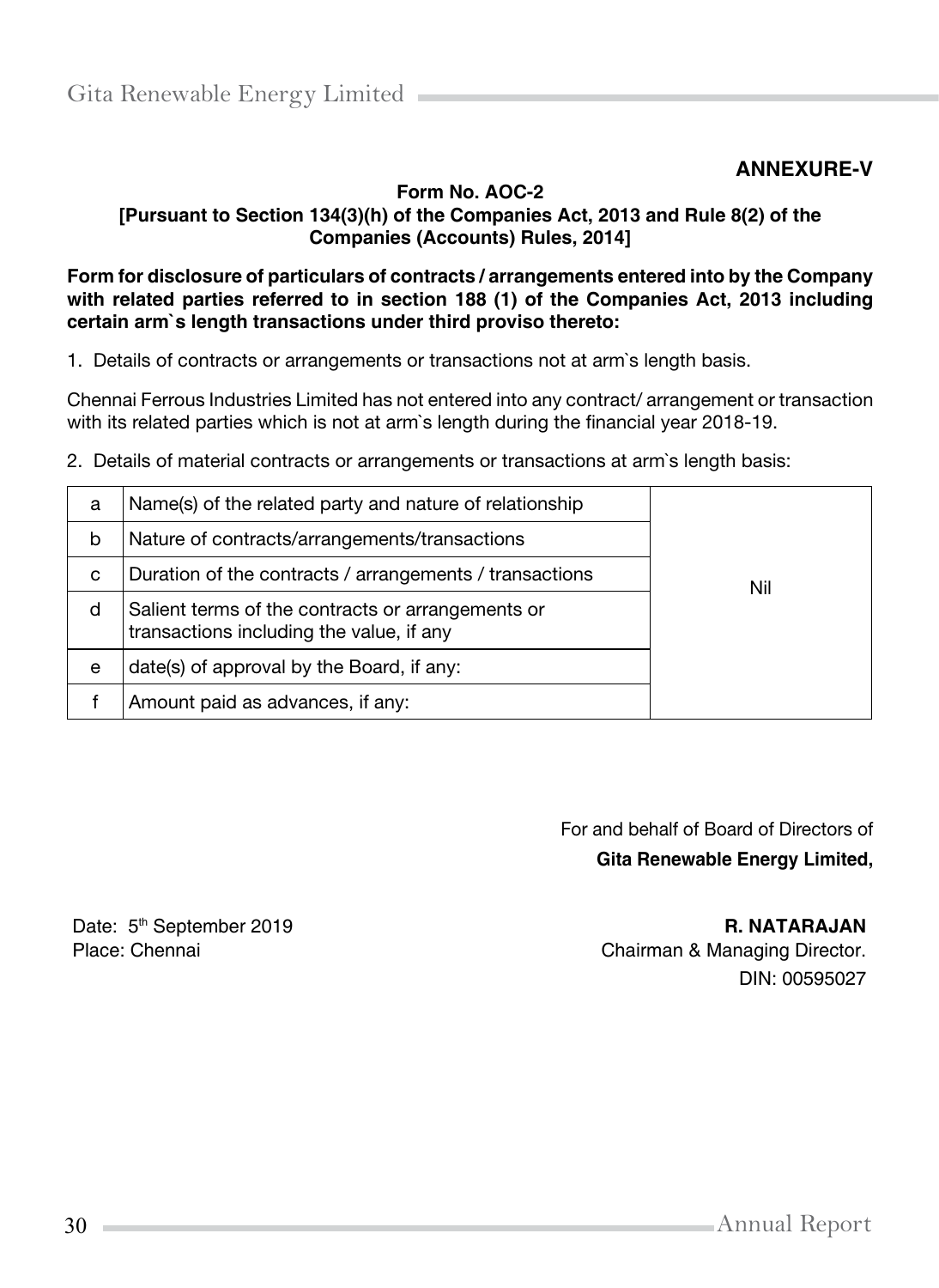## **ANNEXURE-V**

#### **Form No. AOC-2 [Pursuant to Section 134(3)(h) of the Companies Act, 2013 and Rule 8(2) of the Companies (Accounts) Rules, 2014]**

#### **Form for disclosure of particulars of contracts / arrangements entered into by the Company with related parties referred to in section 188 (1) of the Companies Act, 2013 including certain arm`s length transactions under third proviso thereto:**

1. Details of contracts or arrangements or transactions not at arm`s length basis.

Chennai Ferrous Industries Limited has not entered into any contract/ arrangement or transaction with its related parties which is not at arm`s length during the financial year 2018-19.

2. Details of material contracts or arrangements or transactions at arm`s length basis:

| a | Name(s) of the related party and nature of relationship                                       |     |
|---|-----------------------------------------------------------------------------------------------|-----|
| b | Nature of contracts/arrangements/transactions                                                 |     |
| c | Duration of the contracts / arrangements / transactions                                       | Nil |
| d | Salient terms of the contracts or arrangements or<br>transactions including the value, if any |     |
| e | date(s) of approval by the Board, if any:                                                     |     |
|   | Amount paid as advances, if any:                                                              |     |

For and behalf of Board of Directors of **Gita Renewable Energy Limited,** 

Date: 5<sup>th</sup> September 2019 **R. NATARAJAN** 

Place: Chennai Chairman & Managing Director. DIN: 00595027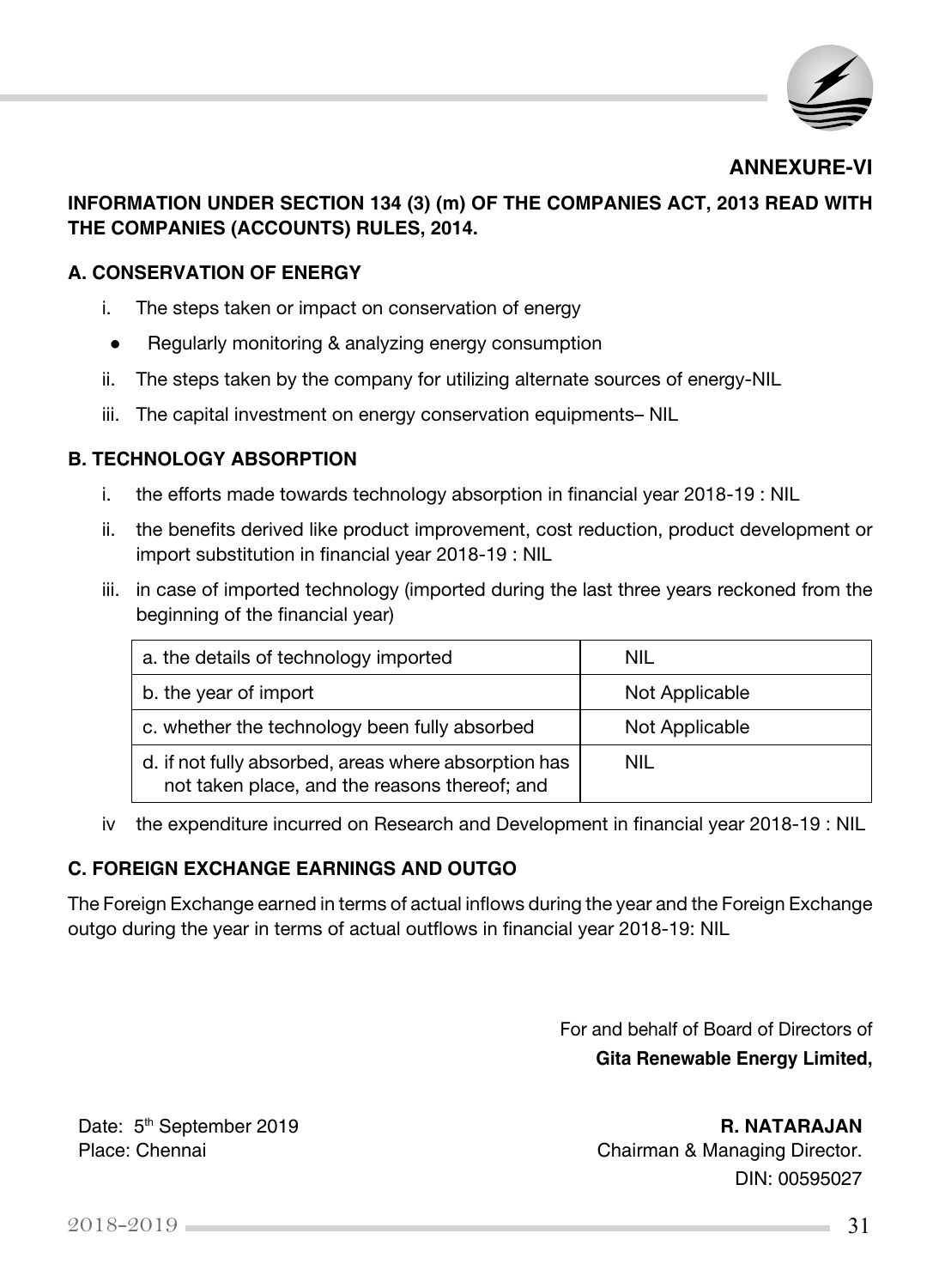

**ANNEXURE-VI**

## **INFORMATION UNDER SECTION 134 (3) (m) OF THE COMPANIES ACT, 2013 READ WITH THE COMPANIES (ACCOUNTS) RULES, 2014.**

#### **A. CONSERVATION OF ENERGY**

- i. The steps taken or impact on conservation of energy
- **●**  Regularly monitoring & analyzing energy consumption
- ii. The steps taken by the company for utilizing alternate sources of energy-NIL
- iii. The capital investment on energy conservation equipments– NIL

## **B. TECHNOLOGY ABSORPTION**

- i. the efforts made towards technology absorption in financial year 2018-19 : NIL
- ii. the benefits derived like product improvement, cost reduction, product development or import substitution in financial year 2018-19 : NIL
- iii. in case of imported technology (imported during the last three years reckoned from the beginning of the financial year)

| a. the details of technology imported                                                                 | NIL            |
|-------------------------------------------------------------------------------------------------------|----------------|
| b. the year of import                                                                                 | Not Applicable |
| c. whether the technology been fully absorbed                                                         | Not Applicable |
| d. if not fully absorbed, areas where absorption has<br>not taken place, and the reasons thereof; and | NIL            |

iv the expenditure incurred on Research and Development in financial year 2018-19 : NIL

## **C. FOREIGN EXCHANGE EARNINGS AND OUTGO**

The Foreign Exchange earned in terms of actual inflows during the year and the Foreign Exchange outgo during the year in terms of actual outflows in financial year 2018-19: NIL

> For and behalf of Board of Directors of **Gita Renewable Energy Limited,**

Date: 5<sup>th</sup> September 2019 **R. NATARAJAN** Place: Chennai **Chairman & Managing Director.** DIN: 00595027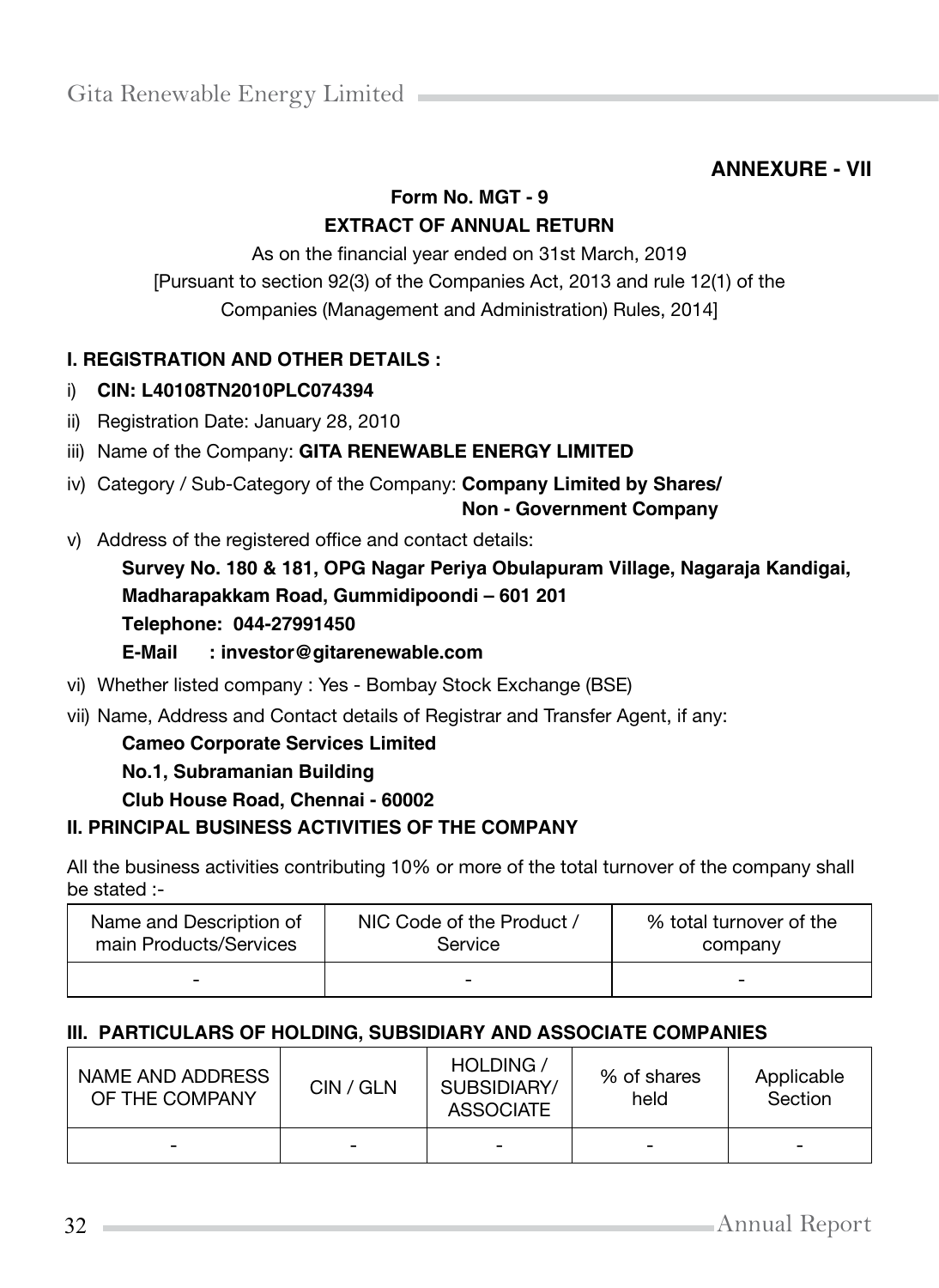# **ANNEXURE - VII**

## **Form No. MGT - 9 EXTRACT OF ANNUAL RETURN**

As on the financial year ended on 31st March, 2019 [Pursuant to section 92(3) of the Companies Act, 2013 and rule 12(1) of the Companies (Management and Administration) Rules, 2014]

## **I. REGISTRATION AND OTHER DETAILS :**

- i) **CIN: L40108TN2010PLC074394**
- ii) Registration Date: January 28, 2010
- iii) Name of the Company: GITA RENEWABLE ENERGY LIMITED
- iv) Category / Sub-Category of the Company: **Company Limited by Shares/**

**Non - Government Company**

v) Address of the registered office and contact details:

**Survey No. 180 & 181, OPG Nagar Periya Obulapuram Village, Nagaraja Kandigai, Madharapakkam Road, Gummidipoondi – 601 201 Telephone: 044-27991450 E-Mail : investor@gitarenewable.com**

- vi) Whether listed company : Yes Bombay Stock Exchange (BSE)
- vii) Name, Address and Contact details of Registrar and Transfer Agent, if any:

## **Cameo Corporate Services Limited**

## **No.1, Subramanian Building**

**Club House Road, Chennai - 60002**

## **II. PRINCIPAL BUSINESS ACTIVITIES OF THE COMPANY**

All the business activities contributing 10% or more of the total turnover of the company shall be stated :-

| Name and Description of  | NIC Code of the Product / | % total turnover of the |
|--------------------------|---------------------------|-------------------------|
| main Products/Services   | Service                   | company                 |
| $\overline{\phantom{a}}$ | -                         | -                       |

## **III. PARTICULARS OF HOLDING, SUBSIDIARY AND ASSOCIATE COMPANIES**

| NAME AND ADDRESS | CIN / GLN |   | % of shares | Applicable |  |
|------------------|-----------|---|-------------|------------|--|
| OF THE COMPANY   |           |   | held        | Section    |  |
| -                | -         | ۰ | -           | -          |  |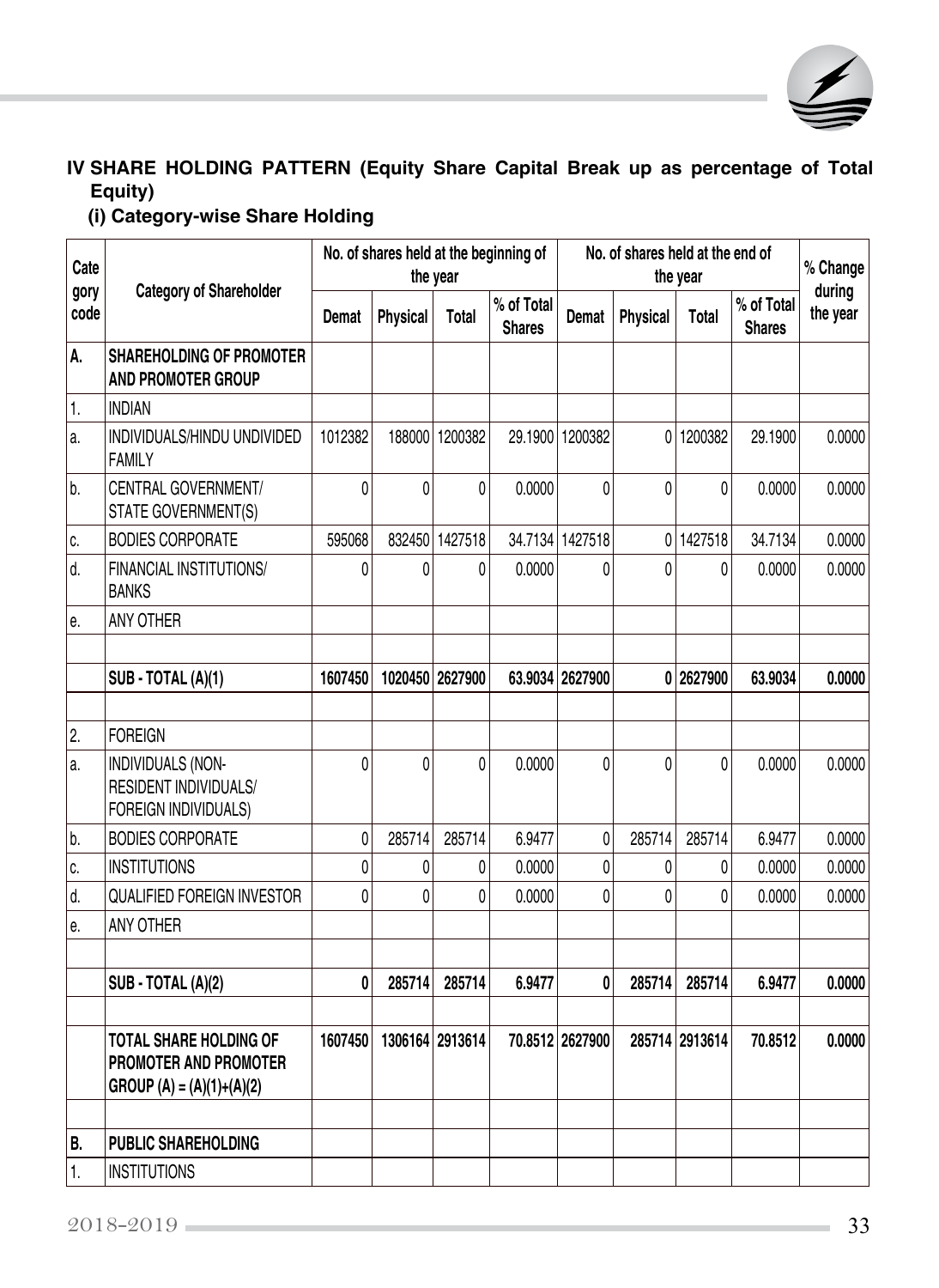

# **IV SHARE HOLDING PATTERN (Equity Share Capital Break up as percentage of Total Equity)**

 **(i) Category-wise Share Holding**

| Cate             | <b>Category of Shareholder</b>                                                       | No. of shares held at the beginning of<br>the year |          |                 |                             | No. of shares held at the end of<br>the year |          |                |                             | % Change           |
|------------------|--------------------------------------------------------------------------------------|----------------------------------------------------|----------|-----------------|-----------------------------|----------------------------------------------|----------|----------------|-----------------------------|--------------------|
| gory<br>code     |                                                                                      | Demat                                              | Physical | <b>Total</b>    | % of Total<br><b>Shares</b> | Demat                                        | Physical | Total          | % of Total<br><b>Shares</b> | during<br>the year |
| А.               | <b>SHAREHOLDING OF PROMOTER</b><br>AND PROMOTER GROUP                                |                                                    |          |                 |                             |                                              |          |                |                             |                    |
| 1.               | <b>INDIAN</b>                                                                        |                                                    |          |                 |                             |                                              |          |                |                             |                    |
| a.               | INDIVIDUALS/HINDU UNDIVIDED<br><b>FAMILY</b>                                         | 1012382                                            |          | 188000 1200382  |                             | 29.1900 1200382                              |          | 0 1200382      | 29.1900                     | 0.0000             |
| b.               | CENTRAL GOVERNMENT/<br>STATE GOVERNMENT(S)                                           | 0                                                  | 0        | 0               | 0.0000                      | 0                                            | 0        | $\Omega$       | 0.0000                      | 0.0000             |
| C.               | <b>BODIES CORPORATE</b>                                                              | 595068                                             |          | 832450 1427518  |                             | 34.7134 1427518                              |          | 0 1427518      | 34.7134                     | 0.0000             |
| d.               | FINANCIAL INSTITUTIONS/<br><b>BANKS</b>                                              | 0                                                  | 0        | 0               | 0.0000                      | 0                                            | 0        | $\Omega$       | 0.0000                      | 0.0000             |
| е.               | ANY OTHER                                                                            |                                                    |          |                 |                             |                                              |          |                |                             |                    |
|                  |                                                                                      |                                                    |          |                 |                             |                                              |          |                |                             |                    |
|                  | SUB - TOTAL (A)(1)                                                                   | 1607450                                            |          | 1020450 2627900 |                             | 63.9034 2627900                              |          | 0 2627900      | 63.9034                     | 0.0000             |
|                  |                                                                                      |                                                    |          |                 |                             |                                              |          |                |                             |                    |
| $\overline{2}$ . | <b>FOREIGN</b>                                                                       |                                                    |          |                 |                             |                                              |          |                |                             |                    |
| a.               | INDIVIDUALS (NON-<br><b>RESIDENT INDIVIDUALS/</b><br>FOREIGN INDIVIDUALS)            | 0                                                  | 0        | 0               | 0.0000                      | 0                                            | 0        | 0              | 0.0000                      | 0.0000             |
| b.               | <b>BODIES CORPORATE</b>                                                              | 0                                                  | 285714   | 285714          | 6.9477                      | $\Omega$                                     | 285714   | 285714         | 6.9477                      | 0.0000             |
| C.               | <b>INSTITUTIONS</b>                                                                  | 0                                                  | 0        | 0               | 0.0000                      | 0                                            | 0        | $\theta$       | 0.0000                      | 0.0000             |
| d.               | QUALIFIED FOREIGN INVESTOR                                                           | 0                                                  | $\theta$ | 0               | 0.0000                      | 0                                            | 0        | $\mathbf{0}$   | 0.0000                      | 0.0000             |
| e.               | ANY OTHER                                                                            |                                                    |          |                 |                             |                                              |          |                |                             |                    |
|                  |                                                                                      |                                                    |          |                 |                             |                                              |          |                |                             |                    |
|                  | SUB - TOTAL (A)(2)                                                                   | 0                                                  | 285714   | 285714          | 6.9477                      | $\mathbf{0}$                                 | 285714   | 285714         | 6.9477                      | 0.0000             |
|                  |                                                                                      |                                                    |          |                 |                             |                                              |          |                |                             |                    |
|                  | <b>TOTAL SHARE HOLDING OF</b><br>PROMOTER AND PROMOTER<br>$GROUP(A) = (A)(1)+(A)(2)$ | 1607450                                            |          | 1306164 2913614 |                             | 70.8512 2627900                              |          | 285714 2913614 | 70.8512                     | 0.0000             |
|                  |                                                                                      |                                                    |          |                 |                             |                                              |          |                |                             |                    |
| В.               | <b>PUBLIC SHAREHOLDING</b>                                                           |                                                    |          |                 |                             |                                              |          |                |                             |                    |
| 1.               | <b>INSTITUTIONS</b>                                                                  |                                                    |          |                 |                             |                                              |          |                |                             |                    |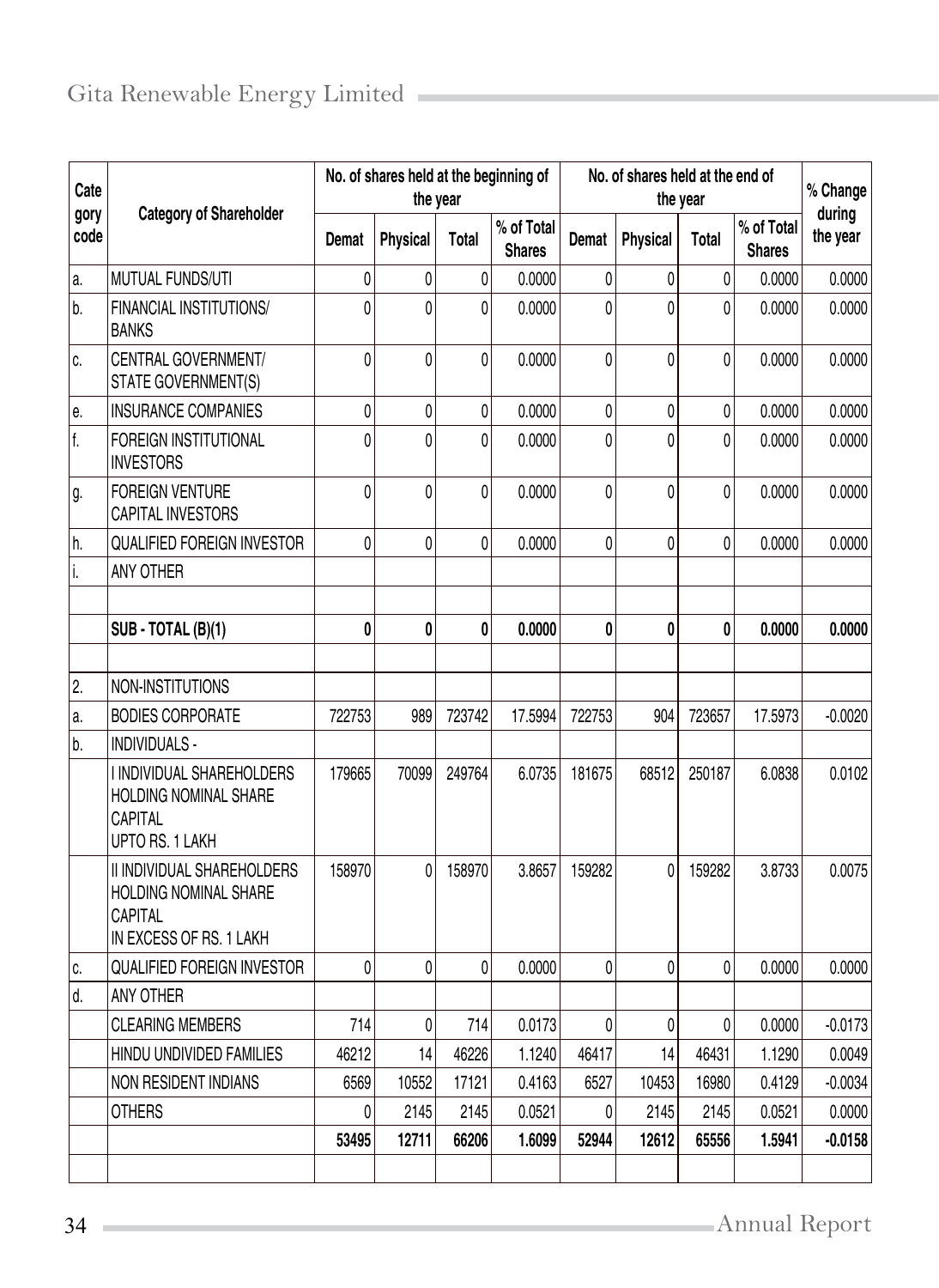| Cate         | <b>Category of Shareholder</b>                                                            | No. of shares held at the beginning of<br>the year |                 |              |                             | No. of shares held at the end of<br>the year |                 |          |                             | % Change           |
|--------------|-------------------------------------------------------------------------------------------|----------------------------------------------------|-----------------|--------------|-----------------------------|----------------------------------------------|-----------------|----------|-----------------------------|--------------------|
| gory<br>code |                                                                                           | Demat                                              | <b>Physical</b> | Total        | % of Total<br><b>Shares</b> | Demat                                        | <b>Physical</b> | Total    | % of Total<br><b>Shares</b> | during<br>the year |
| a.           | MUTUAL FUNDS/UTI                                                                          | 0                                                  | 0               | $\mathbf{0}$ | 0.0000                      | 0                                            | 0               | 0        | 0.0000                      | 0.0000             |
| b.           | FINANCIAL INSTITUTIONS/<br><b>BANKS</b>                                                   | $\theta$                                           | 0               | 0            | 0.0000                      | 0                                            | 0               | $\Omega$ | 0.0000                      | 0.0000             |
| C.           | CENTRAL GOVERNMENT/<br>STATE GOVERNMENT(S)                                                | $\theta$                                           | 0               | 0            | 0.0000                      | 0                                            | 0               | $\theta$ | 0.0000                      | 0.0000             |
| e.           | <b>INSURANCE COMPANIES</b>                                                                | 0                                                  | 0               | 0            | 0.0000                      | 0                                            | 0               | 0        | 0.0000                      | 0.0000             |
| f.           | <b>FOREIGN INSTITUTIONAL</b><br><b>INVESTORS</b>                                          | $\theta$                                           | 0               | $\theta$     | 0.0000                      | 0                                            | 0               | $\Omega$ | 0.0000                      | 0.0000             |
| g.           | <b>FOREIGN VENTURE</b><br><b>CAPITAL INVESTORS</b>                                        | $\theta$                                           | 0               | 0            | 0.0000                      | 0                                            | 0               | 0        | 0.0000                      | 0.0000             |
| h.           | <b>QUALIFIED FOREIGN INVESTOR</b>                                                         | $\Omega$                                           | 0               | 0            | 0.0000                      | 0                                            | $\Omega$        | 0        | 0.0000                      | 0.0000             |
| i.           | ANY OTHER                                                                                 |                                                    |                 |              |                             |                                              |                 |          |                             |                    |
|              |                                                                                           |                                                    |                 |              |                             |                                              |                 |          |                             |                    |
|              | SUB - TOTAL (B)(1)                                                                        | 0                                                  | 0               | 0            | 0.0000                      | 0                                            | 0               | 0        | 0.0000                      | 0.0000             |
|              |                                                                                           |                                                    |                 |              |                             |                                              |                 |          |                             |                    |
| 2.           | NON-INSTITUTIONS                                                                          |                                                    |                 |              |                             |                                              |                 |          |                             |                    |
| a.           | <b>BODIES CORPORATE</b>                                                                   | 722753                                             | 989             | 723742       | 17.5994                     | 722753                                       | 904             | 723657   | 17.5973                     | $-0.0020$          |
| b.           | INDIVIDUALS -                                                                             |                                                    |                 |              |                             |                                              |                 |          |                             |                    |
|              | I INDIVIDUAL SHAREHOLDERS<br>HOLDING NOMINAL SHARE<br>CAPITAL<br>UPTO RS. 1 LAKH          | 179665                                             | 70099           | 249764       | 6.0735                      | 181675                                       | 68512           | 250187   | 6.0838                      | 0.0102             |
|              | II INDIVIDUAL SHAREHOLDERS<br>HOLDING NOMINAL SHARE<br>CAPITAL<br>IN EXCESS OF RS. 1 LAKH | 158970                                             | $\theta$        | 158970       | 3.8657                      | 159282                                       | $\Omega$        | 159282   | 3.8733                      | 0.0075             |
| C.           | <b>QUALIFIED FOREIGN INVESTOR</b>                                                         | $\Omega$                                           | 0               | 0            | 0.0000                      | 0                                            | 0               | 0        | 0.0000                      | 0.0000             |
| d.           | ANY OTHER                                                                                 |                                                    |                 |              |                             |                                              |                 |          |                             |                    |
|              | <b>CLEARING MEMBERS</b>                                                                   | 714                                                | 0               | 714          | 0.0173                      | $\pmb{0}$                                    | 0               | 0        | 0.0000                      | $-0.0173$          |
|              | HINDU UNDIVIDED FAMILIES                                                                  | 46212                                              | 14              | 46226        | 1.1240                      | 46417                                        | 14              | 46431    | 1.1290                      | 0.0049             |
|              | NON RESIDENT INDIANS                                                                      | 6569                                               | 10552           | 17121        | 0.4163                      | 6527                                         | 10453           | 16980    | 0.4129                      | $-0.0034$          |
|              | <b>OTHERS</b>                                                                             | 0                                                  | 2145            | 2145         | 0.0521                      | 0                                            | 2145            | 2145     | 0.0521                      | 0.0000             |
|              |                                                                                           | 53495                                              | 12711           | 66206        | 1.6099                      | 52944                                        | 12612           | 65556    | 1.5941                      | $-0.0158$          |
|              |                                                                                           |                                                    |                 |              |                             |                                              |                 |          |                             |                    |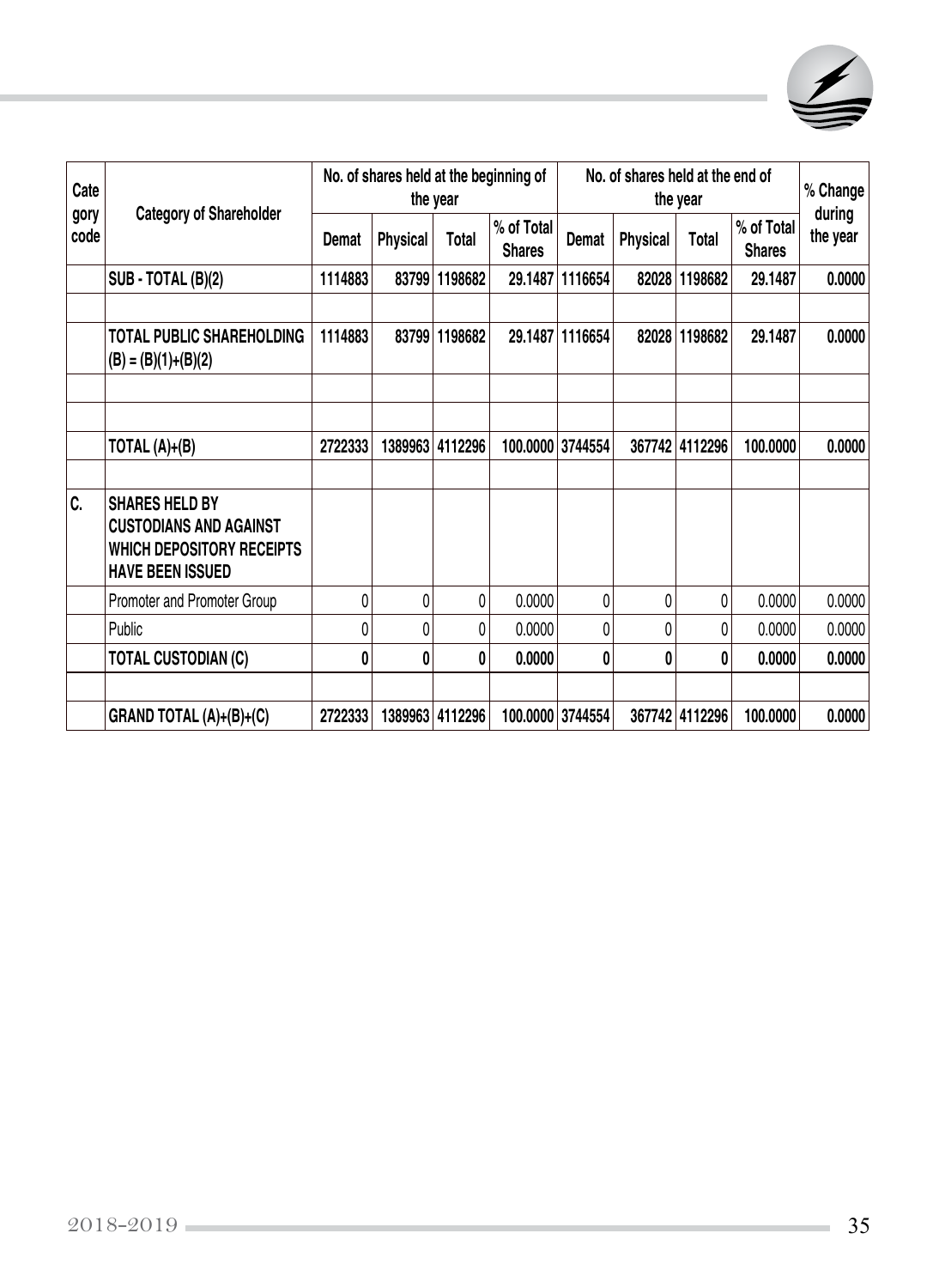

| Cate         | <b>Category of Shareholder</b>                                                                                 | No. of shares held at the beginning of<br>the year |                 |         |                             | No. of shares held at the end of<br>the year |                 |                |                             | % Change<br>during |
|--------------|----------------------------------------------------------------------------------------------------------------|----------------------------------------------------|-----------------|---------|-----------------------------|----------------------------------------------|-----------------|----------------|-----------------------------|--------------------|
| gory<br>code |                                                                                                                | Demat                                              | <b>Physical</b> | Total   | % of Total<br><b>Shares</b> | Demat                                        | <b>Physical</b> | Total          | % of Total<br><b>Shares</b> | the year           |
|              | SUB - TOTAL (B)(2)                                                                                             | 1114883                                            | 83799           | 1198682 | 29.1487                     | 1116654                                      | 82028           | 1198682        | 29.1487                     | 0.0000             |
|              |                                                                                                                |                                                    |                 |         |                             |                                              |                 |                |                             |                    |
|              | <b>TOTAL PUBLIC SHAREHOLDING</b><br>$(B) = (B)(1)+(B)(2)$                                                      | 1114883                                            | 83799           | 1198682 |                             | 29.1487   1116654                            |                 | 82028 1198682  | 29.1487                     | 0.0000             |
|              |                                                                                                                |                                                    |                 |         |                             |                                              |                 |                |                             |                    |
|              | TOTAL $(A)+(B)$                                                                                                | 2722333                                            | 1389963         | 4112296 |                             | 100.0000 3744554                             | 367742          | 4112296        | 100.0000                    | 0.0000             |
| Ic.          | <b>SHARES HELD BY</b><br><b>CUSTODIANS AND AGAINST</b><br>WHICH DEPOSITORY RECEIPTS<br><b>HAVE BEEN ISSUED</b> |                                                    |                 |         |                             |                                              |                 |                |                             |                    |
|              | Promoter and Promoter Group                                                                                    | 0                                                  | 0               | 0       | 0.0000                      | 0                                            | 0               | 0              | 0.0000                      | 0.0000             |
|              | Public                                                                                                         | 0                                                  | 0               | 0       | 0.0000                      | 0                                            | 0               | 0              | 0.0000                      | 0.0000             |
|              | <b>TOTAL CUSTODIAN (C)</b>                                                                                     | 0                                                  | 0               | 0       | 0.0000                      | 0                                            | 0               | 0              | 0.0000                      | 0.0000             |
|              |                                                                                                                |                                                    |                 |         |                             |                                              |                 |                |                             |                    |
|              | GRAND TOTAL (A)+(B)+(C)                                                                                        | 2722333                                            | 1389963         | 4112296 |                             | 100.0000 3744554                             |                 | 367742 4112296 | 100.0000                    | 0.0000             |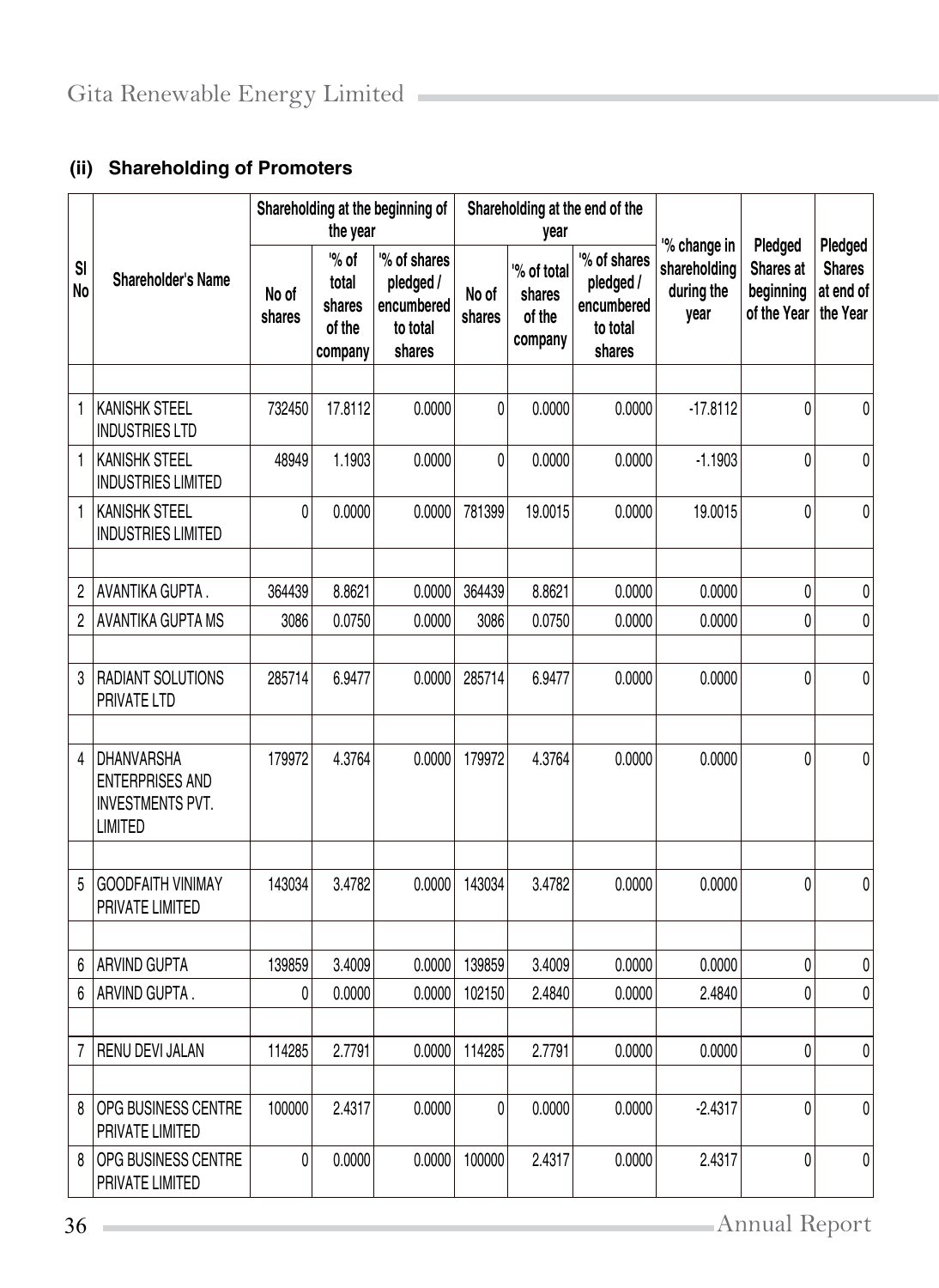## **(ii) Shareholding of Promoters**

|                             |                                                                                          | Shareholding at the beginning of<br>the year |                                               |                                                               | Shareholding at the end of the<br>year |                                           |                                                               | '% change in                       | Pledged                               | Pledged                                |
|-----------------------------|------------------------------------------------------------------------------------------|----------------------------------------------|-----------------------------------------------|---------------------------------------------------------------|----------------------------------------|-------------------------------------------|---------------------------------------------------------------|------------------------------------|---------------------------------------|----------------------------------------|
| S <sub>l</sub><br><b>No</b> | Shareholder's Name                                                                       | No of<br>shares                              | "% of<br>total<br>shares<br>of the<br>company | "% of shares<br>pledged /<br>encumbered<br>to total<br>shares | No of<br>shares                        | % of total<br>shares<br>of the<br>company | '% of shares<br>pledged /<br>encumbered<br>to total<br>shares | shareholding<br>during the<br>year | Shares at<br>beginning<br>of the Year | <b>Shares</b><br>at end of<br>the Year |
|                             |                                                                                          |                                              |                                               |                                                               |                                        |                                           |                                                               |                                    |                                       |                                        |
| 1                           | <b>KANISHK STEEL</b><br><b>INDUSTRIES LTD</b>                                            | 732450                                       | 17.8112                                       | 0.0000                                                        | 0                                      | 0.0000                                    | 0.0000                                                        | $-17.8112$                         | 0                                     | 0                                      |
| 1                           | <b>KANISHK STEEL</b><br><b>INDUSTRIES LIMITED</b>                                        | 48949                                        | 1.1903                                        | 0.0000                                                        | 0                                      | 0.0000                                    | 0.0000                                                        | $-1.1903$                          | 0                                     | 0                                      |
| 1                           | <b>KANISHK STEEL</b><br><b>INDUSTRIES LIMITED</b>                                        | 0                                            | 0.0000                                        | 0.0000                                                        | 781399                                 | 19.0015                                   | 0.0000                                                        | 19.0015                            | 0                                     | 0                                      |
| 2                           | AVANTIKA GUPTA.                                                                          | 364439                                       | 8.8621                                        | 0.0000                                                        | 364439                                 | 8.8621                                    | 0.0000                                                        | 0.0000                             | 0                                     | 0                                      |
| 2                           | AVANTIKA GUPTA MS                                                                        | 3086                                         | 0.0750                                        | 0.0000                                                        | 3086                                   | 0.0750                                    | 0.0000                                                        | 0.0000                             | 0                                     | 0                                      |
|                             |                                                                                          |                                              |                                               |                                                               |                                        |                                           |                                                               |                                    |                                       |                                        |
| 3                           | RADIANT SOLUTIONS<br>PRIVATE LTD                                                         | 285714                                       | 6.9477                                        | 0.0000                                                        | 285714                                 | 6.9477                                    | 0.0000                                                        | 0.0000                             | 0                                     | 0                                      |
| 4                           | <b>DHANVARSHA</b><br><b>ENTERPRISES AND</b><br><b>INVESTMENTS PVT.</b><br><b>LIMITED</b> | 179972                                       | 4.3764                                        | 0.0000                                                        | 179972                                 | 4.3764                                    | 0.0000                                                        | 0.0000                             | 0                                     | 0                                      |
|                             |                                                                                          |                                              |                                               |                                                               |                                        |                                           |                                                               |                                    |                                       |                                        |
| 5                           | <b>GOODFAITH VINIMAY</b><br>PRIVATE LIMITED                                              | 143034                                       | 3.4782                                        | 0.0000                                                        | 143034                                 | 3.4782                                    | 0.0000                                                        | 0.0000                             | 0                                     | 0                                      |
|                             |                                                                                          |                                              |                                               |                                                               |                                        |                                           |                                                               |                                    |                                       |                                        |
| 6                           | ARVIND GUPTA                                                                             | 139859                                       | 3.4009                                        | 0.0000                                                        | 139859                                 | 3.4009                                    | 0.0000                                                        | 0.0000                             | 0                                     | 0                                      |
| 6                           | ARVIND GUPTA.                                                                            | 0                                            | 0.0000                                        | 0.0000                                                        | 102150                                 | 2.4840                                    | 0.0000                                                        | 2.4840                             | 0                                     | $\pmb{0}$                              |
| 7                           | RENU DEVI JALAN                                                                          | 114285                                       | 2.7791                                        | 0.0000                                                        | 114285                                 | 2.7791                                    | 0.0000                                                        | 0.0000                             | 0                                     | $\boldsymbol{0}$                       |
| 8                           | OPG BUSINESS CENTRE<br>PRIVATE LIMITED                                                   | 100000                                       | 2.4317                                        | 0.0000                                                        | 0                                      | 0.0000                                    | 0.0000                                                        | $-2.4317$                          | 0                                     | 0                                      |
| 8                           | OPG BUSINESS CENTRE<br>PRIVATE LIMITED                                                   | 0                                            | 0.0000                                        | 0.0000                                                        | 100000                                 | 2.4317                                    | 0.0000                                                        | 2.4317                             | 0                                     | 0                                      |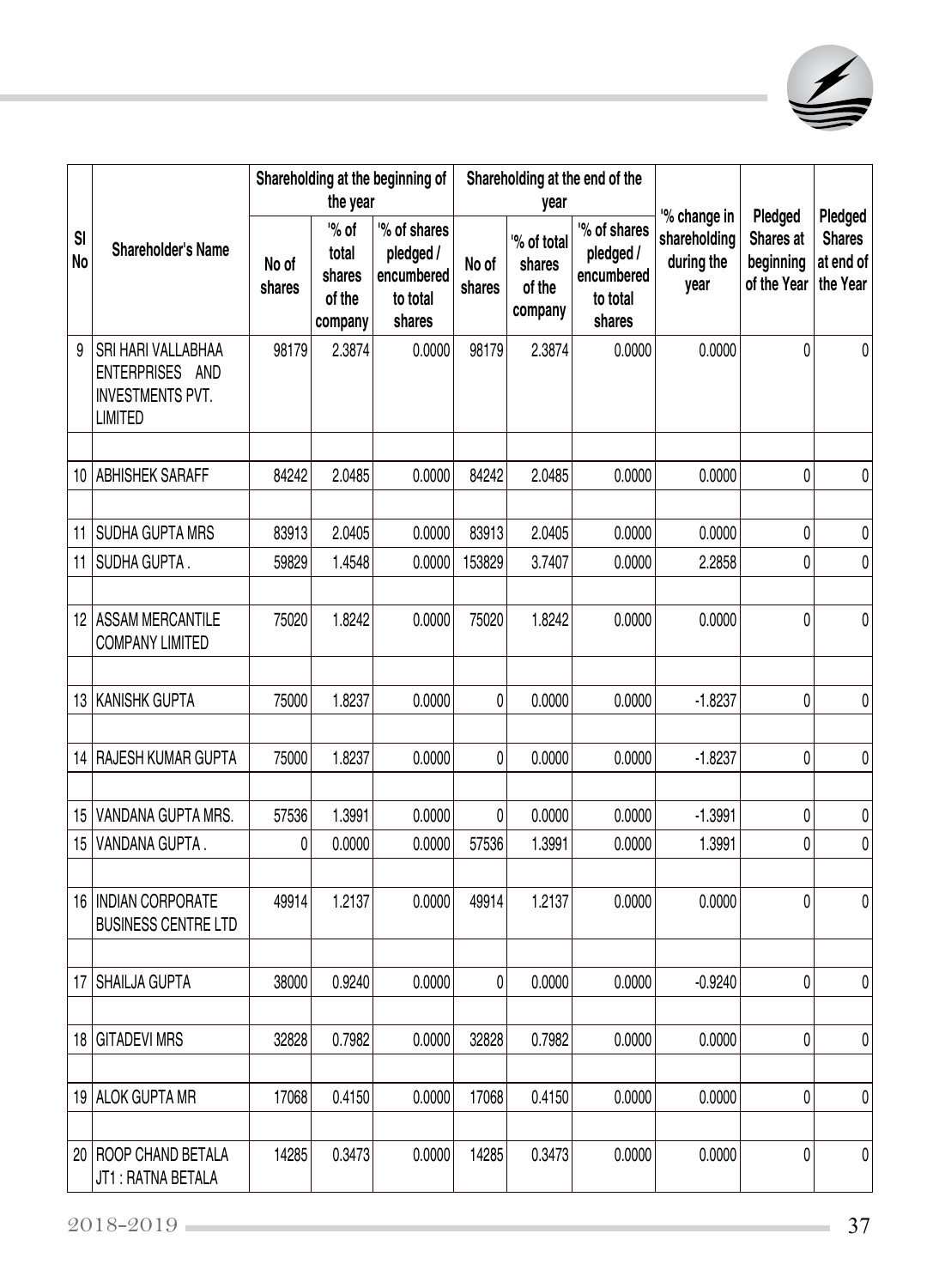

|                      | Shareholder's Name                                                                 | Shareholding at the beginning of<br>the year |                                               |                                                               | Shareholding at the end of the<br>year |                                           |                                                               | '% change in                       | Pledged                               | Pledged                                |
|----------------------|------------------------------------------------------------------------------------|----------------------------------------------|-----------------------------------------------|---------------------------------------------------------------|----------------------------------------|-------------------------------------------|---------------------------------------------------------------|------------------------------------|---------------------------------------|----------------------------------------|
| S <sub>l</sub><br>No |                                                                                    | No of<br>shares                              | "% of<br>total<br>shares<br>of the<br>company | '% of shares<br>pledged /<br>encumbered<br>to total<br>shares | No of<br>shares                        | % of total<br>shares<br>of the<br>company | "% of shares<br>pledged /<br>encumbered<br>to total<br>shares | shareholding<br>during the<br>year | Shares at<br>beginning<br>of the Year | <b>Shares</b><br>at end of<br>the Year |
| 9                    | SRI HARI VALLABHAA<br>ENTERPRISES AND<br><b>INVESTMENTS PVT.</b><br><b>LIMITED</b> | 98179                                        | 2.3874                                        | 0.0000                                                        | 98179                                  | 2.3874                                    | 0.0000                                                        | 0.0000                             | $\theta$                              | 0                                      |
|                      |                                                                                    |                                              |                                               |                                                               |                                        |                                           |                                                               |                                    |                                       |                                        |
| 10                   | <b>ABHISHEK SARAFF</b>                                                             | 84242                                        | 2.0485                                        | 0.0000                                                        | 84242                                  | 2.0485                                    | 0.0000                                                        | 0.0000                             | 0                                     | 0                                      |
| 11                   | <b>SUDHA GUPTA MRS</b>                                                             | 83913                                        | 2.0405                                        | 0.0000                                                        | 83913                                  | 2.0405                                    | 0.0000                                                        | 0.0000                             | 0                                     | 0                                      |
| 11                   | SUDHA GUPTA.                                                                       | 59829                                        | 1.4548                                        | 0.0000                                                        | 153829                                 | 3.7407                                    | 0.0000                                                        | 2.2858                             | 0                                     | 0                                      |
|                      |                                                                                    |                                              |                                               |                                                               |                                        |                                           |                                                               |                                    |                                       |                                        |
| 12                   | <b>ASSAM MERCANTILE</b><br><b>COMPANY LIMITED</b>                                  | 75020                                        | 1.8242                                        | 0.0000                                                        | 75020                                  | 1.8242                                    | 0.0000                                                        | 0.0000                             | 0                                     | 0                                      |
| 13                   | <b>KANISHK GUPTA</b>                                                               | 75000                                        | 1.8237                                        | 0.0000                                                        | 0                                      | 0.0000                                    | 0.0000                                                        | $-1.8237$                          | 0                                     | 0                                      |
|                      |                                                                                    |                                              |                                               |                                                               |                                        |                                           |                                                               |                                    |                                       |                                        |
| 14                   | RAJESH KUMAR GUPTA                                                                 | 75000                                        | 1.8237                                        | 0.0000                                                        | 0                                      | 0.0000                                    | 0.0000                                                        | $-1.8237$                          | 0                                     | 0                                      |
|                      |                                                                                    |                                              |                                               |                                                               |                                        |                                           |                                                               |                                    |                                       |                                        |
| 15                   | VANDANA GUPTA MRS.                                                                 | 57536                                        | 1.3991                                        | 0.0000                                                        | 0                                      | 0.0000                                    | 0.0000                                                        | $-1.3991$                          | 0                                     | 0                                      |
| 15                   | VANDANA GUPTA.                                                                     | 0                                            | 0.0000                                        | 0.0000                                                        | 57536                                  | 1.3991                                    | 0.0000                                                        | 1.3991                             | 0                                     | 0                                      |
| 16                   | <b>INDIAN CORPORATE</b><br><b>BUSINESS CENTRE LTD</b>                              | 49914                                        | 1.2137                                        | 0.0000                                                        | 49914                                  | 1.2137                                    | 0.0000                                                        | 0.0000                             | 0                                     | 0                                      |
|                      |                                                                                    |                                              |                                               |                                                               |                                        |                                           |                                                               |                                    |                                       |                                        |
| 17                   | SHAILJA GUPTA                                                                      | 38000                                        | 0.9240                                        | 0.0000                                                        | 0                                      | 0.0000                                    | 0.0000                                                        | $-0.9240$                          | 0                                     | 0                                      |
|                      | 18 GITADEVI MRS                                                                    | 32828                                        | 0.7982                                        | 0.0000                                                        | 32828                                  | 0.7982                                    | 0.0000                                                        | 0.0000                             | 0                                     | 0                                      |
|                      |                                                                                    |                                              |                                               |                                                               |                                        |                                           |                                                               |                                    |                                       |                                        |
|                      | 19 ALOK GUPTA MR                                                                   | 17068                                        | 0.4150                                        | 0.0000                                                        | 17068                                  | 0.4150                                    | 0.0000                                                        | 0.0000                             | 0                                     | 0                                      |
|                      |                                                                                    |                                              |                                               |                                                               |                                        |                                           |                                                               |                                    |                                       |                                        |
|                      | 20   ROOP CHAND BETALA<br>JT1: RATNA BETALA                                        | 14285                                        | 0.3473                                        | 0.0000                                                        | 14285                                  | 0.3473                                    | 0.0000                                                        | 0.0000                             | 0                                     | 0                                      |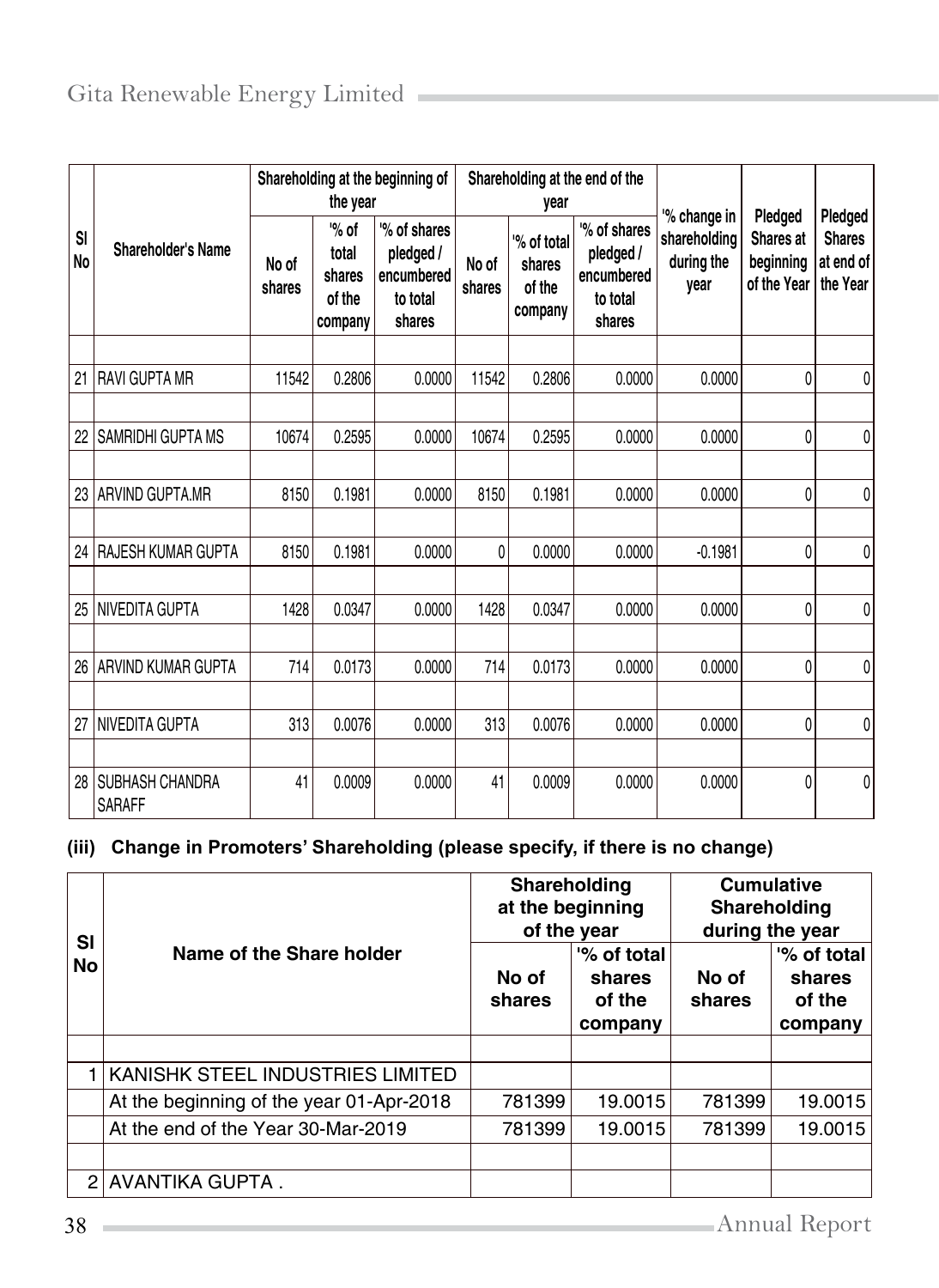|                 |                                         | Shareholding at the beginning of<br>the year |                                                 |                                                               | Shareholding at the end of the<br>year |                                           |                                                              | '% change in                       | Pledged                               | Pledged                                |
|-----------------|-----------------------------------------|----------------------------------------------|-------------------------------------------------|---------------------------------------------------------------|----------------------------------------|-------------------------------------------|--------------------------------------------------------------|------------------------------------|---------------------------------------|----------------------------------------|
| SI<br><b>No</b> | Shareholder's Name                      | No of<br>shares                              | $\%$ of<br>total<br>shares<br>of the<br>company | '% of shares<br>pledged /<br>encumbered<br>to total<br>shares | No of<br>shares                        | % of total<br>shares<br>of the<br>company | % of shares<br>pledged /<br>encumbered<br>to total<br>shares | shareholding<br>during the<br>vear | Shares at<br>beginning<br>of the Year | <b>Shares</b><br>at end of<br>the Year |
|                 |                                         |                                              |                                                 |                                                               |                                        |                                           |                                                              |                                    |                                       |                                        |
| 21              | <b>RAVI GUPTA MR</b>                    | 11542                                        | 0.2806                                          | 0.0000                                                        | 11542                                  | 0.2806                                    | 0.0000                                                       | 0.0000                             | 0                                     | 0                                      |
|                 |                                         |                                              |                                                 |                                                               |                                        |                                           |                                                              |                                    |                                       |                                        |
| 22              | SAMRIDHI GUPTA MS                       | 10674                                        | 0.2595                                          | 0.0000                                                        | 10674                                  | 0.2595                                    | 0.0000                                                       | 0.0000                             | 0                                     | 0                                      |
|                 |                                         |                                              |                                                 |                                                               |                                        |                                           |                                                              |                                    |                                       |                                        |
| 23              | <b>ARVIND GUPTA, MR</b>                 | 8150                                         | 0.1981                                          | 0.0000                                                        | 8150                                   | 0.1981                                    | 0.0000                                                       | 0.0000                             | 0                                     | 0                                      |
|                 |                                         |                                              |                                                 |                                                               |                                        |                                           |                                                              |                                    |                                       |                                        |
| 24              | RAJESH KUMAR GUPTA                      | 8150                                         | 0.1981                                          | 0.0000                                                        | 0                                      | 0.0000                                    | 0.0000                                                       | $-0.1981$                          | 0                                     | 0                                      |
|                 |                                         |                                              |                                                 |                                                               |                                        |                                           |                                                              |                                    |                                       |                                        |
| 25              | <b>NIVEDITA GUPTA</b>                   | 1428                                         | 0.0347                                          | 0.0000                                                        | 1428                                   | 0.0347                                    | 0.0000                                                       | 0.0000                             | 0                                     | 0                                      |
|                 |                                         |                                              |                                                 |                                                               |                                        |                                           |                                                              |                                    |                                       |                                        |
| 26              | ARVIND KUMAR GUPTA                      | 714                                          | 0.0173                                          | 0.0000                                                        | 714                                    | 0.0173                                    | 0.0000                                                       | 0.0000                             | 0                                     | 0                                      |
|                 |                                         |                                              |                                                 |                                                               |                                        |                                           |                                                              |                                    |                                       |                                        |
| 27              | <b>NIVEDITA GUPTA</b>                   | 313                                          | 0.0076                                          | 0.0000                                                        | 313                                    | 0.0076                                    | 0.0000                                                       | 0.0000                             | 0                                     | 0                                      |
|                 |                                         |                                              |                                                 |                                                               |                                        |                                           |                                                              |                                    |                                       |                                        |
| 28              | <b>SUBHASH CHANDRA</b><br><b>SARAFF</b> | 41                                           | 0.0009                                          | 0.0000                                                        | 41                                     | 0.0009                                    | 0.0000                                                       | 0.0000                             | 0                                     | 0                                      |

## **(iii) Change in Promoters' Shareholding (please specify, if there is no change)**

| SI             |                                          | Shareholding    | at the beginning<br>of the year            | <b>Cumulative</b><br>Shareholding<br>during the year |                                            |  |
|----------------|------------------------------------------|-----------------|--------------------------------------------|------------------------------------------------------|--------------------------------------------|--|
| <b>No</b>      | Name of the Share holder                 | No of<br>shares | '% of total<br>shares<br>of the<br>company | No of<br>shares                                      | '% of total<br>shares<br>of the<br>company |  |
|                |                                          |                 |                                            |                                                      |                                            |  |
| 1 I            | KANISHK STEEL INDUSTRIES LIMITED         |                 |                                            |                                                      |                                            |  |
|                | At the beginning of the year 01-Apr-2018 | 781399          | 19.0015                                    | 781399                                               | 19.0015                                    |  |
|                | At the end of the Year 30-Mar-2019       | 781399          | 19.0015                                    | 781399                                               | 19.0015                                    |  |
|                |                                          |                 |                                            |                                                      |                                            |  |
| $\overline{2}$ | AVANTIKA GUPTA.                          |                 |                                            |                                                      |                                            |  |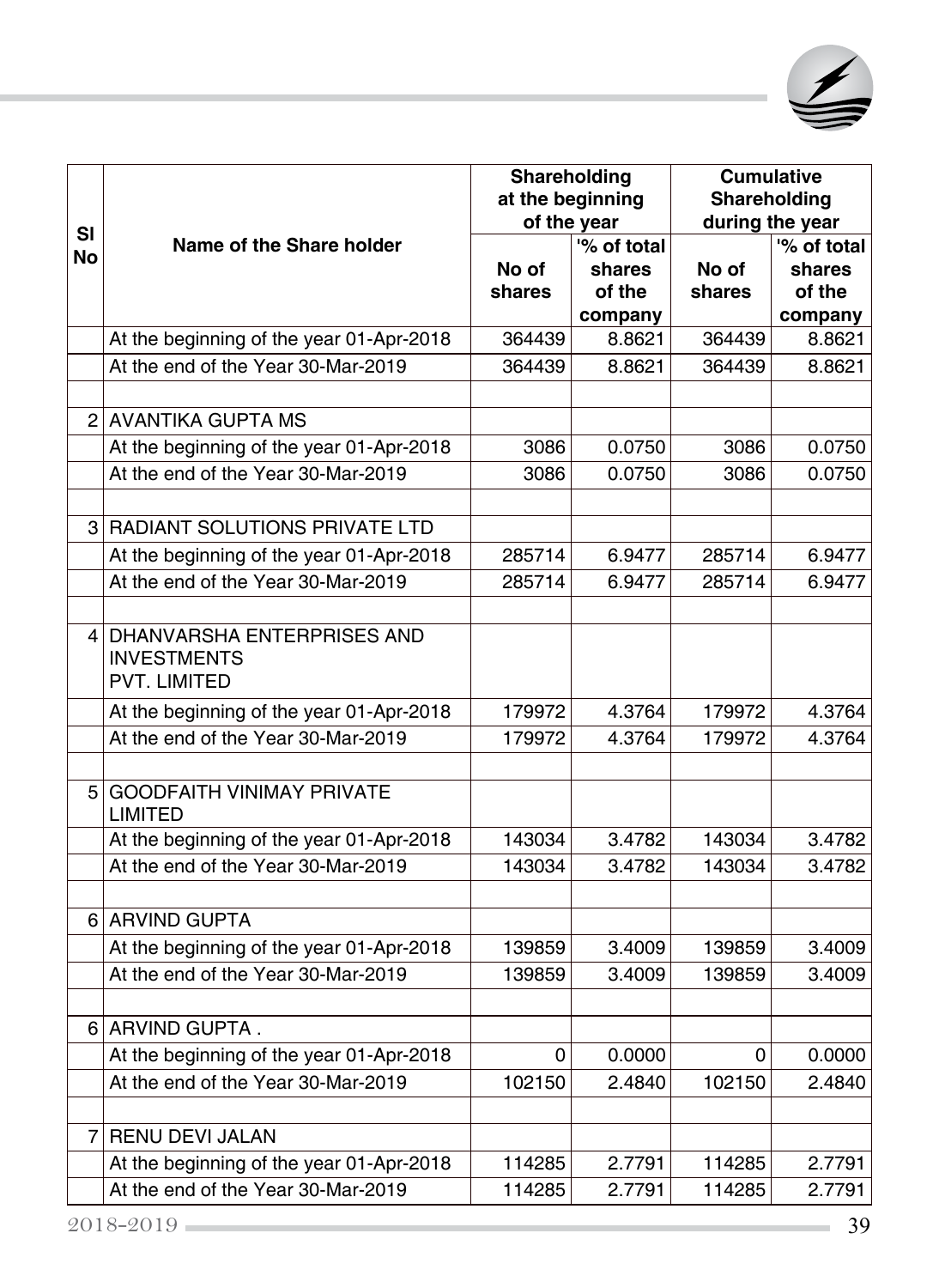

|                |                                                                                | Shareholding | at the beginning<br>of the year | <b>Cumulative</b><br>Shareholding<br>during the year |             |  |
|----------------|--------------------------------------------------------------------------------|--------------|---------------------------------|------------------------------------------------------|-------------|--|
| <b>SI</b>      | Name of the Share holder                                                       |              | % of total                      |                                                      | '% of total |  |
| No             |                                                                                | No of        | shares                          | No of                                                | shares      |  |
|                |                                                                                | shares       | of the                          | shares                                               | of the      |  |
|                |                                                                                |              | company                         |                                                      | company     |  |
|                | At the beginning of the year 01-Apr-2018                                       | 364439       | 8.8621                          | 364439                                               | 8.8621      |  |
|                | At the end of the Year 30-Mar-2019                                             | 364439       | 8.8621                          | 364439                                               | 8.8621      |  |
|                | 2 AVANTIKA GUPTA MS                                                            |              |                                 |                                                      |             |  |
|                | At the beginning of the year 01-Apr-2018                                       | 3086         | 0.0750                          | 3086                                                 | 0.0750      |  |
|                | At the end of the Year 30-Mar-2019                                             | 3086         | 0.0750                          | 3086                                                 | 0.0750      |  |
|                |                                                                                |              |                                 |                                                      |             |  |
|                | 3 RADIANT SOLUTIONS PRIVATE LTD                                                |              |                                 |                                                      |             |  |
|                | At the beginning of the year 01-Apr-2018                                       | 285714       | 6.9477                          | 285714                                               | 6.9477      |  |
|                | At the end of the Year 30-Mar-2019                                             | 285714       | 6.9477                          | 285714                                               | 6.9477      |  |
| 41             | DHANVARSHA ENTERPRISES AND<br><b>INVESTMENTS</b><br><b>PVT. LIMITED</b>        |              |                                 |                                                      |             |  |
|                | At the beginning of the year 01-Apr-2018                                       | 179972       | 4.3764                          | 179972                                               | 4.3764      |  |
|                | At the end of the Year 30-Mar-2019                                             | 179972       | 4.3764                          | 179972                                               | 4.3764      |  |
| 5 <sup>1</sup> | <b>GOODFAITH VINIMAY PRIVATE</b><br><b>LIMITED</b>                             |              |                                 |                                                      |             |  |
|                | At the beginning of the year 01-Apr-2018                                       | 143034       | 3.4782                          | 143034                                               | 3.4782      |  |
|                | At the end of the Year 30-Mar-2019                                             | 143034       | 3.4782                          | 143034                                               | 3.4782      |  |
|                |                                                                                |              |                                 |                                                      |             |  |
|                | 6 ARVIND GUPTA                                                                 |              |                                 |                                                      |             |  |
|                | At the beginning of the year 01-Apr-2018<br>At the end of the Year 30-Mar-2019 | 139859       | 3.4009                          | 139859                                               | 3.4009      |  |
|                |                                                                                | 139859       | 3.4009                          | 139859                                               | 3.4009      |  |
| 61             | ARVIND GUPTA.                                                                  |              |                                 |                                                      |             |  |
|                | At the beginning of the year 01-Apr-2018                                       | 0            | 0.0000                          | 0                                                    | 0.0000      |  |
|                | At the end of the Year 30-Mar-2019                                             | 102150       | 2.4840                          | 102150                                               | 2.4840      |  |
| 7              | <b>RENU DEVI JALAN</b>                                                         |              |                                 |                                                      |             |  |
|                | At the beginning of the year 01-Apr-2018                                       | 114285       | 2.7791                          | 114285                                               | 2.7791      |  |
|                | At the end of the Year 30-Mar-2019                                             | 114285       | 2.7791                          | 114285                                               | 2.7791      |  |
|                | $2018 - 2019 =$                                                                |              |                                 |                                                      | 39          |  |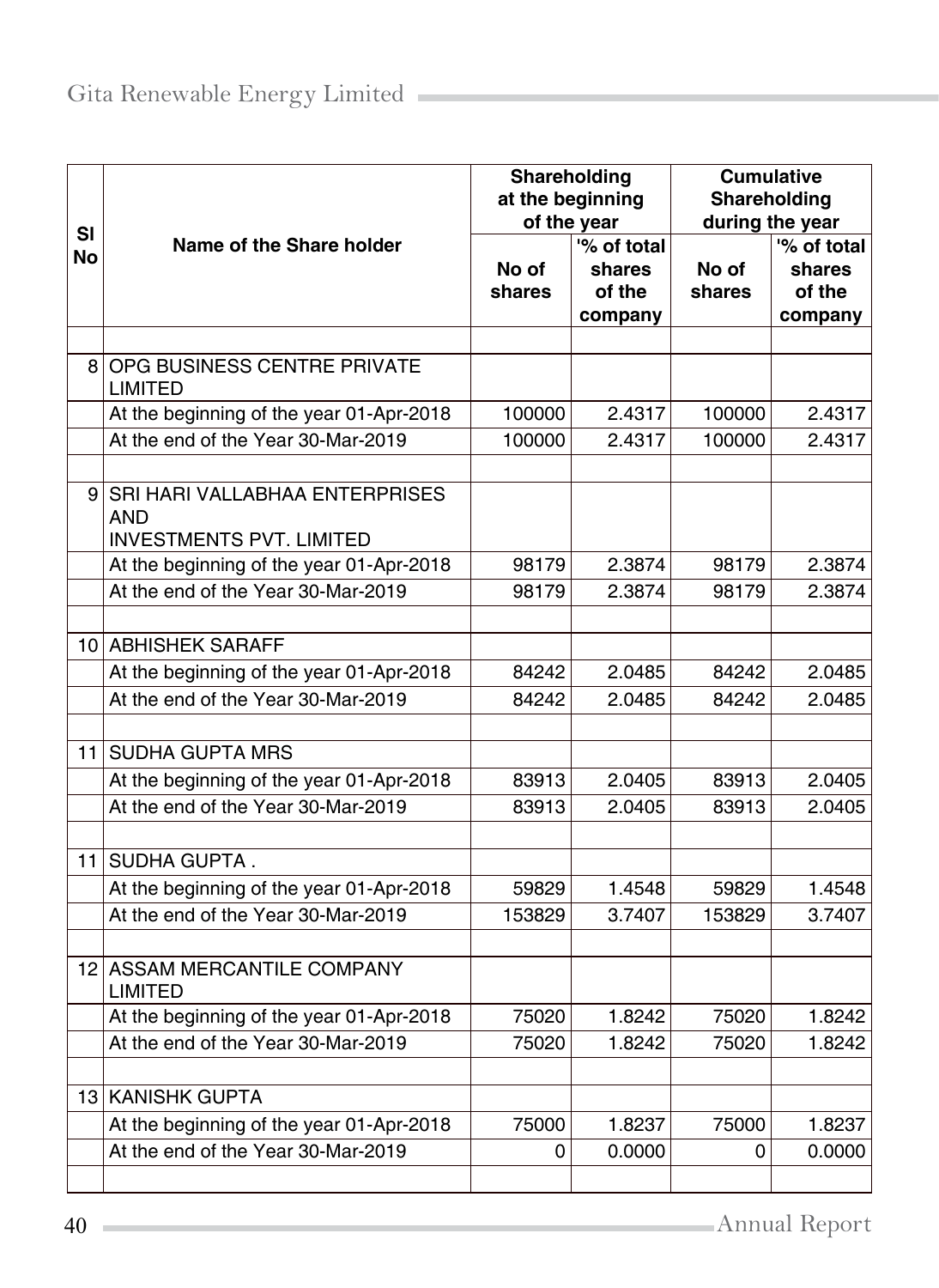| SI   |                                               | Shareholding<br>at the beginning | of the year | <b>Cumulative</b><br>Shareholding<br>during the year |                     |  |
|------|-----------------------------------------------|----------------------------------|-------------|------------------------------------------------------|---------------------|--|
| No   | Name of the Share holder                      |                                  | '% of total |                                                      | $\sqrt{6}$ of total |  |
|      |                                               | No of                            | shares      | No of                                                | shares              |  |
|      |                                               | shares                           | of the      | shares                                               | of the              |  |
|      |                                               |                                  | company     |                                                      | company             |  |
|      |                                               |                                  |             |                                                      |                     |  |
| 8    | OPG BUSINESS CENTRE PRIVATE<br><b>LIMITED</b> |                                  |             |                                                      |                     |  |
|      | At the beginning of the year 01-Apr-2018      | 100000                           | 2.4317      | 100000                                               | 2.4317              |  |
|      | At the end of the Year 30-Mar-2019            | 100000                           | 2.4317      | 100000                                               | 2.4317              |  |
|      |                                               |                                  |             |                                                      |                     |  |
| 91   | SRI HARI VALLABHAA ENTERPRISES                |                                  |             |                                                      |                     |  |
|      | AND                                           |                                  |             |                                                      |                     |  |
|      | <b>INVESTMENTS PVT. LIMITED</b>               |                                  |             |                                                      |                     |  |
|      | At the beginning of the year 01-Apr-2018      | 98179                            | 2.3874      | 98179                                                | 2.3874              |  |
|      | At the end of the Year 30-Mar-2019            | 98179                            | 2.3874      | 98179                                                | 2.3874              |  |
|      |                                               |                                  |             |                                                      |                     |  |
|      | 10 ABHISHEK SARAFF                            |                                  |             |                                                      |                     |  |
|      | At the beginning of the year 01-Apr-2018      | 84242                            | 2.0485      | 84242                                                | 2.0485              |  |
|      | At the end of the Year 30-Mar-2019            | 84242                            | 2.0485      | 84242                                                | 2.0485              |  |
|      |                                               |                                  |             |                                                      |                     |  |
| 11 I | <b>SUDHA GUPTA MRS</b>                        |                                  |             |                                                      |                     |  |
|      | At the beginning of the year 01-Apr-2018      | 83913                            | 2.0405      | 83913                                                | 2.0405              |  |
|      | At the end of the Year 30-Mar-2019            | 83913                            | 2.0405      | 83913                                                | 2.0405              |  |
|      |                                               |                                  |             |                                                      |                     |  |
| 11   | SUDHA GUPTA.                                  |                                  |             |                                                      |                     |  |
|      | At the beginning of the year 01-Apr-2018      | 59829                            | 1.4548      | 59829                                                | 1.4548              |  |
|      | At the end of the Year 30-Mar-2019            | 153829                           | 3.7407      | 153829                                               | 3.7407              |  |
|      |                                               |                                  |             |                                                      |                     |  |
|      | 12 ASSAM MERCANTILE COMPANY<br><b>LIMITED</b> |                                  |             |                                                      |                     |  |
|      | At the beginning of the year 01-Apr-2018      | 75020                            | 1.8242      | 75020                                                | 1.8242              |  |
|      | At the end of the Year 30-Mar-2019            | 75020                            | 1.8242      | 75020                                                | 1.8242              |  |
|      |                                               |                                  |             |                                                      |                     |  |
|      | 13 KANISHK GUPTA                              |                                  |             |                                                      |                     |  |
|      | At the beginning of the year 01-Apr-2018      | 75000                            | 1.8237      | 75000                                                | 1.8237              |  |
|      | At the end of the Year 30-Mar-2019            | 0                                | 0.0000      | 0                                                    | 0.0000              |  |
|      |                                               |                                  |             |                                                      |                     |  |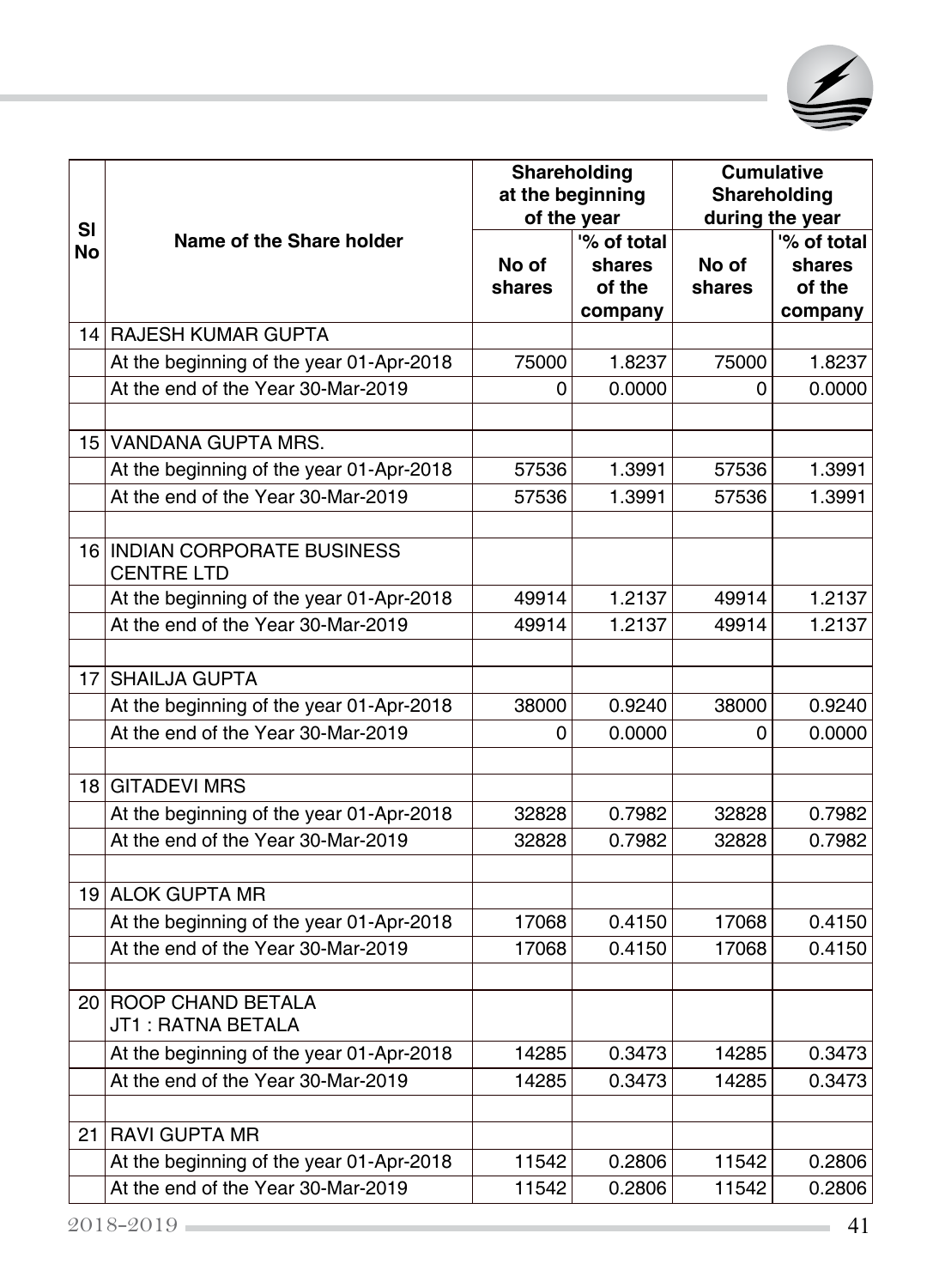

| SI |                                                   | Shareholding<br>at the beginning | of the year                                |                 | <b>Cumulative</b><br>Shareholding<br>during the year |
|----|---------------------------------------------------|----------------------------------|--------------------------------------------|-----------------|------------------------------------------------------|
| No | Name of the Share holder                          | No of<br>shares                  | '% of total<br>shares<br>of the<br>company | No of<br>shares | '% of total<br>shares<br>of the<br>company           |
|    | 14 RAJESH KUMAR GUPTA                             |                                  |                                            |                 |                                                      |
|    | At the beginning of the year 01-Apr-2018          | 75000                            | 1.8237                                     | 75000           | 1.8237                                               |
|    | At the end of the Year 30-Mar-2019                | 0                                | 0.0000                                     | 0               | 0.0000                                               |
|    | 15 VANDANA GUPTA MRS.                             |                                  |                                            |                 |                                                      |
|    | At the beginning of the year 01-Apr-2018          | 57536                            | 1.3991                                     | 57536           | 1.3991                                               |
|    | At the end of the Year 30-Mar-2019                | 57536                            | 1.3991                                     | 57536           | 1.3991                                               |
|    | 16 INDIAN CORPORATE BUSINESS<br><b>CENTRE LTD</b> |                                  |                                            |                 |                                                      |
|    | At the beginning of the year 01-Apr-2018          | 49914                            | 1.2137                                     | 49914           | 1.2137                                               |
|    | At the end of the Year 30-Mar-2019                | 49914                            | 1.2137                                     | 49914           | 1.2137                                               |
|    | 17 SHAILJA GUPTA                                  |                                  |                                            |                 |                                                      |
|    | At the beginning of the year 01-Apr-2018          | 38000                            | 0.9240                                     | 38000           | 0.9240                                               |
|    | At the end of the Year 30-Mar-2019                | 0                                | 0.0000                                     | 0               | 0.0000                                               |
|    | 18 GITADEVI MRS                                   |                                  |                                            |                 |                                                      |
|    | At the beginning of the year 01-Apr-2018          | 32828                            | 0.7982                                     | 32828           | 0.7982                                               |
|    | At the end of the Year 30-Mar-2019                | 32828                            | 0.7982                                     | 32828           | 0.7982                                               |
|    | 19 ALOK GUPTA MR                                  |                                  |                                            |                 |                                                      |
|    | At the beginning of the year 01-Apr-2018          | 17068                            | 0.4150                                     | 17068           | 0.4150                                               |
|    | At the end of the Year 30-Mar-2019                | 17068                            | 0.4150                                     | 17068           | 0.4150                                               |
|    | 20 ROOP CHAND BETALA<br>JT1: RATNA BETALA         |                                  |                                            |                 |                                                      |
|    | At the beginning of the year 01-Apr-2018          | 14285                            | 0.3473                                     | 14285           | 0.3473                                               |
|    | At the end of the Year 30-Mar-2019                | 14285                            | 0.3473                                     | 14285           | 0.3473                                               |
|    | 21 RAVI GUPTA MR                                  |                                  |                                            |                 |                                                      |
|    | At the beginning of the year 01-Apr-2018          | 11542                            | 0.2806                                     | 11542           | 0.2806                                               |
|    | At the end of the Year 30-Mar-2019                | 11542                            | 0.2806                                     | 11542           | 0.2806                                               |
|    | $2018 - 2019$                                     |                                  |                                            |                 | 41                                                   |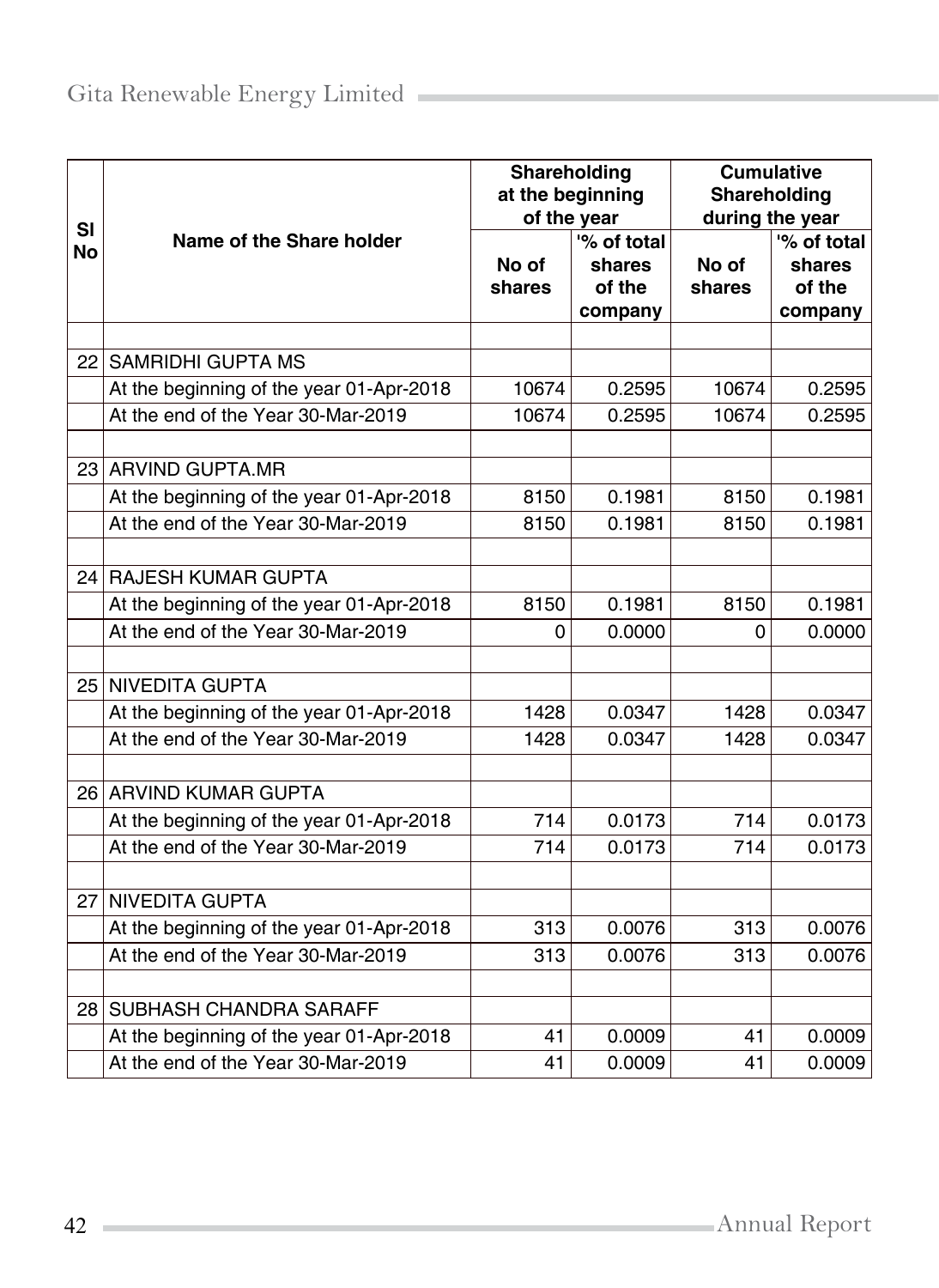|                        |                                          | Shareholding<br>at the beginning<br>of the year |                                            | <b>Cumulative</b><br>Shareholding<br>during the year |                                            |  |
|------------------------|------------------------------------------|-------------------------------------------------|--------------------------------------------|------------------------------------------------------|--------------------------------------------|--|
| <b>SI</b><br><b>No</b> | Name of the Share holder                 | No of<br>shares                                 | '% of total<br>shares<br>of the<br>company | No of<br>shares                                      | '% of total<br>shares<br>of the<br>company |  |
|                        |                                          |                                                 |                                            |                                                      |                                            |  |
| 22                     | <b>SAMRIDHI GUPTA MS</b>                 |                                                 |                                            |                                                      |                                            |  |
|                        | At the beginning of the year 01-Apr-2018 | 10674                                           | 0.2595                                     | 10674                                                | 0.2595                                     |  |
|                        | At the end of the Year 30-Mar-2019       | 10674                                           | 0.2595                                     | 10674                                                | 0.2595                                     |  |
|                        | 23 ARVIND GUPTA.MR                       |                                                 |                                            |                                                      |                                            |  |
|                        | At the beginning of the year 01-Apr-2018 | 8150                                            | 0.1981                                     | 8150                                                 | 0.1981                                     |  |
|                        | At the end of the Year 30-Mar-2019       | 8150                                            | 0.1981                                     | 8150                                                 | 0.1981                                     |  |
|                        |                                          |                                                 |                                            |                                                      |                                            |  |
|                        | 24 RAJESH KUMAR GUPTA                    |                                                 |                                            |                                                      |                                            |  |
|                        | At the beginning of the year 01-Apr-2018 | 8150                                            | 0.1981                                     | 8150                                                 | 0.1981                                     |  |
|                        | At the end of the Year 30-Mar-2019       | 0                                               | 0.0000                                     | 0                                                    | 0.0000                                     |  |
|                        | 25 NIVEDITA GUPTA                        |                                                 |                                            |                                                      |                                            |  |
|                        | At the beginning of the year 01-Apr-2018 | 1428                                            | 0.0347                                     | 1428                                                 | 0.0347                                     |  |
|                        | At the end of the Year 30-Mar-2019       | 1428                                            | 0.0347                                     | 1428                                                 | 0.0347                                     |  |
|                        |                                          |                                                 |                                            |                                                      |                                            |  |
|                        | 26 ARVIND KUMAR GUPTA                    |                                                 |                                            |                                                      |                                            |  |
|                        | At the beginning of the year 01-Apr-2018 | 714                                             | 0.0173                                     | 714                                                  | 0.0173                                     |  |
|                        | At the end of the Year 30-Mar-2019       | 714                                             | 0.0173                                     | 714                                                  | 0.0173                                     |  |
| 27                     | <b>NIVEDITA GUPTA</b>                    |                                                 |                                            |                                                      |                                            |  |
|                        | At the beginning of the year 01-Apr-2018 | 313                                             | 0.0076                                     | 313                                                  | 0.0076                                     |  |
|                        | At the end of the Year 30-Mar-2019       | 313                                             | 0.0076                                     | 313                                                  | 0.0076                                     |  |
|                        |                                          |                                                 |                                            |                                                      |                                            |  |
|                        | 28 SUBHASH CHANDRA SARAFF                |                                                 |                                            |                                                      |                                            |  |
|                        | At the beginning of the year 01-Apr-2018 | 41                                              | 0.0009                                     | 41                                                   | 0.0009                                     |  |
|                        | At the end of the Year 30-Mar-2019       | 41                                              | 0.0009                                     | 41                                                   | 0.0009                                     |  |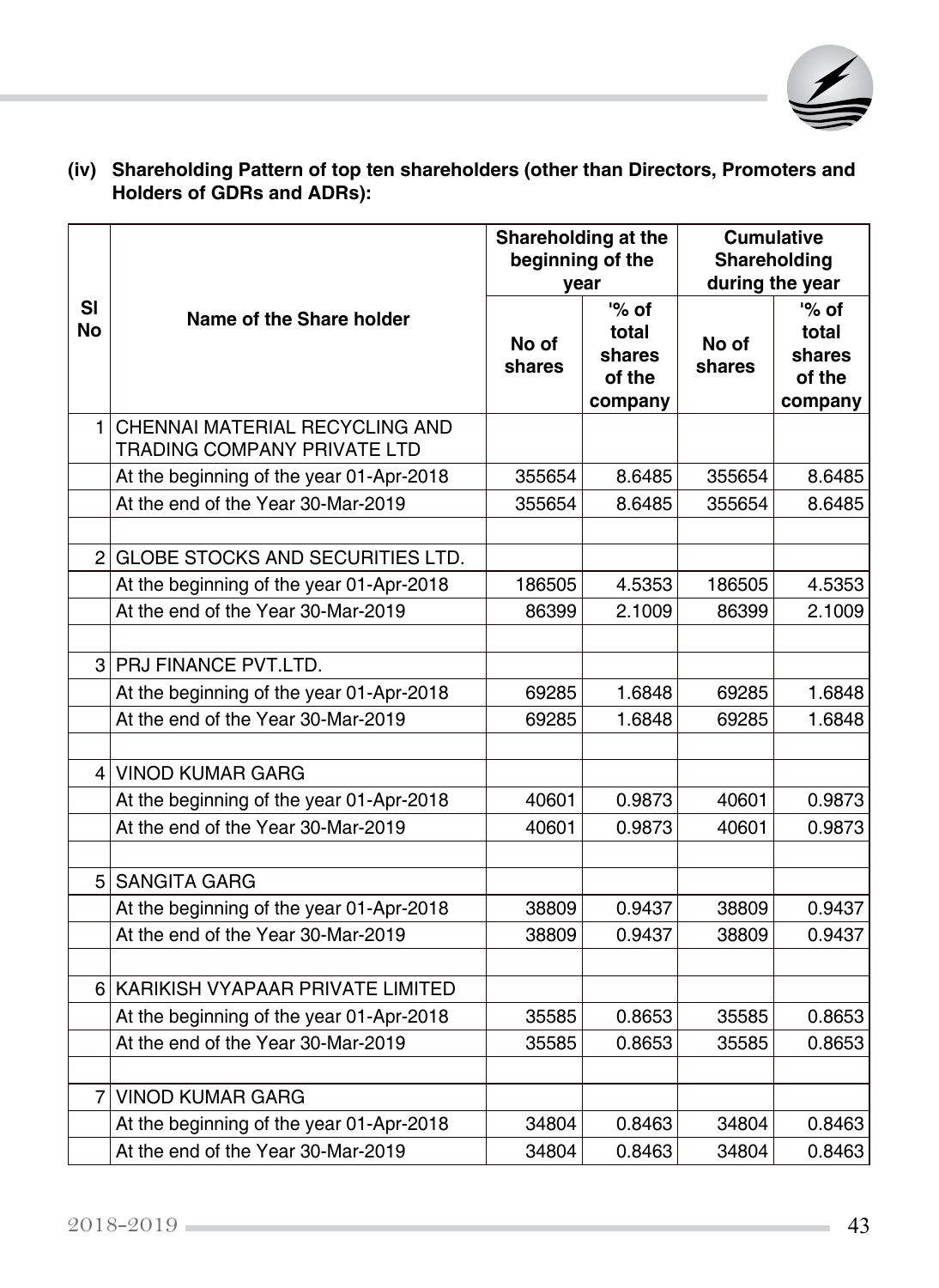

|                 |                                                               | Shareholding at the<br>beginning of the<br>year |                                               | <b>Cumulative</b><br>Shareholding<br>during the year |                                                 |  |
|-----------------|---------------------------------------------------------------|-------------------------------------------------|-----------------------------------------------|------------------------------------------------------|-------------------------------------------------|--|
| <b>SI</b><br>No | Name of the Share holder                                      | No of<br>shares                                 | '% of<br>total<br>shares<br>of the<br>company | No of<br>shares                                      | $\%$ of<br>total<br>shares<br>of the<br>company |  |
| 1 <sup>1</sup>  | CHENNAI MATERIAL RECYCLING AND<br>TRADING COMPANY PRIVATE LTD |                                                 |                                               |                                                      |                                                 |  |
|                 | At the beginning of the year 01-Apr-2018                      | 355654                                          | 8.6485                                        | 355654                                               | 8.6485                                          |  |
|                 | At the end of the Year 30-Mar-2019                            | 355654                                          | 8.6485                                        | 355654                                               | 8.6485                                          |  |
|                 | 2 GLOBE STOCKS AND SECURITIES LTD.                            |                                                 |                                               |                                                      |                                                 |  |
|                 | At the beginning of the year 01-Apr-2018                      | 186505                                          | 4.5353                                        | 186505                                               | 4.5353                                          |  |
|                 | At the end of the Year 30-Mar-2019                            | 86399                                           | 2.1009                                        | 86399                                                | 2.1009                                          |  |
|                 | 3 PRJ FINANCE PVT.LTD.                                        |                                                 |                                               |                                                      |                                                 |  |
|                 | At the beginning of the year 01-Apr-2018                      | 69285                                           | 1.6848                                        | 69285                                                | 1.6848                                          |  |
|                 | At the end of the Year 30-Mar-2019                            | 69285                                           | 1.6848                                        | 69285                                                | 1.6848                                          |  |
|                 | 4 VINOD KUMAR GARG                                            |                                                 |                                               |                                                      |                                                 |  |
|                 | At the beginning of the year 01-Apr-2018                      | 40601                                           | 0.9873                                        | 40601                                                | 0.9873                                          |  |
|                 | At the end of the Year 30-Mar-2019                            | 40601                                           | 0.9873                                        | 40601                                                | 0.9873                                          |  |
|                 | 5 SANGITA GARG                                                |                                                 |                                               |                                                      |                                                 |  |
|                 | At the beginning of the year 01-Apr-2018                      | 38809                                           | 0.9437                                        | 38809                                                | 0.9437                                          |  |
|                 | At the end of the Year 30-Mar-2019                            | 38809                                           | 0.9437                                        | 38809                                                | 0.9437                                          |  |
|                 | 6 KARIKISH VYAPAAR PRIVATE LIMITED                            |                                                 |                                               |                                                      |                                                 |  |
|                 | At the beginning of the year 01-Apr-2018                      | 35585                                           | 0.8653                                        | 35585                                                | 0.8653                                          |  |
|                 | At the end of the Year 30-Mar-2019                            | 35585                                           | 0.8653                                        | 35585                                                | 0.8653                                          |  |
|                 | 7 VINOD KUMAR GARG                                            |                                                 |                                               |                                                      |                                                 |  |
|                 | At the beginning of the year 01-Apr-2018                      | 34804                                           | 0.8463                                        | 34804                                                | 0.8463                                          |  |
|                 | At the end of the Year 30-Mar-2019                            | 34804                                           | 0.8463                                        | 34804                                                | 0.8463                                          |  |

## **(iv) Shareholding Pattern of top ten shareholders (other than Directors, Promoters and Holders of GDRs and ADRs):**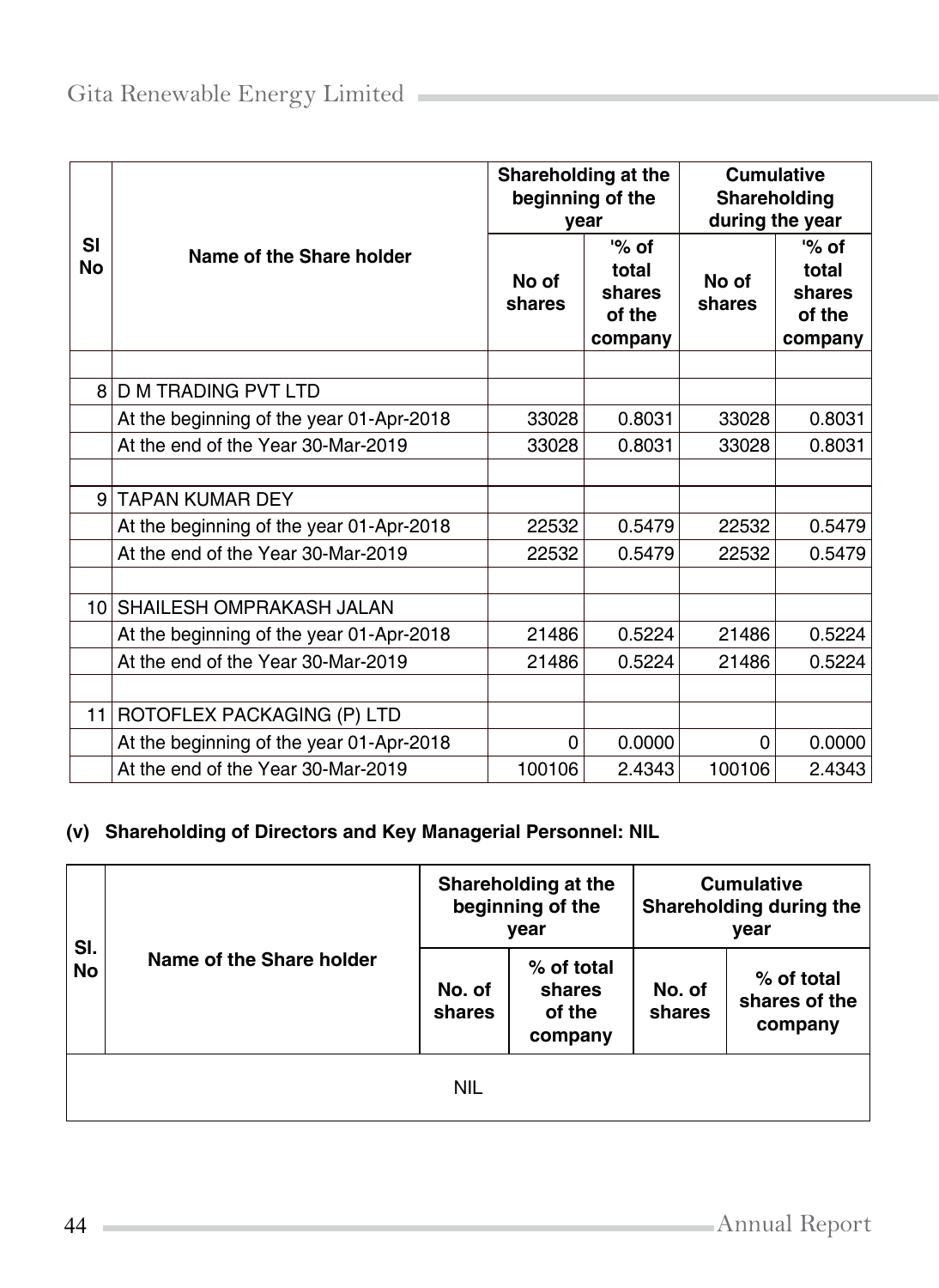|                 |                                          | Shareholding at the<br>year | beginning of the                                | <b>Cumulative</b><br>Shareholding<br>during the year |                                                 |  |
|-----------------|------------------------------------------|-----------------------------|-------------------------------------------------|------------------------------------------------------|-------------------------------------------------|--|
| SI<br><b>No</b> | Name of the Share holder                 | No of<br>shares             | $\%$ of<br>total<br>shares<br>of the<br>company | No of<br>shares                                      | $\%$ of<br>total<br>shares<br>of the<br>company |  |
| 8 <sup>1</sup>  | <b>D M TRADING PVT LTD</b>               |                             |                                                 |                                                      |                                                 |  |
|                 | At the beginning of the year 01-Apr-2018 | 33028                       | 0.8031                                          | 33028                                                | 0.8031                                          |  |
|                 | At the end of the Year 30-Mar-2019       | 33028                       | 0.8031                                          | 33028                                                | 0.8031                                          |  |
|                 |                                          |                             |                                                 |                                                      |                                                 |  |
| $\mathsf{Q}$    | <b>TAPAN KUMAR DEY</b>                   |                             |                                                 |                                                      |                                                 |  |
|                 | At the beginning of the year 01-Apr-2018 | 22532                       | 0.5479                                          | 22532                                                | 0.5479                                          |  |
|                 | At the end of the Year 30-Mar-2019       | 22532                       | 0.5479                                          | 22532                                                | 0.5479                                          |  |
|                 |                                          |                             |                                                 |                                                      |                                                 |  |
|                 | 10 SHAILESH OMPRAKASH JALAN              |                             |                                                 |                                                      |                                                 |  |
|                 | At the beginning of the year 01-Apr-2018 | 21486                       | 0.5224                                          | 21486                                                | 0.5224                                          |  |
|                 | At the end of the Year 30-Mar-2019       | 21486                       | 0.5224                                          | 21486                                                | 0.5224                                          |  |
|                 |                                          |                             |                                                 |                                                      |                                                 |  |
| 11              | ROTOFLEX PACKAGING (P) LTD               |                             |                                                 |                                                      |                                                 |  |
|                 | At the beginning of the year 01-Apr-2018 | 0                           | 0.0000                                          | 0                                                    | 0.0000                                          |  |
|                 | At the end of the Year 30-Mar-2019       | 100106                      | 2.4343                                          | 100106                                               | 2.4343                                          |  |

## **(v) Shareholding of Directors and Key Managerial Personnel: NIL**

| SI.<br>No | Name of the Share holder |                  | Shareholding at the<br>beginning of the<br>vear | <b>Cumulative</b><br>Shareholding during the<br>year |                                          |  |  |  |  |  |
|-----------|--------------------------|------------------|-------------------------------------------------|------------------------------------------------------|------------------------------------------|--|--|--|--|--|
|           |                          | No. of<br>shares | % of total<br>shares<br>of the<br>company       | No. of<br>shares                                     | $%$ of total<br>shares of the<br>company |  |  |  |  |  |
|           | <b>NIL</b>               |                  |                                                 |                                                      |                                          |  |  |  |  |  |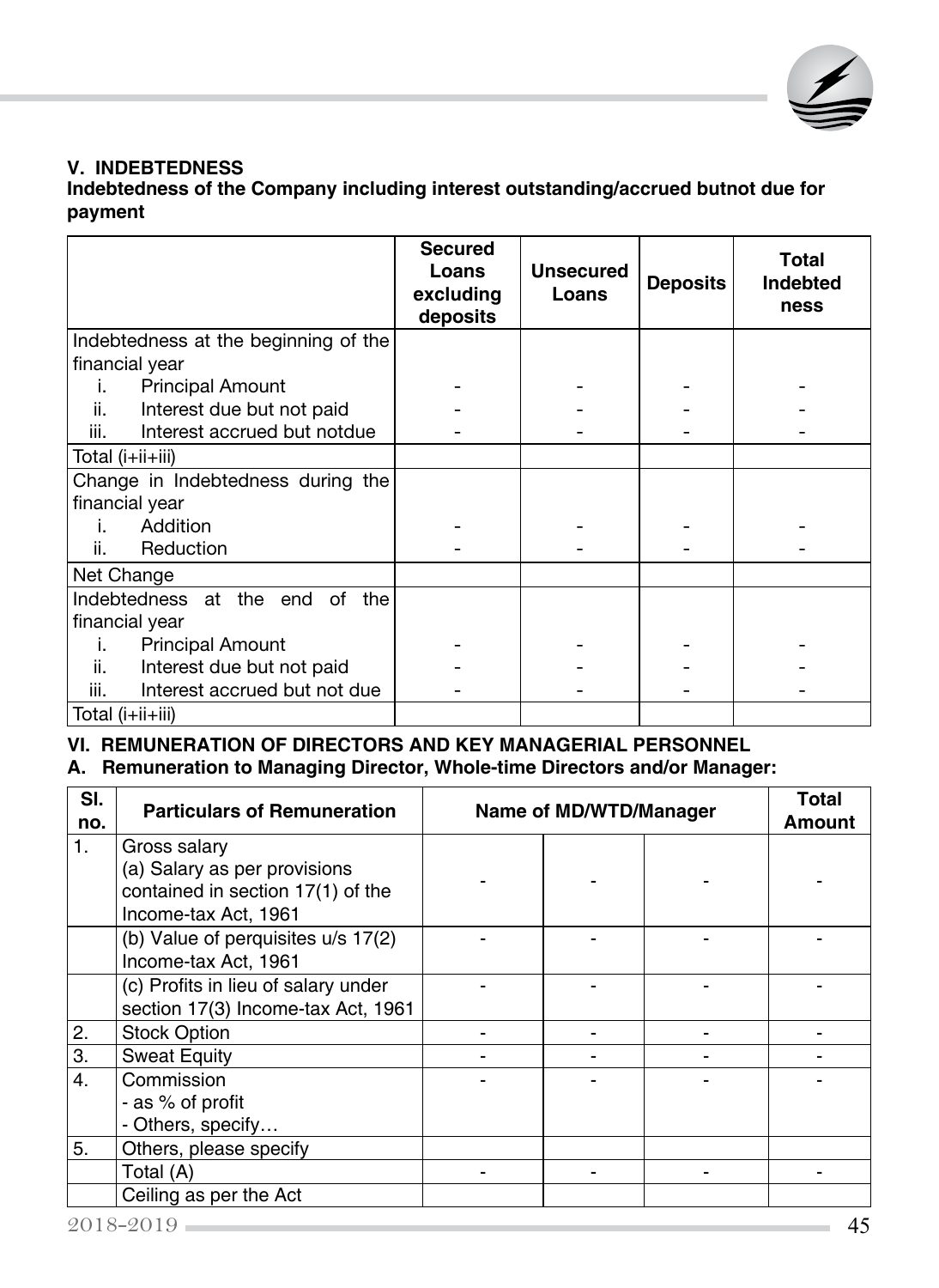

### **V. INDEBTEDNESS**

**Indebtedness of the Company including interest outstanding/accrued butnot due for payment**

|                                                  | <b>Secured</b><br>Loans<br>excluding<br>deposits | <b>Unsecured</b><br>Loans | <b>Deposits</b> | Total<br>Indebted<br>ness |
|--------------------------------------------------|--------------------------------------------------|---------------------------|-----------------|---------------------------|
| Indebtedness at the beginning of the             |                                                  |                           |                 |                           |
| financial year                                   |                                                  |                           |                 |                           |
| <b>Principal Amount</b><br>i.                    |                                                  |                           |                 |                           |
| ii.<br>Interest due but not paid                 |                                                  |                           |                 |                           |
| iii.<br>Interest accrued but notdue              |                                                  |                           |                 |                           |
| Total (i+ii+iii)                                 |                                                  |                           |                 |                           |
| Change in Indebtedness during the                |                                                  |                           |                 |                           |
| financial year                                   |                                                  |                           |                 |                           |
| Addition<br>Ĺ.                                   |                                                  |                           |                 |                           |
| ii.<br>Reduction                                 |                                                  |                           |                 |                           |
| Net Change                                       |                                                  |                           |                 |                           |
| Indebtedness at the end of the<br>financial year |                                                  |                           |                 |                           |
| <b>Principal Amount</b><br>i.                    |                                                  |                           |                 |                           |
| ii.<br>Interest due but not paid                 |                                                  |                           |                 |                           |
| Interest accrued but not due<br>iii.             |                                                  |                           |                 |                           |
| Total (i+ii+iii)                                 |                                                  |                           |                 |                           |

## **VI. REMUNERATION OF DIRECTORS AND KEY MANAGERIAL PERSONNEL**

**A. Remuneration to Managing Director, Whole-time Directors and/or Manager:**

| SI.<br>no. | <b>Particulars of Remuneration</b>  | Name of MD/WTD/Manager | <b>Total</b><br>Amount |  |
|------------|-------------------------------------|------------------------|------------------------|--|
| 1.         | Gross salary                        |                        |                        |  |
|            | (a) Salary as per provisions        |                        |                        |  |
|            | contained in section 17(1) of the   |                        |                        |  |
|            | Income-tax Act, 1961                |                        |                        |  |
|            | (b) Value of perquisites u/s 17(2)  |                        |                        |  |
|            | Income-tax Act, 1961                |                        |                        |  |
|            | (c) Profits in lieu of salary under |                        |                        |  |
|            | section 17(3) Income-tax Act, 1961  |                        |                        |  |
| 2.         | <b>Stock Option</b>                 |                        |                        |  |
| 3.         | <b>Sweat Equity</b>                 |                        |                        |  |
| 4.         | Commission                          |                        |                        |  |
|            | - as % of profit                    |                        |                        |  |
|            | - Others, specify                   |                        |                        |  |
| 5.         | Others, please specify              |                        |                        |  |
|            | Total (A)                           |                        |                        |  |
|            | Ceiling as per the Act              |                        |                        |  |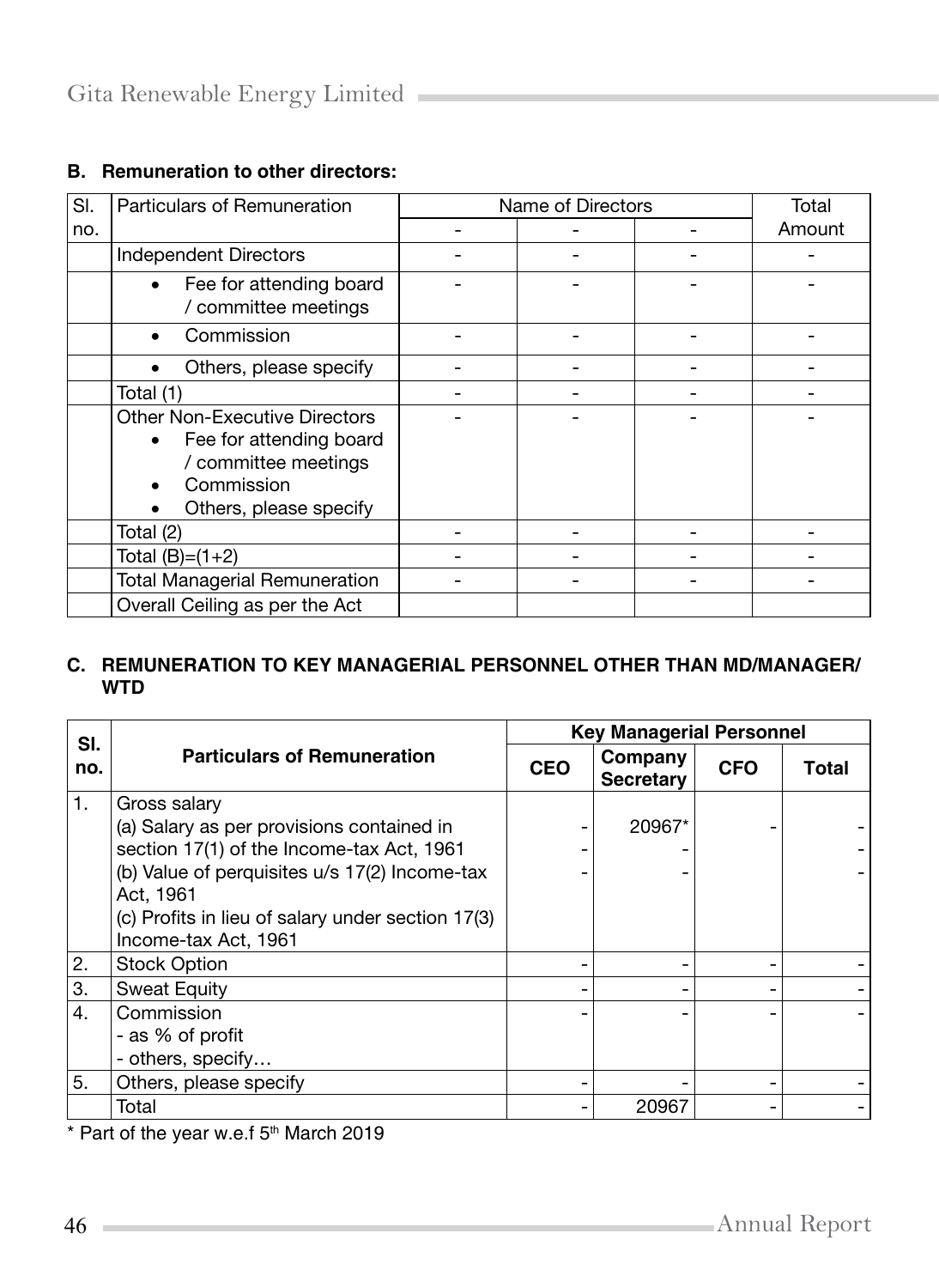## **B. Remuneration to other directors:**

| SI. | Particulars of Remuneration                                                                                                                        | Name of Directors |  |        |
|-----|----------------------------------------------------------------------------------------------------------------------------------------------------|-------------------|--|--------|
| no. |                                                                                                                                                    |                   |  | Amount |
|     | <b>Independent Directors</b>                                                                                                                       |                   |  |        |
|     | Fee for attending board<br>$\bullet$<br>/ committee meetings                                                                                       |                   |  |        |
|     | Commission<br>$\bullet$                                                                                                                            |                   |  |        |
|     | Others, please specify<br>$\bullet$                                                                                                                |                   |  |        |
|     | Total (1)                                                                                                                                          |                   |  |        |
|     | Other Non-Executive Directors<br>Fee for attending board<br>$\bullet$<br>/ committee meetings<br>Commission<br>Others, please specify<br>$\bullet$ |                   |  |        |
|     | Total (2)                                                                                                                                          |                   |  |        |
|     | Total $(B)=(1+2)$                                                                                                                                  |                   |  |        |
|     | <b>Total Managerial Remuneration</b>                                                                                                               |                   |  |        |
|     | Overall Ceiling as per the Act                                                                                                                     |                   |  |        |

## **C. REMUNERATION TO KEY MANAGERIAL PERSONNEL OTHER THAN MD/MANAGER/ WTD**

| SI. |                                                   | <b>Key Managerial Personnel</b> |                             |            |       |  |
|-----|---------------------------------------------------|---------------------------------|-----------------------------|------------|-------|--|
| no. | <b>Particulars of Remuneration</b>                | <b>CEO</b>                      | Company<br><b>Secretary</b> | <b>CFO</b> | Total |  |
| 1.  | Gross salary                                      |                                 |                             |            |       |  |
|     | (a) Salary as per provisions contained in         |                                 | 20967*                      |            |       |  |
|     | section 17(1) of the Income-tax Act, 1961         |                                 |                             |            |       |  |
|     | (b) Value of perquisites u/s 17(2) Income-tax     |                                 |                             |            |       |  |
|     | Act, 1961                                         |                                 |                             |            |       |  |
|     | (c) Profits in lieu of salary under section 17(3) |                                 |                             |            |       |  |
|     | Income-tax Act, 1961                              |                                 |                             |            |       |  |
| 2.  | <b>Stock Option</b>                               |                                 |                             |            |       |  |
| 3.  | <b>Sweat Equity</b>                               |                                 |                             |            |       |  |
| 4.  | Commission                                        |                                 |                             |            |       |  |
|     | - as % of profit                                  |                                 |                             |            |       |  |
|     | - others, specify                                 |                                 |                             |            |       |  |
| 5.  | Others, please specify                            |                                 |                             |            |       |  |
|     | Total                                             |                                 | 20967                       |            |       |  |

\* Part of the year w.e.f 5<sup>th</sup> March 2019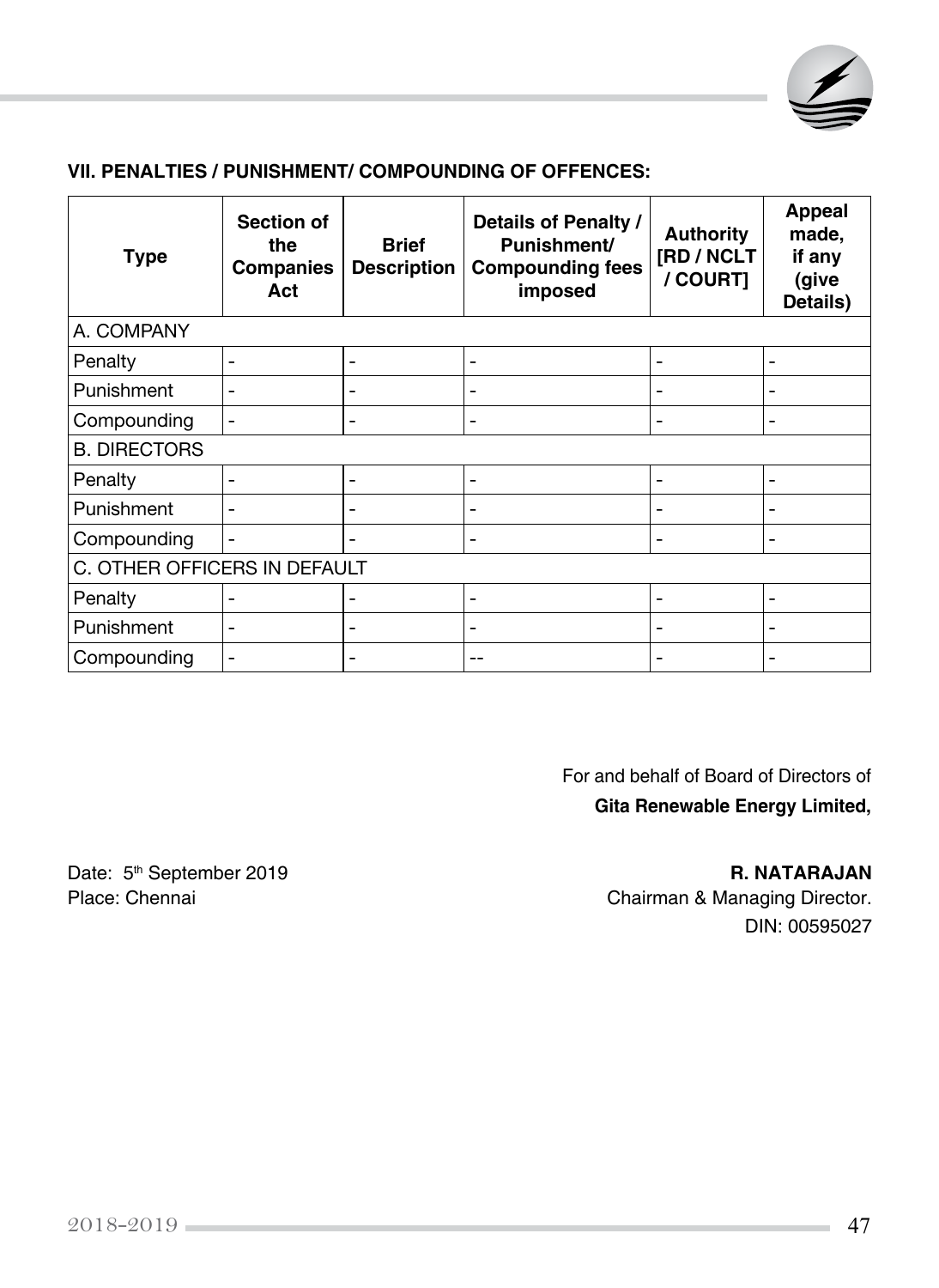

#### **VII. PENALTIES / PUNISHMENT/ COMPOUNDING OF OFFENCES:**

| <b>Type</b>                  | Section of<br>the<br><b>Companies</b><br>Act | <b>Brief</b><br><b>Description</b> | Details of Penalty /<br>Punishment/<br><b>Compounding fees</b><br>imposed | <b>Authority</b><br>[RD / NCLT<br>/ COURT] | <b>Appeal</b><br>made,<br>if any<br>(give<br>Details) |
|------------------------------|----------------------------------------------|------------------------------------|---------------------------------------------------------------------------|--------------------------------------------|-------------------------------------------------------|
| A. COMPANY                   |                                              |                                    |                                                                           |                                            |                                                       |
| Penalty                      | ۰                                            | -                                  | $\overline{\phantom{0}}$                                                  |                                            | $\overline{\phantom{0}}$                              |
| Punishment                   | $\blacksquare$                               | $\overline{\phantom{0}}$           | $\overline{\phantom{0}}$                                                  |                                            | $\overline{\phantom{a}}$                              |
| Compounding                  | $\overline{\phantom{0}}$                     | -                                  | $\overline{\phantom{0}}$                                                  |                                            | $\overline{\phantom{a}}$                              |
| <b>B. DIRECTORS</b>          |                                              |                                    |                                                                           |                                            |                                                       |
| Penalty                      | $\blacksquare$                               | $\overline{\phantom{0}}$           | $\overline{\phantom{0}}$                                                  |                                            | $\overline{\phantom{a}}$                              |
| Punishment                   | ۳                                            | -                                  | ۰                                                                         |                                            | -                                                     |
| Compounding                  | $\blacksquare$                               | -                                  | $\overline{\phantom{a}}$                                                  |                                            | $\overline{\phantom{a}}$                              |
| C. OTHER OFFICERS IN DEFAULT |                                              |                                    |                                                                           |                                            |                                                       |
| Penalty                      |                                              |                                    | -                                                                         |                                            | $\overline{\phantom{0}}$                              |
| Punishment                   |                                              | -                                  | $\overline{\phantom{0}}$                                                  |                                            | $\overline{\phantom{0}}$                              |
| Compounding                  | $\blacksquare$                               | -                                  | $-$                                                                       |                                            |                                                       |

For and behalf of Board of Directors of **Gita Renewable Energy Limited,** 

Chairman & Managing Director. DIN: 00595027

Date: 5<sup>th</sup> September 2019<br>
Place: Chennai **R. NATARAJAN**<br>
Chairman & Managing Director.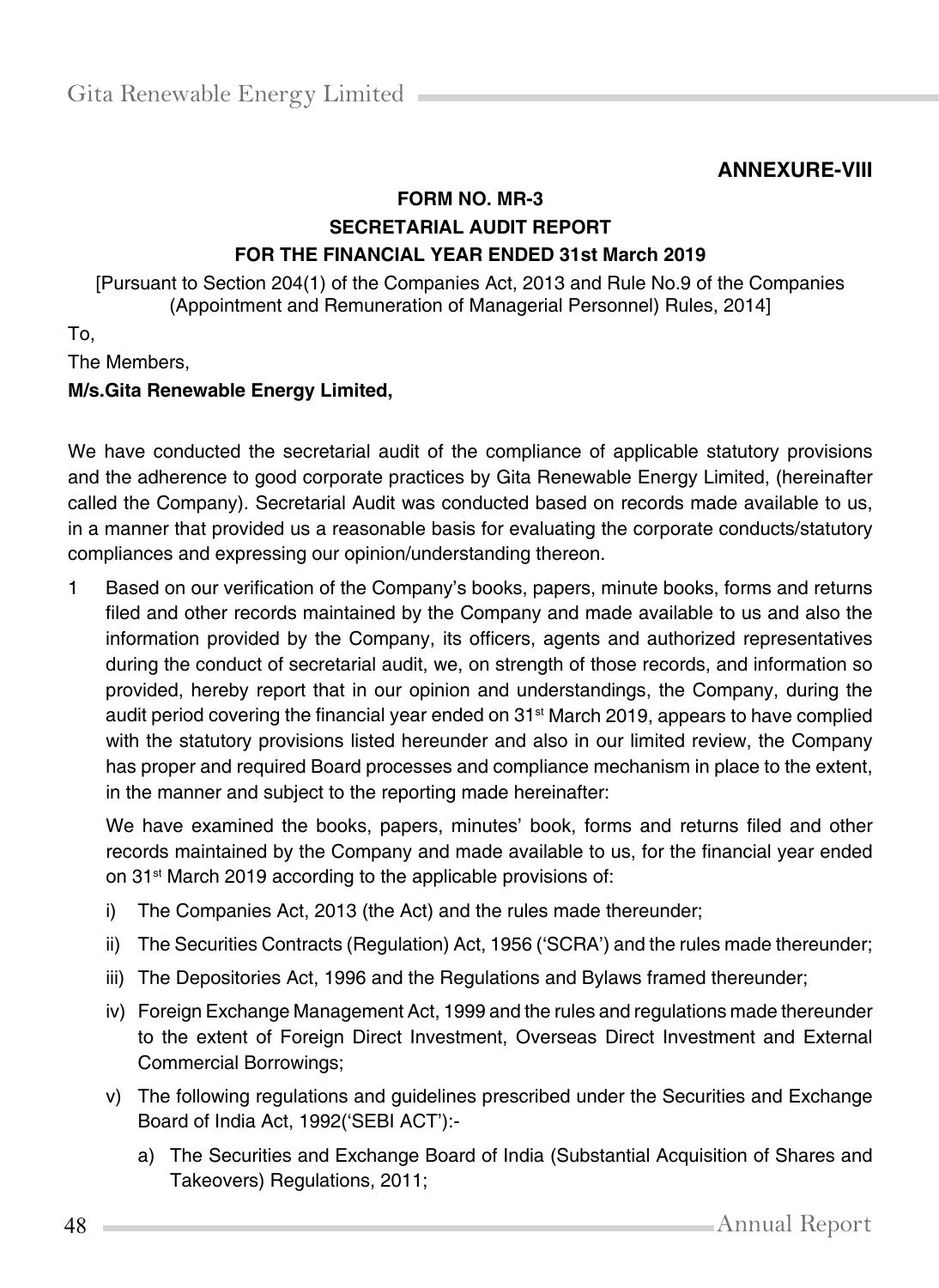## **ANNEXURE-VIII**

## **FORM NO. MR-3 SECRETARIAL AUDIT REPORT FOR THE FINANCIAL YEAR ENDED 31st March 2019**

[Pursuant to Section 204(1) of the Companies Act, 2013 and Rule No.9 of the Companies (Appointment and Remuneration of Managerial Personnel) Rules, 2014]

To,

The Members,

#### **M/s.Gita Renewable Energy Limited,**

We have conducted the secretarial audit of the compliance of applicable statutory provisions and the adherence to good corporate practices by Gita Renewable Energy Limited, (hereinafter called the Company). Secretarial Audit was conducted based on records made available to us, in a manner that provided us a reasonable basis for evaluating the corporate conducts/statutory compliances and expressing our opinion/understanding thereon.

1 Based on our verification of the Company's books, papers, minute books, forms and returns filed and other records maintained by the Company and made available to us and also the information provided by the Company, its officers, agents and authorized representatives during the conduct of secretarial audit, we, on strength of those records, and information so provided, hereby report that in our opinion and understandings, the Company, during the audit period covering the financial year ended on  $31<sup>st</sup>$  March 2019, appears to have complied with the statutory provisions listed hereunder and also in our limited review, the Company has proper and required Board processes and compliance mechanism in place to the extent, in the manner and subject to the reporting made hereinafter:

We have examined the books, papers, minutes' book, forms and returns filed and other records maintained by the Company and made available to us, for the financial year ended on 31<sup>st</sup> March 2019 according to the applicable provisions of:

- i) The Companies Act, 2013 (the Act) and the rules made thereunder;
- ii) The Securities Contracts (Regulation) Act, 1956 ('SCRA') and the rules made thereunder;
- iii) The Depositories Act, 1996 and the Regulations and Bylaws framed thereunder;
- iv) Foreign Exchange Management Act, 1999 and the rules and regulations made thereunder to the extent of Foreign Direct Investment, Overseas Direct Investment and External Commercial Borrowings;
- v) The following regulations and guidelines prescribed under the Securities and Exchange Board of India Act, 1992('SEBI ACT'):
	- a) The Securities and Exchange Board of India (Substantial Acquisition of Shares and Takeovers) Regulations, 2011;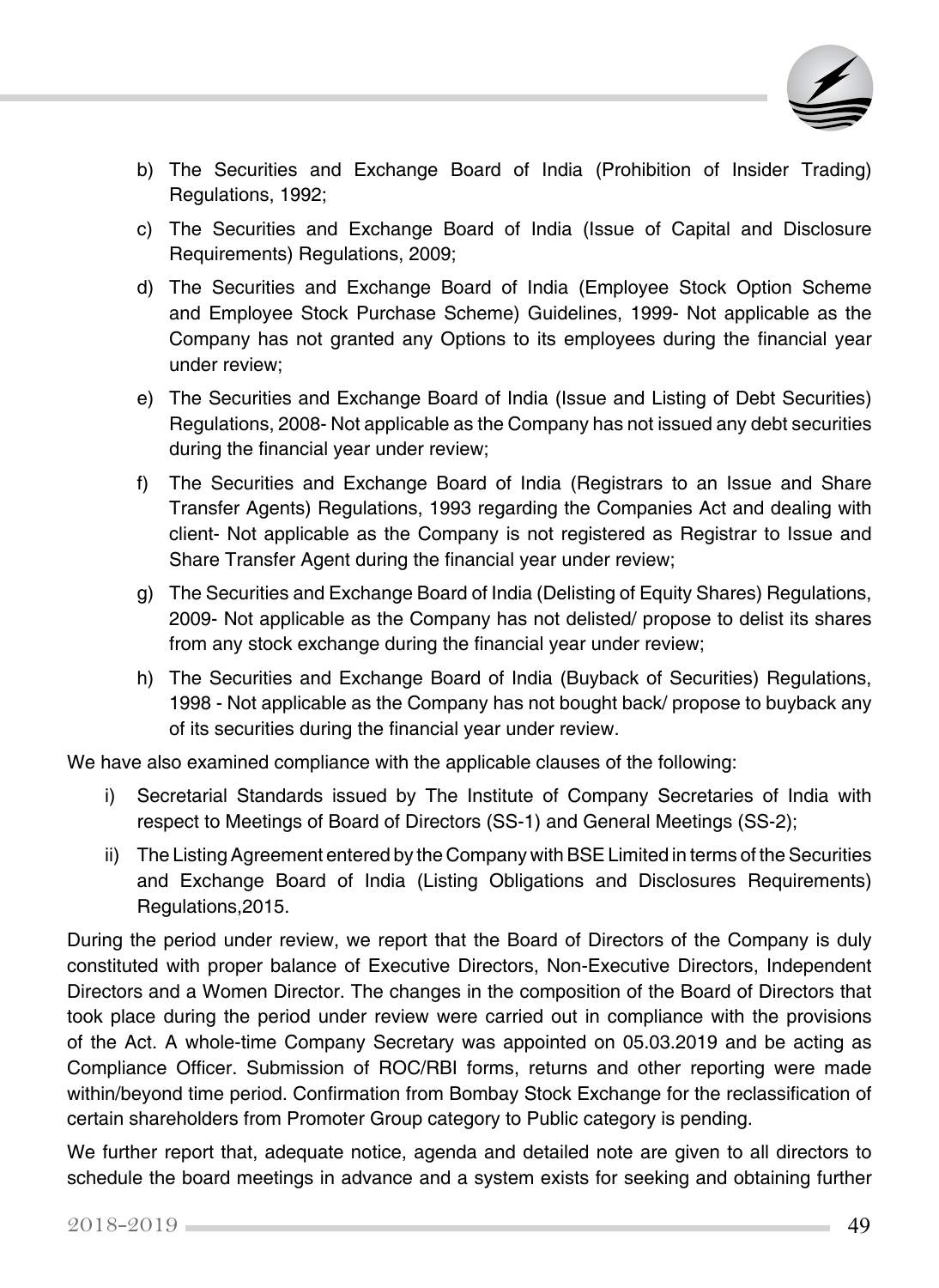

- b) The Securities and Exchange Board of India (Prohibition of Insider Trading) Regulations, 1992;
- c) The Securities and Exchange Board of India (Issue of Capital and Disclosure Requirements) Regulations, 2009;
- d) The Securities and Exchange Board of India (Employee Stock Option Scheme and Employee Stock Purchase Scheme) Guidelines, 1999- Not applicable as the Company has not granted any Options to its employees during the financial year under review;
- e) The Securities and Exchange Board of India (Issue and Listing of Debt Securities) Regulations, 2008- Not applicable as the Company has not issued any debt securities during the financial year under review;
- f) The Securities and Exchange Board of India (Registrars to an Issue and Share Transfer Agents) Regulations, 1993 regarding the Companies Act and dealing with client- Not applicable as the Company is not registered as Registrar to Issue and Share Transfer Agent during the financial year under review;
- g) The Securities and Exchange Board of India (Delisting of Equity Shares) Regulations, 2009- Not applicable as the Company has not delisted/ propose to delist its shares from any stock exchange during the financial year under review;
- h) The Securities and Exchange Board of India (Buyback of Securities) Regulations, 1998 - Not applicable as the Company has not bought back/ propose to buyback any of its securities during the financial year under review.

We have also examined compliance with the applicable clauses of the following:

- i) Secretarial Standards issued by The Institute of Company Secretaries of India with respect to Meetings of Board of Directors (SS-1) and General Meetings (SS-2);
- ii) The Listing Agreement entered by the Company with BSE Limited in terms of the Securities and Exchange Board of India (Listing Obligations and Disclosures Requirements) Regulations,2015.

During the period under review, we report that the Board of Directors of the Company is duly constituted with proper balance of Executive Directors, Non-Executive Directors, Independent Directors and a Women Director. The changes in the composition of the Board of Directors that took place during the period under review were carried out in compliance with the provisions of the Act. A whole-time Company Secretary was appointed on 05.03.2019 and be acting as Compliance Officer. Submission of ROC/RBI forms, returns and other reporting were made within/beyond time period. Confirmation from Bombay Stock Exchange for the reclassification of certain shareholders from Promoter Group category to Public category is pending.

We further report that, adequate notice, agenda and detailed note are given to all directors to schedule the board meetings in advance and a system exists for seeking and obtaining further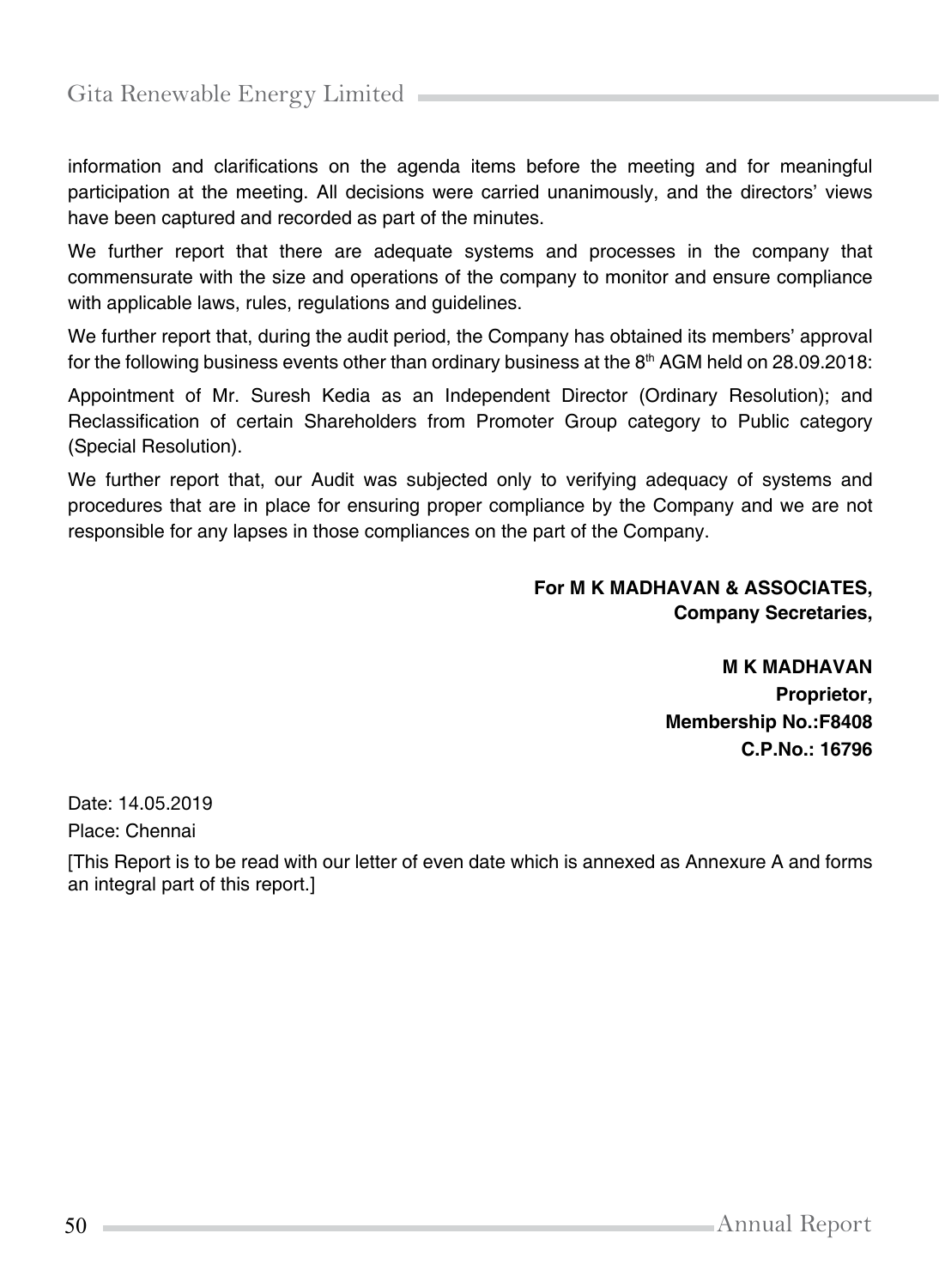information and clarifications on the agenda items before the meeting and for meaningful participation at the meeting. All decisions were carried unanimously, and the directors' views have been captured and recorded as part of the minutes.

We further report that there are adequate systems and processes in the company that commensurate with the size and operations of the company to monitor and ensure compliance with applicable laws, rules, regulations and guidelines.

We further report that, during the audit period, the Company has obtained its members' approval for the following business events other than ordinary business at the  $8<sup>th</sup>$  AGM held on 28.09.2018:

Appointment of Mr. Suresh Kedia as an Independent Director (Ordinary Resolution); and Reclassification of certain Shareholders from Promoter Group category to Public category (Special Resolution).

We further report that, our Audit was subjected only to verifying adequacy of systems and procedures that are in place for ensuring proper compliance by the Company and we are not responsible for any lapses in those compliances on the part of the Company.

#### **For M K MADHAVAN & ASSOCIATES, Company Secretaries,**

**M K MADHAVAN Proprietor, Membership No.:F8408 C.P.No.: 16796**

Date: 14.05.2019

Place: Chennai

[This Report is to be read with our letter of even date which is annexed as Annexure A and forms an integral part of this report.]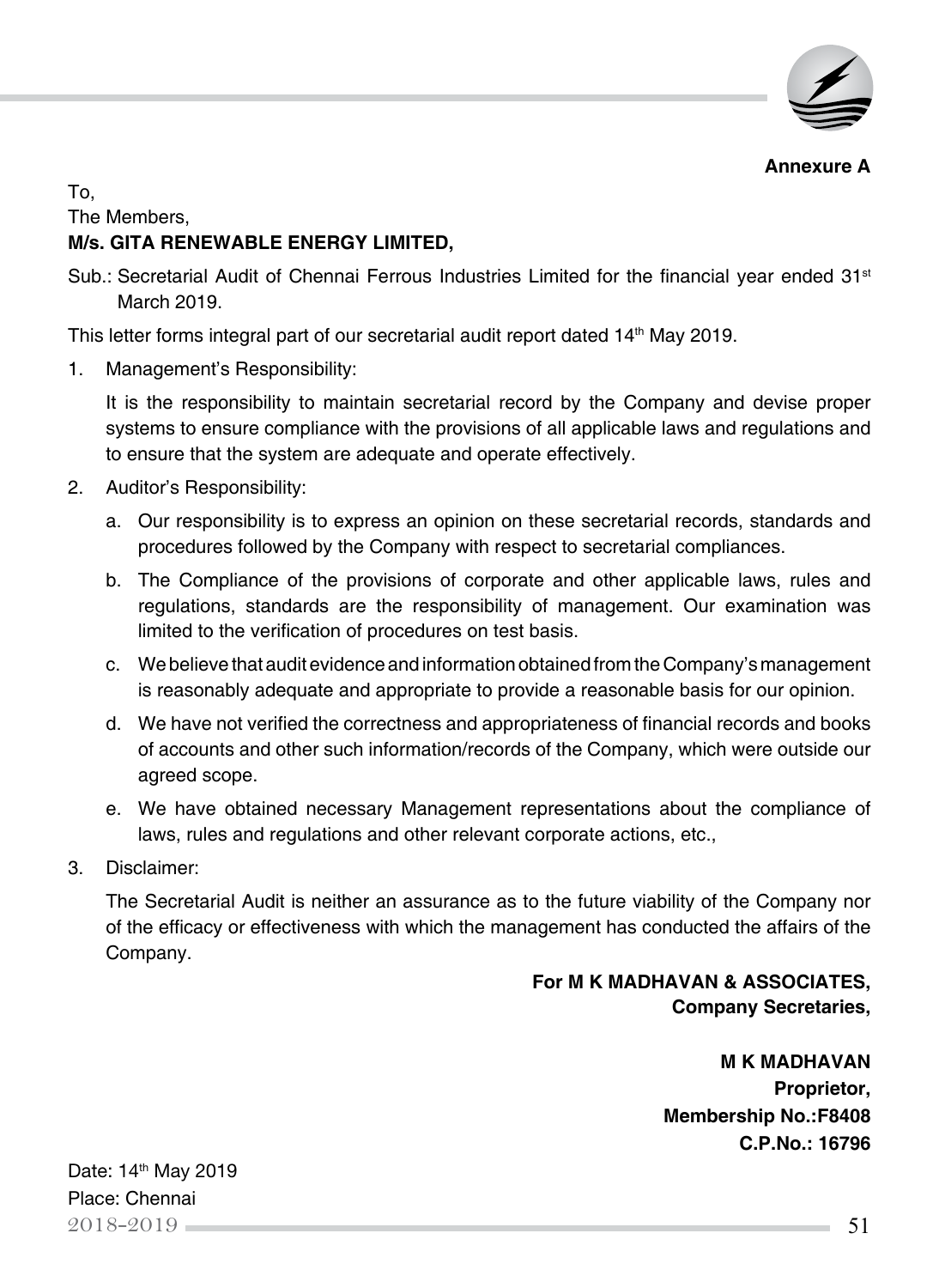

**Annexure A**

To,

The Members,

## **M/s. GITA RENEWABLE ENERGY LIMITED,**

Sub.: Secretarial Audit of Chennai Ferrous Industries Limited for the financial year ended  $31<sup>st</sup>$ March 2019.

This letter forms integral part of our secretarial audit report dated 14<sup>th</sup> May 2019.

1. Management's Responsibility:

It is the responsibility to maintain secretarial record by the Company and devise proper systems to ensure compliance with the provisions of all applicable laws and regulations and to ensure that the system are adequate and operate effectively.

- 2. Auditor's Responsibility:
	- a. Our responsibility is to express an opinion on these secretarial records, standards and procedures followed by the Company with respect to secretarial compliances.
	- b. The Compliance of the provisions of corporate and other applicable laws, rules and regulations, standards are the responsibility of management. Our examination was limited to the verification of procedures on test basis.
	- c. We believe that audit evidence and information obtained from the Company's management is reasonably adequate and appropriate to provide a reasonable basis for our opinion.
	- d. We have not verified the correctness and appropriateness of financial records and books of accounts and other such information/records of the Company, which were outside our agreed scope.
	- e. We have obtained necessary Management representations about the compliance of laws, rules and regulations and other relevant corporate actions, etc.,
- 3. Disclaimer:

The Secretarial Audit is neither an assurance as to the future viability of the Company nor of the efficacy or effectiveness with which the management has conducted the affairs of the Company.

## **For M K MADHAVAN & ASSOCIATES, Company Secretaries,**

**M K MADHAVAN Proprietor, Membership No.:F8408 C.P.No.: 16796**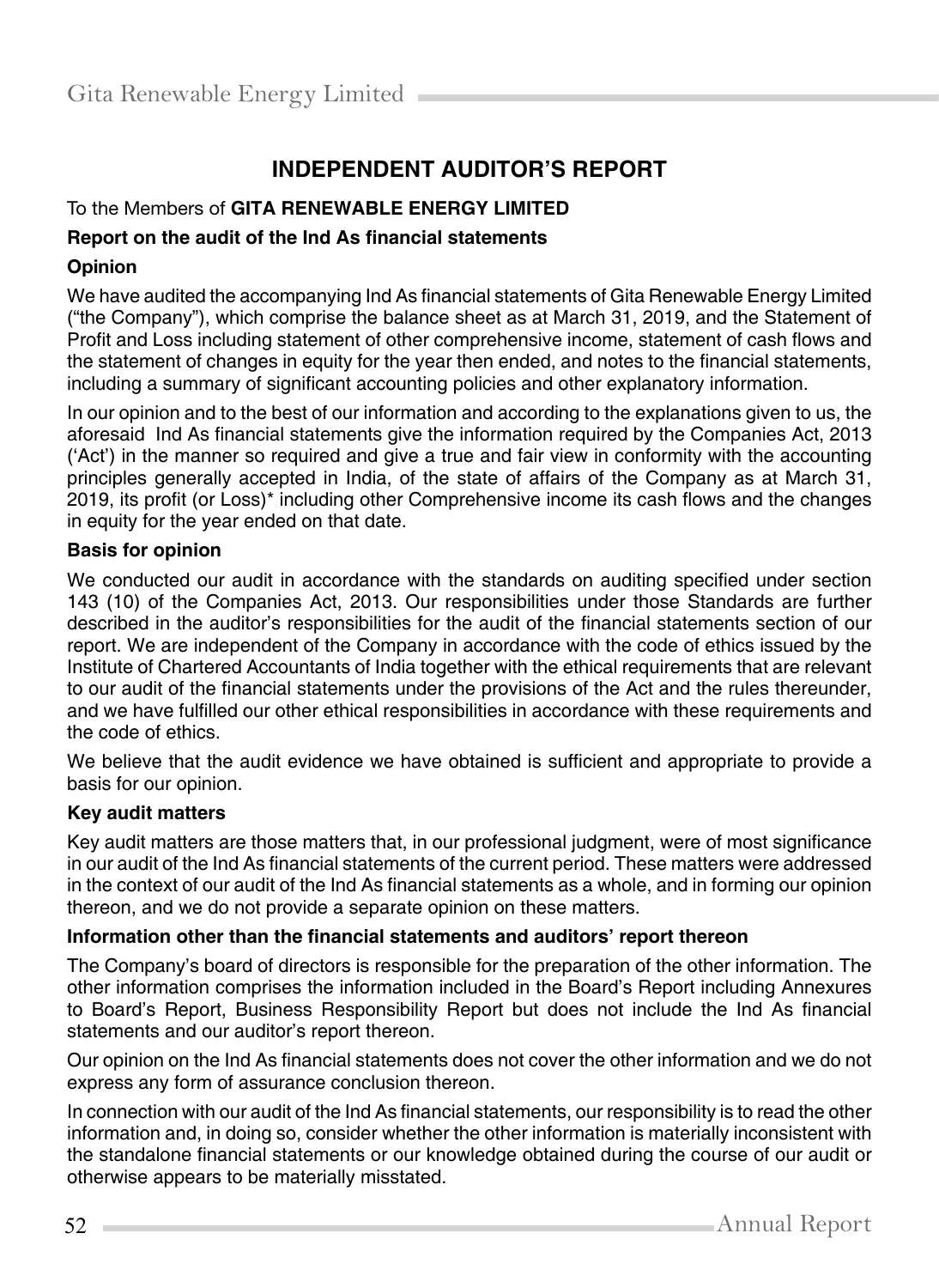# **Independent Auditor's Report**

#### To the Members of **GITA RENEWABLE ENERGY LIMITED**

#### **Report on the audit of the Ind As financial statements**

#### **Opinion**

We have audited the accompanying Ind As financial statements of Gita Renewable Energy Limited ("the Company"), which comprise the balance sheet as at March 31, 2019, and the Statement of Profit and Loss including statement of other comprehensive income, statement of cash flows and the statement of changes in equity for the year then ended, and notes to the financial statements, including a summary of significant accounting policies and other explanatory information.

In our opinion and to the best of our information and according to the explanations given to us, the aforesaid Ind As financial statements give the information required by the Companies Act, 2013 ('Act') in the manner so required and give a true and fair view in conformity with the accounting principles generally accepted in India, of the state of affairs of the Company as at March 31, 2019, its profit (or Loss)\* including other Comprehensive income its cash flows and the changes in equity for the year ended on that date.

#### **Basis for opinion**

We conducted our audit in accordance with the standards on auditing specified under section 143 (10) of the Companies Act, 2013. Our responsibilities under those Standards are further described in the auditor's responsibilities for the audit of the financial statements section of our report. We are independent of the Company in accordance with the code of ethics issued by the Institute of Chartered Accountants of India together with the ethical requirements that are relevant to our audit of the financial statements under the provisions of the Act and the rules thereunder, and we have fulfilled our other ethical responsibilities in accordance with these requirements and the code of ethics.

We believe that the audit evidence we have obtained is sufficient and appropriate to provide a basis for our opinion.

#### **Key audit matters**

Key audit matters are those matters that, in our professional judgment, were of most significance in our audit of the Ind As financial statements of the current period. These matters were addressed in the context of our audit of the Ind As financial statements as a whole, and in forming our opinion thereon, and we do not provide a separate opinion on these matters.

#### **Information other than the financial statements and auditors' report thereon**

The Company's board of directors is responsible for the preparation of the other information. The other information comprises the information included in the Board's Report including Annexures to Board's Report, Business Responsibility Report but does not include the Ind As financial statements and our auditor's report thereon.

Our opinion on the Ind As financial statements does not cover the other information and we do not express any form of assurance conclusion thereon.

In connection with our audit of the Ind As financial statements, our responsibility is to read the other information and, in doing so, consider whether the other information is materially inconsistent with the standalone financial statements or our knowledge obtained during the course of our audit or otherwise appears to be materially misstated.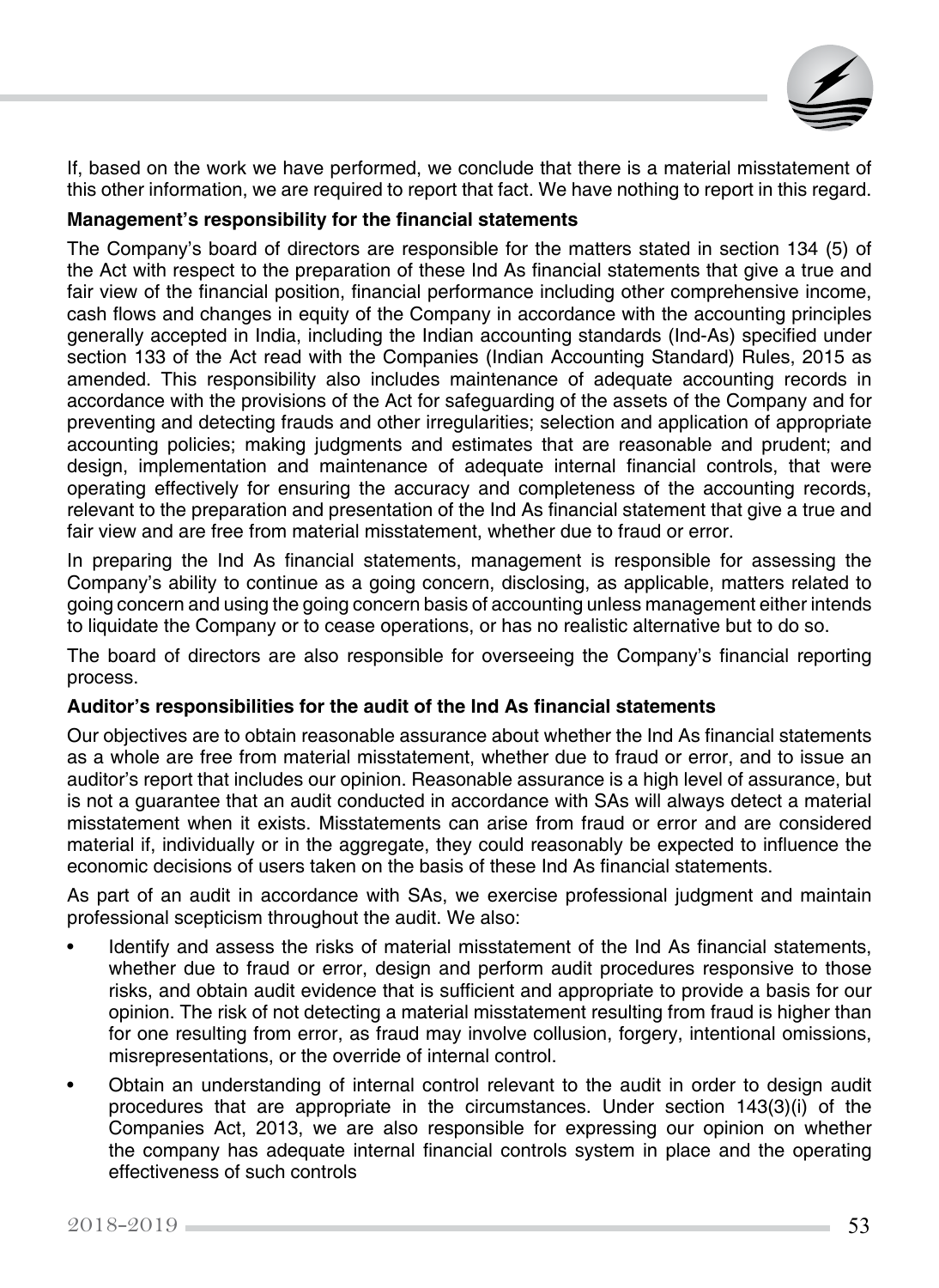

If, based on the work we have performed, we conclude that there is a material misstatement of this other information, we are required to report that fact. We have nothing to report in this regard.

#### **Management's responsibility for the financial statements**

The Company's board of directors are responsible for the matters stated in section 134 (5) of the Act with respect to the preparation of these Ind As financial statements that give a true and fair view of the financial position, financial performance including other comprehensive income, cash flows and changes in equity of the Company in accordance with the accounting principles generally accepted in India, including the Indian accounting standards (Ind-As) specified under section 133 of the Act read with the Companies (Indian Accounting Standard) Rules, 2015 as amended. This responsibility also includes maintenance of adequate accounting records in accordance with the provisions of the Act for safeguarding of the assets of the Company and for preventing and detecting frauds and other irregularities; selection and application of appropriate accounting policies; making judgments and estimates that are reasonable and prudent; and design, implementation and maintenance of adequate internal financial controls, that were operating effectively for ensuring the accuracy and completeness of the accounting records, relevant to the preparation and presentation of the Ind As financial statement that give a true and fair view and are free from material misstatement, whether due to fraud or error.

In preparing the Ind As financial statements, management is responsible for assessing the Company's ability to continue as a going concern, disclosing, as applicable, matters related to going concern and using the going concern basis of accounting unless management either intends to liquidate the Company or to cease operations, or has no realistic alternative but to do so.

The board of directors are also responsible for overseeing the Company's financial reporting process.

#### **Auditor's responsibilities for the audit of the Ind As financial statements**

Our objectives are to obtain reasonable assurance about whether the Ind As financial statements as a whole are free from material misstatement, whether due to fraud or error, and to issue an auditor's report that includes our opinion. Reasonable assurance is a high level of assurance, but is not a guarantee that an audit conducted in accordance with SAs will always detect a material misstatement when it exists. Misstatements can arise from fraud or error and are considered material if, individually or in the aggregate, they could reasonably be expected to influence the economic decisions of users taken on the basis of these Ind As financial statements.

As part of an audit in accordance with SAs, we exercise professional judgment and maintain professional scepticism throughout the audit. We also:

- Identify and assess the risks of material misstatement of the Ind As financial statements, whether due to fraud or error, design and perform audit procedures responsive to those risks, and obtain audit evidence that is sufficient and appropriate to provide a basis for our opinion. The risk of not detecting a material misstatement resulting from fraud is higher than for one resulting from error, as fraud may involve collusion, forgery, intentional omissions, misrepresentations, or the override of internal control.
- Obtain an understanding of internal control relevant to the audit in order to design audit procedures that are appropriate in the circumstances. Under section 143(3)(i) of the Companies Act, 2013, we are also responsible for expressing our opinion on whether the company has adequate internal financial controls system in place and the operating effectiveness of such controls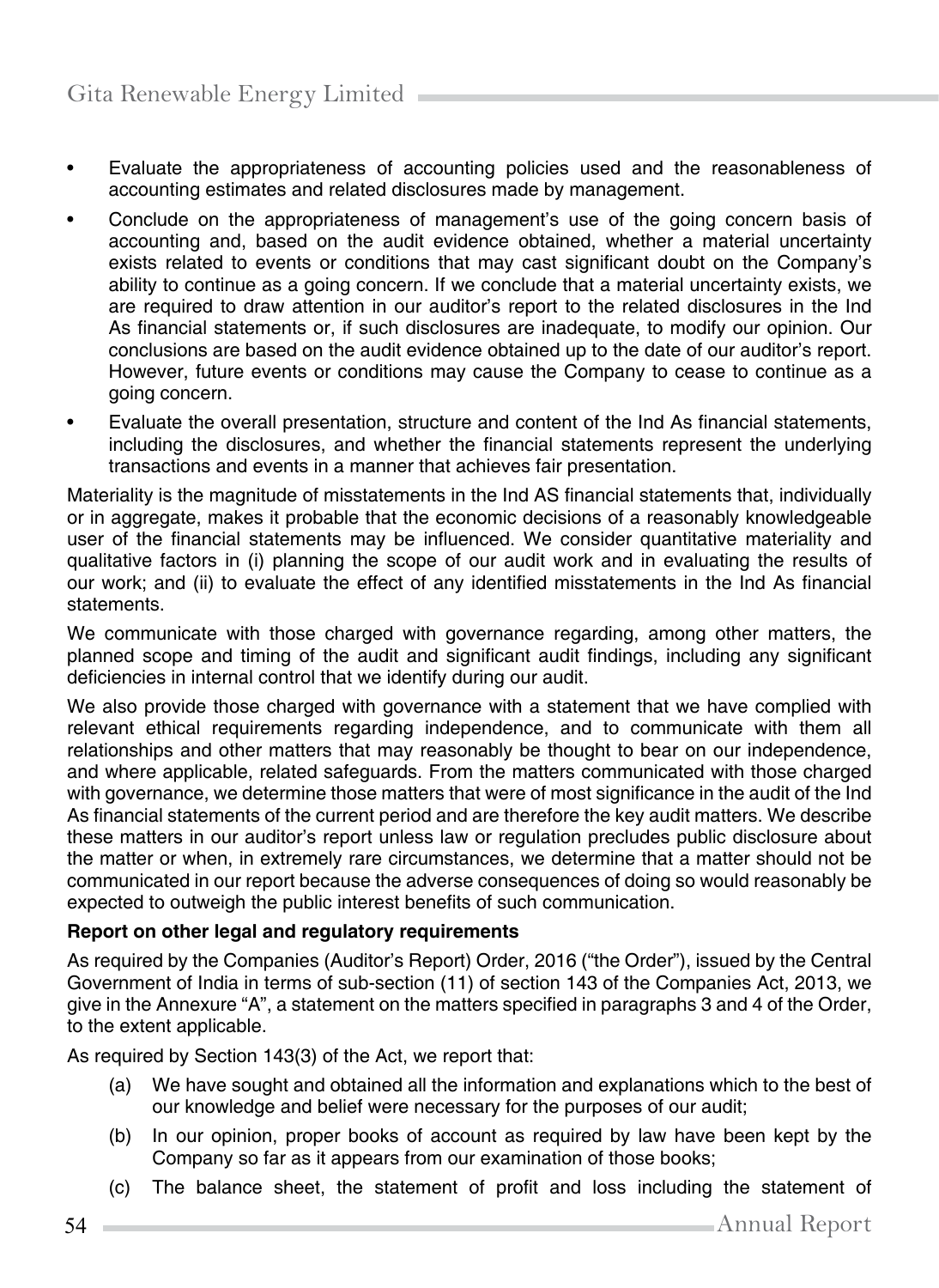- Evaluate the appropriateness of accounting policies used and the reasonableness of accounting estimates and related disclosures made by management.
- Conclude on the appropriateness of management's use of the going concern basis of accounting and, based on the audit evidence obtained, whether a material uncertainty exists related to events or conditions that may cast significant doubt on the Company's ability to continue as a going concern. If we conclude that a material uncertainty exists, we are required to draw attention in our auditor's report to the related disclosures in the Ind As financial statements or, if such disclosures are inadequate, to modify our opinion. Our conclusions are based on the audit evidence obtained up to the date of our auditor's report. However, future events or conditions may cause the Company to cease to continue as a going concern.
- Evaluate the overall presentation, structure and content of the Ind As financial statements, including the disclosures, and whether the financial statements represent the underlying transactions and events in a manner that achieves fair presentation.

Materiality is the magnitude of misstatements in the Ind AS financial statements that, individually or in aggregate, makes it probable that the economic decisions of a reasonably knowledgeable user of the financial statements may be influenced. We consider quantitative materiality and qualitative factors in (i) planning the scope of our audit work and in evaluating the results of our work; and (ii) to evaluate the effect of any identified misstatements in the Ind As financial statements.

We communicate with those charged with governance regarding, among other matters, the planned scope and timing of the audit and significant audit findings, including any significant deficiencies in internal control that we identify during our audit.

We also provide those charged with governance with a statement that we have complied with relevant ethical requirements regarding independence, and to communicate with them all relationships and other matters that may reasonably be thought to bear on our independence, and where applicable, related safeguards. From the matters communicated with those charged with governance, we determine those matters that were of most significance in the audit of the Ind As financial statements of the current period and are therefore the key audit matters. We describe these matters in our auditor's report unless law or regulation precludes public disclosure about the matter or when, in extremely rare circumstances, we determine that a matter should not be communicated in our report because the adverse consequences of doing so would reasonably be expected to outweigh the public interest benefits of such communication.

#### **Report on other legal and regulatory requirements**

As required by the Companies (Auditor's Report) Order, 2016 ("the Order"), issued by the Central Government of India in terms of sub-section (11) of section 143 of the Companies Act, 2013, we give in the Annexure "A", a statement on the matters specified in paragraphs 3 and 4 of the Order, to the extent applicable.

As required by Section 143(3) of the Act, we report that:

- (a) We have sought and obtained all the information and explanations which to the best of our knowledge and belief were necessary for the purposes of our audit;
- (b) In our opinion, proper books of account as required by law have been kept by the Company so far as it appears from our examination of those books;
- (c) The balance sheet, the statement of profit and loss including the statement of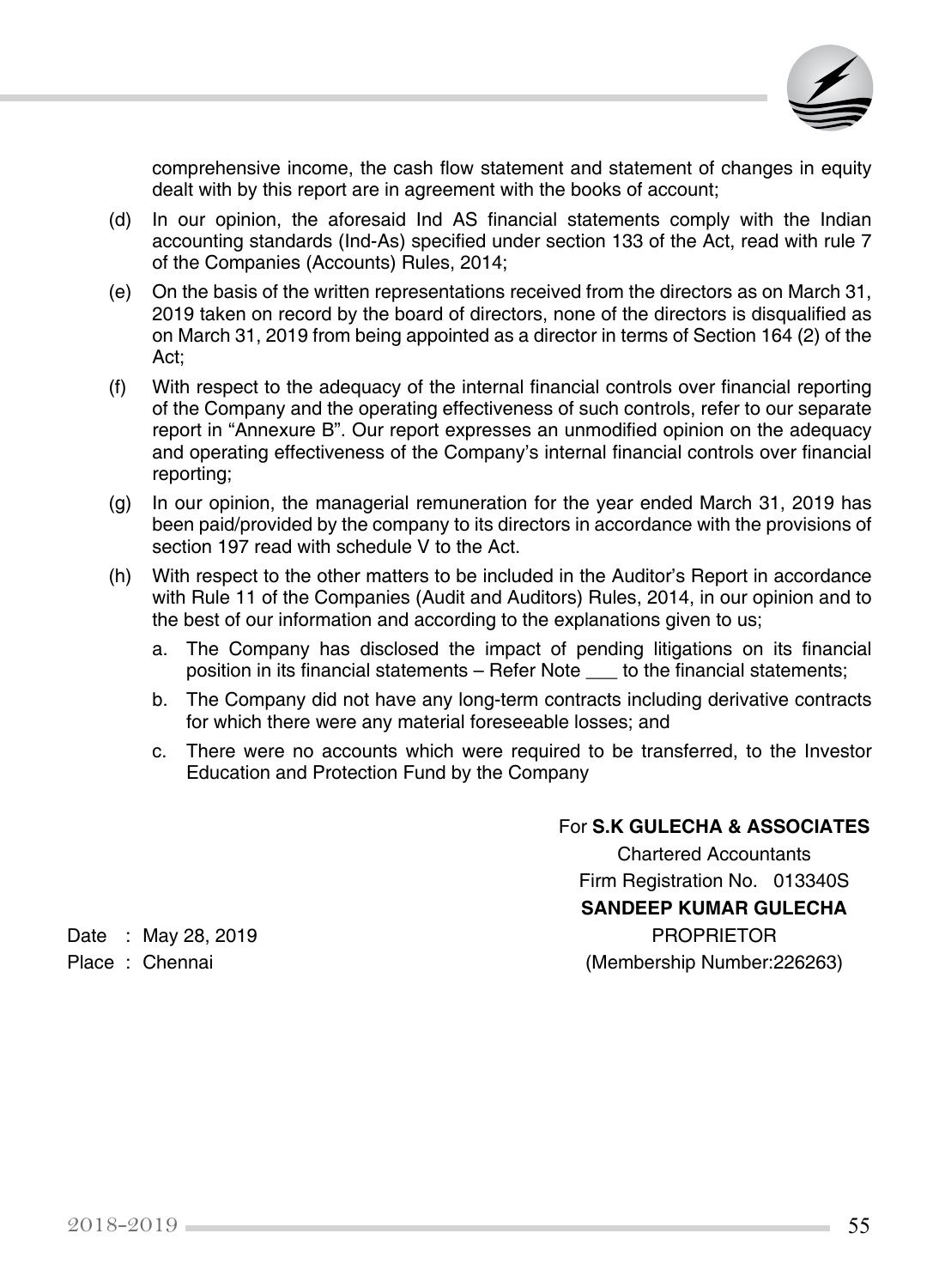

comprehensive income, the cash flow statement and statement of changes in equity dealt with by this report are in agreement with the books of account;

- (d) In our opinion, the aforesaid Ind AS financial statements comply with the Indian accounting standards (Ind-As) specified under section 133 of the Act, read with rule 7 of the Companies (Accounts) Rules, 2014;
- (e) On the basis of the written representations received from the directors as on March 31, 2019 taken on record by the board of directors, none of the directors is disqualified as on March 31, 2019 from being appointed as a director in terms of Section 164 (2) of the Act;
- (f) With respect to the adequacy of the internal financial controls over financial reporting of the Company and the operating effectiveness of such controls, refer to our separate report in "Annexure B". Our report expresses an unmodified opinion on the adequacy and operating effectiveness of the Company's internal financial controls over financial reporting;
- (g) In our opinion, the managerial remuneration for the year ended March 31, 2019 has been paid/provided by the company to its directors in accordance with the provisions of section 197 read with schedule V to the Act.
- (h) With respect to the other matters to be included in the Auditor's Report in accordance with Rule 11 of the Companies (Audit and Auditors) Rules, 2014, in our opinion and to the best of our information and according to the explanations given to us;
	- a. The Company has disclosed the impact of pending litigations on its financial position in its financial statements – Refer Note \_\_\_ to the financial statements;
	- b. The Company did not have any long-term contracts including derivative contracts for which there were any material foreseeable losses; and
	- c. There were no accounts which were required to be transferred, to the Investor Education and Protection Fund by the Company

#### For **S.K GULECHA & ASSOCIATES**

Chartered Accountants Firm Registration No. 013340S **SANDEEP KUMAR GULECHA** Date : May 28, 2019 **PROPRIETOR** Place : Chennai (Membership Number:226263)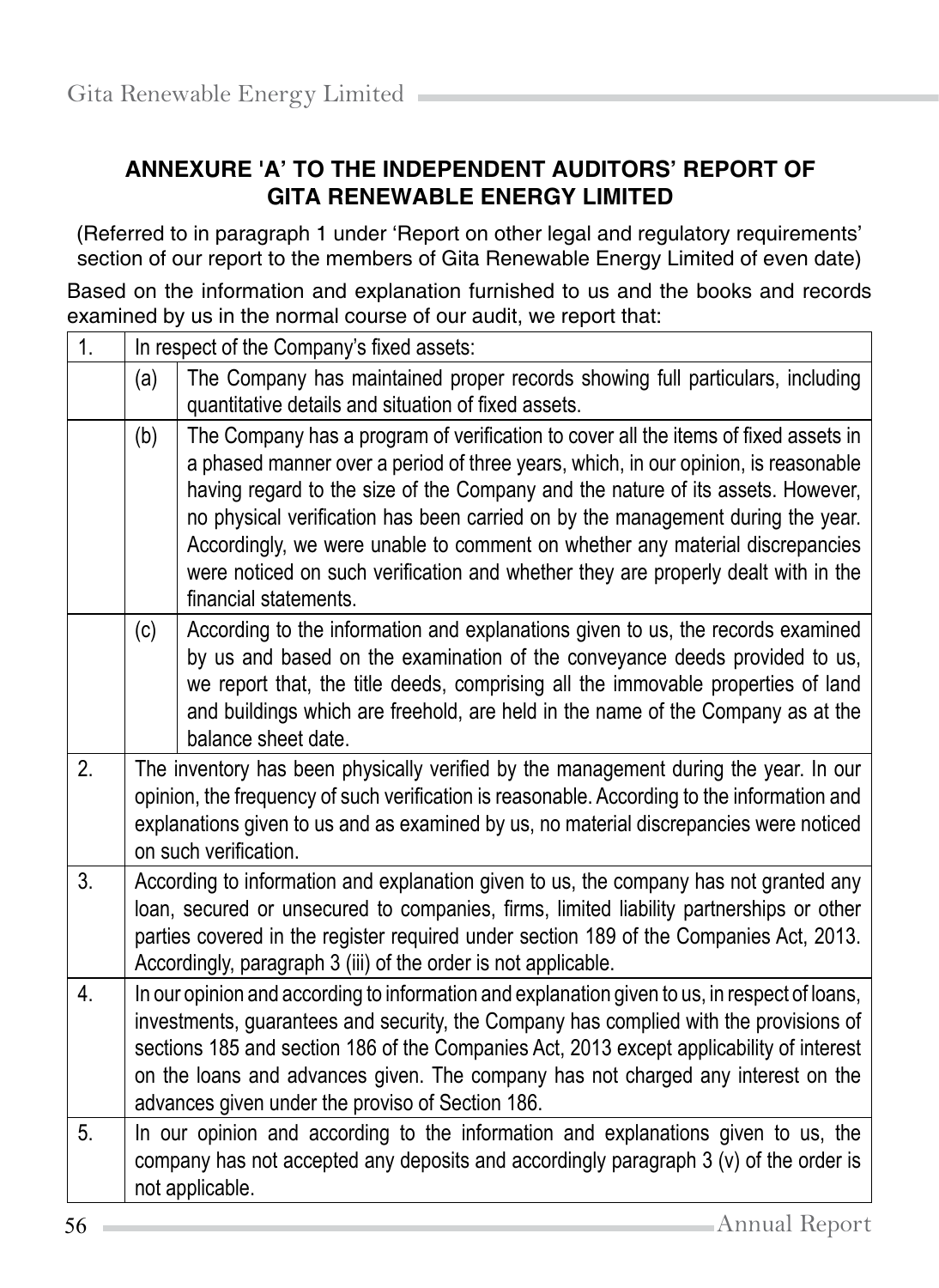# **ANNEXURE 'A' TO THE INDEPENDENT AUDITORS' REPORT OF GITA RENEWABLE ENERGY LIMITED**

(Referred to in paragraph 1 under 'Report on other legal and regulatory requirements' section of our report to the members of Gita Renewable Energy Limited of even date)

Based on the information and explanation furnished to us and the books and records examined by us in the normal course of our audit, we report that:

| 1. |     | In respect of the Company's fixed assets:                                                                                                                                                                                                                                                                                                                                                                                                                                                                                                     |
|----|-----|-----------------------------------------------------------------------------------------------------------------------------------------------------------------------------------------------------------------------------------------------------------------------------------------------------------------------------------------------------------------------------------------------------------------------------------------------------------------------------------------------------------------------------------------------|
|    | (a) | The Company has maintained proper records showing full particulars, including<br>quantitative details and situation of fixed assets.                                                                                                                                                                                                                                                                                                                                                                                                          |
|    | (b) | The Company has a program of verification to cover all the items of fixed assets in<br>a phased manner over a period of three years, which, in our opinion, is reasonable<br>having regard to the size of the Company and the nature of its assets. However,<br>no physical verification has been carried on by the management during the year.<br>Accordingly, we were unable to comment on whether any material discrepancies<br>were noticed on such verification and whether they are properly dealt with in the<br>financial statements. |
|    | (c) | According to the information and explanations given to us, the records examined<br>by us and based on the examination of the conveyance deeds provided to us,<br>we report that, the title deeds, comprising all the immovable properties of land<br>and buildings which are freehold, are held in the name of the Company as at the<br>balance sheet date.                                                                                                                                                                                   |
| 2. |     | The inventory has been physically verified by the management during the year. In our<br>opinion, the frequency of such verification is reasonable. According to the information and<br>explanations given to us and as examined by us, no material discrepancies were noticed<br>on such verification.                                                                                                                                                                                                                                        |
| 3. |     | According to information and explanation given to us, the company has not granted any<br>loan, secured or unsecured to companies, firms, limited liability partnerships or other<br>parties covered in the register required under section 189 of the Companies Act, 2013.<br>Accordingly, paragraph 3 (iii) of the order is not applicable.                                                                                                                                                                                                  |
| 4. |     | In our opinion and according to information and explanation given to us, in respect of loans,<br>investments, guarantees and security, the Company has complied with the provisions of<br>sections 185 and section 186 of the Companies Act, 2013 except applicability of interest<br>on the loans and advances given. The company has not charged any interest on the<br>advances given under the proviso of Section 186.                                                                                                                    |
| 5. |     | In our opinion and according to the information and explanations given to us, the<br>company has not accepted any deposits and accordingly paragraph 3 (v) of the order is<br>not applicable.                                                                                                                                                                                                                                                                                                                                                 |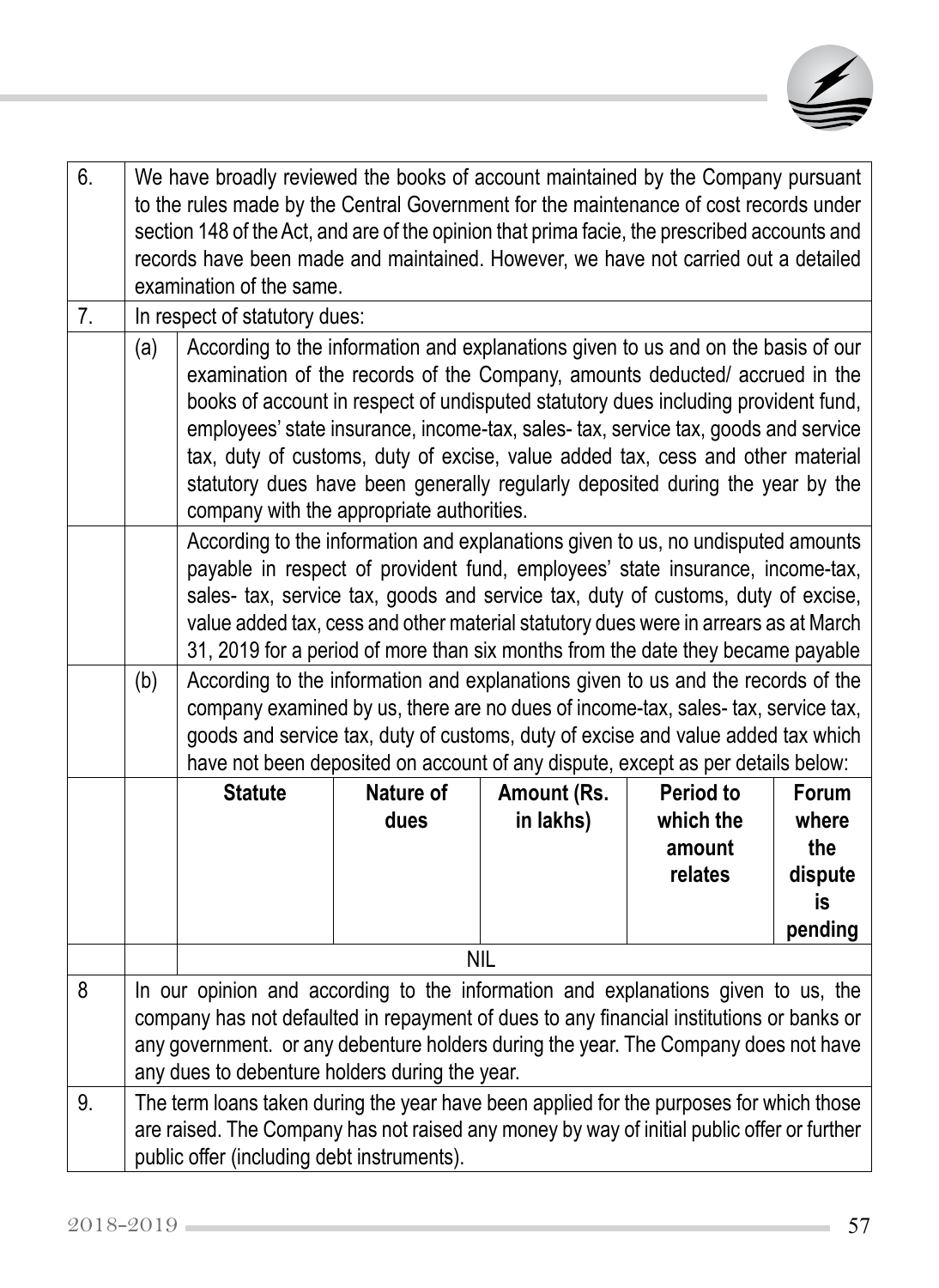

| 6. | We have broadly reviewed the books of account maintained by the Company pursuant<br>to the rules made by the Central Government for the maintenance of cost records under<br>section 148 of the Act, and are of the opinion that prima facie, the prescribed accounts and<br>records have been made and maintained. However, we have not carried out a detailed<br>examination of the same. |                                                                                                                                                                                                                                                                                                                                                                                                                                                                                                                                                             |           |             |                   |                |
|----|---------------------------------------------------------------------------------------------------------------------------------------------------------------------------------------------------------------------------------------------------------------------------------------------------------------------------------------------------------------------------------------------|-------------------------------------------------------------------------------------------------------------------------------------------------------------------------------------------------------------------------------------------------------------------------------------------------------------------------------------------------------------------------------------------------------------------------------------------------------------------------------------------------------------------------------------------------------------|-----------|-------------|-------------------|----------------|
| 7. |                                                                                                                                                                                                                                                                                                                                                                                             | In respect of statutory dues:                                                                                                                                                                                                                                                                                                                                                                                                                                                                                                                               |           |             |                   |                |
|    | (a)                                                                                                                                                                                                                                                                                                                                                                                         | According to the information and explanations given to us and on the basis of our<br>examination of the records of the Company, amounts deducted/ accrued in the<br>books of account in respect of undisputed statutory dues including provident fund,<br>employees' state insurance, income-tax, sales-tax, service tax, goods and service<br>tax, duty of customs, duty of excise, value added tax, cess and other material<br>statutory dues have been generally regularly deposited during the year by the<br>company with the appropriate authorities. |           |             |                   |                |
|    |                                                                                                                                                                                                                                                                                                                                                                                             | According to the information and explanations given to us, no undisputed amounts<br>payable in respect of provident fund, employees' state insurance, income-tax,<br>sales- tax, service tax, goods and service tax, duty of customs, duty of excise,<br>value added tax, cess and other material statutory dues were in arrears as at March<br>31, 2019 for a period of more than six months from the date they became payable                                                                                                                             |           |             |                   |                |
|    | (b)                                                                                                                                                                                                                                                                                                                                                                                         | According to the information and explanations given to us and the records of the<br>company examined by us, there are no dues of income-tax, sales- tax, service tax,<br>goods and service tax, duty of customs, duty of excise and value added tax which<br>have not been deposited on account of any dispute, except as per details below:                                                                                                                                                                                                                |           |             |                   |                |
|    |                                                                                                                                                                                                                                                                                                                                                                                             | <b>Statute</b>                                                                                                                                                                                                                                                                                                                                                                                                                                                                                                                                              | Nature of | Amount (Rs. | <b>Period to</b>  | Forum          |
|    |                                                                                                                                                                                                                                                                                                                                                                                             |                                                                                                                                                                                                                                                                                                                                                                                                                                                                                                                                                             | dues      | in lakhs)   | which the         | where          |
|    |                                                                                                                                                                                                                                                                                                                                                                                             |                                                                                                                                                                                                                                                                                                                                                                                                                                                                                                                                                             |           |             | amount<br>relates | the<br>dispute |
|    |                                                                                                                                                                                                                                                                                                                                                                                             |                                                                                                                                                                                                                                                                                                                                                                                                                                                                                                                                                             |           |             |                   | is             |
|    |                                                                                                                                                                                                                                                                                                                                                                                             |                                                                                                                                                                                                                                                                                                                                                                                                                                                                                                                                                             |           |             |                   | pending        |
|    |                                                                                                                                                                                                                                                                                                                                                                                             |                                                                                                                                                                                                                                                                                                                                                                                                                                                                                                                                                             |           | <b>NIL</b>  |                   |                |
| 8  | In our opinion and according to the information and explanations given to us, the<br>company has not defaulted in repayment of dues to any financial institutions or banks or<br>any government. or any debenture holders during the year. The Company does not have<br>any dues to debenture holders during the year.                                                                      |                                                                                                                                                                                                                                                                                                                                                                                                                                                                                                                                                             |           |             |                   |                |
| 9. |                                                                                                                                                                                                                                                                                                                                                                                             | The term loans taken during the year have been applied for the purposes for which those<br>are raised. The Company has not raised any money by way of initial public offer or further<br>public offer (including debt instruments).                                                                                                                                                                                                                                                                                                                         |           |             |                   |                |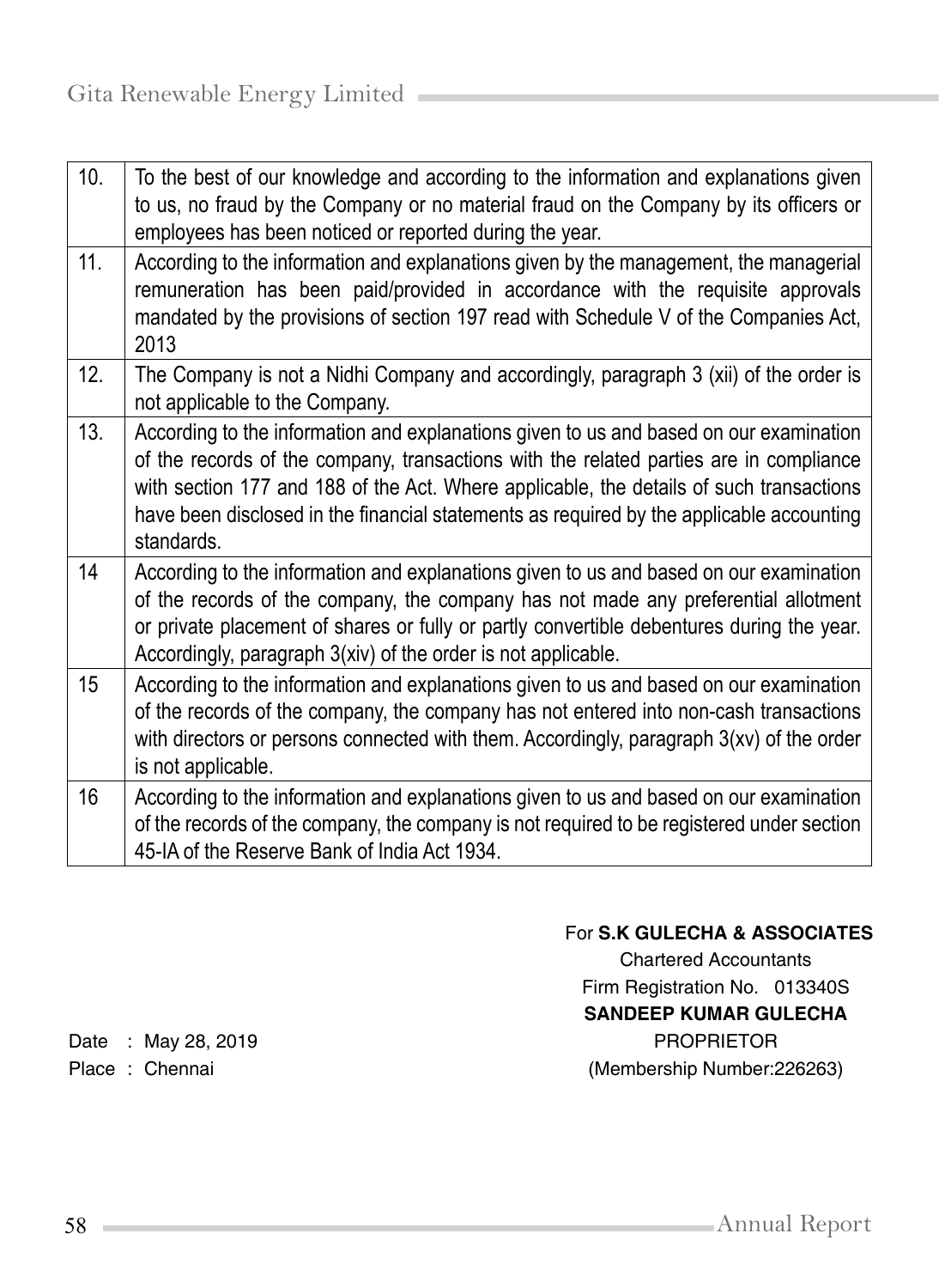| 10. | To the best of our knowledge and according to the information and explanations given<br>to us, no fraud by the Company or no material fraud on the Company by its officers or<br>employees has been noticed or reported during the year.                                                                                                                                              |
|-----|---------------------------------------------------------------------------------------------------------------------------------------------------------------------------------------------------------------------------------------------------------------------------------------------------------------------------------------------------------------------------------------|
| 11. | According to the information and explanations given by the management, the managerial<br>remuneration has been paid/provided in accordance with the requisite approvals<br>mandated by the provisions of section 197 read with Schedule V of the Companies Act,<br>2013                                                                                                               |
| 12. | The Company is not a Nidhi Company and accordingly, paragraph 3 (xii) of the order is<br>not applicable to the Company.                                                                                                                                                                                                                                                               |
| 13. | According to the information and explanations given to us and based on our examination<br>of the records of the company, transactions with the related parties are in compliance<br>with section 177 and 188 of the Act. Where applicable, the details of such transactions<br>have been disclosed in the financial statements as required by the applicable accounting<br>standards. |
| 14  | According to the information and explanations given to us and based on our examination<br>of the records of the company, the company has not made any preferential allotment<br>or private placement of shares or fully or partly convertible debentures during the year.<br>Accordingly, paragraph 3(xiv) of the order is not applicable.                                            |
| 15  | According to the information and explanations given to us and based on our examination<br>of the records of the company, the company has not entered into non-cash transactions<br>with directors or persons connected with them. Accordingly, paragraph 3(xv) of the order<br>is not applicable.                                                                                     |
| 16  | According to the information and explanations given to us and based on our examination<br>of the records of the company, the company is not required to be registered under section<br>45-IA of the Reserve Bank of India Act 1934.                                                                                                                                                   |

## For **S.K GULECHA & ASSOCIATES**

Chartered Accountants Firm Registration No. 013340S **SANDEEP KUMAR GULECHA** Date : May 28, 2019 **PROPRIETOR** Place : Chennai **(Membership Number:226263)**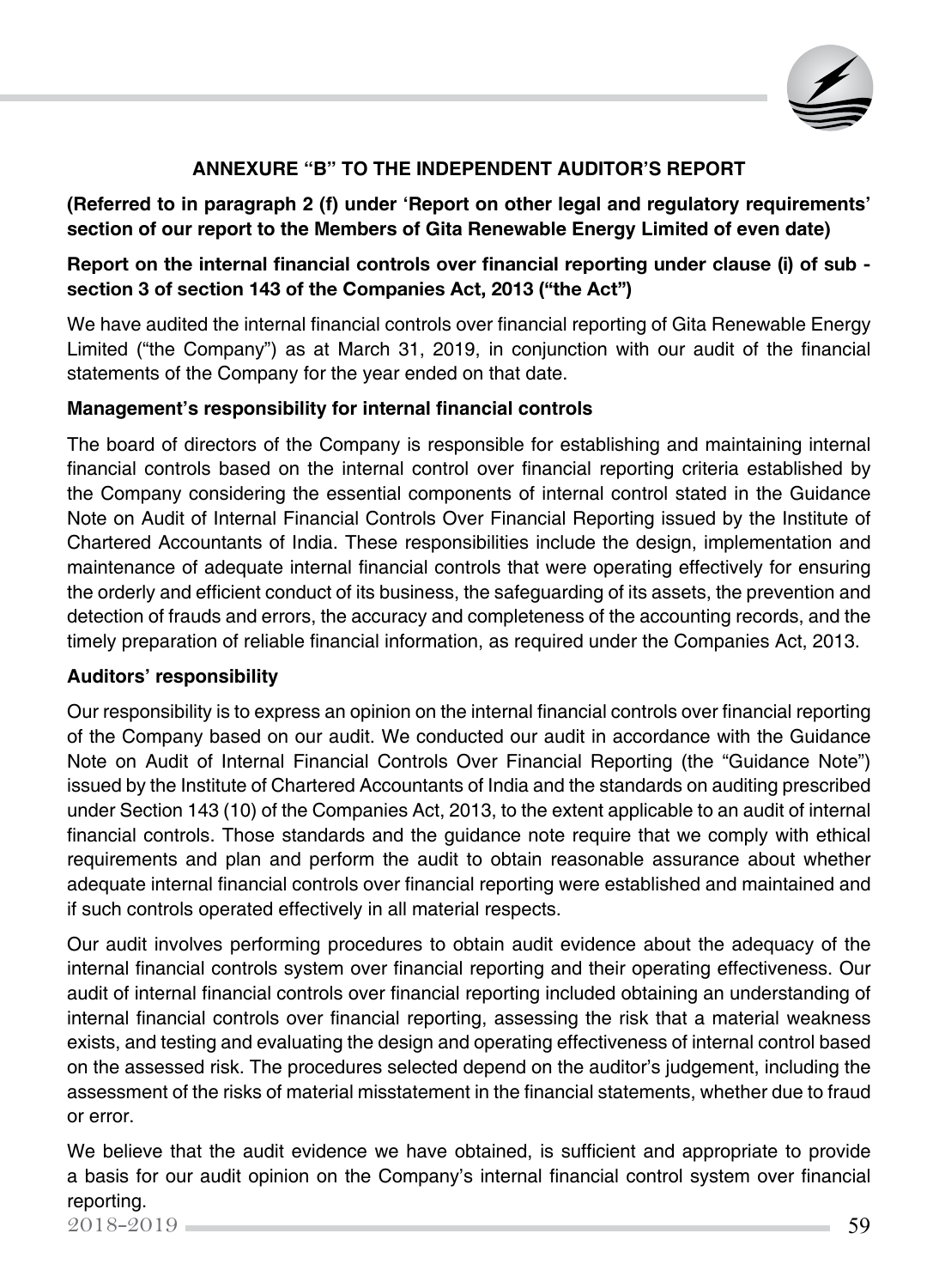

## **Annexure "B" to the Independent Auditor's Report**

#### **(Referred to in paragraph 2 (f) under 'Report on other legal and regulatory requirements' section of our report to the Members of Gita Renewable Energy Limited of even date)**

#### Report on the internal financial controls over financial reporting under clause (i) of sub section 3 of section 143 of the Companies Act, 2013 ("the Act")

We have audited the internal financial controls over financial reporting of Gita Renewable Energy Limited ("the Company") as at March 31, 2019, in conjunction with our audit of the financial statements of the Company for the year ended on that date.

#### **Management's responsibility for internal financial controls**

The board of directors of the Company is responsible for establishing and maintaining internal financial controls based on the internal control over financial reporting criteria established by the Company considering the essential components of internal control stated in the Guidance Note on Audit of Internal Financial Controls Over Financial Reporting issued by the Institute of Chartered Accountants of India. These responsibilities include the design, implementation and maintenance of adequate internal financial controls that were operating effectively for ensuring the orderly and efficient conduct of its business, the safeguarding of its assets, the prevention and detection of frauds and errors, the accuracy and completeness of the accounting records, and the timely preparation of reliable financial information, as required under the Companies Act, 2013.

#### **Auditors' responsibility**

Our responsibility is to express an opinion on the internal financial controls over financial reporting of the Company based on our audit. We conducted our audit in accordance with the Guidance Note on Audit of Internal Financial Controls Over Financial Reporting (the "Guidance Note") issued by the Institute of Chartered Accountants of India and the standards on auditing prescribed under Section 143 (10) of the Companies Act, 2013, to the extent applicable to an audit of internal financial controls. Those standards and the guidance note require that we comply with ethical requirements and plan and perform the audit to obtain reasonable assurance about whether adequate internal financial controls over financial reporting were established and maintained and if such controls operated effectively in all material respects.

Our audit involves performing procedures to obtain audit evidence about the adequacy of the internal financial controls system over financial reporting and their operating effectiveness. Our audit of internal financial controls over financial reporting included obtaining an understanding of internal financial controls over financial reporting, assessing the risk that a material weakness exists, and testing and evaluating the design and operating effectiveness of internal control based on the assessed risk. The procedures selected depend on the auditor's judgement, including the assessment of the risks of material misstatement in the financial statements, whether due to fraud or error.

2018-2019 59 We believe that the audit evidence we have obtained, is sufficient and appropriate to provide a basis for our audit opinion on the Company's internal financial control system over financial reporting.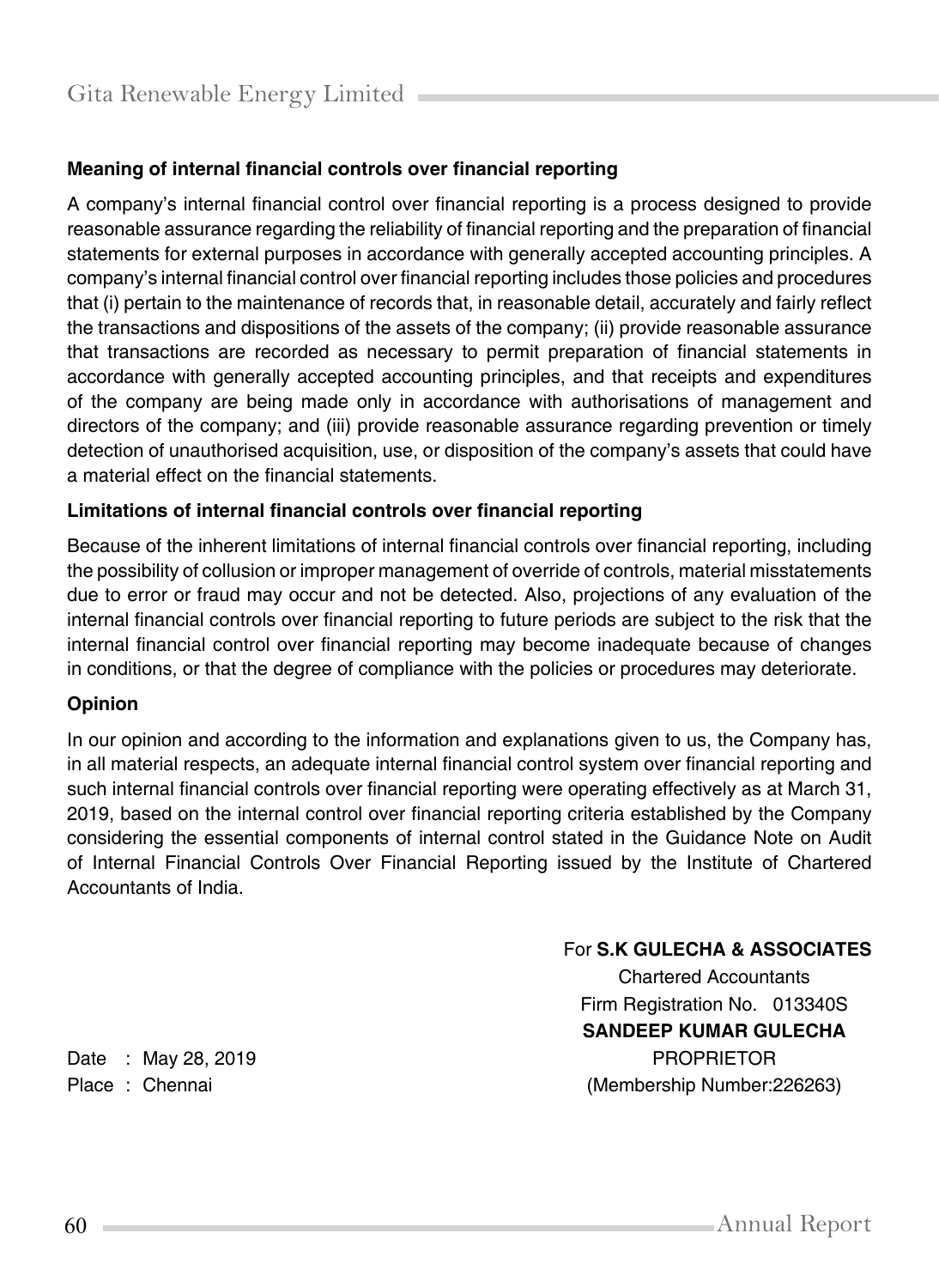### **Meaning of internal financial controls over financial reporting**

A company's internal financial control over financial reporting is a process designed to provide reasonable assurance regarding the reliability of financial reporting and the preparation of financial statements for external purposes in accordance with generally accepted accounting principles. A company's internal financial control over financial reporting includes those policies and procedures that (i) pertain to the maintenance of records that, in reasonable detail, accurately and fairly reflect the transactions and dispositions of the assets of the company; (ii) provide reasonable assurance that transactions are recorded as necessary to permit preparation of financial statements in accordance with generally accepted accounting principles, and that receipts and expenditures of the company are being made only in accordance with authorisations of management and directors of the company; and (iii) provide reasonable assurance regarding prevention or timely detection of unauthorised acquisition, use, or disposition of the company's assets that could have a material effect on the financial statements.

#### **Limitations of internal financial controls over financial reporting**

Because of the inherent limitations of internal financial controls over financial reporting, including the possibility of collusion or improper management of override of controls, material misstatements due to error or fraud may occur and not be detected. Also, projections of any evaluation of the internal financial controls over financial reporting to future periods are subject to the risk that the internal financial control over financial reporting may become inadequate because of changes in conditions, or that the degree of compliance with the policies or procedures may deteriorate.

#### **Opinion**

In our opinion and according to the information and explanations given to us, the Company has, in all material respects, an adequate internal financial control system over financial reporting and such internal financial controls over financial reporting were operating effectively as at March 31, 2019, based on the internal control over financial reporting criteria established by the Company considering the essential components of internal control stated in the Guidance Note on Audit of Internal Financial Controls Over Financial Reporting issued by the Institute of Chartered Accountants of India.

For **S.K GULECHA & ASSOCIATES**

Chartered Accountants Firm Registration No. 013340S **SANDEEP KUMAR GULECHA** Date : May 28, 2019 **PROPRIETOR** Place : Chennai (Membership Number:226263)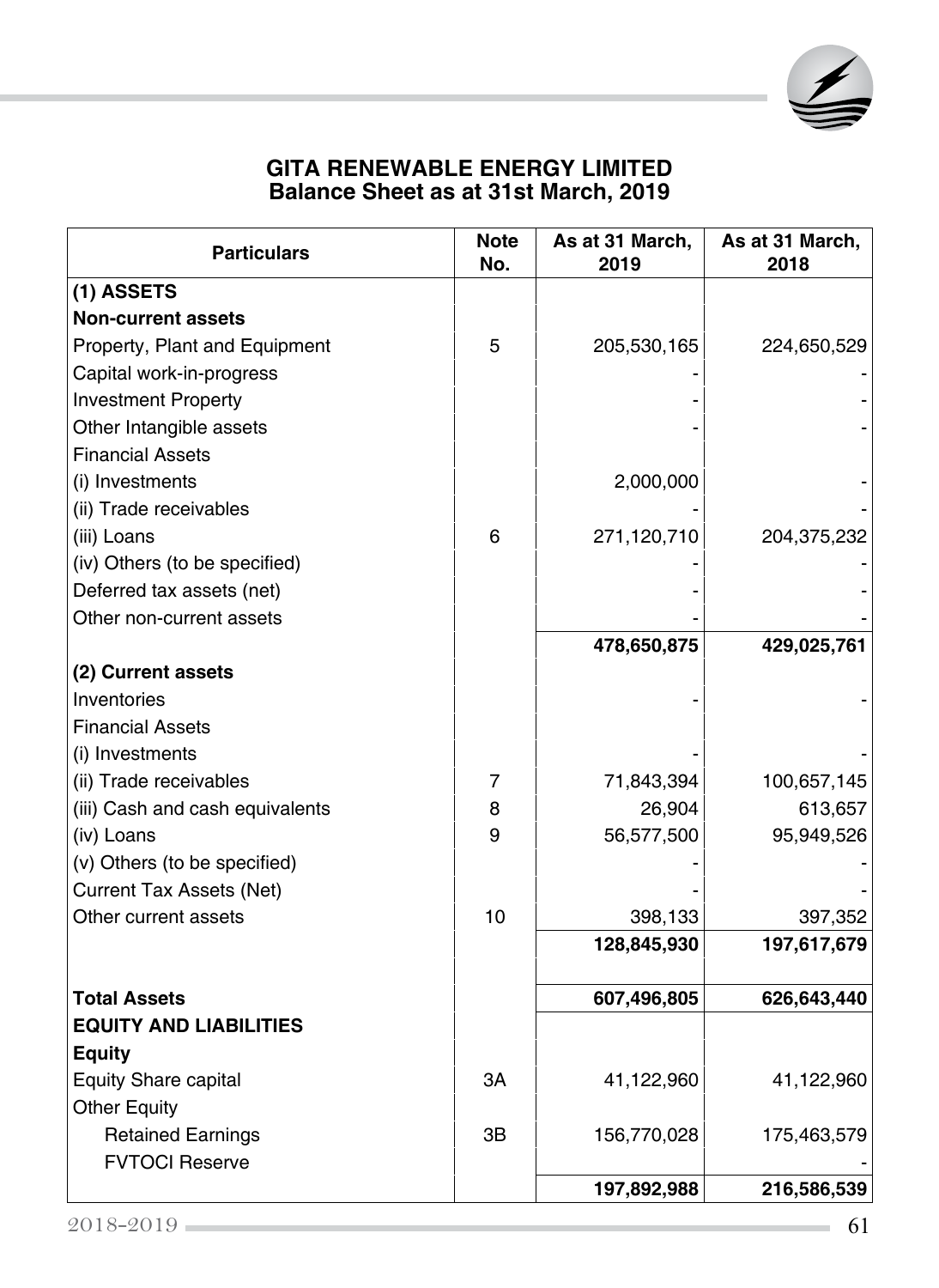

## **GITA RENEWABLE ENERGY LIMITED Balance Sheet as at 31st March, 2019**

| <b>Particulars</b>              | <b>Note</b><br>No. | As at 31 March,<br>2019 | As at 31 March,<br>2018 |
|---------------------------------|--------------------|-------------------------|-------------------------|
| (1) ASSETS                      |                    |                         |                         |
| <b>Non-current assets</b>       |                    |                         |                         |
| Property, Plant and Equipment   | 5                  | 205,530,165             | 224,650,529             |
| Capital work-in-progress        |                    |                         |                         |
| <b>Investment Property</b>      |                    |                         |                         |
| Other Intangible assets         |                    |                         |                         |
| <b>Financial Assets</b>         |                    |                         |                         |
| (i) Investments                 |                    | 2,000,000               |                         |
| (ii) Trade receivables          |                    |                         |                         |
| (iii) Loans                     | 6                  | 271,120,710             | 204,375,232             |
| (iv) Others (to be specified)   |                    |                         |                         |
| Deferred tax assets (net)       |                    |                         |                         |
| Other non-current assets        |                    |                         |                         |
|                                 |                    | 478,650,875             | 429,025,761             |
| (2) Current assets              |                    |                         |                         |
| Inventories                     |                    |                         |                         |
| <b>Financial Assets</b>         |                    |                         |                         |
| (i) Investments                 |                    |                         |                         |
| (ii) Trade receivables          | 7                  | 71,843,394              | 100,657,145             |
| (iii) Cash and cash equivalents | 8                  | 26,904                  | 613,657                 |
| (iv) Loans                      | 9                  | 56,577,500              | 95,949,526              |
| (v) Others (to be specified)    |                    |                         |                         |
| <b>Current Tax Assets (Net)</b> |                    |                         |                         |
| Other current assets            | 10                 | 398,133                 | 397,352                 |
|                                 |                    | 128,845,930             | 197,617,679             |
| <b>Total Assets</b>             |                    | 607,496,805             | 626,643,440             |
| <b>EQUITY AND LIABILITIES</b>   |                    |                         |                         |
| <b>Equity</b>                   |                    |                         |                         |
| Equity Share capital            | ЗΑ                 | 41,122,960              | 41,122,960              |
| <b>Other Equity</b>             |                    |                         |                         |
| <b>Retained Earnings</b>        | ЗB                 | 156,770,028             | 175,463,579             |
| <b>FVTOCI Reserve</b>           |                    |                         |                         |
|                                 |                    | 197,892,988             | 216,586,539             |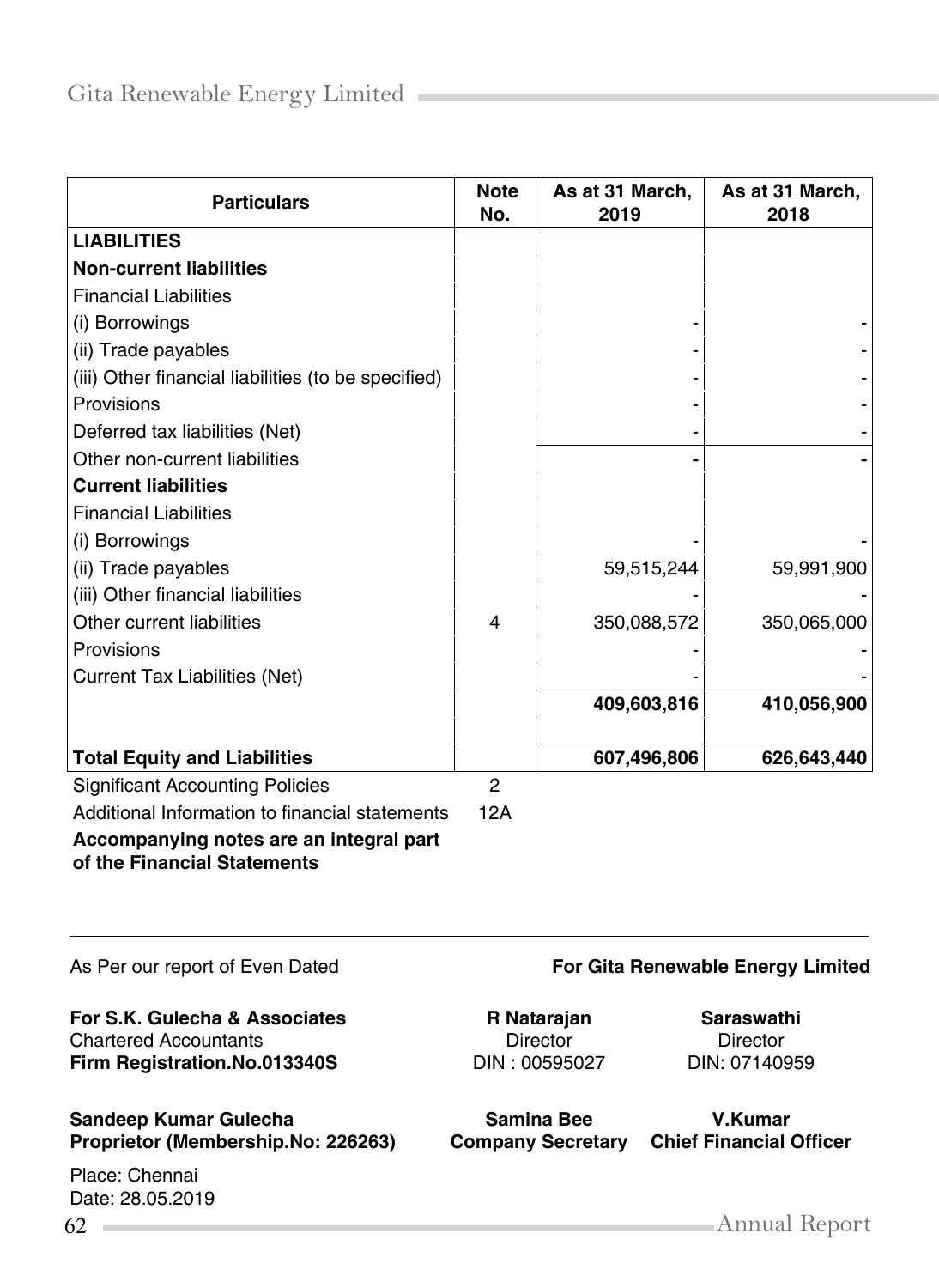| <b>Particulars</b>                                                     | <b>Note</b><br>No. | As at 31 March,<br>2019 | As at 31 March,<br>2018 |
|------------------------------------------------------------------------|--------------------|-------------------------|-------------------------|
| <b>LIABILITIES</b>                                                     |                    |                         |                         |
| <b>Non-current liabilities</b>                                         |                    |                         |                         |
| <b>Financial Liabilities</b>                                           |                    |                         |                         |
| (i) Borrowings                                                         |                    |                         |                         |
| (ii) Trade payables                                                    |                    |                         |                         |
| (iii) Other financial liabilities (to be specified)                    |                    |                         |                         |
| Provisions                                                             |                    |                         |                         |
| Deferred tax liabilities (Net)                                         |                    |                         |                         |
| Other non-current liabilities                                          |                    |                         |                         |
| <b>Current liabilities</b>                                             |                    |                         |                         |
| <b>Financial Liabilities</b>                                           |                    |                         |                         |
| (i) Borrowings                                                         |                    |                         |                         |
| (ii) Trade payables                                                    |                    | 59,515,244              | 59,991,900              |
| (iii) Other financial liabilities                                      |                    |                         |                         |
| Other current liabilities                                              | 4                  | 350,088,572             | 350,065,000             |
| Provisions                                                             |                    |                         |                         |
| <b>Current Tax Liabilities (Net)</b>                                   |                    |                         |                         |
|                                                                        |                    | 409,603,816             | 410,056,900             |
|                                                                        |                    |                         |                         |
| <b>Total Equity and Liabilities</b>                                    |                    | 607,496,806             | 626,643,440             |
| <b>Significant Accounting Policies</b>                                 | $\mathfrak{p}$     |                         |                         |
| Additional Information to financial statements                         | 12A                |                         |                         |
| Accompanying notes are an integral part<br>of the Financial Statements |                    |                         |                         |
|                                                                        |                    |                         |                         |
|                                                                        |                    |                         |                         |

**For S.K. Gulecha & Associates R Natarajan Saraswathi**<br>Chartered Accountants **Chartered Accountants Sirector Director Director** Chartered Accountants Director Director **Firm Registration.No.013340S** DIN : 00595027 DIN: 07140959

# **Sandeep Kumar Gulecha Samina Bee V.Kumar**

Place: Chennai Date: 28.05.2019

#### As Per our report of Even Dated **For Gita Renewable Energy Limited**

**Company Secretary Chief Financial Officer**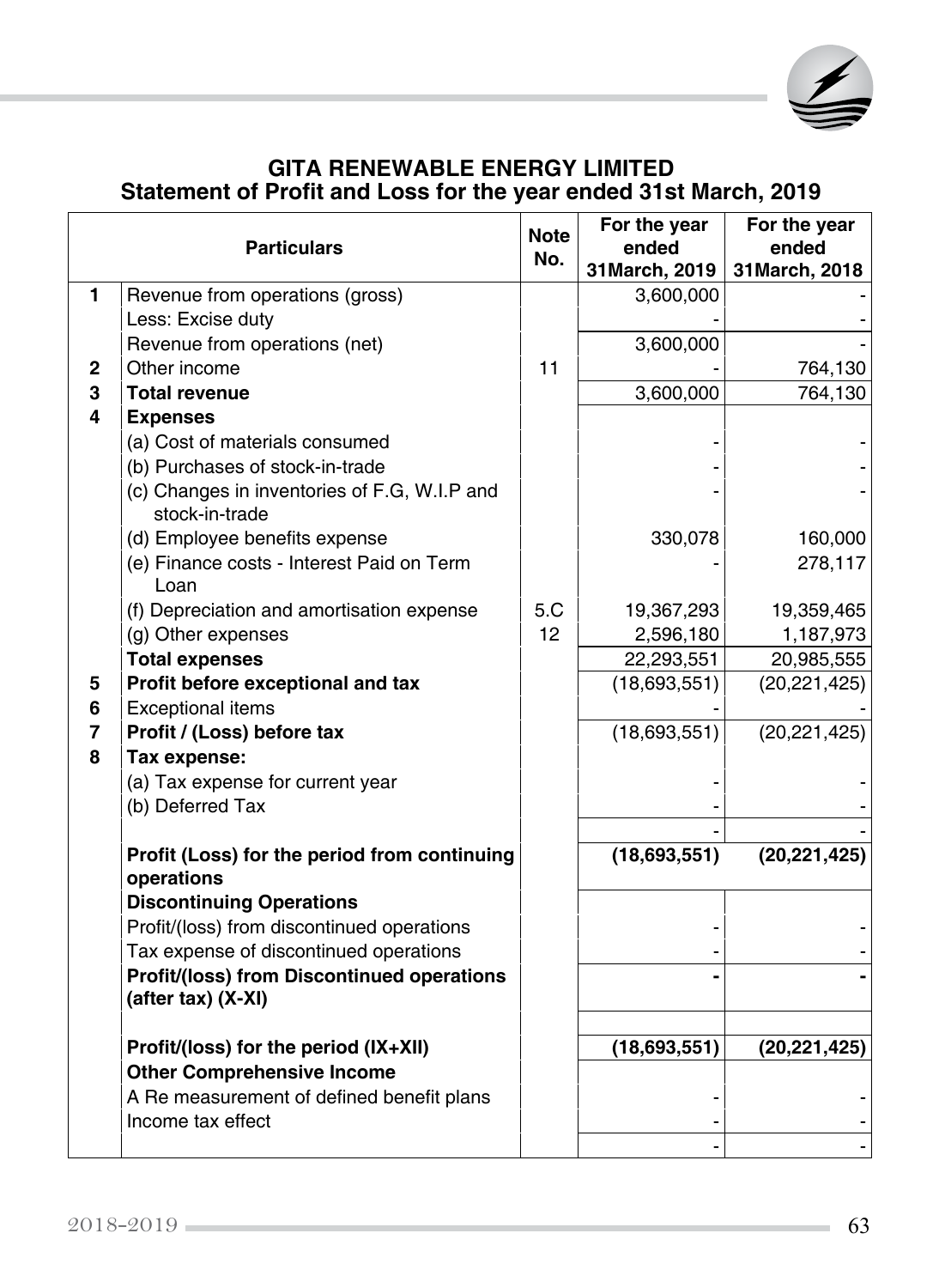

## **GITA RENEWABLE ENERGY LIMITED Statement of Profit and Loss for the year ended 31st March, 2019**

|                | <b>Particulars</b>                                             | <b>Note</b><br>No. | For the year<br>ended | For the year<br>ended |
|----------------|----------------------------------------------------------------|--------------------|-----------------------|-----------------------|
|                |                                                                |                    | 31 March, 2019        | 31 March, 2018        |
| $\mathbf{1}$   | Revenue from operations (gross)                                |                    | 3,600,000             |                       |
|                | Less: Excise duty                                              |                    |                       |                       |
|                | Revenue from operations (net)                                  |                    | 3,600,000             |                       |
| $\mathbf{2}$   | Other income                                                   | 11                 |                       | 764,130               |
| 3              | <b>Total revenue</b>                                           |                    | 3,600,000             | 764,130               |
| 4              | <b>Expenses</b>                                                |                    |                       |                       |
|                | (a) Cost of materials consumed                                 |                    |                       |                       |
|                | (b) Purchases of stock-in-trade                                |                    |                       |                       |
|                | (c) Changes in inventories of F.G, W.I.P and<br>stock-in-trade |                    |                       |                       |
|                | (d) Employee benefits expense                                  |                    | 330,078               | 160,000               |
|                | (e) Finance costs - Interest Paid on Term                      |                    |                       | 278,117               |
|                | Loan                                                           |                    |                       |                       |
|                | (f) Depreciation and amortisation expense                      | 5.C                | 19,367,293            | 19,359,465            |
|                | (g) Other expenses                                             | 12                 | 2,596,180             | 1,187,973             |
|                | <b>Total expenses</b>                                          |                    | 22,293,551            | 20,985,555            |
| 5              | Profit before exceptional and tax                              |                    | (18,693,551)          | (20, 221, 425)        |
| 6              | <b>Exceptional items</b>                                       |                    |                       |                       |
| $\overline{7}$ | Profit / (Loss) before tax                                     |                    | (18,693,551)          | (20, 221, 425)        |
| 8              | Tax expense:                                                   |                    |                       |                       |
|                | (a) Tax expense for current year                               |                    |                       |                       |
|                | (b) Deferred Tax                                               |                    |                       |                       |
|                |                                                                |                    |                       |                       |
|                | Profit (Loss) for the period from continuing<br>operations     |                    | (18,693,551)          | (20, 221, 425)        |
|                | <b>Discontinuing Operations</b>                                |                    |                       |                       |
|                | Profit/(loss) from discontinued operations                     |                    |                       |                       |
|                | Tax expense of discontinued operations                         |                    |                       |                       |
|                | Profit/(loss) from Discontinued operations                     |                    |                       |                       |
|                | (after tax) (X-XI)                                             |                    |                       |                       |
|                | Profit/(loss) for the period (IX+XII)                          |                    | (18,693,551)          | (20, 221, 425)        |
|                | <b>Other Comprehensive Income</b>                              |                    |                       |                       |
|                | A Re measurement of defined benefit plans                      |                    |                       |                       |
|                | Income tax effect                                              |                    |                       |                       |
|                |                                                                |                    |                       |                       |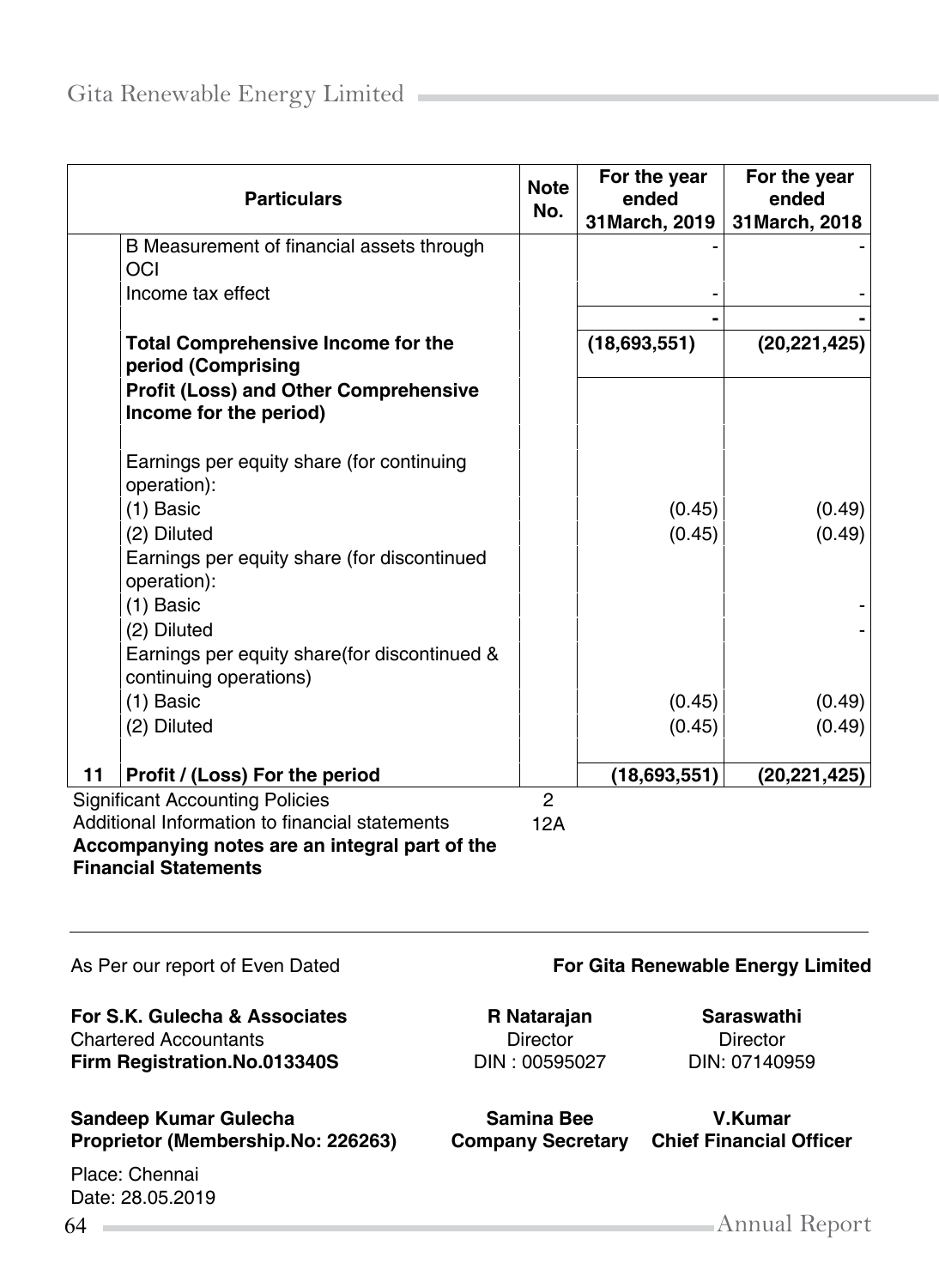|    | <b>Particulars</b>                                                      | <b>Note</b><br>No. | For the year<br>ended<br>31 March, 2019 | For the year<br>ended<br>31 March, 2018 |
|----|-------------------------------------------------------------------------|--------------------|-----------------------------------------|-----------------------------------------|
|    | B Measurement of financial assets through                               |                    |                                         |                                         |
|    | OCI                                                                     |                    |                                         |                                         |
|    | Income tax effect                                                       |                    |                                         |                                         |
|    |                                                                         |                    |                                         |                                         |
|    | <b>Total Comprehensive Income for the</b><br>period (Comprising         |                    | (18,693,551)                            | (20, 221, 425)                          |
|    | <b>Profit (Loss) and Other Comprehensive</b><br>Income for the period)  |                    |                                         |                                         |
|    | Earnings per equity share (for continuing<br>operation):                |                    |                                         |                                         |
|    | $(1)$ Basic                                                             |                    | (0.45)                                  | (0.49)                                  |
|    | (2) Diluted                                                             |                    | (0.45)                                  | (0.49)                                  |
|    | Earnings per equity share (for discontinued<br>operation):              |                    |                                         |                                         |
|    | $(1)$ Basic                                                             |                    |                                         |                                         |
|    | (2) Diluted                                                             |                    |                                         |                                         |
|    | Earnings per equity share (for discontinued &<br>continuing operations) |                    |                                         |                                         |
|    | $(1)$ Basic                                                             |                    | (0.45)                                  | (0.49)                                  |
|    | (2) Diluted                                                             |                    | (0.45)                                  | (0.49)                                  |
| 11 | Profit / (Loss) For the period                                          |                    | (18,693,551)                            | (20, 221, 425)                          |
|    | <b>Significant Accounting Policies</b>                                  | $\overline{2}$     |                                         |                                         |
|    | Additional Information to financial statements                          | 12A                |                                         |                                         |
|    |                                                                         |                    |                                         |                                         |

**Accompanying notes are an integral part of the Financial Statements**

**For S.K. Gulecha & Associates R Natarajan <b>Saraswathi**<br>Chartered Accountants **R** Director **Director Director** Chartered Accountants **Firm Registration.No.013340S** DIN : 00595027 DIN: 07140959

#### **Sandeep Kumar Gulecha Samina Bee V.Kumar Proprietor (Membership.No: 226263) Company Secretary Chief Financial Officer**

Place: Chennai Date: 28.05.2019

#### As Per our report of Even Dated **For Gita Renewable Energy Limited**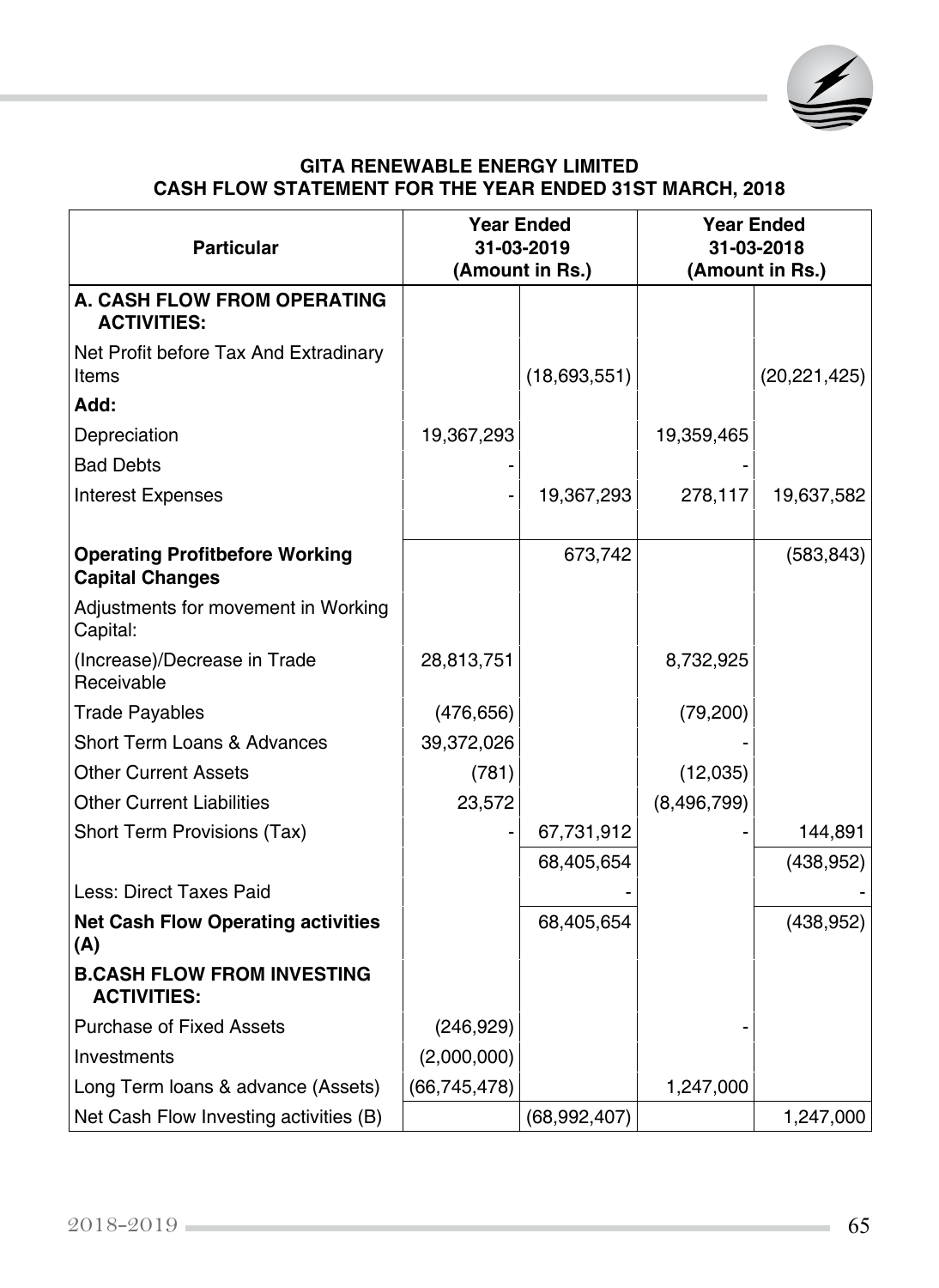

#### **GITA RENEWABLE ENERGY LIMITED CASH FLOW STATEMENT FOR THE YEAR ENDED 31st March, 2018**

| <b>Particular</b>                                               | <b>Year Ended</b><br>31-03-2019 |              | <b>Year Ended</b><br>31-03-2018 |                |
|-----------------------------------------------------------------|---------------------------------|--------------|---------------------------------|----------------|
|                                                                 | (Amount in Rs.)                 |              | (Amount in Rs.)                 |                |
| A. CASH FLOW FROM OPERATING<br><b>ACTIVITIES:</b>               |                                 |              |                                 |                |
| Net Profit before Tax And Extradinary<br>Items                  |                                 | (18,693,551) |                                 | (20, 221, 425) |
| Add:                                                            |                                 |              |                                 |                |
| Depreciation                                                    | 19,367,293                      |              | 19,359,465                      |                |
| <b>Bad Debts</b>                                                |                                 |              |                                 |                |
| <b>Interest Expenses</b>                                        |                                 | 19,367,293   | 278,117                         | 19,637,582     |
| <b>Operating Profitbefore Working</b><br><b>Capital Changes</b> |                                 | 673,742      |                                 | (583, 843)     |
| Adjustments for movement in Working<br>Capital:                 |                                 |              |                                 |                |
| (Increase)/Decrease in Trade<br>Receivable                      | 28,813,751                      |              | 8,732,925                       |                |
| <b>Trade Payables</b>                                           | (476, 656)                      |              | (79, 200)                       |                |
| Short Term Loans & Advances                                     | 39,372,026                      |              |                                 |                |
| <b>Other Current Assets</b>                                     | (781)                           |              | (12,035)                        |                |
| <b>Other Current Liabilities</b>                                | 23,572                          |              | (8, 496, 799)                   |                |
| Short Term Provisions (Tax)                                     |                                 | 67,731,912   |                                 | 144,891        |
|                                                                 |                                 | 68,405,654   |                                 | (438, 952)     |
| Less: Direct Taxes Paid                                         |                                 |              |                                 |                |
| <b>Net Cash Flow Operating activities</b><br>(A)                |                                 | 68,405,654   |                                 | (438, 952)     |
| <b>B.CASH FLOW FROM INVESTING</b><br><b>ACTIVITIES:</b>         |                                 |              |                                 |                |
| <b>Purchase of Fixed Assets</b>                                 | (246, 929)                      |              |                                 |                |
| Investments                                                     | (2,000,000)                     |              |                                 |                |
| Long Term loans & advance (Assets)                              | (66, 745, 478)                  |              | 1,247,000                       |                |
| Net Cash Flow Investing activities (B)                          |                                 | (68,992,407) |                                 | 1,247,000      |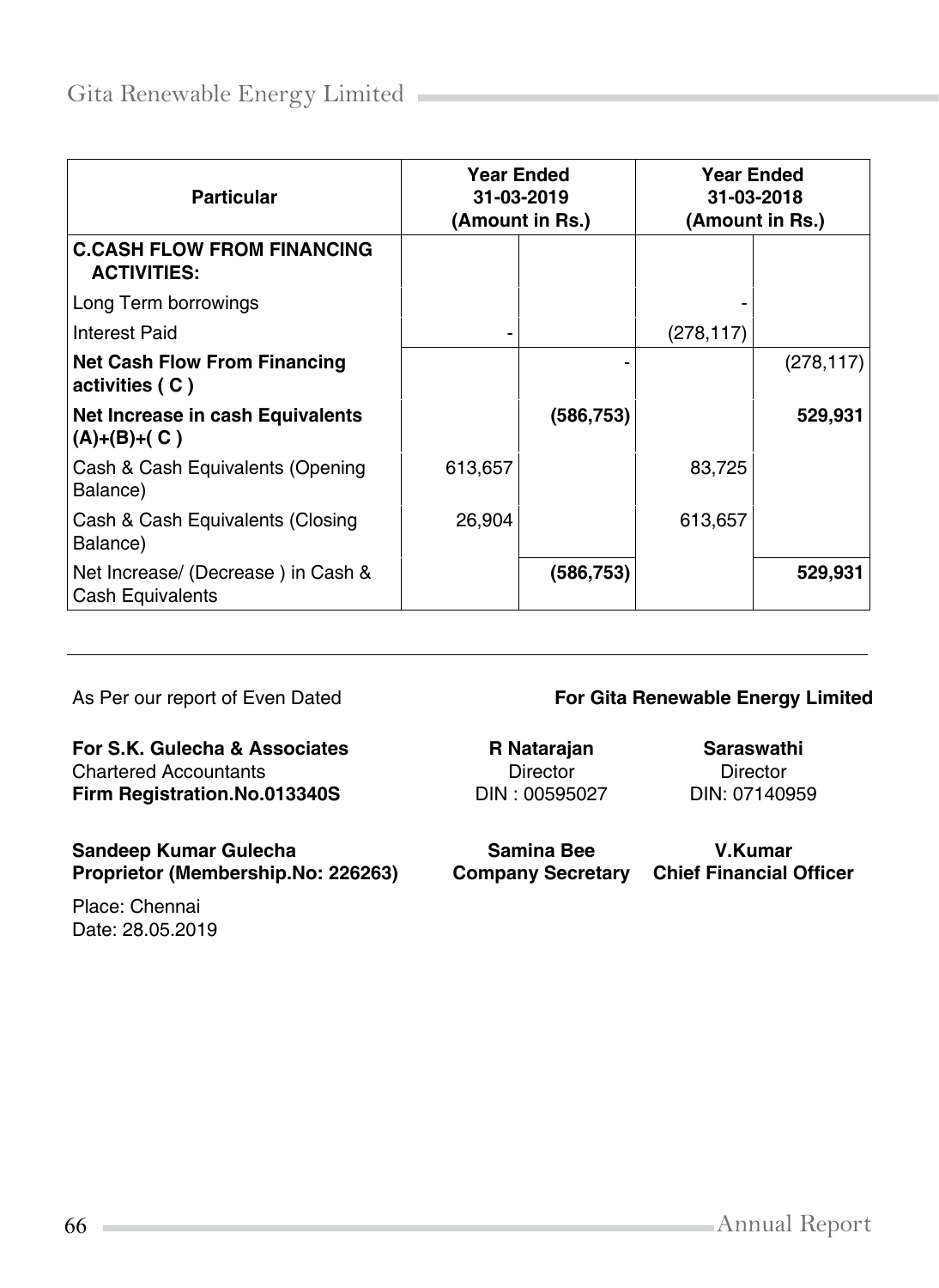| <b>Particular</b>                                       | <b>Year Ended</b><br>31-03-2019<br>(Amount in Rs.) |            | <b>Year Ended</b><br>31-03-2018<br>(Amount in Rs.) |            |
|---------------------------------------------------------|----------------------------------------------------|------------|----------------------------------------------------|------------|
| <b>C.CASH FLOW FROM FINANCING</b><br><b>ACTIVITIES:</b> |                                                    |            |                                                    |            |
| Long Term borrowings                                    |                                                    |            |                                                    |            |
| Interest Paid                                           |                                                    |            | (278, 117)                                         |            |
| <b>Net Cash Flow From Financing</b><br>activities (C)   |                                                    |            |                                                    | (278, 117) |
| Net Increase in cash Equivalents<br>$(A)+(B)+(C)$       |                                                    | (586, 753) |                                                    | 529,931    |
| Cash & Cash Equivalents (Opening<br>Balance)            | 613,657                                            |            | 83,725                                             |            |
| Cash & Cash Equivalents (Closing<br>Balance)            | 26,904                                             |            | 613,657                                            |            |
| Net Increase/ (Decrease) in Cash &<br>Cash Equivalents  |                                                    | (586, 753) |                                                    | 529,931    |

#### **For S.K. Gulecha & Associates R Natarajan Saraswathi**<br>
Chartered Accountants **Chartered Accountants Saraswathi**<br>
Director **Director** Chartered Accountants<br>
Firm Registration.No.013340S<br>
DIN: 00595027 DIN: 07140959 **Firm Registration.No.013340S**

**Sandeep Kumar Gulecha Samina Bee V.Kumar**

Place: Chennai Date: 28.05.2019

#### As Per our report of Even Dated **For Gita Renewable Energy Limited**

**Company Secretary Chief Financial Officer**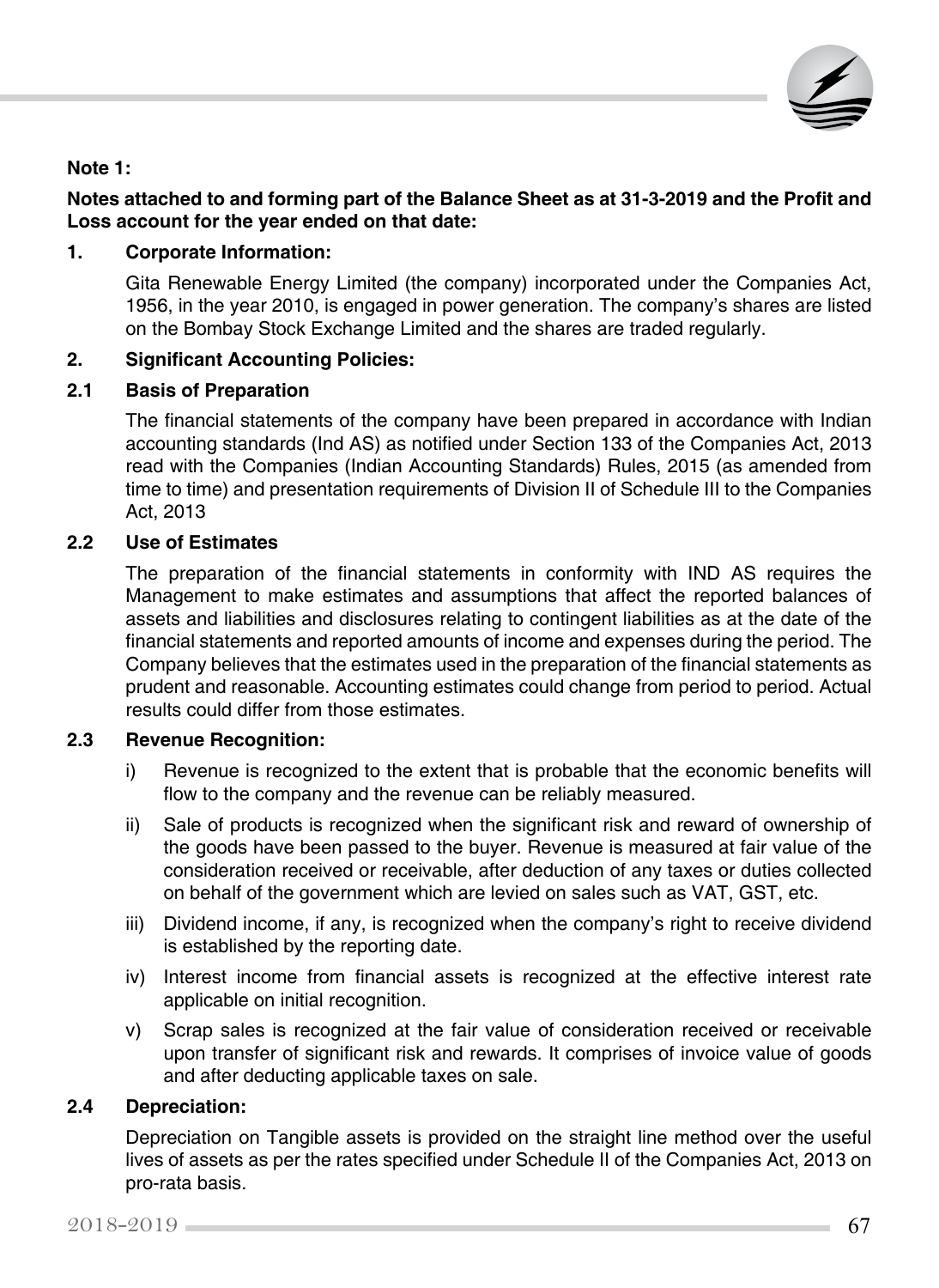

### **Note 1:**

#### **Notes attached to and forming part of the Balance Sheet as at 31-3-2019 and the Profit and Loss account for the year ended on that date:**

#### **1. Corporate Information:**

Gita Renewable Energy Limited (the company) incorporated under the Companies Act, 1956, in the year 2010, is engaged in power generation. The company's shares are listed on the Bombay Stock Exchange Limited and the shares are traded regularly.

#### **2. Significant Accounting Policies:**

#### **2.1 Basis of Preparation**

The financial statements of the company have been prepared in accordance with Indian accounting standards (Ind AS) as notified under Section 133 of the Companies Act, 2013 read with the Companies (Indian Accounting Standards) Rules, 2015 (as amended from time to time) and presentation requirements of Division II of Schedule III to the Companies Act, 2013

#### **2.2 Use of Estimates**

The preparation of the financial statements in conformity with IND AS requires the Management to make estimates and assumptions that affect the reported balances of assets and liabilities and disclosures relating to contingent liabilities as at the date of the financial statements and reported amounts of income and expenses during the period. The Company believes that the estimates used in the preparation of the financial statements as prudent and reasonable. Accounting estimates could change from period to period. Actual results could differ from those estimates.

#### **2.3 Revenue Recognition:**

- i) Revenue is recognized to the extent that is probable that the economic benefits will flow to the company and the revenue can be reliably measured.
- ii) Sale of products is recognized when the significant risk and reward of ownership of the goods have been passed to the buyer. Revenue is measured at fair value of the consideration received or receivable, after deduction of any taxes or duties collected on behalf of the government which are levied on sales such as VAT, GST, etc.
- iii) Dividend income, if any, is recognized when the company's right to receive dividend is established by the reporting date.
- iv) Interest income from financial assets is recognized at the effective interest rate applicable on initial recognition.
- v) Scrap sales is recognized at the fair value of consideration received or receivable upon transfer of significant risk and rewards. It comprises of invoice value of goods and after deducting applicable taxes on sale.

#### **2.4 Depreciation:**

Depreciation on Tangible assets is provided on the straight line method over the useful lives of assets as per the rates specified under Schedule II of the Companies Act, 2013 on pro-rata basis.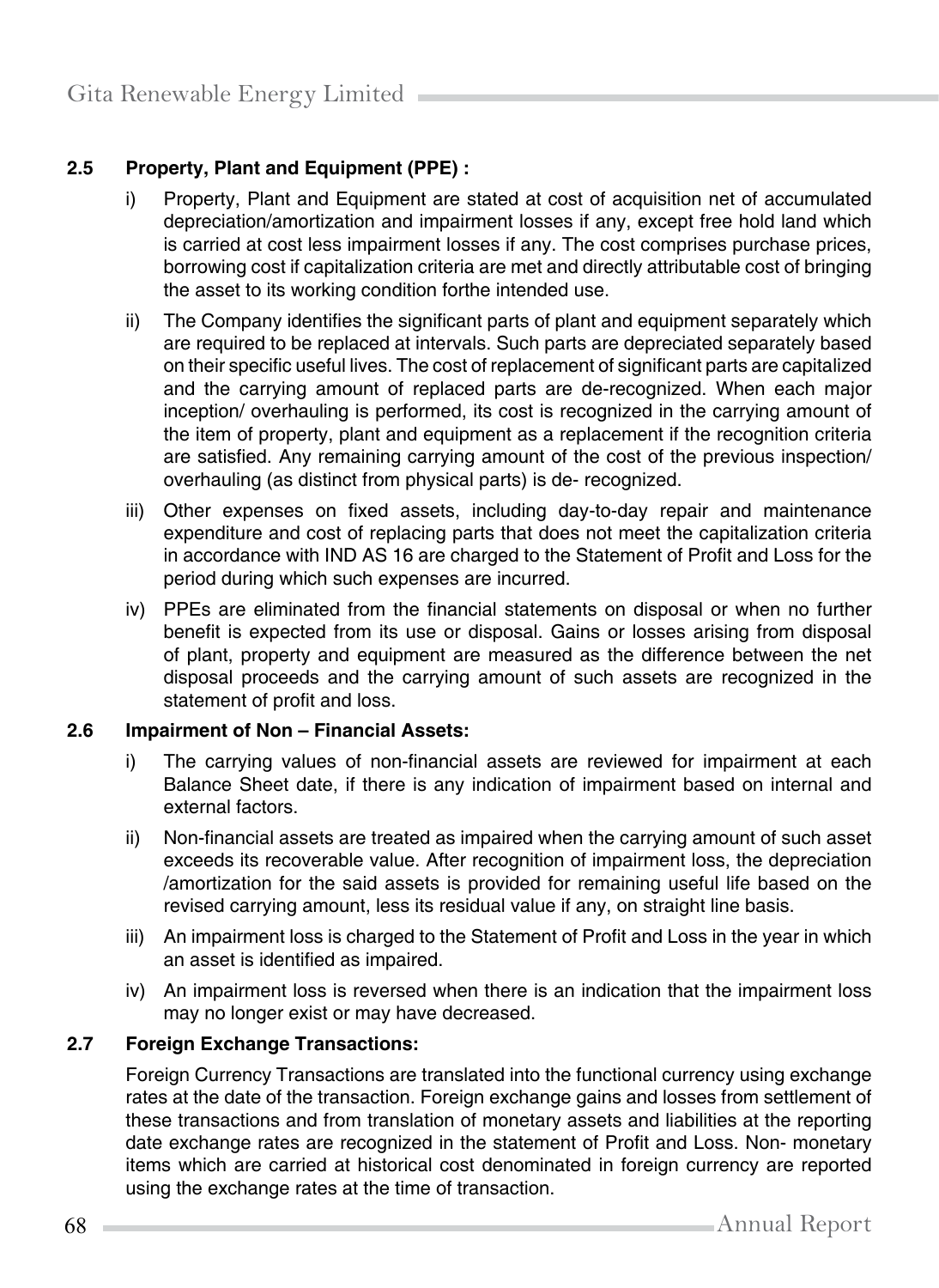## **2.5 Property, Plant and Equipment (PPE) :**

- i) Property, Plant and Equipment are stated at cost of acquisition net of accumulated depreciation/amortization and impairment losses if any, except free hold land which is carried at cost less impairment losses if any. The cost comprises purchase prices, borrowing cost if capitalization criteria are met and directly attributable cost of bringing the asset to its working condition forthe intended use.
- ii) The Company identifies the significant parts of plant and equipment separately which are required to be replaced at intervals. Such parts are depreciated separately based on their specific useful lives. The cost of replacement of significant parts are capitalized and the carrying amount of replaced parts are de-recognized. When each major inception/ overhauling is performed, its cost is recognized in the carrying amount of the item of property, plant and equipment as a replacement if the recognition criteria are satisfied. Any remaining carrying amount of the cost of the previous inspection/ overhauling (as distinct from physical parts) is de- recognized.
- iii) Other expenses on fixed assets, including day-to-day repair and maintenance expenditure and cost of replacing parts that does not meet the capitalization criteria in accordance with IND AS 16 are charged to the Statement of Profit and Loss for the period during which such expenses are incurred.
- iv) PPEs are eliminated from the financial statements on disposal or when no further benefit is expected from its use or disposal. Gains or losses arising from disposal of plant, property and equipment are measured as the difference between the net disposal proceeds and the carrying amount of such assets are recognized in the statement of profit and loss.

#### **2.6 Impairment of Non – Financial Assets:**

- i) The carrying values of non-financial assets are reviewed for impairment at each Balance Sheet date, if there is any indication of impairment based on internal and external factors.
- ii) Non-financial assets are treated as impaired when the carrying amount of such asset exceeds its recoverable value. After recognition of impairment loss, the depreciation /amortization for the said assets is provided for remaining useful life based on the revised carrying amount, less its residual value if any, on straight line basis.
- iii) An impairment loss is charged to the Statement of Profit and Loss in the year in which an asset is identified as impaired.
- iv) An impairment loss is reversed when there is an indication that the impairment loss may no longer exist or may have decreased.

#### **2.7 Foreign Exchange Transactions:**

Foreign Currency Transactions are translated into the functional currency using exchange rates at the date of the transaction. Foreign exchange gains and losses from settlement of these transactions and from translation of monetary assets and liabilities at the reporting date exchange rates are recognized in the statement of Profit and Loss. Non- monetary items which are carried at historical cost denominated in foreign currency are reported using the exchange rates at the time of transaction.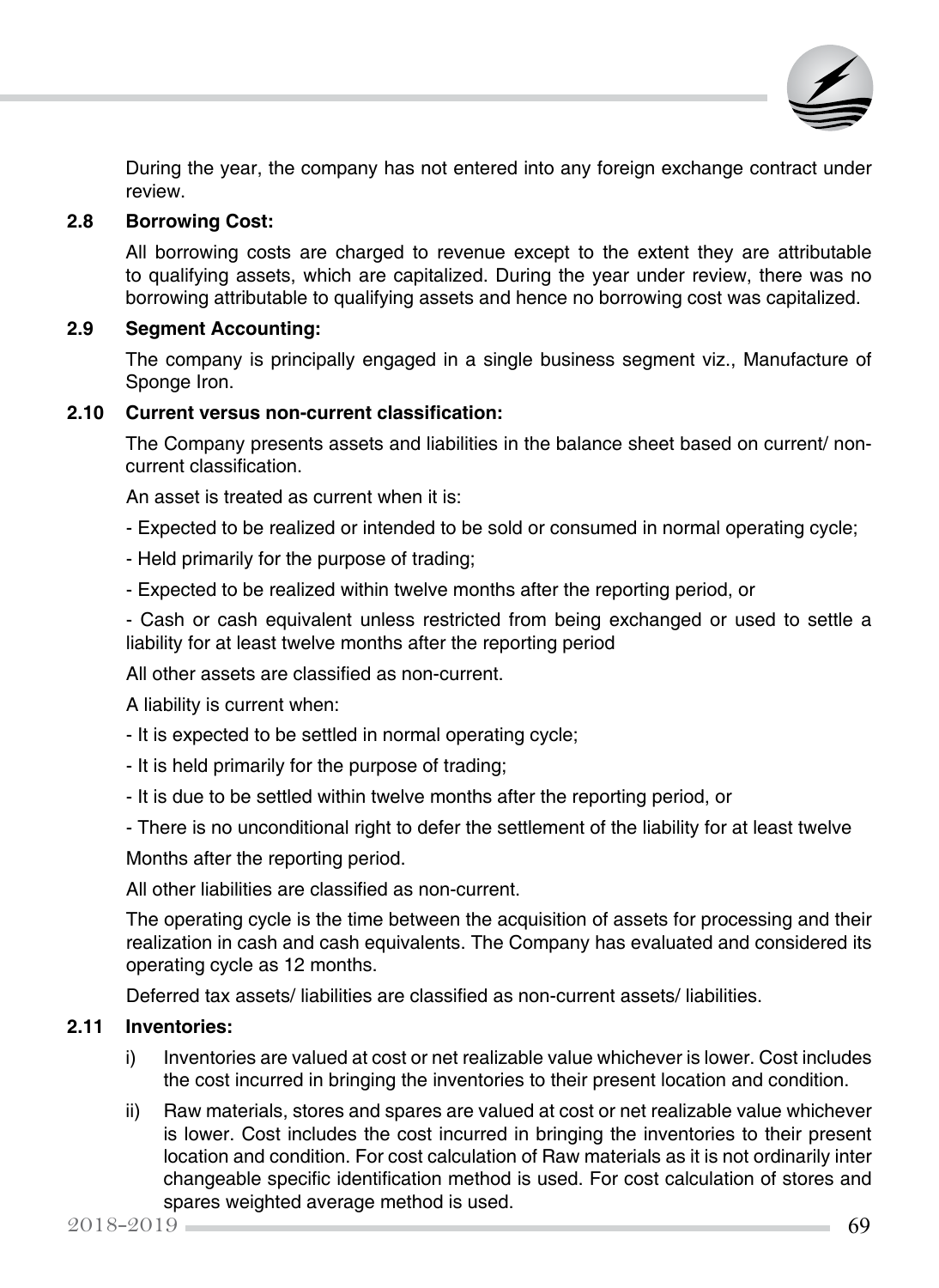

During the year, the company has not entered into any foreign exchange contract under review.

#### **2.8 Borrowing Cost:**

All borrowing costs are charged to revenue except to the extent they are attributable to qualifying assets, which are capitalized. During the year under review, there was no borrowing attributable to qualifying assets and hence no borrowing cost was capitalized.

#### **2.9 Segment Accounting:**

The company is principally engaged in a single business segment viz., Manufacture of Sponge Iron.

#### **2.10 Current versus non-current classification:**

The Company presents assets and liabilities in the balance sheet based on current/ noncurrent classification.

An asset is treated as current when it is:

- Expected to be realized or intended to be sold or consumed in normal operating cycle;
- Held primarily for the purpose of trading;
- Expected to be realized within twelve months after the reporting period, or

- Cash or cash equivalent unless restricted from being exchanged or used to settle a liability for at least twelve months after the reporting period

All other assets are classified as non-current.

A liability is current when:

- It is expected to be settled in normal operating cycle;
- It is held primarily for the purpose of trading;
- It is due to be settled within twelve months after the reporting period, or
- There is no unconditional right to defer the settlement of the liability for at least twelve

Months after the reporting period.

All other liabilities are classified as non-current.

The operating cycle is the time between the acquisition of assets for processing and their realization in cash and cash equivalents. The Company has evaluated and considered its operating cycle as 12 months.

Deferred tax assets/ liabilities are classified as non-current assets/ liabilities.

#### **2.11 Inventories:**

- i) Inventories are valued at cost or net realizable value whichever is lower. Cost includes the cost incurred in bringing the inventories to their present location and condition.
- ii) Raw materials, stores and spares are valued at cost or net realizable value whichever is lower. Cost includes the cost incurred in bringing the inventories to their present location and condition. For cost calculation of Raw materials as it is not ordinarily inter changeable specific identification method is used. For cost calculation of stores and spares weighted average method is used.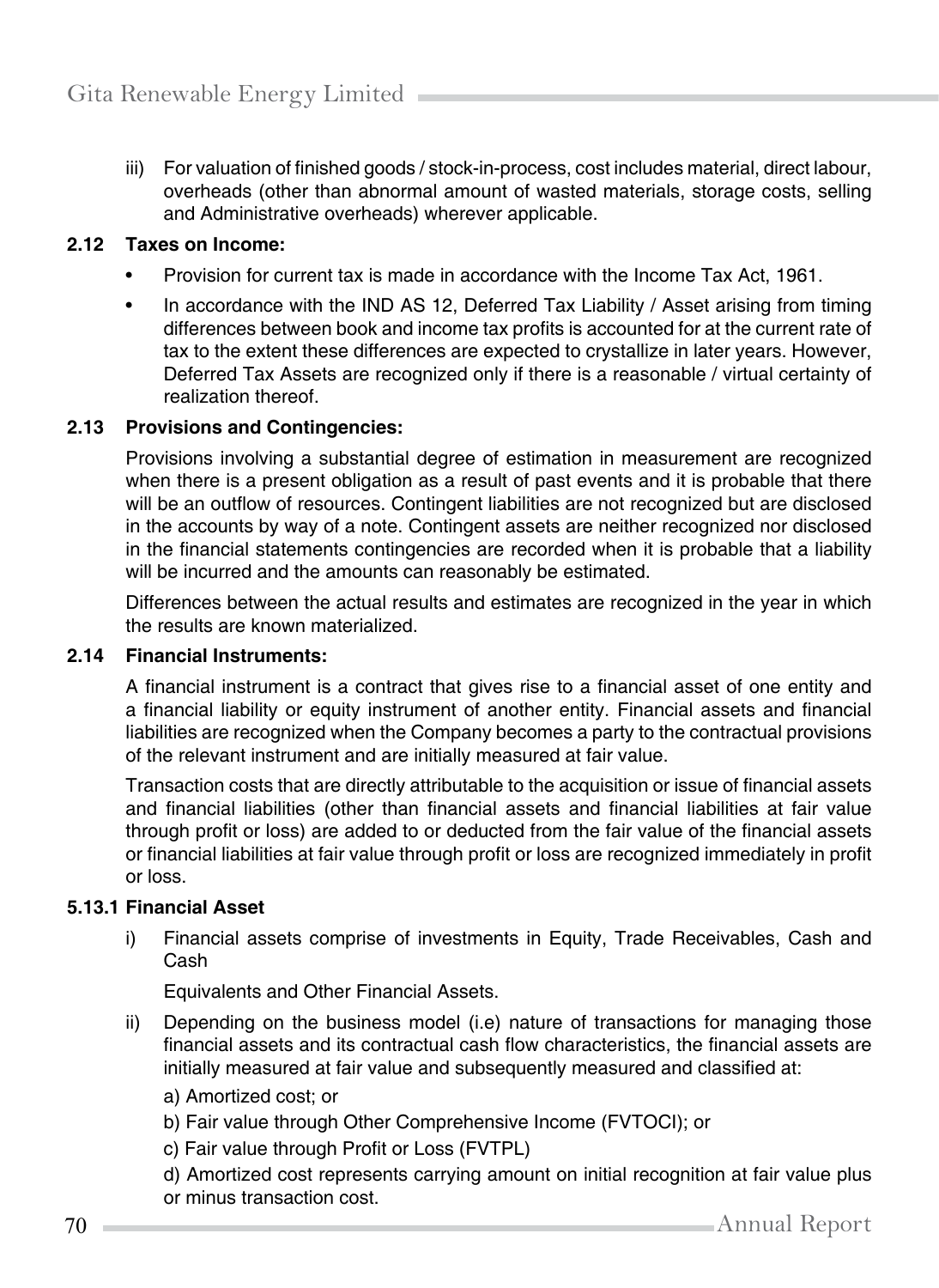iii) For valuation of finished goods / stock-in-process, cost includes material, direct labour, overheads (other than abnormal amount of wasted materials, storage costs, selling and Administrative overheads) wherever applicable.

#### **2.12 Taxes on Income:**

- Provision for current tax is made in accordance with the Income Tax Act, 1961.
- In accordance with the IND AS 12, Deferred Tax Liability / Asset arising from timing differences between book and income tax profits is accounted for at the current rate of tax to the extent these differences are expected to crystallize in later years. However, Deferred Tax Assets are recognized only if there is a reasonable / virtual certainty of realization thereof.

#### **2.13 Provisions and Contingencies:**

Provisions involving a substantial degree of estimation in measurement are recognized when there is a present obligation as a result of past events and it is probable that there will be an outflow of resources. Contingent liabilities are not recognized but are disclosed in the accounts by way of a note. Contingent assets are neither recognized nor disclosed in the financial statements contingencies are recorded when it is probable that a liability will be incurred and the amounts can reasonably be estimated.

Differences between the actual results and estimates are recognized in the year in which the results are known materialized.

#### **2.14 Financial Instruments:**

A financial instrument is a contract that gives rise to a financial asset of one entity and a financial liability or equity instrument of another entity. Financial assets and financial liabilities are recognized when the Company becomes a party to the contractual provisions of the relevant instrument and are initially measured at fair value.

Transaction costs that are directly attributable to the acquisition or issue of financial assets and financial liabilities (other than financial assets and financial liabilities at fair value through profit or loss) are added to or deducted from the fair value of the financial assets or financial liabilities at fair value through profit or loss are recognized immediately in profit or loss.

#### **5.13.1 Financial Asset**

i) Financial assets comprise of investments in Equity, Trade Receivables, Cash and Cash

Equivalents and Other Financial Assets.

- ii) Depending on the business model (i.e) nature of transactions for managing those financial assets and its contractual cash flow characteristics, the financial assets are initially measured at fair value and subsequently measured and classified at:
	- a) Amortized cost; or
	- b) Fair value through Other Comprehensive Income (FVTOCI); or
	- c) Fair value through Profit or Loss (FVTPL)
	- d) Amortized cost represents carrying amount on initial recognition at fair value plus or minus transaction cost.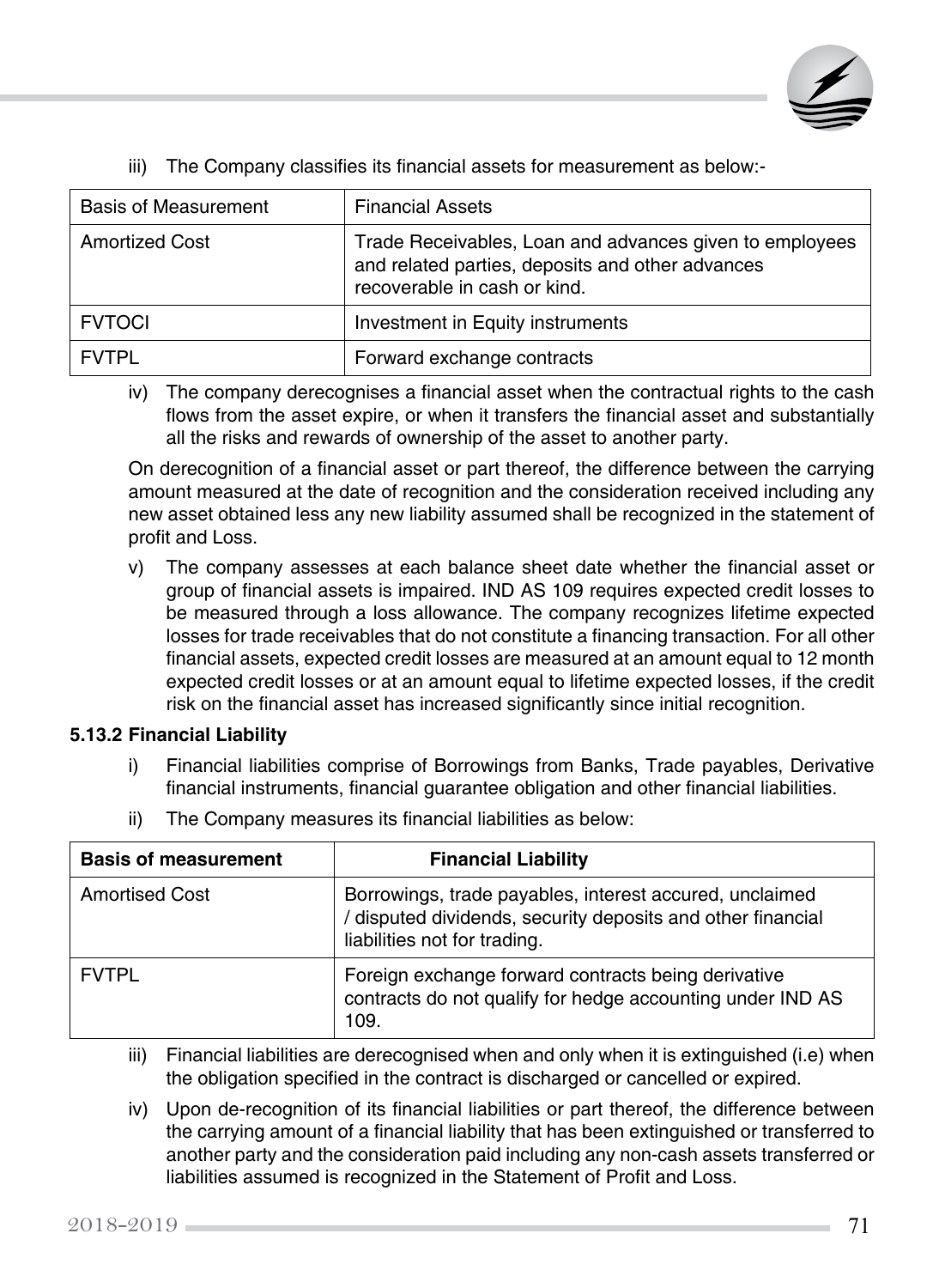

| <b>Basis of Measurement</b> | <b>Financial Assets</b>                                                                                                                     |
|-----------------------------|---------------------------------------------------------------------------------------------------------------------------------------------|
| <b>Amortized Cost</b>       | Trade Receivables, Loan and advances given to employees<br>and related parties, deposits and other advances<br>recoverable in cash or kind. |
| <b>FVTOCI</b>               | Investment in Equity instruments                                                                                                            |
| <b>FVTPL</b>                | Forward exchange contracts                                                                                                                  |

iii) The Company classifies its financial assets for measurement as below:-

iv) The company derecognises a financial asset when the contractual rights to the cash flows from the asset expire, or when it transfers the financial asset and substantially all the risks and rewards of ownership of the asset to another party.

On derecognition of a financial asset or part thereof, the difference between the carrying amount measured at the date of recognition and the consideration received including any new asset obtained less any new liability assumed shall be recognized in the statement of profit and Loss.

v) The company assesses at each balance sheet date whether the financial asset or group of financial assets is impaired. IND AS 109 requires expected credit losses to be measured through a loss allowance. The company recognizes lifetime expected losses for trade receivables that do not constitute a financing transaction. For all other financial assets, expected credit losses are measured at an amount equal to 12 month expected credit losses or at an amount equal to lifetime expected losses, if the credit risk on the financial asset has increased significantly since initial recognition.

#### **5.13.2 Financial Liability**

- i) Financial liabilities comprise of Borrowings from Banks, Trade payables, Derivative financial instruments, financial guarantee obligation and other financial liabilities.
- ii) The Company measures its financial liabilities as below:

| <b>Basis of measurement</b> | <b>Financial Liability</b>                                                                                                                             |
|-----------------------------|--------------------------------------------------------------------------------------------------------------------------------------------------------|
| <b>Amortised Cost</b>       | Borrowings, trade payables, interest accured, unclaimed<br>/ disputed dividends, security deposits and other financial<br>liabilities not for trading. |
| <b>FVTPL</b>                | Foreign exchange forward contracts being derivative<br>contracts do not qualify for hedge accounting under IND AS<br>109.                              |

- iii) Financial liabilities are derecognised when and only when it is extinguished (i.e) when the obligation specified in the contract is discharged or cancelled or expired.
- iv) Upon de-recognition of its financial liabilities or part thereof, the difference between the carrying amount of a financial liability that has been extinguished or transferred to another party and the consideration paid including any non-cash assets transferred or liabilities assumed is recognized in the Statement of Profit and Loss.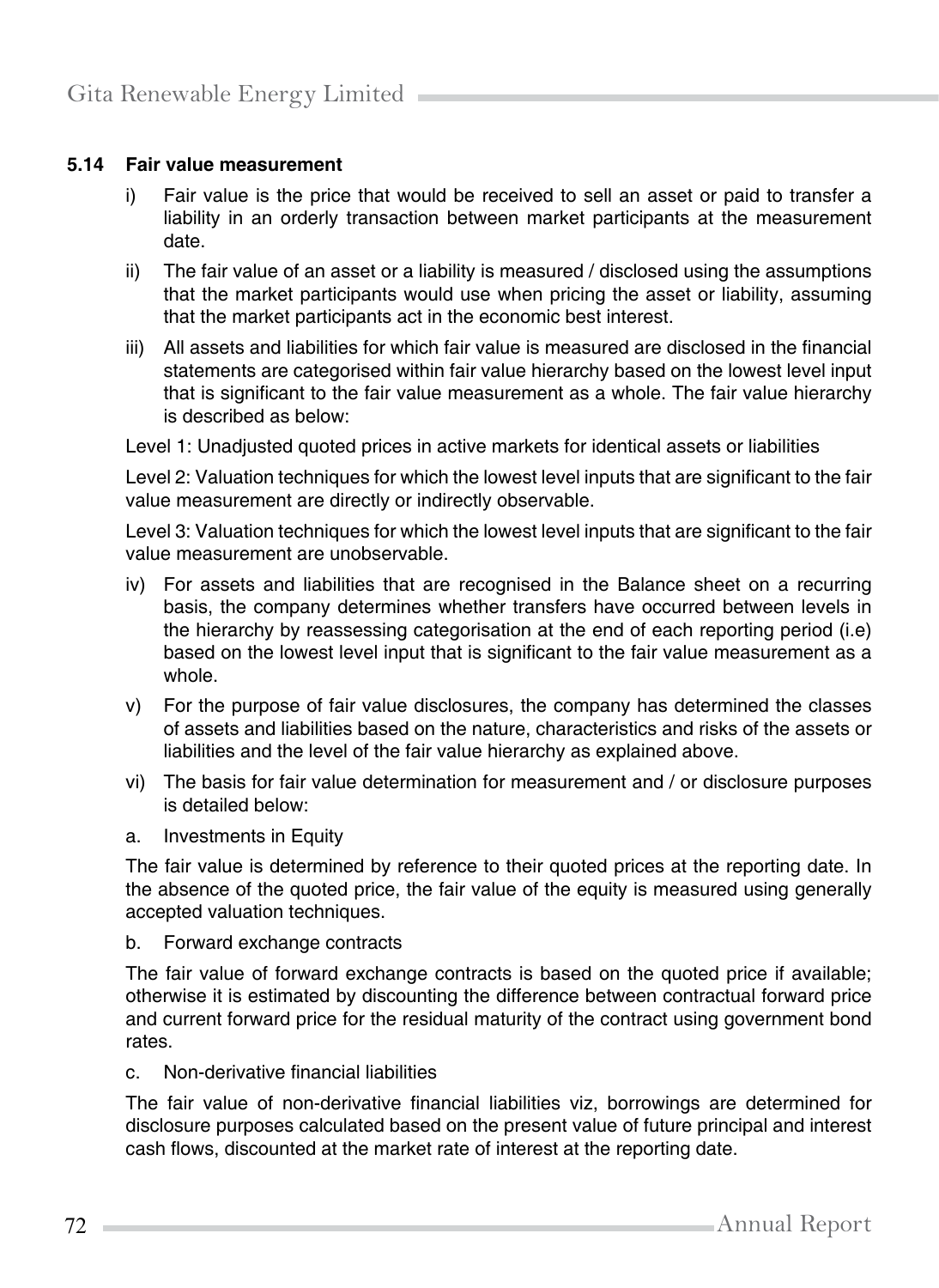#### **5.14 Fair value measurement**

- i) Fair value is the price that would be received to sell an asset or paid to transfer a liability in an orderly transaction between market participants at the measurement date.
- ii) The fair value of an asset or a liability is measured / disclosed using the assumptions that the market participants would use when pricing the asset or liability, assuming that the market participants act in the economic best interest.
- iii) All assets and liabilities for which fair value is measured are disclosed in the financial statements are categorised within fair value hierarchy based on the lowest level input that is significant to the fair value measurement as a whole. The fair value hierarchy is described as below:

Level 1: Unadjusted quoted prices in active markets for identical assets or liabilities

Level 2: Valuation techniques for which the lowest level inputs that are significant to the fair value measurement are directly or indirectly observable.

Level 3: Valuation techniques for which the lowest level inputs that are significant to the fair value measurement are unobservable.

- iv) For assets and liabilities that are recognised in the Balance sheet on a recurring basis, the company determines whether transfers have occurred between levels in the hierarchy by reassessing categorisation at the end of each reporting period (i.e) based on the lowest level input that is significant to the fair value measurement as a whole.
- v) For the purpose of fair value disclosures, the company has determined the classes of assets and liabilities based on the nature, characteristics and risks of the assets or liabilities and the level of the fair value hierarchy as explained above.
- vi) The basis for fair value determination for measurement and / or disclosure purposes is detailed below:
- a. Investments in Equity

The fair value is determined by reference to their quoted prices at the reporting date. In the absence of the quoted price, the fair value of the equity is measured using generally accepted valuation techniques.

b. Forward exchange contracts

The fair value of forward exchange contracts is based on the quoted price if available; otherwise it is estimated by discounting the difference between contractual forward price and current forward price for the residual maturity of the contract using government bond rates.

c. Non-derivative financial liabilities

The fair value of non-derivative financial liabilities viz, borrowings are determined for disclosure purposes calculated based on the present value of future principal and interest cash flows, discounted at the market rate of interest at the reporting date.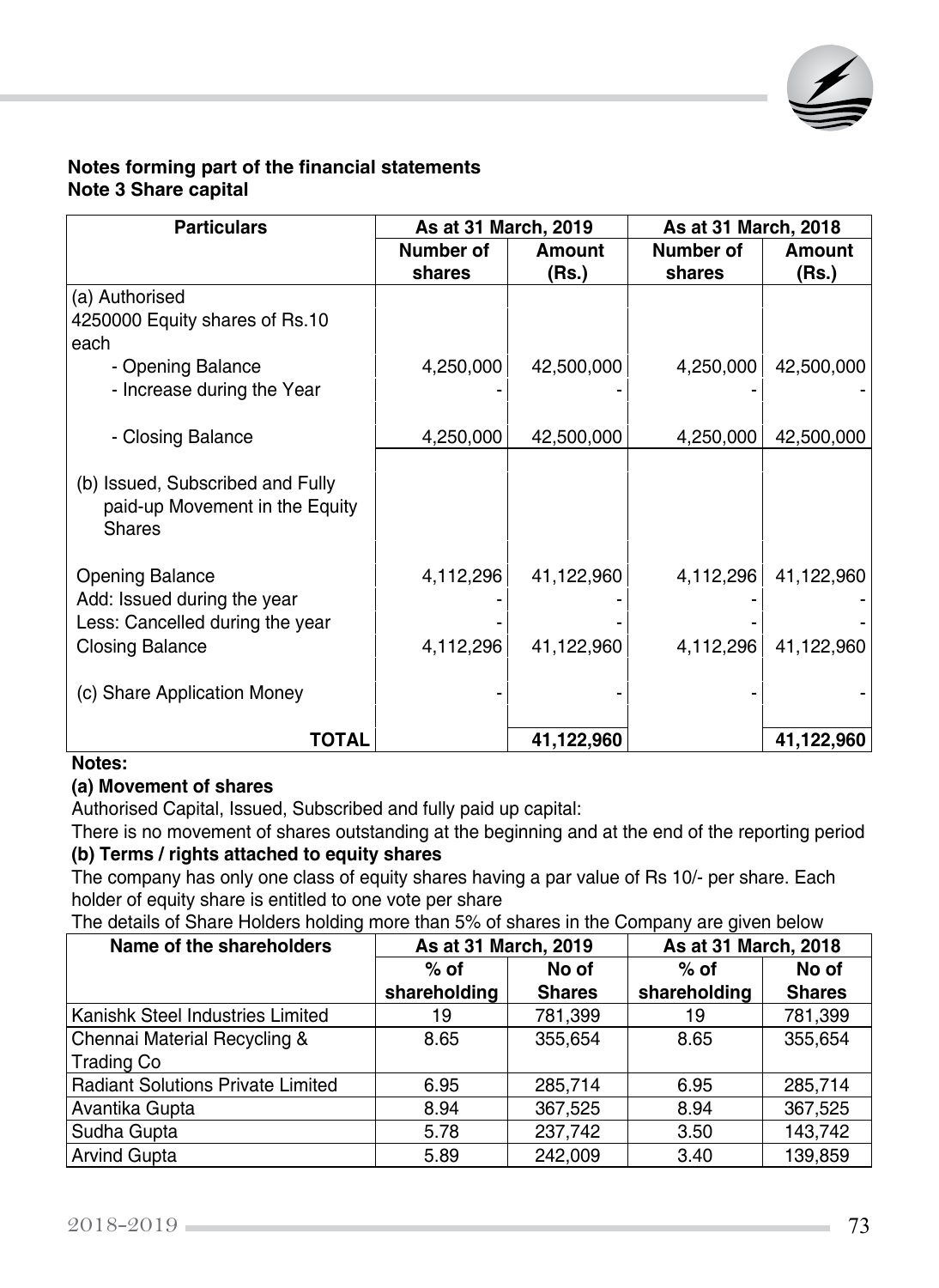

#### **Notes forming part of the financial statements Note 3 Share capital**

| <b>Particulars</b>               | As at 31 March, 2019 |            | As at 31 March, 2018 |            |
|----------------------------------|----------------------|------------|----------------------|------------|
|                                  | Number of            | Amount     | Number of            | Amount     |
|                                  | shares               | (Rs.)      | shares               | (Rs.)      |
| (a) Authorised                   |                      |            |                      |            |
| 4250000 Equity shares of Rs.10   |                      |            |                      |            |
| each                             |                      |            |                      |            |
| - Opening Balance                | 4,250,000            | 42,500,000 | 4,250,000            | 42,500,000 |
| - Increase during the Year       |                      |            |                      |            |
|                                  |                      |            |                      |            |
| - Closing Balance                | 4,250,000            | 42,500,000 | 4,250,000            | 42,500,000 |
|                                  |                      |            |                      |            |
| (b) Issued, Subscribed and Fully |                      |            |                      |            |
| paid-up Movement in the Equity   |                      |            |                      |            |
| <b>Shares</b>                    |                      |            |                      |            |
|                                  |                      |            |                      |            |
| <b>Opening Balance</b>           | 4,112,296            | 41,122,960 | 4,112,296            | 41,122,960 |
| Add: Issued during the year      |                      |            |                      |            |
| Less: Cancelled during the year  |                      |            |                      |            |
| <b>Closing Balance</b>           | 4,112,296            | 41,122,960 | 4,112,296            | 41,122,960 |
|                                  |                      |            |                      |            |
| (c) Share Application Money      |                      |            |                      |            |
|                                  |                      |            |                      |            |
| TOTAL                            |                      | 41,122,960 |                      | 41,122,960 |

#### **Notes:**

#### **(a) Movement of shares**

Authorised Capital, Issued, Subscribed and fully paid up capital:

There is no movement of shares outstanding at the beginning and at the end of the reporting period **(b) Terms / rights attached to equity shares**

The company has only one class of equity shares having a par value of Rs 10/- per share. Each holder of equity share is entitled to one vote per share

The details of Share Holders holding more than 5% of shares in the Company are given below

| Name of the shareholders                 | As at 31 March, 2019 |               | As at 31 March, 2018 |               |
|------------------------------------------|----------------------|---------------|----------------------|---------------|
|                                          | $%$ of               | No of         | $%$ of               | No of         |
|                                          | shareholding         | <b>Shares</b> | shareholding         | <b>Shares</b> |
| Kanishk Steel Industries Limited         | 19                   | 781,399       | 19                   | 781,399       |
| Chennai Material Recycling &             | 8.65                 | 355,654       | 8.65                 | 355,654       |
| <b>Trading Co</b>                        |                      |               |                      |               |
| <b>Radiant Solutions Private Limited</b> | 6.95                 | 285,714       | 6.95                 | 285,714       |
| Avantika Gupta                           | 8.94                 | 367,525       | 8.94                 | 367,525       |
| Sudha Gupta                              | 5.78                 | 237,742       | 3.50                 | 143,742       |
| <b>Arvind Gupta</b>                      | 5.89                 | 242,009       | 3.40                 | 139,859       |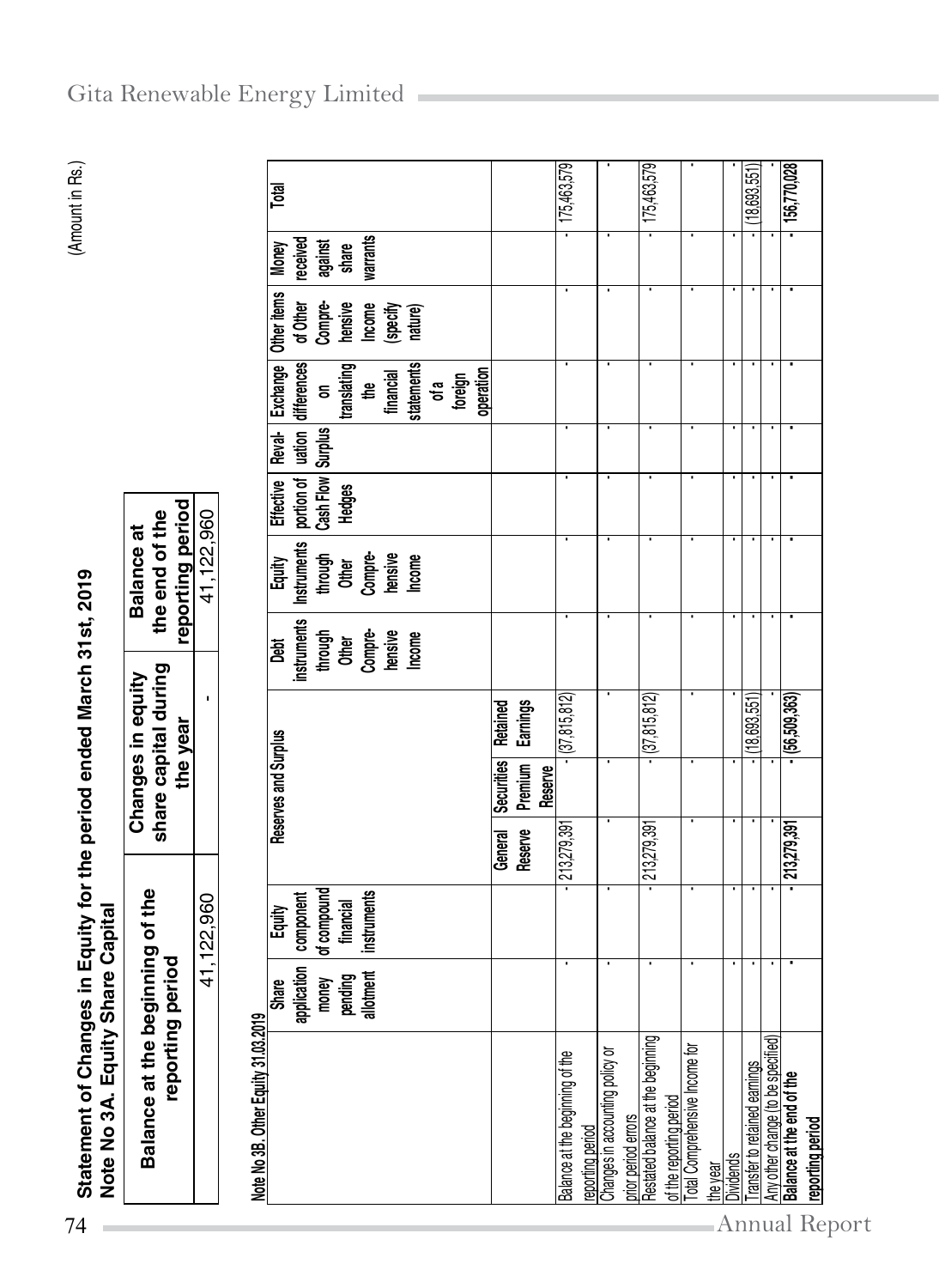| Note No 3A. Equity Share Capital    |                  |                         | Statement of Changes in Equity for the period ended March 31st, 2019 |                |                                                                          |                                    |                      |                                             | Amount   |  |
|-------------------------------------|------------------|-------------------------|----------------------------------------------------------------------|----------------|--------------------------------------------------------------------------|------------------------------------|----------------------|---------------------------------------------|----------|--|
| Balance at the beginning of the     | reporting period |                         | share capital during<br>Changes in equity<br>the year                |                | reporting period<br>the end of the<br><b>Balance at</b>                  |                                    |                      |                                             |          |  |
|                                     |                  | 41,122,960              |                                                                      |                | 41,122,960                                                               |                                    |                      |                                             |          |  |
| Note No 3B. Other Equity 31.03.2019 |                  |                         |                                                                      |                |                                                                          |                                    |                      |                                             |          |  |
|                                     | <b>Share</b>     | Equity                  | Reserves and Surplus                                                 | <u>ក្ខុ</u>    | Equity                                                                   |                                    |                      | Effective   Reval-   Exchange   Other items | Money    |  |
|                                     |                  | application   component |                                                                      |                | instruments   Instruments   portion of   uation   differences   of Other |                                    |                      |                                             | received |  |
|                                     |                  | money of compound       |                                                                      | through        |                                                                          | through   Cash Flow   Surplus   on |                      | Compre-                                     | against  |  |
|                                     | pending          | financial               |                                                                      | <b>Other</b>   | <b>Other</b>                                                             | <b>Hedges</b>                      | translating          | hensive                                     | share    |  |
|                                     |                  | allotment   instruments |                                                                      | <b>Compre-</b> | Compre-                                                                  |                                    | the<br>E             | <b>Income</b>                               | warrants |  |
|                                     |                  |                         |                                                                      |                |                                                                          |                                    | $\ddot{\phantom{a}}$ | ľ                                           |          |  |

| warrants<br>received<br>against<br>share<br><b>Money</b><br>Other items<br>of Other<br>Compre-<br>hensive<br>Income<br>(specify<br>nature)<br>differences<br>statements<br><b>Exchange</b><br>translating<br>operation<br>financial<br>foreign<br>₽<br>of a<br>$\overline{5}$<br>$l$<br>  Surplus<br>Reval-<br>Cash Flow<br>portion of<br>Effective<br><b>Hedges</b><br>41,122,960<br>Instruments<br>Other<br>Compre-<br>hensive<br>Income<br>through<br>Equity<br>instruments<br>through<br>Other<br>Compre-<br>Lensive<br>Mcome<br><b>Jai</b><br>(37, 815, 812)<br>$ (37, 815, 812)$<br>(56, 509, 363)<br>(18,693,551)<br>I.<br><b>Earnings</b><br><b>Retained</b><br>Reserves and Surplus<br>Securities<br>Premium<br>Reserve<br>213,279,391<br>213,279,391<br>213,279,391<br>Reserve<br>General<br>of compound<br>component<br>instruments<br>41,122,960<br>financial<br>Equity<br>plication<br>pending<br>allotment<br><b>Share</b><br>money<br>흕<br>Note No 3B. Other Equity 31.03.2019<br>Restated balance at the beginning<br>Any other change (to be specified)<br>Total Comprehensive Income for<br>Changes in accounting policy or<br>Balance at the beginning of the<br>Transfer to retained earnings<br>Balance at the end of the<br>of the reporting period<br>prior period errors<br>reporting period<br>the year | Balance at the beginning of the<br>reporting | period |  | share capital during<br>Changes in equity<br>the year |  | reporting period<br>the end of the<br><b>Balance at</b> |  |  |             |
|----------------------------------------------------------------------------------------------------------------------------------------------------------------------------------------------------------------------------------------------------------------------------------------------------------------------------------------------------------------------------------------------------------------------------------------------------------------------------------------------------------------------------------------------------------------------------------------------------------------------------------------------------------------------------------------------------------------------------------------------------------------------------------------------------------------------------------------------------------------------------------------------------------------------------------------------------------------------------------------------------------------------------------------------------------------------------------------------------------------------------------------------------------------------------------------------------------------------------------------------------------------------------------------------------------------------------------|----------------------------------------------|--------|--|-------------------------------------------------------|--|---------------------------------------------------------|--|--|-------------|
| <b>Dividends</b>                                                                                                                                                                                                                                                                                                                                                                                                                                                                                                                                                                                                                                                                                                                                                                                                                                                                                                                                                                                                                                                                                                                                                                                                                                                                                                                 |                                              |        |  |                                                       |  |                                                         |  |  |             |
|                                                                                                                                                                                                                                                                                                                                                                                                                                                                                                                                                                                                                                                                                                                                                                                                                                                                                                                                                                                                                                                                                                                                                                                                                                                                                                                                  |                                              |        |  |                                                       |  |                                                         |  |  |             |
|                                                                                                                                                                                                                                                                                                                                                                                                                                                                                                                                                                                                                                                                                                                                                                                                                                                                                                                                                                                                                                                                                                                                                                                                                                                                                                                                  |                                              |        |  |                                                       |  |                                                         |  |  | Total       |
|                                                                                                                                                                                                                                                                                                                                                                                                                                                                                                                                                                                                                                                                                                                                                                                                                                                                                                                                                                                                                                                                                                                                                                                                                                                                                                                                  |                                              |        |  |                                                       |  |                                                         |  |  |             |
|                                                                                                                                                                                                                                                                                                                                                                                                                                                                                                                                                                                                                                                                                                                                                                                                                                                                                                                                                                                                                                                                                                                                                                                                                                                                                                                                  |                                              |        |  |                                                       |  |                                                         |  |  |             |
|                                                                                                                                                                                                                                                                                                                                                                                                                                                                                                                                                                                                                                                                                                                                                                                                                                                                                                                                                                                                                                                                                                                                                                                                                                                                                                                                  |                                              |        |  |                                                       |  |                                                         |  |  |             |
|                                                                                                                                                                                                                                                                                                                                                                                                                                                                                                                                                                                                                                                                                                                                                                                                                                                                                                                                                                                                                                                                                                                                                                                                                                                                                                                                  |                                              |        |  |                                                       |  |                                                         |  |  | 175,463,579 |
|                                                                                                                                                                                                                                                                                                                                                                                                                                                                                                                                                                                                                                                                                                                                                                                                                                                                                                                                                                                                                                                                                                                                                                                                                                                                                                                                  |                                              |        |  |                                                       |  |                                                         |  |  |             |
|                                                                                                                                                                                                                                                                                                                                                                                                                                                                                                                                                                                                                                                                                                                                                                                                                                                                                                                                                                                                                                                                                                                                                                                                                                                                                                                                  |                                              |        |  |                                                       |  |                                                         |  |  | 175,463,579 |
|                                                                                                                                                                                                                                                                                                                                                                                                                                                                                                                                                                                                                                                                                                                                                                                                                                                                                                                                                                                                                                                                                                                                                                                                                                                                                                                                  |                                              |        |  |                                                       |  |                                                         |  |  |             |
|                                                                                                                                                                                                                                                                                                                                                                                                                                                                                                                                                                                                                                                                                                                                                                                                                                                                                                                                                                                                                                                                                                                                                                                                                                                                                                                                  |                                              |        |  |                                                       |  |                                                         |  |  |             |
|                                                                                                                                                                                                                                                                                                                                                                                                                                                                                                                                                                                                                                                                                                                                                                                                                                                                                                                                                                                                                                                                                                                                                                                                                                                                                                                                  |                                              |        |  |                                                       |  |                                                         |  |  | 18,693,551) |
|                                                                                                                                                                                                                                                                                                                                                                                                                                                                                                                                                                                                                                                                                                                                                                                                                                                                                                                                                                                                                                                                                                                                                                                                                                                                                                                                  |                                              |        |  |                                                       |  |                                                         |  |  | 156,770,028 |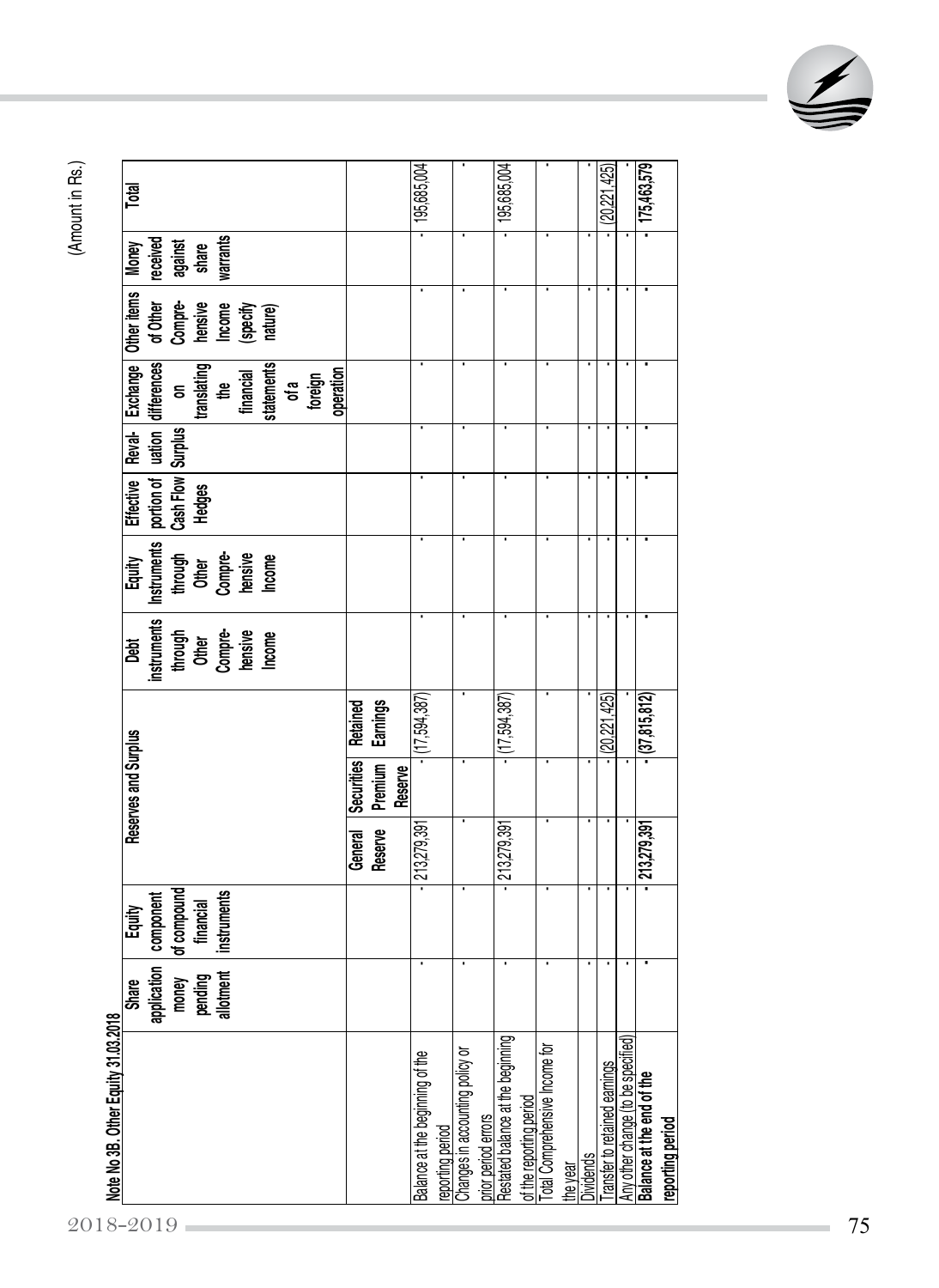|                                                                 | <b>Share</b>                                            | Equity                                               |                    | Reserves and Surplus                    |                                    | <u>Jest</u>                                                     | Equity                                                          | Effective                           | Reval-                      | Exchange                                           | Other items                              | Money                                    | Total        |
|-----------------------------------------------------------------|---------------------------------------------------------|------------------------------------------------------|--------------------|-----------------------------------------|------------------------------------|-----------------------------------------------------------------|-----------------------------------------------------------------|-------------------------------------|-----------------------------|----------------------------------------------------|------------------------------------------|------------------------------------------|--------------|
| 2018-2019                                                       | application<br><b>llotment</b><br>money<br>pending<br>ᢛ | of compound<br>financial<br>instruments<br>component |                    |                                         |                                    | instruments<br>through<br>Other<br>Compre-<br>Lensive<br>Income | Instruments<br>through<br>Other<br>Compre-<br>hensive<br>Income | Cash Flow  <br>portion of<br>Hedges | $l$ ation<br><b>Surplus</b> | differences<br>on<br>translating<br>financial<br>₽ | of Other<br>Compre-<br>hensive<br>Income | warrants<br>received<br>against<br>share |              |
|                                                                 |                                                         |                                                      |                    |                                         |                                    |                                                                 |                                                                 |                                     |                             | statements<br>operation<br>foreign<br>of a         | (specify<br>nature)                      |                                          |              |
|                                                                 |                                                         |                                                      | Reserve<br>General | <b>Securities</b><br>Premium<br>Reserve | <b>Earnings</b><br><b>Retained</b> |                                                                 |                                                                 |                                     |                             |                                                    |                                          |                                          |              |
| Balance at the beginning of the<br>reporting period             |                                                         |                                                      | 213,279,391        |                                         | (17, 594, 387)                     |                                                                 |                                                                 |                                     |                             |                                                    |                                          |                                          | 195,685,004  |
| Changes in accounting policy or<br>prior period errors          |                                                         |                                                      |                    |                                         |                                    |                                                                 |                                                                 |                                     |                             |                                                    |                                          |                                          | ٠            |
| Restated balance at the beginning<br>of the reporting period    |                                                         |                                                      | 213,279,39         |                                         | (17, 594, 387)                     |                                                                 |                                                                 |                                     |                             |                                                    |                                          |                                          | 195,685,004  |
| Total Comprehensive Income for<br>the year                      |                                                         |                                                      |                    |                                         |                                    |                                                                 |                                                                 |                                     |                             |                                                    |                                          |                                          |              |
| <b>Dividends</b>                                                | ٠                                                       |                                                      |                    |                                         |                                    |                                                                 |                                                                 |                                     | ٠                           |                                                    |                                          |                                          |              |
| ransfer to retained earnings                                    | ٠                                                       |                                                      |                    |                                         | 20,221,425                         |                                                                 |                                                                 |                                     | ٠                           |                                                    |                                          |                                          | (20,221,425) |
| Any other change (to be specified)<br>Balance at the end of the |                                                         |                                                      | 213,279,391        |                                         | (37, 815, 812)                     |                                                                 |                                                                 |                                     | ٠                           |                                                    |                                          |                                          | 175,463,579  |
| reporting period                                                |                                                         |                                                      |                    |                                         |                                    |                                                                 |                                                                 |                                     |                             |                                                    |                                          |                                          |              |

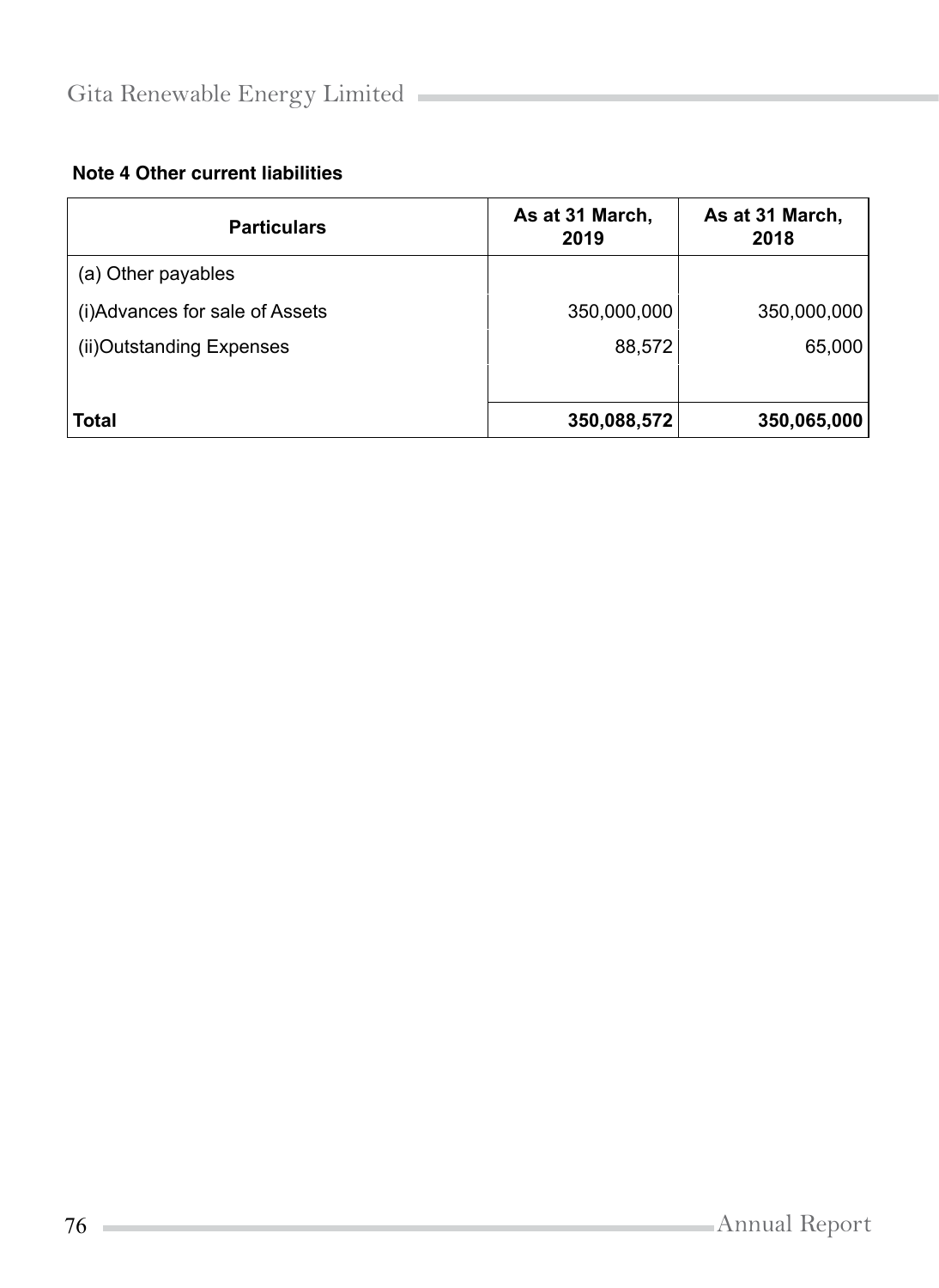### **Note 4 Other current liabilities**

| <b>Particulars</b>              | As at 31 March,<br>2019 | As at 31 March,<br>2018 |
|---------------------------------|-------------------------|-------------------------|
| (a) Other payables              |                         |                         |
| (i) Advances for sale of Assets | 350,000,000             | 350,000,000             |
| (ii) Outstanding Expenses       | 88,572                  | 65,000                  |
|                                 |                         |                         |
| <b>Total</b>                    | 350,088,572             | 350,065,000             |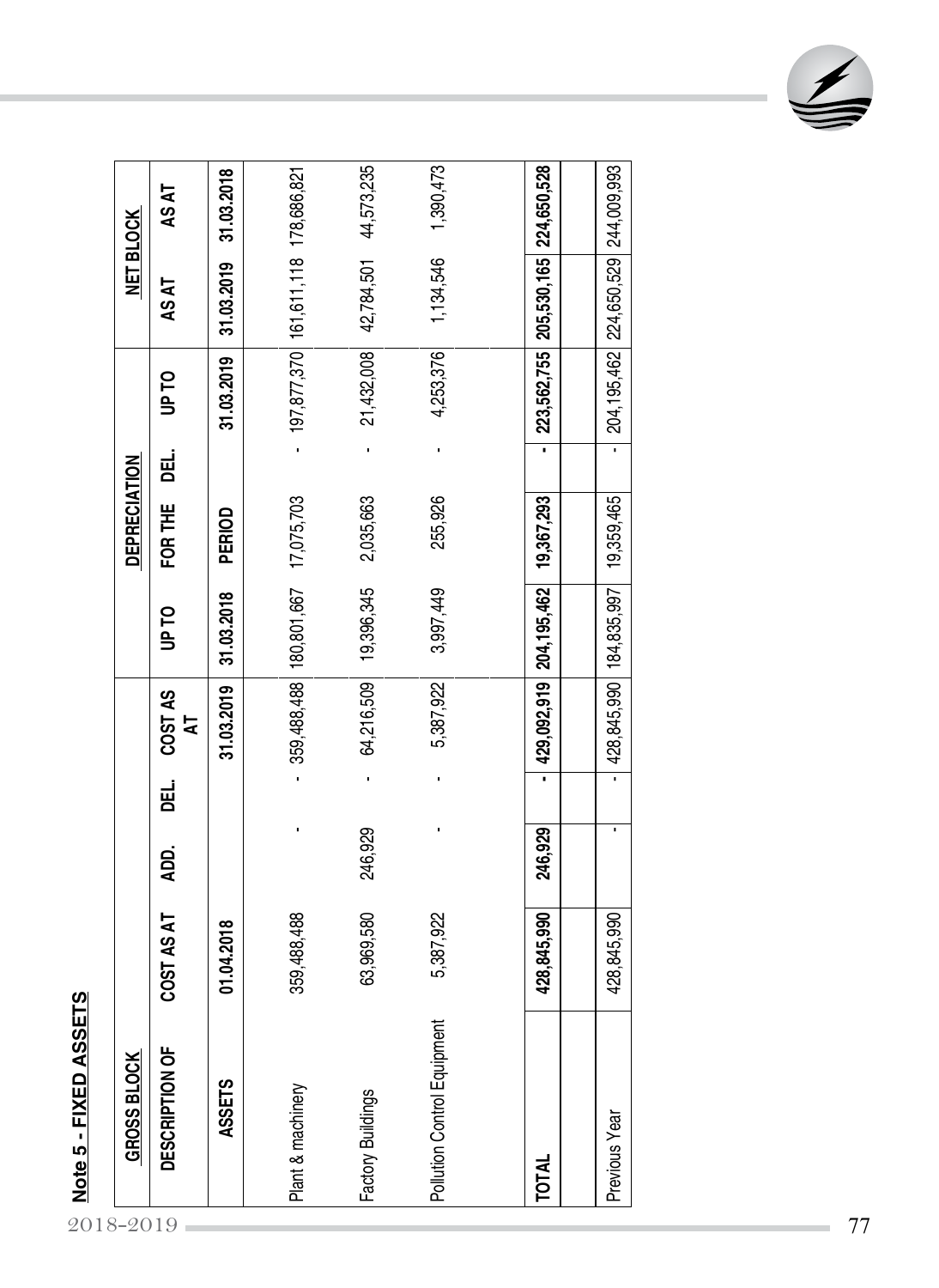| 31.03.2019<br>COST AS<br>5<br>ᇛ<br>ADD.<br>COST AS AT<br>01.04.2018<br>DESCRIPTION OF<br><b>ASSETS</b><br>2018-2019 | <b>UPTO</b> | <b>DEPRECIATION</b>          |               | <b>NET BLOCK</b>                    |             |
|---------------------------------------------------------------------------------------------------------------------|-------------|------------------------------|---------------|-------------------------------------|-------------|
|                                                                                                                     |             | 팂<br>FOR THE                 | <b>UP TO</b>  | AS AT                               | AS AT       |
|                                                                                                                     | 31.03.2018  | PERIOD                       | 31.03.2019    | 31.03.2019                          | 31.03.2018  |
| 359,488,488<br>í,<br>359,488,488<br>Plant & machinery                                                               | 180,801,667 | l,<br>17,075,703             |               | 197,877,370 161,611,118 178,686,821 |             |
| 64,216,509<br>246,929<br>63,969,580<br>Factory Buildings                                                            | 19,396,345  | $\blacksquare$<br>2,035,663  | 21,432,008    | 42,784,501                          | 44,573,235  |
| 5,387,922<br>5,387,922<br>Pollution Control Equipment                                                               | 3,997,449   | $\blacksquare$<br>255,926    | 4,253,376     | 1,134,546                           | 1,390,473   |
|                                                                                                                     |             |                              |               |                                     |             |
| 429,092,919<br>×<br>246,929<br>428,845,990<br>TOTAL                                                                 | 204,195,462 | $\blacksquare$<br>19,367,293 |               | 223,562,755 205,530,165 224,650,528 |             |
| 428,845,990<br>×<br>428,845,990<br>Previous Year                                                                    | 184,835,997 | $\blacksquare$<br>19,359,465 | 204, 195, 462 | 224,650,529                         | 244,009,993 |

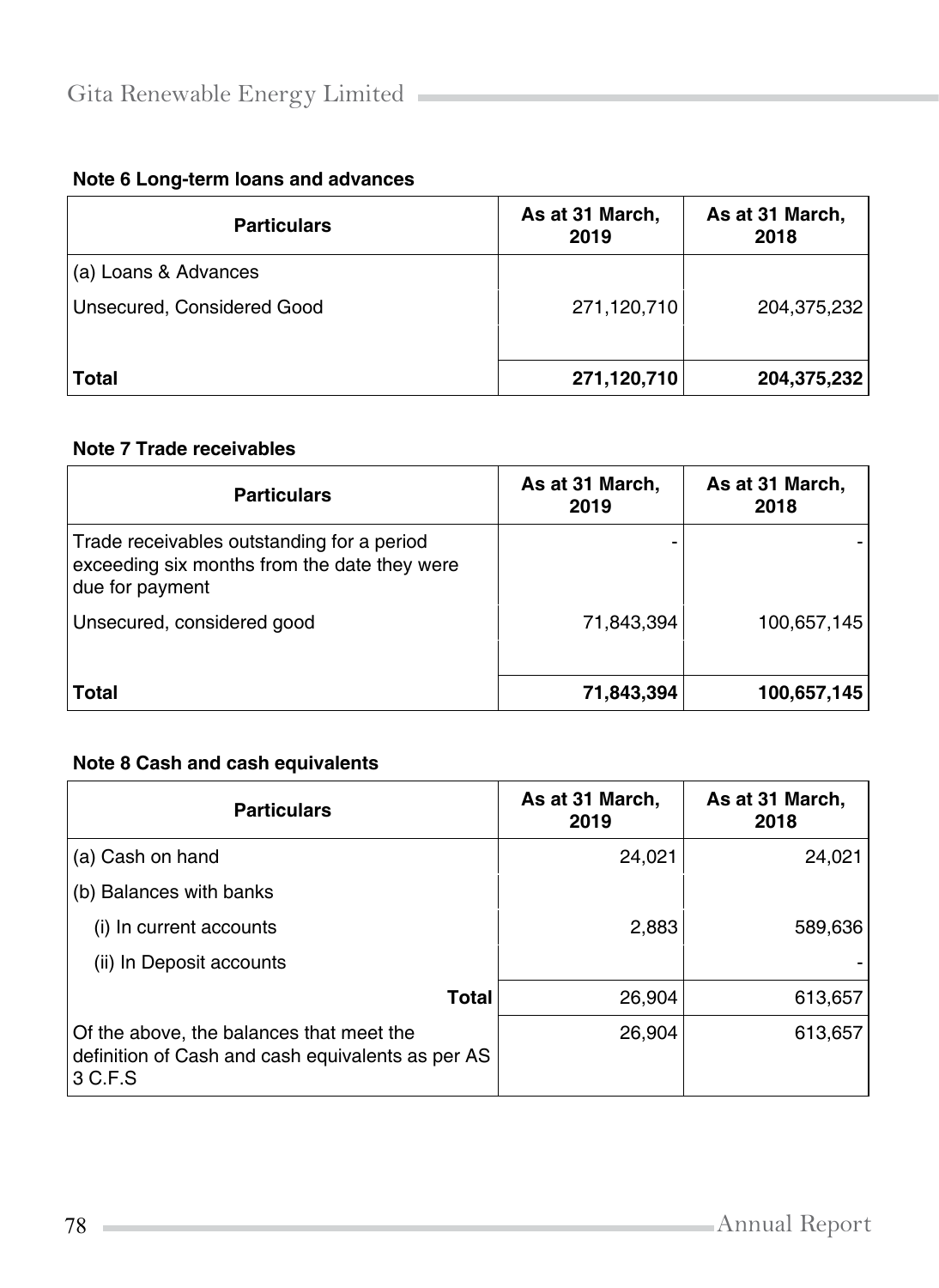| Note 6 Long-term loans and advances |  |  |
|-------------------------------------|--|--|
|-------------------------------------|--|--|

| <b>Particulars</b>         | As at 31 March,<br>2019 | As at 31 March,<br>2018 |
|----------------------------|-------------------------|-------------------------|
| (a) Loans & Advances       |                         |                         |
| Unsecured, Considered Good | 271,120,710             | 204,375,232             |
| <b>Total</b>               | 271,120,710             | 204,375,232             |

### **Note 7 Trade receivables**

| <b>Particulars</b>                                                                                            | As at 31 March,<br>2019 | As at 31 March,<br>2018 |
|---------------------------------------------------------------------------------------------------------------|-------------------------|-------------------------|
| Trade receivables outstanding for a period<br>exceeding six months from the date they were<br>due for payment |                         |                         |
| Unsecured, considered good                                                                                    | 71,843,394              | 100,657,145             |
| Total                                                                                                         | 71,843,394              | 100,657,145             |

### **Note 8 Cash and cash equivalents**

| <b>Particulars</b>                                                                                       | As at 31 March,<br>2019 | As at 31 March,<br>2018 |
|----------------------------------------------------------------------------------------------------------|-------------------------|-------------------------|
| (a) Cash on hand                                                                                         | 24,021                  | 24,021                  |
| (b) Balances with banks                                                                                  |                         |                         |
| (i) In current accounts                                                                                  | 2,883                   | 589,636                 |
| (ii) In Deposit accounts                                                                                 |                         |                         |
| Total                                                                                                    | 26,904                  | 613,657                 |
| Of the above, the balances that meet the<br>definition of Cash and cash equivalents as per AS<br>3 C.F.S | 26,904                  | 613,657                 |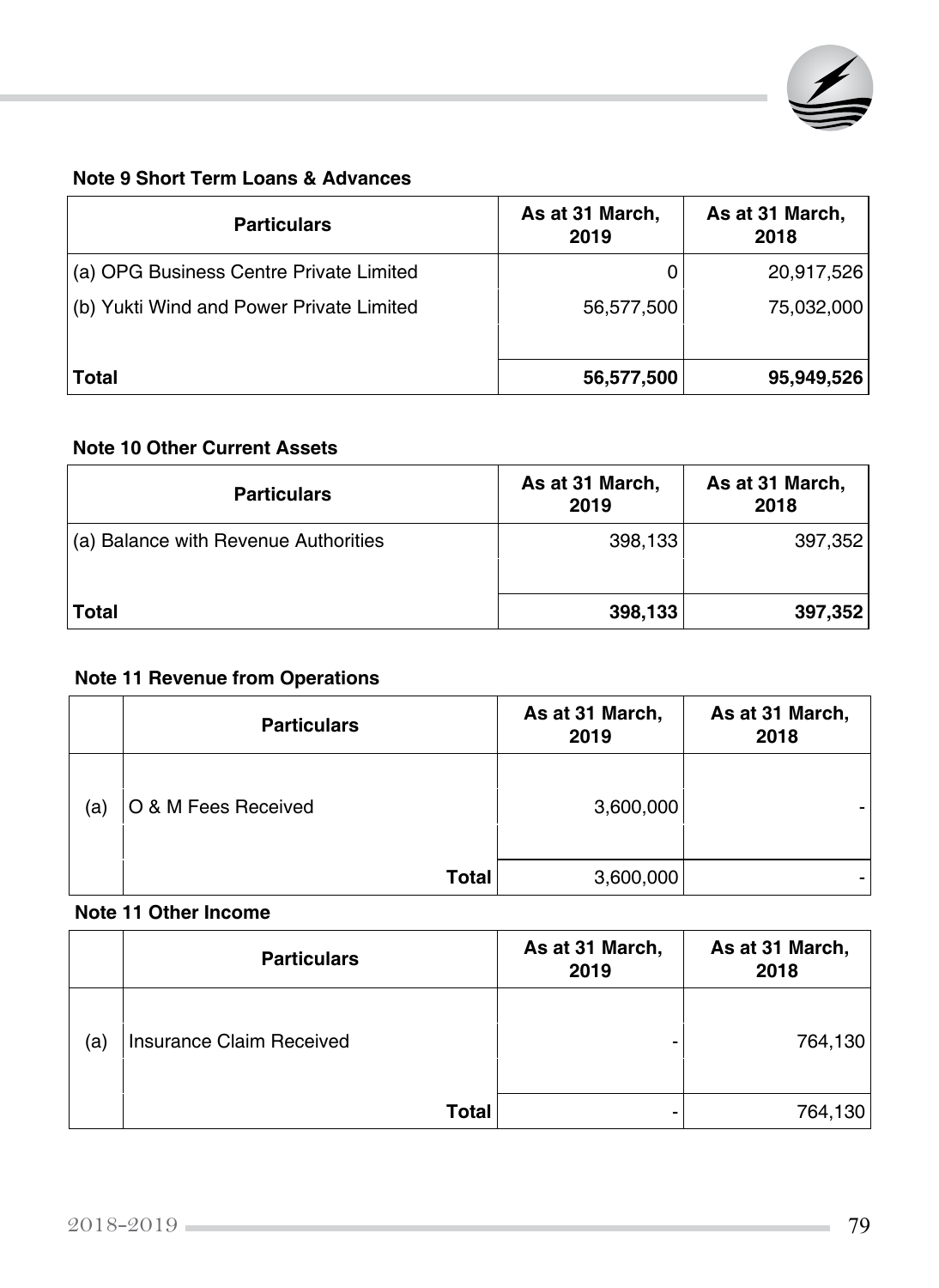

# **Note 9 Short Term Loans & Advances**

| <b>Particulars</b>                       | As at 31 March,<br>2019 | As at 31 March,<br>2018 |  |
|------------------------------------------|-------------------------|-------------------------|--|
| (a) OPG Business Centre Private Limited  | 0                       | 20,917,526              |  |
| (b) Yukti Wind and Power Private Limited | 56,577,500              | 75,032,000              |  |
| <b>Total</b>                             | 56,577,500              | 95,949,526              |  |

### **Note 10 Other Current Assets**

| <b>Particulars</b>                   | As at 31 March,<br>2019 | As at 31 March,<br>2018 |
|--------------------------------------|-------------------------|-------------------------|
| (a) Balance with Revenue Authorities | 398,133                 | 397,352                 |
| Total                                | 398,133                 | 397,352                 |

# **Note 11 Revenue from Operations**

|     | <b>Particulars</b>  | As at 31 March,<br>2019 | As at 31 March,<br>2018 |
|-----|---------------------|-------------------------|-------------------------|
| (a) | O & M Fees Received | 3,600,000               |                         |
|     | <b>Total</b>        | 3,600,000               |                         |

#### **Note 11 Other Income**

|     | <b>Particulars</b>       | As at 31 March,<br>2019 | As at 31 March,<br>2018 |
|-----|--------------------------|-------------------------|-------------------------|
| (a) | Insurance Claim Received |                         | 764,130                 |
|     | <b>Total</b>             | -                       | 764,130                 |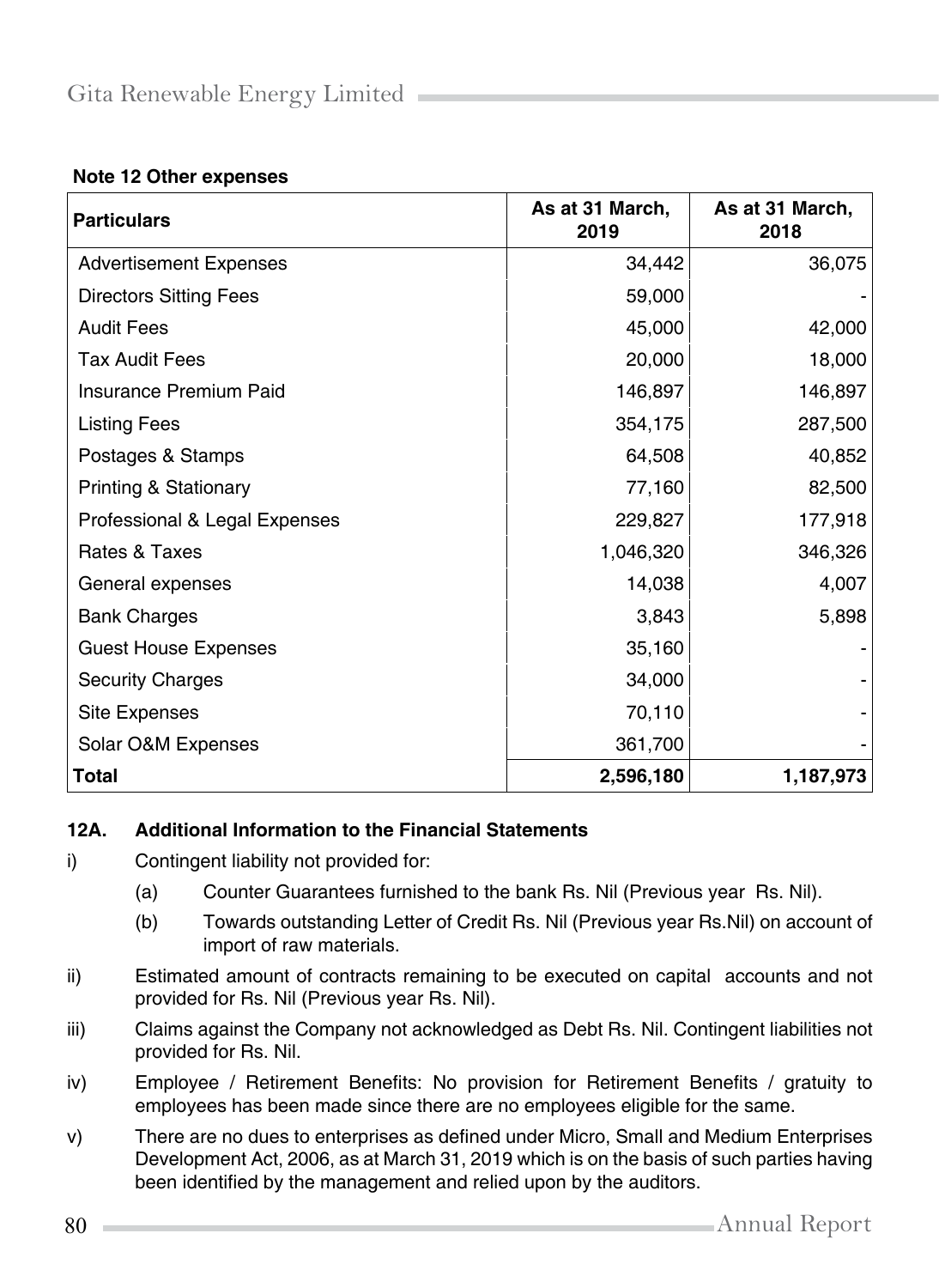#### **Note 12 Other expenses**

| <b>Particulars</b>               | As at 31 March,<br>2019 | As at 31 March,<br>2018 |
|----------------------------------|-------------------------|-------------------------|
| <b>Advertisement Expenses</b>    | 34,442                  | 36,075                  |
| <b>Directors Sitting Fees</b>    | 59,000                  |                         |
| <b>Audit Fees</b>                | 45,000                  | 42,000                  |
| <b>Tax Audit Fees</b>            | 20,000                  | 18,000                  |
| Insurance Premium Paid           | 146,897                 | 146,897                 |
| <b>Listing Fees</b>              | 354,175                 | 287,500                 |
| Postages & Stamps                | 64,508                  | 40,852                  |
| <b>Printing &amp; Stationary</b> | 77,160                  | 82,500                  |
| Professional & Legal Expenses    | 229,827                 | 177,918                 |
| Rates & Taxes                    | 1,046,320               | 346,326                 |
| General expenses                 | 14,038                  | 4,007                   |
| <b>Bank Charges</b>              | 3,843                   | 5,898                   |
| <b>Guest House Expenses</b>      | 35,160                  |                         |
| <b>Security Charges</b>          | 34,000                  |                         |
| <b>Site Expenses</b>             | 70,110                  |                         |
| Solar O&M Expenses               | 361,700                 |                         |
| <b>Total</b>                     | 2,596,180               | 1,187,973               |

#### **12A. Additional Information to the Financial Statements**

- i) Contingent liability not provided for:
	- (a) Counter Guarantees furnished to the bank Rs. Nil (Previous year Rs. Nil).
	- (b) Towards outstanding Letter of Credit Rs. Nil (Previous year Rs.Nil) on account of import of raw materials.
- ii) Estimated amount of contracts remaining to be executed on capital accounts and not provided for Rs. Nil (Previous year Rs. Nil).
- iii) Claims against the Company not acknowledged as Debt Rs. Nil. Contingent liabilities not provided for Rs. Nil.
- iv) Employee / Retirement Benefits: No provision for Retirement Benefits / gratuity to employees has been made since there are no employees eligible for the same.
- v) There are no dues to enterprises as defined under Micro, Small and Medium Enterprises Development Act, 2006, as at March 31, 2019 which is on the basis of such parties having been identified by the management and relied upon by the auditors.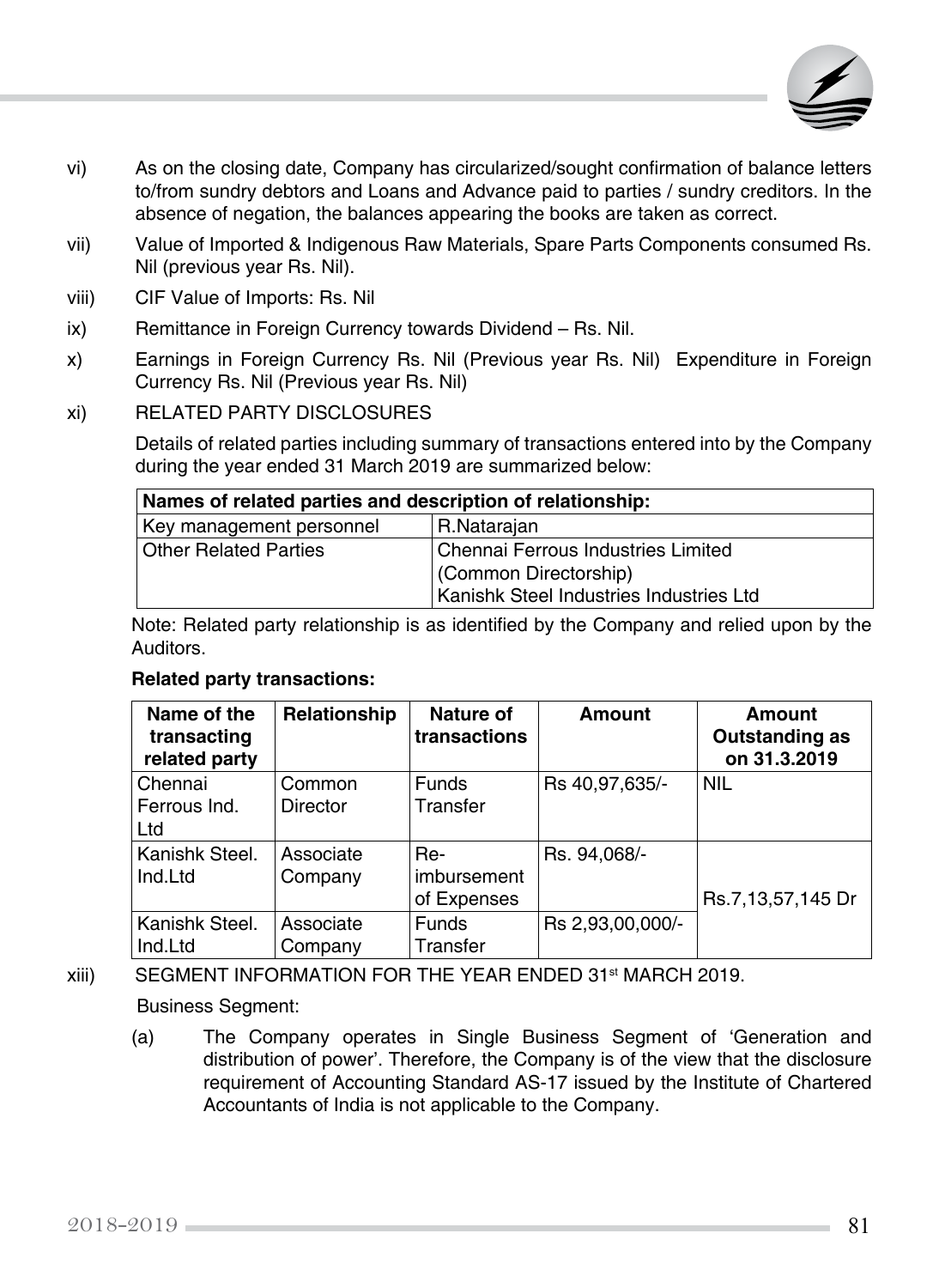

- vi) As on the closing date, Company has circularized/sought confirmation of balance letters to/from sundry debtors and Loans and Advance paid to parties / sundry creditors. In the absence of negation, the balances appearing the books are taken as correct.
- vii) Value of Imported & Indigenous Raw Materials, Spare Parts Components consumed Rs. Nil (previous year Rs. Nil).
- viii) CIF Value of Imports: Rs. Nil
- ix) Remittance in Foreign Currency towards Dividend Rs. Nil.
- x) Earnings in Foreign Currency Rs. Nil (Previous year Rs. Nil) Expenditure in Foreign Currency Rs. Nil (Previous year Rs. Nil)

#### xi) RELATED PARTY DISCLOSURES

Details of related parties including summary of transactions entered into by the Company during the year ended 31 March 2019 are summarized below:

| Names of related parties and description of relationship:          |  |  |
|--------------------------------------------------------------------|--|--|
| R.Natarajan<br>Key management personnel                            |  |  |
| <b>Other Related Parties</b><br>Chennai Ferrous Industries Limited |  |  |
| (Common Directorship)                                              |  |  |
| Kanishk Steel Industries Industries Ltd                            |  |  |

Note: Related party relationship is as identified by the Company and relied upon by the Auditors.

#### **Related party transactions:**

| Name of the<br>transacting<br>related party | Relationship | Nature of<br>transactions | Amount           | <b>Amount</b><br><b>Outstanding as</b><br>on 31.3.2019 |
|---------------------------------------------|--------------|---------------------------|------------------|--------------------------------------------------------|
| Chennai                                     | Common       | <b>Funds</b>              | Rs 40,97,635/-   | <b>NIL</b>                                             |
| Ferrous Ind.                                | Director     | Transfer                  |                  |                                                        |
| Ltd                                         |              |                           |                  |                                                        |
| Kanishk Steel.                              | Associate    | Re-                       | Rs. 94,068/-     |                                                        |
| Ind.Ltd                                     | Company      | imbursement               |                  |                                                        |
|                                             |              | of Expenses               |                  | Rs.7,13,57,145 Dr                                      |
| Kanishk Steel.                              | Associate    | <b>Funds</b>              | Rs 2,93,00,000/- |                                                        |
| Ind.Ltd                                     | Company      | Transfer                  |                  |                                                        |

## xiii) SEGMENT INFORMATION FOR THE YEAR ENDED 31st MARCH 2019. Business Segment:

(a) The Company operates in Single Business Segment of 'Generation and distribution of power'. Therefore, the Company is of the view that the disclosure requirement of Accounting Standard AS-17 issued by the Institute of Chartered Accountants of India is not applicable to the Company.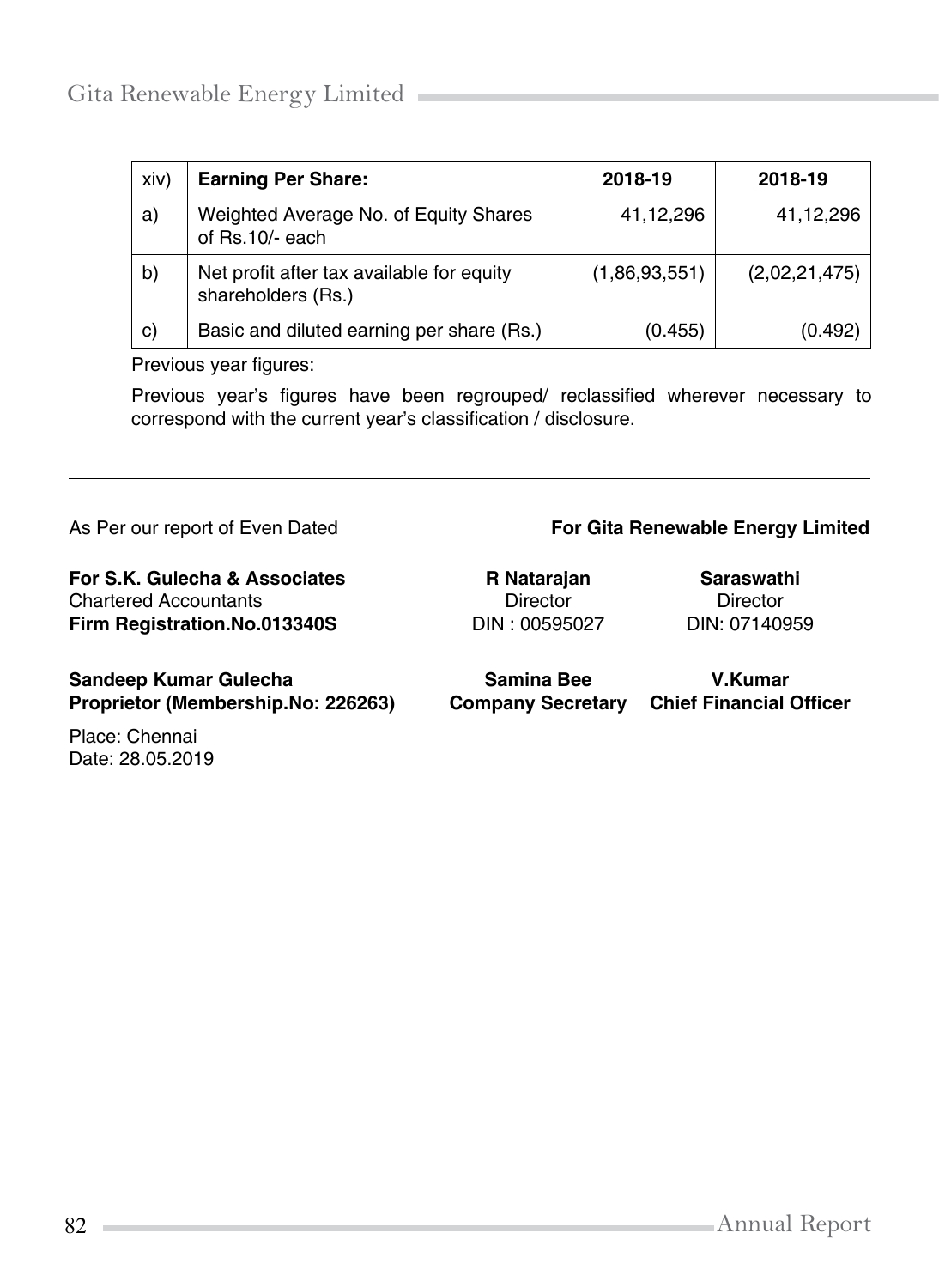| xiv) | <b>Earning Per Share:</b>                                       | 2018-19       | 2018-19       |
|------|-----------------------------------------------------------------|---------------|---------------|
| a)   | Weighted Average No. of Equity Shares<br>of Rs.10/- each        | 41,12,296     | 41,12,296     |
| b)   | Net profit after tax available for equity<br>shareholders (Rs.) | (1,86,93,551) | (2,02,21,475) |
| C)   | Basic and diluted earning per share (Rs.)                       | (0.455)       | (0.492)       |

Previous year figures:

Previous year's figures have been regrouped/ reclassified wherever necessary to correspond with the current year's classification / disclosure.

#### As Per our report of Even Dated **For Gita Renewable Energy Limited For Gita Renewable Energy Limited**

**For S.K. Gulecha & Associates R Natarajan Saraswathi** Chartered Accountants Director Director **Firm Registration.No.013340S** DIN : 00595027 DIN: 07140959 **Sandeep Kumar Gulecha Samina Bee V.Kumar Company Secretary Chief Financial Officer** 

Place: Chennai Date: 28.05.2019

82 Annual Report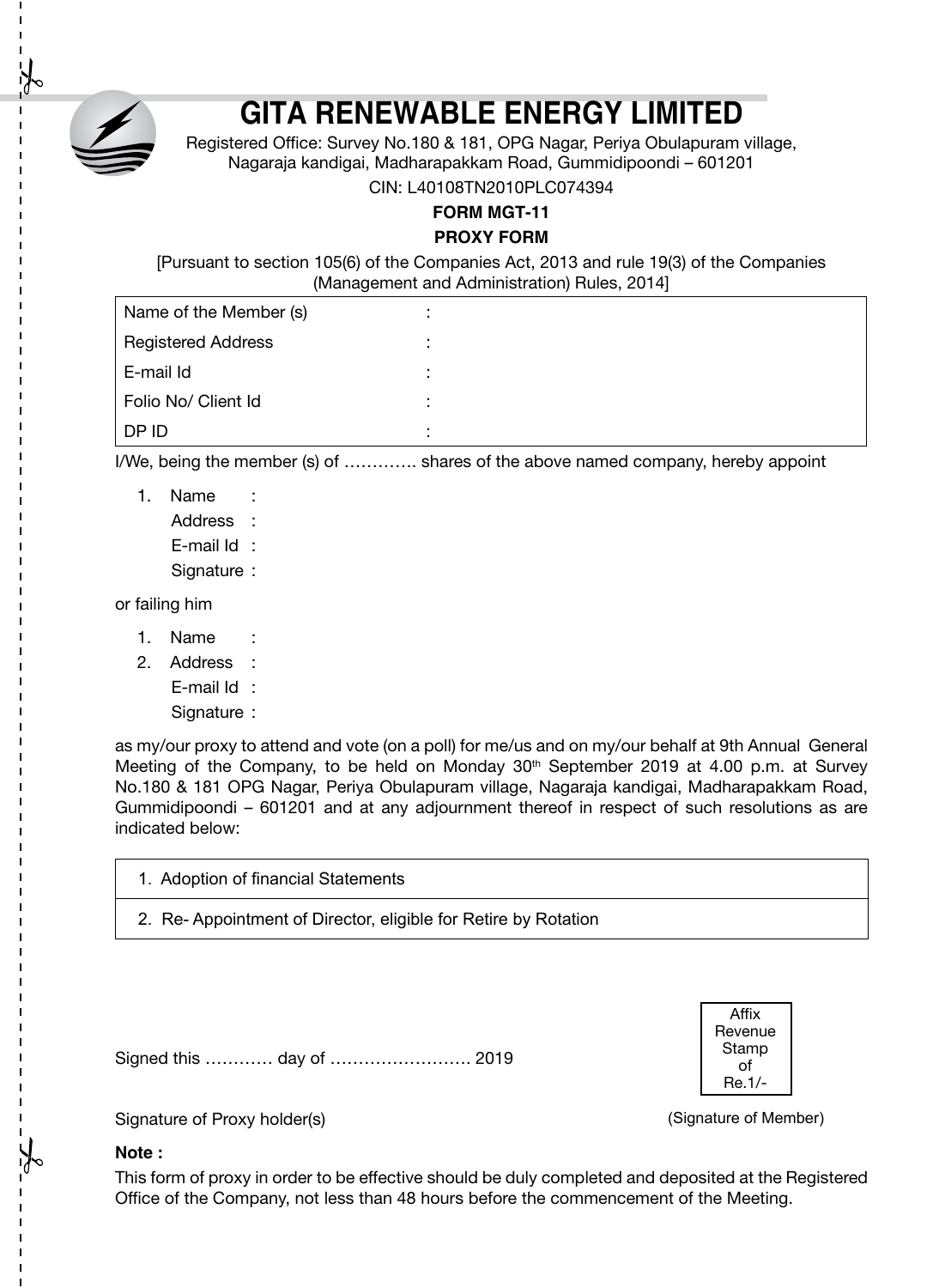

# **GITA RENEWABLE ENERGY LIMITED**

Registered Office: Survey No.180 & 181, OPG Nagar, Periya Obulapuram village, Nagaraja kandigai, Madharapakkam Road, Gummidipoondi – 601201

CIN: L40108TN2010PLC074394

**FORM MGT-11**

#### **PROXY FORM**

[Pursuant to section 105(6) of the Companies Act, 2013 and rule 19(3) of the Companies (Management and Administration) Rules, 2014]

| Name of the Member (s)    |  |
|---------------------------|--|
| <b>Registered Address</b> |  |
| E-mail Id                 |  |
| Folio No/ Client Id       |  |
| DP ID                     |  |

I/We, being the member (s) of …………. shares of the above named company, hereby appoint

1. Name : Address · E-mail Id : Signature :

or failing him

- 1. Name
- 2. Address :
	- E-mail Id :
		- Signature :

as my/our proxy to attend and vote (on a poll) for me/us and on my/our behalf at 9th Annual General Meeting of the Company, to be held on Monday  $30<sup>th</sup>$  September 2019 at 4.00 p.m. at Survey No.180 & 181 OPG Nagar, Periya Obulapuram village, Nagaraja kandigai, Madharapakkam Road, Gummidipoondi – 601201 and at any adjournment thereof in respect of such resolutions as are indicated below:

| 1. Adoption of financial Statements                            |
|----------------------------------------------------------------|
| 2. Re-Appointment of Director, eligible for Retire by Rotation |

Signed this ………… day of ……………………. 2019

Affix **Revenue Stamp** of Re.1/-

(Signature of Member)

Signature of Proxy holder(s)

#### **Note :**

This form of proxy in order to be effective should be duly completed and deposited at the Registered Office of the Company, not less than 48 hours before the commencement of the Meeting.